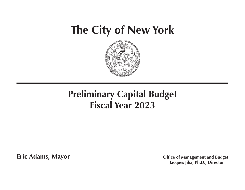# **The City of New York**



# **Preliminary Capital Budget Fiscal Year 2023**

**Fric Adams, Mayor Compared Adams, Mayor Office of Management and Budget Jacques Jiha, Ph.D., Director**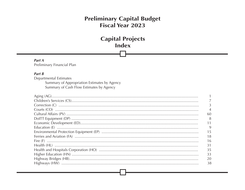# **Capital Projects Index**

Part A Preliminary Financial Plan

# Part  $B$

Departmental Estimates Summary of Appropriation Estimates by Agency Summary of Cash Flow Estimates by Agency

| 60 |
|----|
| 8  |
|    |
| 9  |
| 15 |
| 18 |
| 16 |
| 31 |
| 35 |
| 33 |
| 20 |
| 38 |
|    |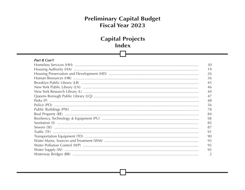# **Capital Projects Index**

| 30 |
|----|
| 19 |
| 26 |
| 36 |
| 45 |
| 46 |
| 44 |
| 47 |
| 48 |
| 56 |
| 78 |
| 84 |
| 58 |
| 85 |
| 87 |
| 91 |
| 90 |
| 93 |
| 95 |
| 92 |
|    |
|    |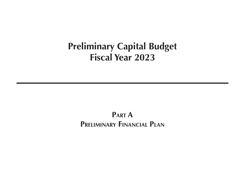**Part A Preliminary Financial Plan**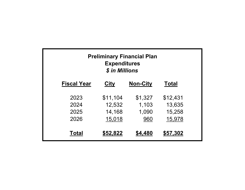| <b>Preliminary Financial Plan</b><br><b>Expenditures</b><br>\$ in Millions |             |                 |              |  |  |  |  |
|----------------------------------------------------------------------------|-------------|-----------------|--------------|--|--|--|--|
| <b>Fiscal Year</b>                                                         | <b>City</b> | <b>Non-City</b> | <b>Total</b> |  |  |  |  |
| 2023                                                                       | \$11,104    | \$1,327         | \$12,431     |  |  |  |  |
| 2024                                                                       | 12,532      | 1,103           | 13,635       |  |  |  |  |
| 2025                                                                       | 14,168      | 1,090           | 15,258       |  |  |  |  |
| 2026                                                                       | 15,018      | 960             | 15,978       |  |  |  |  |
| Total                                                                      | \$52,822    | \$4,480         | \$57,302     |  |  |  |  |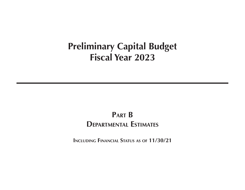# **Part B Departmental Estimates**

**Including Financial Status as of 11/30/21**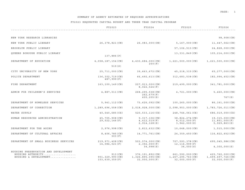|                                                                                    | FY2023                                               | FY2024                                                                                               | FY2025                                                         | FY2026                                                   |
|------------------------------------------------------------------------------------|------------------------------------------------------|------------------------------------------------------------------------------------------------------|----------------------------------------------------------------|----------------------------------------------------------|
|                                                                                    |                                                      |                                                                                                      |                                                                |                                                          |
| NEW YORK RESEARCH LIBRARIES                                                        |                                                      |                                                                                                      |                                                                | 98,908(CN)                                               |
| NEW YORK PUBLIC LIBRARY                                                            | 26,378,821(CN)                                       | $26,083,000$ (CN)                                                                                    | 5, 167, 000 (CN)                                               | 11,447,562(CN)                                           |
| BROOKLYN PUBLIC LIBRARY                                                            |                                                      |                                                                                                      | 57,106,513(CN)                                                 | 24,828,000(CN)                                           |
| OUEENS BOROUGH PUBLIC LIBRARY                                                      |                                                      |                                                                                                      | 13, 331, 849 (CN)                                              | 105, 214, 000 (CN)                                       |
|                                                                                    | 137,886(P)                                           |                                                                                                      |                                                                |                                                          |
| DEPARTMENT OF EDUCATION                                                            | 4,058,187,154(CN)                                    | $4,430,684,000$ (CN)<br>250(F)                                                                       | 1, 221, 500, 000 (CN)                                          | 1, 221, 500, 000 (CN)                                    |
|                                                                                    | 519(S)                                               |                                                                                                      |                                                                |                                                          |
| CITY UNIVERSITY OF NEW YORK                                                        | 25,711,000(CN)                                       | 39,663,672(CN)                                                                                       | 45, 218, 315 (CN)                                              | 65,277,000(CN)                                           |
| POLICE DEPARTMENT                                                                  | 136, 302, 719 (CN)<br>487,999(F)                     | 66,492,613(CN)<br>312, 683, 538 (CN)                                                                 |                                                                | 182,994,452(CN)                                          |
| FIRE DEPARTMENT                                                                    | $163, 100, 149$ (CN)                                 | 227, 913, 000 (CN)<br>8,022,524(F)                                                                   | 219, 499, 000 (CN)                                             | 341,781,000(CN)                                          |
| ADMIN FOR CHILDREN'S SERVICES                                                      | 4,887,011(CN)                                        | 268, 295, 538 (CN)<br>262, 679(F)                                                                    | 4,721,000(CN)                                                  | $5,460,000$ (CN)<br>767(S)                               |
|                                                                                    |                                                      | 605, 205(S)                                                                                          |                                                                |                                                          |
| DEPARTMENT OF HOMELESS SERVICES                                                    | 5, 941, 112 (CN)                                     | 73,626,092(CN)                                                                                       | $100, 260, 000$ (CN)                                           | 86,161,000(CN)                                           |
| DEPARTMENT OF CORRECTION                                                           | $1, 289, 696, 558$ (CN)                              | 2,018,928,000(CN)                                                                                    | 2,098,953,000(CN)                                              | 1,783,726,011(CN)                                        |
| WATER SUPPLY                                                                       | 40,540,685(CX)                                       | 520, 533, 116(CX)                                                                                    | 248,746,061(CX)                                                | 686,019,000(CX)                                          |
| HUMAN RESOURCES ADMINISTRATION                                                     | 45,705,908(CN)<br>29,522,146(F)                      | $9,317,106$ (CN)<br>4,412,019(F)<br>2,914,128(S)                                                     | 38,824,274 (CN)<br>8,012,000(F)<br>3,942,000(S)                | 19,315,000(CN)<br>11,851,000(F)<br>5,929,863(S)          |
| DEPARTMENT FOR THE AGING                                                           | $2,976,998$ (CN)                                     | $2,812,632$ (CN)                                                                                     | $10,648,000$ (CN)                                              | 1, 515, 000 (CN)                                         |
| DEPARTMENT OF CULTURAL AFFAIRS                                                     | 8,406,785(CN)<br>303(F)                              | 14,771,761(CN)                                                                                       | 24, 359, 450 (CN)                                              | 116,822,652(CN)                                          |
| DEPARTMENT OF SMALL BUSINESS SERVICES                                              | 219,971,408(CN)<br>14,084,021(F)                     | 503, 574, 000 (CN)<br>707,593,378(CN)<br>12, 116, 999(F)<br>2, 392, 000(F)<br>34,998(S)<br>36,000(S) |                                                                | 695,045,986(CN)<br>4,300,000(S)                          |
| HOUSING PRESERVATION AND DEVELOPMENT<br>HOUSING AUTHORITY<br>HOUSING & DEVELOPMENT | $913$ (CN)<br>901, 329, 990 (CN)<br>103, 639, 359(F) | 376,191,892(CN)<br>1, 326, 895, 095 (CN)<br>32,000,000(F)                                            | 661, 590, 000 (CN)<br>$1, 267, 295, 763$ (CN)<br>32,000,000(F) | 425, 760, 000 (CN)<br>1,499,497,726(CN)<br>32,000,000(F) |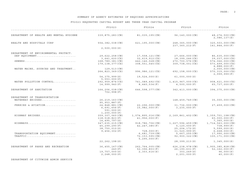# FY2023 REQUESTED CAPITAL BUDGET AND THREE YEAR CAPITAL PROGRAM

|                                         | FY2023               | FY2024             | FY2025                                 | FY2026                                 |  |
|-----------------------------------------|----------------------|--------------------|----------------------------------------|----------------------------------------|--|
|                                         |                      |                    |                                        |                                        |  |
| DEPARTMENT OF HEALTH AND MENTAL HYGIENE | 339,875,283(CN)      | 81,035,195(CN)     | 96,140,000(CN)                         | 48, 274, 500 (CN)<br>2.086.137(S)      |  |
| HEALTH AND HOSPITALS CORP               | 554, 382, 038 (CN)   | 621, 195, 000 (CN) | 248, 365, 000 (CN)<br>237, 360, 212(F) | 320, 503, 000 (CN)<br>141, 844, 000(F) |  |
|                                         | 2,500,000(S)         |                    |                                        |                                        |  |
| DEPARTMENT OF ENVIRONMENTAL PROTECT.    |                      |                    |                                        |                                        |  |
| DEP EOUIPMENT                           | 29,622,258(CN)       | 17,558,121(CN)     | 27,666,000(CN)                         | 86,635,000(CN)                         |  |
|                                         | 3,641,620(CX)        | 32,619,912(CX)     | 18,399,246(CX)                         | 39,037,000(CX)                         |  |
| $SEWERS$                                | 168,789,381(CN)      | 442, 146, 028 (CN) | 270,700,576(CN)                        | 574,066,000(CN)                        |  |
|                                         | 179, 138, 377 (CX)   | 308, 551, 545(CX)  | 309, 738, 001(CX)                      | 573, 499, 000(CX)                      |  |
|                                         |                      |                    |                                        |                                        |  |
| WATER MAINS, SOURCES AND TREATMENT      |                      |                    |                                        | 4,888,000(F)                           |  |
|                                         | 129,513(CN)          |                    |                                        | $2,000,000$ (CN)                       |  |
|                                         | $264, 823, 369$ (CX) | 996, 986, 121 (CX) | 692, 158, 000(CX)                      | 570, 315, 000 (CX)<br>2,999,999(F)     |  |
|                                         | 54, 375, 999 (S)     | 19,524,000(S)      | 61,000,000(S)                          |                                        |  |
|                                         | 5, 553, 000(P)       |                    |                                        |                                        |  |
| WATER POLLUTION CONTROL                 | 292,959,874(CX)      | 761,089,492(CX)    | 1,415,967,000(CX)                      | 908, 621, 000 (CX)                     |  |
|                                         | 14,999,940(F)        | 8,440,534(F)       | 4,500,000(F)                           | 65,737,000(F)                          |  |
| DEPARTMENT OF SANITATION                | 164,206,038(CN)      | 646,598,377(CN)    | 342, 413, 000 (CN)                     | 394, 375, 000 (CN)                     |  |
|                                         | 702,998(F)           |                    |                                        |                                        |  |
| DEPARTMENT OF TRANSPORTATION            |                      |                    |                                        |                                        |  |
| WATERWAY BRIDGES                        | $26, 219, 163$ (CN)  |                    | 148,459,749(CN)                        | 35,000,000(CN)                         |  |
|                                         | 95, 953, 887(F)      |                    |                                        |                                        |  |
| FERRIES & AVIATION                      | 24,848,881(CN)       | 22, 296, 000 (CN)  | 31,736,000(CN)                         | 27, 459, 000 (CN)                      |  |
|                                         | 6,691,656(F)         | 15,982,000(F)      | 3, 235, 000(F)                         |                                        |  |
|                                         | 591,000(S)           |                    |                                        |                                        |  |
|                                         | 1, 200, 000(P)       |                    |                                        |                                        |  |
| HIGHWAY BRIDGES                         | 359,307,060(CN)      | 1,074,895,016(CN)  | 2,169,861,402(CN)                      | 1,359,701,198(CN)                      |  |
|                                         | 118, 518, 823(F)     | 41,956,000(F)      |                                        | 60,000,000(F)                          |  |
|                                         | 14,495,797(S)        |                    |                                        | 7, 365, 000(S)                         |  |
| HIGHWAYS                                | 347,635,215(CN)      | 918,786,706(CN)    | $1, 227, 596, 459$ (CN)                | 1,714,563,000(CN)                      |  |
|                                         | 45, 299, 290(F)      | 42, 247, 385(F)    | 5,120,000(F)                           | 738,999(F)                             |  |
|                                         | 38,750,010(S)        |                    | 25, 204, 172(S)                        | 5, 599, 000(S)                         |  |
|                                         | 9,456,302(P)         | 728,000(P)         | 31,520,999(P)                          | 6,668,000(P)                           |  |
| TRANSPORTATION EQUIPMENT                |                      | $6,681,739$ (CN)   | 5,667,255(CN)                          | 17,990,000(CN)                         |  |
| TRAFFIC                                 |                      | 72, 153, 595 (CN)  | 92,900,322(CN)                         | 100, 171, 000 (CN)                     |  |
|                                         |                      |                    |                                        |                                        |  |
|                                         | 22, 262, 198(S)      | 5, 295, 000(F)     | 28, 399, 213 (S)                       | 1,345,000(S)                           |  |
|                                         |                      |                    |                                        |                                        |  |
| DEPARTMENT OF PARKS AND RECREATION      | 36, 455, 167 (CN)    | 262,764,005(CN)    | $626, 238, 978$ (CN)                   | 1,905,385,828(CN)                      |  |
|                                         | 240(F)               | 52, 396, 803(F)    | 26, 190, 631(F)                        | 52, 162, 000(F)                        |  |
|                                         | 19,757,000(S)        | 2, 303, 616(S)     | 303, 249(S)                            | 96,000(S)                              |  |
|                                         | 2, 248, 000(P)       |                    | 2, 201, 000(P)                         | 40,000(P)                              |  |

DEPARTMENT OF CITYWIDE ADMIN SERVICE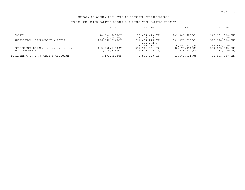|                                       | FY2023             | FY2024             | FY2025            | FY2026             |
|---------------------------------------|--------------------|--------------------|-------------------|--------------------|
| COURTS                                | 44,636,769(CN)     | 170,094,478(CN)    | 241,989,623(CN)   | 345,992,000(CN)    |
|                                       | 1,783,553(S)       | 4, 263, 000(S)     |                   | 324,000(S)         |
| RESILIENCY, TECHNOLOGY & EQUIP        | 296, 668, 854 (CN) | 791,004,245(CN)    | 1,089,079,713(CN) | 575,874,000(CN)    |
|                                       |                    | 171,272 (F)        |                   |                    |
|                                       |                    | 6, 116, 238(P)     | 36,097,000(P)     | 14,965,000(P)      |
| PUBLIC BUILDINGS                      | $112,960,605$ (CN) | 239, 111, 801 (CN) | 88, 173, 214 (CN) | 509, 862, 305 (CN) |
| REAL PROPERTY                         | 1,016,725(CN)      | $1,544,000$ (CN)   | 715,000(CN)       | $733,000$ (CN)     |
| INFO TECH & TELECOMM<br>DEPARTMENT OF | 4,101,929(CN)      | 48,936,000(CN)     | 43, 572, 521 (CN) | 68,585,000(CN)     |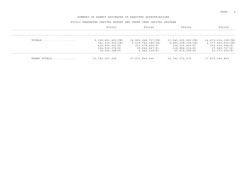|              | FY2023                                                                                               | FY2024                                                                                     | FY2025                                                                                       | FY2026                                                                                          |
|--------------|------------------------------------------------------------------------------------------------------|--------------------------------------------------------------------------------------------|----------------------------------------------------------------------------------------------|-------------------------------------------------------------------------------------------------|
|              |                                                                                                      |                                                                                            |                                                                                              |                                                                                                 |
| TOTALS       | 9, 399, 451, 405 (CN)<br>781, 103, 925 (CX)<br>429,900,662(F)<br>154, 516, 076(S)<br>18, 595, 188(P) | 14,802,048,707(CN)<br>2,619,780,186(CX)<br>213,578,466(F)<br>29,644,947(S)<br>6,844,238(P) | 13,540,025,892(CN)<br>2,685,008,308(CX)<br>328,534,842(F)<br>118,884,634(S)<br>69,818,999(P) | 14,673,614,128(CN)<br>2,777,491,000(CX)<br>372, 220, 998(F)<br>27,045,767(S)<br>21, 673, 000(P) |
| GRAND TOTALS | 10,783,567,256                                                                                       | 17,671,896,544                                                                             | 16,742,272,675                                                                               | 17,872,044,893                                                                                  |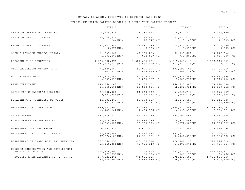# SUMMARY OF AGENCY ESTIMATES OF REQUIRED CASH FLOW

| ____________________________               | FY2023                                                                        | FY2024                                                                             | FY2025                                                            | FY2026                                                        |
|--------------------------------------------|-------------------------------------------------------------------------------|------------------------------------------------------------------------------------|-------------------------------------------------------------------|---------------------------------------------------------------|
| NEW YORK RESEARCH LIBRARIES                |                                                                               | $6, 946, 739$ $5, 780, 377$ $4, 880, 730$                                          |                                                                   | 4,398,880                                                     |
| NEW YORK PUBLIC LIBRARY                    |                                                                               | 62,066,236<br>57,339,561<br>53,681,630<br>19,284 (NC)<br>13,148(NC)<br>15,777(NC)  |                                                                   | 51,344,762<br>11,395 (NC)                                     |
| BROOKLYN PUBLIC LIBRARY                    | 27,543,781<br>10,671(NC)                                                      | 31,881,239<br>49,234,012<br>8,730 (NC)<br>7,275 (NC)                               |                                                                   | 44,708,480<br>6, 305 (NC)                                     |
| OUEENS BOROUGH PUBLIC LIBRARY              | 32,607,001<br>1,232,000 (NC)                                                  | 42,359,239<br>52,935,622<br>862,400 (NC)<br>739,200 (NC)                           |                                                                   | 64,247,030<br>1,436,200 (NC)                                  |
| DEPARTMENT OF EDUCATION                    | 3, 226, 590, 076<br>137,516,577(NC)                                           | 3,581,656,281<br>125,836,679(NC)                                                   | 3, 517, 467, 148<br>117, 232, 575 (NC)                            | 3, 393, 840, 349<br>100,120,263(NC)                           |
| CITY UNIVERSITY OF NEW YORK                | 71,124,987<br>1, 142, 625 (NC)                                                | 96,871,995<br>833,995(NC)                                                          | 101,595,564<br>709,222(NC)                                        | 95,784,356<br>597,587(NC)                                     |
| POLICE DEPARTMENT                          | 171,810,061<br>8,869,514 (NC)                                                 | 142,878,906<br>182,824,763<br>6,866,757(NC)<br>5,781,734 (NC)                      |                                                                   | 184,561,376<br>4,843,746(NC)                                  |
| FIRE DEPARTMENT                            | 148,368,148<br>14,559,506(NC)                                                 | 154,935,651<br>168,633,988<br>12,492,931(NC)<br>15,560,406(NC)                     |                                                                   | 204,824,680<br>10,520,761(NC)                                 |
| ADMIN FOR CHILDREN'S SERVICES              | 29,022,981<br>9,127,885(NC)                                                   | 84,069,439<br>64,791,748<br>9,359,951 (NC)<br>7,554,676(NC)                        |                                                                   | 55,875,947<br>6,516,858(NC)                                   |
| DEPARTMENT OF HOMELESS SERVICES            | 41,681,473<br>353,427 (NC)                                                    | 50, 373, 553<br>62,162,497<br>248,253 (NC)<br>212, 647 (NC)                        |                                                                   | 66,841,586<br>177,370 (NC)                                    |
| DEPARTMENT OF CORRECTION                   | 679,977,792<br>887,867,701<br>10,447,242 (NC)<br>7,494,366(NC)                |                                                                                    | 1, 129, 437, 246<br>6, 393, 858 (NC)                              | 1, 268, 235, 271<br>5, 363, 079 (NC)                          |
| WATER SUPPLY                               | 183,816,030                                                                   | 255,730,720                                                                        | 269,101,468                                                       | 348,531,648                                                   |
| HUMAN RESOURCES ADMINISTRATION             | 35,719,265<br>47,464,269<br>45,584,668<br>15,033,320(NC)<br>13, 163, 592 (NC) |                                                                                    | 13, 272, 206 (NC)                                                 | 41,394,397<br>14,366,323 (NC)                                 |
| DEPARTMENT FOR THE AGING                   | 4,857,426                                                                     | 4,661,452                                                                          | 5,925,904                                                         | 7,496,038                                                     |
| DEPARTMENT OF CULTURAL AFFAIRS             | 92,179,345                                                                    | 128,850,985<br>191,582,317<br>37,676,184 (NC)<br>27,981,521 (NC)<br>24,366,872(NC) |                                                                   | 210,327,901<br>20,528,620(NC)                                 |
| DEPARTMENT OF SMALL BUSINESS SERVICES      | 367,560,257<br>65,310,356(NC)                                                 | 390,255,314<br>48,095,840(NC)                                                      | 478,889,113<br>44,073,374 (NC)                                    | 522, 226, 828<br>37,426,054 (NC)                              |
| HOUSING PRESERVATION AND DEVELOPMENT       |                                                                               |                                                                                    |                                                                   |                                                               |
| HOUSING AUTHORITY<br>HOUSING & DEVELOPMENT | 416,145,492<br>1,173,558(NC)<br>678, 223, 401<br>25,734,600 (NC)              | 422,745,528<br>960, 183(NC)<br>771,891,905<br>24,433,980(NC)                       | 473,927,029<br>800, 153(NC)<br>875, 831, 469<br>26, 334, 440 (NC) | 466,668,117<br>693,466(NC)<br>1,006,654,950<br>27,602,500(NC) |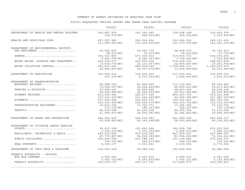# SUMMARY OF AGENCY ESTIMATES OF REQUIRED CASH FLOW

|                                                | FY2023                         | FY2024                                                              | FY2025                         | FY2026                           |
|------------------------------------------------|--------------------------------|---------------------------------------------------------------------|--------------------------------|----------------------------------|
| DEPARTMENT OF HEALTH AND MENTAL HYGIENE        | 169,687,932<br>335,979 (NC)    | 143,592,583<br>458,226 (NC)                                         | 138,898,348<br>465,202 (NC)    | 129,423,976<br>1, 143, 845 (NC)  |
| HEALTH AND HOSPITALS CORP                      | 327,997,985<br>111,959,981(NC) | 366,934,264<br>343,065,312<br>114,203,616(NC)<br>141, 277, 076 (NC) |                                | 348, 123, 430<br>141,061,143(NC) |
| DEPARTMENT OF ENVIRONMENTAL PROTECT.           |                                |                                                                     |                                |                                  |
| DEP EQUIPMENT                                  | 66,583,009                     | 66,469,739                                                          | 68,428,574                     | 79,736,423                       |
| $SEWERS$                                       | 98,072 (NC)<br>392,321,855     | 75,015(NC)<br>477,336,913                                           | 69,246(NC)<br>519,930,733      | 57,709 (NC)<br>636, 972, 463     |
|                                                | 9,643,780(NC)                  | 8,282,097(NC)                                                       | 7,738,695(NC)                  | 7,722,893(NC)                    |
| WATER MAINS, SOURCES AND TREATMENT             | 414,203,077                    | 523, 623, 154                                                       | 576,236,152                    | 588, 347, 638                    |
|                                                | 13,618,774 (NC)                | 14, 111, 567 (NC)                                                   | 22,909,453(NC)                 | 19,201,906(NC)                   |
| WATER POLLUTION CONTROL                        | 864,657,241                    | 889,634,336                                                         | 1,038,455,113                  | 1,026,555,476                    |
|                                                | 24,886,459(NC)                 | 36,037,474 (NC)                                                     | 31,425,640 (NC)                | 38,530,485(NC)                   |
| DEPARTMENT OF SANITATION                       | 235,668,212                    | 318,908,200                                                         | 317,533,914                    | 339,496,376                      |
|                                                | 933, 356 (NC)                  | 2,231,904 (NC)                                                      | 1,664,890(NC)                  | 1,416,273 (NC)                   |
| DEPARTMENT OF TRANSPORTATION                   |                                |                                                                     |                                |                                  |
| WATERWAY BRIDGES                               | 95,388,769                     | 81,402,850                                                          | 111, 119, 661                  | 95,356,682                       |
|                                                | 73,304,037(NC)                 | 54, 934, 224 (NC)                                                   | 46,490,447(NC)                 | 39, 417, 841 (NC)                |
| FERRIES & AVIATION                             | 27,992,143                     | 26,829,456                                                          | 28,407,436                     | 29, 238, 144                     |
|                                                | 25,430,086(NC)                 | 22,054,699(NC)                                                      | 28,011,589(NC)                 | 22,326,835(NC)                   |
| HIGHWAY BRIDGES                                | 413,592,543                    | 526,677,146                                                         | 854, 227, 700                  | 935, 315, 698                    |
|                                                | 137, 212, 350 (NC)             | 111, 224, 095 (NC)                                                  | 92,900,082(NC)                 | 101, 287, 565 (NC)               |
| HIGHWAYS                                       | 557,445,549                    | 625,430,391                                                         | 753,531,421                    | 944,769,391                      |
| TRANSPORTATION EQUIPMENT                       | 151,543,938(NC)                | 126,050,570(NC)                                                     | 122, 140, 744 (NC)             | 103,733,395(NC)                  |
|                                                | 12,813,192<br>270,139(NC)      | 12,702,771<br>189,161 (NC)                                          | 11,436,556<br>162,127(NC)      | 13,112,766<br>135,118(NC)        |
| TRAFFIC                                        | 84,630,598                     | 81,250,038                                                          | 86,309,394                     | 91,135,506                       |
|                                                | 21,994,477(NC)                 | 18,036,991(NC)                                                      | 22, 246, 462 (NC)              | 18,096,409(NC)                   |
| DEPARTMENT OF PARKS AND RECREATION             | 482,056,439                    | 542,074,083                                                         | 661,899,196                    | 960,266,137                      |
|                                                | 55,038,823(NC)                 | 66,155,998(NC)                                                      | 58,503,654 (NC)                | 60, 118, 223 (NC)                |
|                                                |                                |                                                                     |                                |                                  |
| DEPARTMENT OF CITYWIDE ADMIN SERVICE           |                                |                                                                     |                                |                                  |
| COURTS                                         | 98,657,198                     | 121,669,546                                                         | 183,999,799                    | 212, 912, 045                    |
|                                                | 1,500,475 (NC)                 | 1,972,503 (NC)                                                      | 1,545,270 (NC)                 | 1,380,113(NC)                    |
| RESILIENCY, TECHNOLOGY & EQUIP                 | 493,419,699<br>87,775,807(NC)  | 557,476,260<br>95,558,169(NC)                                       | 667,875,907<br>83,724,520 (NC) | 647,988,537<br>73,304,141(NC)    |
| PUBLIC BUILDINGS                               | 204,694,509                    | 207,788,145                                                         | 191,139,642                    | 272,500,071                      |
|                                                | 746,147(NC)                    | 524,211(NC)                                                         | 449,009(NC)                    | 374,541 (NC)                     |
| REAL PROPERTY                                  | 4, 323, 177                    | 3,523,521                                                           | 3, 133, 564                    | 2,773,566                        |
| DEPARTMENT OF INFO TECH & TELECOMM             | 105,923,346                    | 99,985,914                                                          | 101,496,825                    | 96,686,699                       |
|                                                |                                |                                                                     |                                |                                  |
| TRANSIT AUTHORITY - CAPITAL<br>MTA BUS COMPANY |                                |                                                                     |                                |                                  |
|                                                | 9,560,523<br>5,903,723(NC)     | 6,927,633<br>4,367,873 (NC)                                         | 5,899,191<br>3,705,111(NC)     | 4,961,236<br>3, 132, 836 (NC)    |
| TRANSIT AUTHORITY                              | 294,355,179                    | 265, 317, 750                                                       | 317,845,579                    | 416,369,223                      |
|                                                |                                |                                                                     |                                |                                  |
|                                                |                                |                                                                     |                                |                                  |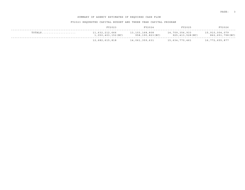# SUMMARY OF AGENCY ESTIMATES OF REQUIRED CASH FLOW

|        | FY2023                              | FY2024                            | FY2025                               | FY2026                            |
|--------|-------------------------------------|-----------------------------------|--------------------------------------|-----------------------------------|
| TOTALS | 11,632,212,666<br>1,050,403,152(NC) | 13,103,168,808<br>958,190,823(NC) | 14,709,356,933<br>925, 413, 528 (NC) | 15,910,004,079<br>862,651,798(NC) |
|        | 12,682,615,818                      | 14,061,359,631                    | 15,634,770,461                       | 16,772,655,877                    |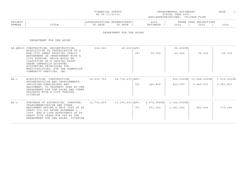| FINANCIAL STATUS | DEPARTMENTAL ESTIMATES | PAGE |  |
|------------------|------------------------|------|--|
| AS OF 11/30/21   | FISCAL YEAR 2023       |      |  |

| PROJECT |               |      |      | $\cap$ $\cap$ $\cap$<br>202. | הם הוד<br>ت تا دا 11 | IONS<br>YEAR<br>ית ה |      |
|---------|---------------|------|------|------------------------------|----------------------|----------------------|------|
| NUMBER  | ㅠㅜㅠㅜ ㅠ<br>ᆂᆂᅭ | DATE | DATE |                              | 202                  | 2025                 | 2026 |
|         |               |      |      |                              |                      |                      |      |

### DEPARTMENT FOR THE AGING

DEPARTMENT FOR THE AGING

| ACOUISITION OR INSTALLATION OF A<br>NON-CITY OWNED PHYSICAL PUBLIC<br>BETTERMENT OR IMPROVEMENT WITH A<br>CITY PURPOSE, WHICH WOULD BE<br>CLASSIFIED AS A CAPITAL ASSET<br>UNDER GENERALLY ACCEPTED<br>ACCOUNTING PRINCIPLES FOR<br>MUNICIPALITIES; FOR THE SUNNYSIDE<br>COMMUNITY SERVICES, INC. | 224,000                                | CF: | 34,200                           | 96,600CN<br>43,940       | 34,520                        | 29,100                   |
|---------------------------------------------------------------------------------------------------------------------------------------------------------------------------------------------------------------------------------------------------------------------------------------------------|----------------------------------------|-----|----------------------------------|--------------------------|-------------------------------|--------------------------|
| ACQUISITION, CONSTRUCTION,<br>RECONSTRUCTION AND IMPROVEMENTS,<br>INCLUDING FURNISHINGS AND<br>EOUIPMENT, TO PROPERTY USED BY THE<br>DEPARTMENT FOR THE AGING AND OTHER<br>PROJECTS WITH A CITY PURPOSE,<br>CITYWIDE                                                                              | 36,633,750                             | CF: | 366,805                          | 422,597                  | $10,648,000$ CN<br>2,465,531  | 1,515,000CN<br>2,081,807 |
| PURCHASE OF AUTOMOTIVE, COMPUTER,<br>TELECOMMUNICATION AND OTHER<br>EOUIPMENT HAVING A UNIT COST OF AT<br>LEAST \$35,000 AFTER NOVEMBER 1,<br>1999 AND A LIFE EXPECTANCY OF AT<br>LEAST FIVE YEARS FOR USE BY THE<br>DEPARTMENT FOR THE AGING, CITYWIDE                                           | 12,730,405                             | CF: | 901,000                          | 2,164,000CN<br>1,063,500 | 843,560                       | 710,180                  |
|                                                                                                                                                                                                                                                                                                   | AG-ON593 CONSTRUCTION, RECONSTRUCTION, |     | 49,600 APP:<br>34,716,270   APP: |                          | 11,202,403   APP: 2,976,998CN | 552,032CN                |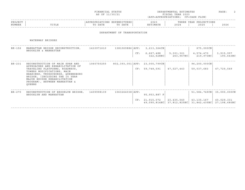|                   |                                                                                                                                                                                                                                                   | FINANCIAL STATUS<br>AS OF 11/30/21     |                              | DEPARTMENTAL ESTIMATES<br>FISCAL YEAR 2023<br>(APP=APPROPRIATIONS; CF=CASH FLOW) | PAGE:               |                                                                               |                           |
|-------------------|---------------------------------------------------------------------------------------------------------------------------------------------------------------------------------------------------------------------------------------------------|----------------------------------------|------------------------------|----------------------------------------------------------------------------------|---------------------|-------------------------------------------------------------------------------|---------------------------|
| PROJECT<br>NUMBER | TITLE                                                                                                                                                                                                                                             | APPROPRIATIONS EXPENDITURES<br>TO DATE | TO DATE                      | 2023<br>ESTIMATE                                                                 | 2024                | THREE YEAR PROJECTIONS<br>2025                                                | 2026                      |
|                   |                                                                                                                                                                                                                                                   |                                        | DEPARTMENT OF TRANSPORTATION |                                                                                  |                     |                                                                               |                           |
|                   | WATERWAY BRIDGES                                                                                                                                                                                                                                  |                                        |                              |                                                                                  |                     |                                                                               |                           |
|                   | BR-156 MANHATTAN BRIDGE RECONSTRUCTION,<br>BROOKLYN & MANHATTAN                                                                                                                                                                                   | 1410971610                             |                              | 1381069886   APP: 3, 213, 364 CN                                                 |                     | 675,000CN                                                                     |                           |
|                   |                                                                                                                                                                                                                                                   |                                        |                              | CF: 6,667,488                                                                    | 5,301,321 4,574,470 |                                                                               | 3,915,997                 |
| $BR - 231$        | RECONSTRUCTION OF MAIN SPAN AND                                                                                                                                                                                                                   | 1060750255                             |                              | 802,393,051   APP: 23,005,799CN                                                  |                     | $96, 200, 000$ CN                                                             |                           |
|                   | APPROACHES AND REHABILITATION OF<br>TRAVELING PLATFORMS, ROADWAYS,<br>TOWERS MODIFICATIONS, MAIN<br>BEARINGS, TRUSSCHORDS, QUEENSBORO<br>BRIDGE, (INCLUDING THE 15 YEAR<br>MAJOR BRIDGE REHABILITATION<br>PROGRAM), BETWEEN MANHATTAN &<br>OUEENS |                                        |                              | CF: 59,748,591                                                                   | 47,527,443          | 59,037,683                                                                    | 47,729,549                |
| BR-270            | RECONSTRUCTION OF BROOKLYN BRIDGE,<br>BROOKLYN AND MANHATTAN                                                                                                                                                                                      | 1409998139                             | $1063264038$ $APP:$          | 95,953,887 F                                                                     |                     |                                                                               | 51,584,749CN 35,000,000CN |
|                   |                                                                                                                                                                                                                                                   |                                        |                              | CF: 21,915,072                                                                   | 23,435,040          | $ $ 43, 135, 167<br>49,090,814NC   37,812,825NC   31,842,435NC   27,198,680NC | 40,029,331                |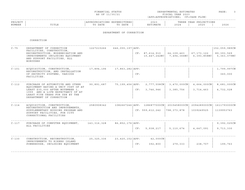| FINANCIAL STATUS | DEPARTMENTAL ESTIMATES | PAGE |
|------------------|------------------------|------|
| AS OF 11/30/21   | FISCAL YEAR 2023       |      |

| PROJECT |       |                 | .IURES '                    | 2023  |                        | IONS<br>YEAR<br>ת ה |      |
|---------|-------|-----------------|-----------------------------|-------|------------------------|---------------------|------|
| NUMBER  | TITLE | ת היה ה<br>DATE | DATE<br>$\mathsf{m} \wedge$ | TMATR | $\cap$ $\cap$<br>2 U 2 | つのつに<br>2 U Z :     | 2026 |
|         |       |                 |                             |       |                        |                     |      |

### DEPARTMENT OF CORRECTION

CORRECTION

| $C - 75$ | DEPARTMENT OF CORRECTION<br>FACILITIES, CONSTRUCTION,                                                                                                                     | 1227215266    | $646,055,197$ $APP:$ |     |                   |                                               |                           | $152,059,989C$ N          |
|----------|---------------------------------------------------------------------------------------------------------------------------------------------------------------------------|---------------|----------------------|-----|-------------------|-----------------------------------------------|---------------------------|---------------------------|
|          | RECONSTRUCTION, MODERNIZATION AND<br>IMPROVEMENTS INCLUDING EQUIPMENT<br>AND SUPPORT FACILITIES, ALL<br>BOROUGHS                                                          |               |                      |     | CF: 87,614,910    | 64,109,463<br>$10,447,242NC$ 7,494,366NC      | 67,173,122<br>6,393,858NC | 89,393,569<br>5,363,079NC |
| $C-101$  | ACOUISITION, CONSTRUCTION,                                                                                                                                                | 17,894,196    | 17,863,282   APP:    |     |                   |                                               |                           | 1,799,997CN               |
|          | RECONSTRUCTION, AND INSTALLATION<br>OF SECURITY SYSTEMS, VARIOUS<br>FACILITIES.                                                                                           |               |                      | CF: |                   |                                               |                           | 360,000                   |
| $C-112$  | PURCHASE OF AUTOMOTIVE AND OTHER                                                                                                                                          | 90,891,687    | 75,199,456   APP:    |     | 2,777,558CN       | $3,470,000 \, \text{CN}$                      | 4,664,000CN               | 8,681,000CN               |
|          | EQUIPMENT HAVING A UNIT COST OF AT<br>LEAST \$35,000 AFTER NOVEMBER 1,<br>1999 AND A LIFE EXPECTANCY OF AT<br>LEAST FIVE YEARS FOR USE BY THE<br>DEPARTMENT OF CORRECTION |               |                      | CF: | 3,746,946         | 3, 385, 756                                   | 3,714,463                 | 4,732,028                 |
| $C-114$  | ACQUISITION, CONSTRUCTION,                                                                                                                                                | 2580908342    |                      |     |                   | 1082667246   APP: 1286877000CN   2015458000CN | 2094289000CN              | 1611793000CN              |
|          | RECONSTRUCTION AND IMPROVEMENTS,<br>SUPPLEMENTARY HOUSING PROGRAM AND<br>SUPPORT FACILITIES, FOR CITY<br>CORRECTIONAL FACILITIES                                          |               |                      |     | CF: 559, 612, 242 | 798,373,878                                   | 1039249525                | 1139953763                |
| $C-117$  | PURCHASE OF COMPUTER EOUIPMENT,                                                                                                                                           | 143, 316, 328 | 86,852,176   APP:    |     |                   |                                               |                           | 9,392,025CN               |
|          | ALL FACILITIES                                                                                                                                                            |               |                      | CF: | 5,938,217         | 5,110,674                                     | 4,647,091                 | 9,713,330                 |
| $C-130$  | CONSTRUCTION, RECONSTRUCTION,                                                                                                                                             | 25, 325, 336  | $23,420,152$ $APP:$  |     | 42,000CN          |                                               |                           |                           |
|          | IMPROVEMENTS TO RIKERS ISLAND<br>POWERHOUSE, INCLUDING EQUIPMENT                                                                                                          |               |                      | CF: | 392,800           | 279,333                                       | 238,707                   | 199,763                   |
|          |                                                                                                                                                                           |               |                      |     |                   |                                               |                           |                           |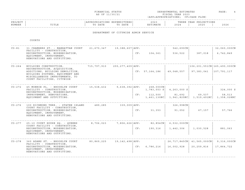|  | FINANCIAL STATUS |  |
|--|------------------|--|
|  | AS OF 11/30/21   |  |

FINANCIAL STATUS DEPARTMENTAL ESTIMATES PAGE: 4 FISCAL YEAR 2023 (APP=APPROPRIATIONS; CF=CASH FLOW)

|         |                 |                                              |                      |                              |                               |                                                                                  | - - - - - |
|---------|-----------------|----------------------------------------------|----------------------|------------------------------|-------------------------------|----------------------------------------------------------------------------------|-----------|
| PROJECT |                 |                                              | . N 1 1<br>.         | $\sim$ $\sim$ $\sim$<br>202. |                               | $\cap$ NT $\subset$<br>ת הדי<br>. H.<br>U 11 JUNIO 11 JUNIO 11<br>$\overline{1}$ |           |
| NUMBER  | 고 따고 교<br>פחודד | n a m n<br>$m \wedge$<br>DA I E<br>$\lambda$ | DATE<br>$\mathsf{m}$ | . 352 m 1<br>I'IA I E        | $\cap$ $\cap$ $\cap$<br>2 U 2 | 202F                                                                             | 2026      |
|         |                 |                                              |                      |                              |                               |                                                                                  |           |

#### DEPARTMENT OF CITYWIDE ADMIN SERVICE

COURTS

| $CO - 81$  | 31 CHAMBERS ST. - MANHATTAN COURT                                                                                                                                                            | 21,670,347  | 19,388,607   APP:        |     |                                     | 542, 690CN                            |                                                                   | 32,060,000CN        |
|------------|----------------------------------------------------------------------------------------------------------------------------------------------------------------------------------------------|-------------|--------------------------|-----|-------------------------------------|---------------------------------------|-------------------------------------------------------------------|---------------------|
|            | FACILITY - CONSTRUCTION,<br>RECONSTRUCTION, MODERNIZATION,<br>EQUIPMENT, IMPROVEMENT,<br>RENOVATIONS AND OUTFITTING.                                                                         |             |                          | CF: | 104,361                             | 536,522                               | 387,018                                                           | 6,742,849           |
| $CO - 264$ | BUILDING CONSTRUCTION,<br>RECONSTRUCTION, ACOUISITION,<br>ADDITIONS, BUILDING DEMOLITION,<br>BUILDING SYSTEMS, EQUIPMENT AND<br>MISCELLANEOUS IMPROVEMENTS, TO<br>COURT FACILITIES, CITYWIDE | 715,797,910 | 255, 277, 409   APP:     |     | CF: 57, 164, 186                    | 49,048,557                            | 106,201,551CN 165,490,000CN<br>97,383,041                         | 107,791,117         |
| $CO - 272$ | 45 MONROE PL. - BROOKLYN COURT<br>FACILITY - CONSTRUCTION,<br>RECONSTRUCTION, MODERNIZATION,<br>IMPROVEMENT, RENOVATIONS,<br>EQUIPMENT AND OUTFITTING.                                       | 15,538,432  | $9,638,392$ $\vert$ APP: | CF: | 268,000CN<br>1,783,553 S<br>112,500 | $4, 263, 000$ S<br>81,692             | 69,537<br>$1,461,130NC$   1,941,825NC   1,519,491NC   1,358,028NC | 324,000 S<br>58,513 |
| $CO - 276$ | 100 RICHMOND TERR. - STATEN ISLAND<br>COURT FACILITY - CONSTRUCTION,<br>RECONSTRUCTION, MODERNIZATION,<br>EQUIPMENT, IMPROVEMENT,<br>RENOVATIONS AND OUTFITTING.                             | 489,285     | $339,009$ $\Delta PP:$   | CF: | 31,353                              | 326,998CN<br>91,052                   | 67,157                                                            | 57,766              |
| $CO - 277$ | 25-10 COURT HOUSE SQ. - QUEENS<br>COURT FACILITY - CONSTRUCTION,<br>RECONSTRUCTION, MODERNIZATION,<br>EQUIPMENT, IMPROVEMENT,<br>RENOVATIONS AND OUTFITTING.                                 | 8,706,023   | 7,806,626   APP:         | CF: | 190,316                             | 82,854 CN   6,532,000 CN<br>1,442,306 | 1,030,528                                                         | 881,063             |
| $CO - 278$ | 360 ADAMS ST. - BROOKLYN COURT<br>FACILITY - CONSTRUCTION,<br>RECONSTRUCTION, MODERNIZATION,<br>EQUIPMENT, IMPROVEMENT,<br>RENOVATIONS AND OUTFITTING.                                       | 80,869,225  | 19,142,498   APP:        |     | CF: 6,786,216                       | 16,002,928                            | 26,717,845CN   41,565,000CN   9,316,000CN<br>20,259,816           | 17,864,722          |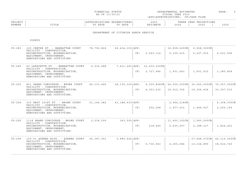|  | FINANCIAL STATUS |  |
|--|------------------|--|
|  | AS OF 11/30/21   |  |

FINANCIAL STATUS DEPARTMENTAL ESTIMATES PAGE: 5 FISCAL YEAR 2023 (APP=APPROPRIATIONS; CF=CASH FLOW)

| PROJECT |                  |                | . IUK B.S. I                    | $\sim$ $\sim$ $\sim$<br>202. |      | ∩N⊺⊂<br>Vロスロ<br>. H.<br>17 UU LU JU LU UU<br>$\mathbf{A}$ |      |
|---------|------------------|----------------|---------------------------------|------------------------------|------|-----------------------------------------------------------|------|
| NUMBER  | $m + r$<br>פחודו | namn -<br>DATE | <b>DAME</b><br>$m \cap$<br>DATE | ורח הוא ז<br>$-1173$ $+10$   | 2024 | 202F                                                      | 2026 |
|         |                  |                |                                 |                              |      |                                                           |      |

#### DEPARTMENT OF CITYWIDE ADMIN SERVICE

COURTS

| $CO - 283$ | 100 CENTRE ST. - MANHATTAN COURT<br>FACILITY - CONSTRUCTION,<br>RECONSTRUCTION, MODERNIZATION,<br>EOUIPMENT, IMPROVEMENT,<br>RENOVATIONS AND OUTFITTING.   | 78,752,826 | 66, 434, 150   APP: | CF: | 2,293,114                                      | 16,838,625CN<br>5,100,615                                                      | $6,928,000$ CN<br>5,207,915 | 4,221,596                                 |
|------------|------------------------------------------------------------------------------------------------------------------------------------------------------------|------------|---------------------|-----|------------------------------------------------|--------------------------------------------------------------------------------|-----------------------------|-------------------------------------------|
| $CO - 285$ | 60 LAFAYETTE ST. - MANHATTAN COURT<br>FACILITY - CONSTRUCTION,<br>RECONSTRUCTION, MODERNIZATION,<br>EQUIPMENT, IMPROVEMENT,<br>RENOVATIONS AND OUTFITTING. | 9,030,488  |                     |     | 7,411,265 APP: 12,039,000CN<br>CF: 2, 727, 946 | 1,931,443                                                                      | 1,651,915                   | 1,380,804                                 |
| $CO - 293$ | 851 GRAND CONCOURSE - BRONX COURT<br>FACILITY - CONSTRUCTION,<br>RECONSTRUCTION, MODERNIZATION,<br>EOUIPMENT, IMPROVEMENT,<br>RENOVATIONS AND OUTFITTING.  | 45,133,490 | 28,135,329   APP:   | CF: | 4, 353, 232                                    | 4, 159, 808CN   66, 935, 000CN   36, 000, 000CN   75, 057, 000CN<br>16,612,745 | 19,306,404                  | 30,397,510                                |
| $CO - 294$ | 215 EAST 161ST ST. - BRONX COURT<br>FACILITY - CONSTRUCTION,<br>RECONSTRUCTION, MODERNIZATION,<br>EQUIPMENT, IMPROVEMENT,<br>RENOVATIONS AND OUTFITTING.   | 51,146,082 | $43,188,630$ $APP:$ | CF: | 552,268                                        | $2,944,218$ CN<br>1,977,033                                                    | 1,444,527                   | $6, 358, 000 \, \text{CN}$<br>2,505,190   |
| $CO - 295$ | 1118 GRAND CONCOURSE - BRONX COURT<br>FACILITY - CONSTRUCTION,<br>RECONSTRUCTION, MODERNIZATION,<br>EQUIPMENT, IMPROVEMENT,<br>RENOVATIONS AND OUTFITTING. | 2,218,500  | $363,505$ $APP:$    | CF: | 318,429                                        | 11,650,322CN<br>2,630,297                                                      | 1,560,000CN<br>2,188,127    | 1,824,421                                 |
| $CO - 296$ | 125-01 OUEENS BLVD. - OUEENS COURT<br>FACILITY - CONSTRUCTION,<br>RECONSTRUCTION, MODERNIZATION,<br>EOUIPMENT, IMPROVEMENT,<br>RENOVATIONS AND OUTFITTING. | 54,387,091 | $5,880,424$ $APP:$  | CF: | 5,736,943                                      | 4,255,684                                                                      | 13,124,890                  | 27,648,072CN   44,119,000CN<br>18,522,720 |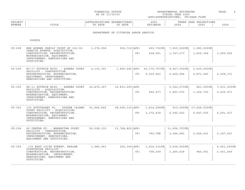|  | FINANCIAL STATUS |
|--|------------------|
|  | AS OF 11/30/21   |

DEPARTMENTAL ESTIMATES PAGE: 6 FISCAL YEAR 2023 (APP=APPROPRIATIONS; CF=CASH FLOW)

|         |                 |                                              |                      |                              |                               |                                                                                  | - - - - - |
|---------|-----------------|----------------------------------------------|----------------------|------------------------------|-------------------------------|----------------------------------------------------------------------------------|-----------|
| PROJECT |                 |                                              | . N 1 1<br>.         | $\sim$ $\sim$ $\sim$<br>202. |                               | $\cap$ NT $\subset$<br>ת הדי<br>. H.<br>U 11 JUNIO 11 JUNIO 11<br>$\overline{1}$ |           |
| NUMBER  | 고 따고 교<br>פחודד | n a m n<br>$m \wedge$<br>DA I E<br>$\lambda$ | DATE<br>$\mathsf{m}$ | . 352 m 1<br>I'IA I E        | $\cap$ $\cap$ $\cap$<br>2 U 2 | 202F                                                                             | 2026      |
|         |                 |                                              |                      |                              |                               |                                                                                  |           |

DEPARTMENT OF CITYWIDE ADMIN SERVICE

COURTS

| $CO - 298$ | NEW OUEENS FAMILY COURT AT 152-02<br>JAMAICA AVENUE, ACQUISITION,<br>CONSTRUCTION, RECONSTRUCTION,<br>MODERNIZATION, EQUIPMENT,<br>IMPROVEMENT, RENOVATIONS AND<br>OUTFITTING.   | 1,076,058  | 592, 710   APP:<br>CF:   | $660,750$ CN<br>228,921                             | 7,935,000C <sub>N</sub><br>1,747,377  | $1,385,000$ CN<br>1,525,344           | 1,260,662                |
|------------|----------------------------------------------------------------------------------------------------------------------------------------------------------------------------------|------------|--------------------------|-----------------------------------------------------|---------------------------------------|---------------------------------------|--------------------------|
| $CO - 299$ | 89-17 SUTPHIN BLVD. - QUEENS COURT<br>FACILITY - CONSTRUCTION,<br>RECONSTRUCTION, MODERNIZATION,<br>EOUIPMENT, IMPROVEMENT,<br>RENOVATIONS AND OUTFITTING.                       | 4,135,391  |                          | 1,866,646   APP: 24,175,727CN  <br>5,309,923<br>CF: | $8,427,000 \text{CN}$<br>5,429,684    | $2,435,000 \text{CN}$<br>4,871,660    | 4,028,131                |
| $CO - 300$ | 88-11 SUTPHIN BLVD. - QUEENS COURT<br>FACILITY - ACOUISITION,<br>CONSTRUCTION, RECONSTRUCTION,<br>MODERNIZATION, EQUIPMENT,<br>IMPROVEMENT, RENOVATIONS AND<br>OUTFITTING.       | 20,875,367 | 16,833,955   APP:<br>CF: | 596,277                                             | $5,042,073$ CN<br>1,601,572           | 841,000CN<br>1,354,723                | 7,531,000CN<br>2,636,271 |
| $CO - 301$ | 130 STUYVESANT PL. - STATEN ISLAND<br>COURT FACILITY - ACQUISITION,<br>CONSTRUCTION, RECONSTRUCTION,<br>MODERNIZATION, EQUIPMENT,<br>IMPROVEMENT, RENOVATIONS AND<br>OUTFITTING. | 51,966,622 | 38,506,115   APP :       | 1,634,299CN<br>3,172,639<br>CF:                     | 2,592,523                             | 610,000CN   17,426,000CN<br>5,647,035 | 4,291,217                |
| $CO - 304$ | 60 CENTRE ST. - MANHATTAN COURT<br>FACILITY - CONSTRUCTION,<br>RECONSTRUCTION, MODERNIZATION,<br>IMPROVEMENT, RENOVATIONS,<br>EQUIPMENT AND OUTFITTING.                          | 20,508,130 | 13,768,823   APP:<br>CF: | 790,788                                             | 11,956,707CN<br>3,546,681             | 2,569,401                             | 2,197,047                |
| $CO - 306$ | 170 EAST 121TH STREET, HARLEM<br>COURTHOUSE FACILITY -<br>CONSTRUCTION, RECONSTRUCTION,<br>MODERNIZATION, IMPROVEMENT,<br>RENOVATIONS, EQUIPMENT AND<br>OUTFITTING               | 1,980,563  | $200, 349$ $APP:$<br>CF: | 1,616,331CN<br>708,259                              | $3,636,000 \, \text{CN}$<br>1,260,618 | 960,051                               | 6,061,000CN<br>2,031,600 |
|            |                                                                                                                                                                                  |            |                          |                                                     |                                       |                                       |                          |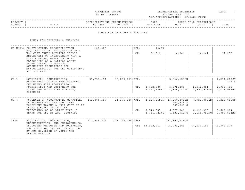| STATUS<br>άД.<br>$\cdot$ $\cdot$ N $\Delta$ N $\cap$ T | IMATES<br>DEPARTMENTAL ESTI                        | `AGE |
|--------------------------------------------------------|----------------------------------------------------|------|
| AS OF 11<br>コ / 30 / つ 、                               | $S$ $C$ $\Delta$ $T$ .<br>2023<br><b>YEAR</b><br>. |      |

| PROJECT |                           | ONS  | PENDITURES<br>$\mathbf{1} \cdot \mathbf{1}$ | 202                                    |      | $\cap$ NT $\circ$<br>VFAP<br>ז ס כ<br>, 2011 1011<br>$\overline{1}$ |              |
|---------|---------------------------|------|---------------------------------------------|----------------------------------------|------|---------------------------------------------------------------------|--------------|
| NUMBER  | $m \tau m \tau$<br>11 L L | DATE | $P_2$ $R_1$<br>$\mathsf{m}$<br>DATE         | <b>TMA 따</b> .<br>$\cdots$<br>⊥ 1'17 1 | 2024 | 202!                                                                | 2022<br>ていてい |
|         |                           |      |                                             |                                        |      |                                                                     |              |

ADMIN FOR CHILDREN'S SERVICES

ADMIN FOR CHILDREN'S SERVICES

|          | CS-MN934 CONSTRUCTION, RECONSTRUCTION,<br>ACOUISITION OR INSTALLATION OF A<br>NON-CITY OWNED PHYSICAL PUBLIC<br>BETTERMENT OR IMPROVEMENT WITH A<br>CITY PURPOSE, WHICH WOULD BE<br>CLASSIFIED AS A CAPITAL ASSET<br>UNDER GENERALLY ACCEPTED<br>ACCOUNTING PRINCIPLES FOR<br>MUNICIPALITIES; FOR THE CHILDREN'S<br>AID SOCIETY. | 100,000                        |                                            | APP:<br>CF: | 146CN<br>21,512  | 16,986                                                                                                                                               | 14,241                   | 12,238                                           |
|----------|----------------------------------------------------------------------------------------------------------------------------------------------------------------------------------------------------------------------------------------------------------------------------------------------------------------------------------|--------------------------------|--------------------------------------------|-------------|------------------|------------------------------------------------------------------------------------------------------------------------------------------------------|--------------------------|--------------------------------------------------|
| $CS - 3$ | ACQUISTION, CONSTRUCTION,<br>RECONSTRUCTION AND IMPROVEMENTS,<br>INCLUDING SITE ACOUISITION,<br>FURNISHINGS AND EOUIPMENT FOR<br>SITES AND FACILITIES FOR ACS,<br>CITYWIDE                                                                                                                                                       |                                | $85, 754, 484$ $35, 259, 453$ $\vert$ APP: |             | CF: 2,752,500    | 2,946,123CN<br>3,772,089<br>$4,413,164NC$ $4,876,040NC$                                                                                              | 2,942,881<br>3,897,926NC | 2,231,000CN<br>767 S<br>2,937,495<br>3,435,964NC |
| $CS - 4$ | PURCHASE OF AUTOMOTIVE, COMPUTER, 143,804,307<br>TELECOMMUNICATIONS AND OTHER<br>EOUIPMENT HAVING A UNIT COST OF AT<br>LEAST \$35,000 AND A LIFE<br>EXPECTANCY OF AT LEAST FIVE (5)<br>YEARS FOR USE BY ACS, CITYWIDE                                                                                                            |                                |                                            |             | CF: 5, 349, 907  | 94, 174, 286   APP: 4, 886, 865 CN   13, 956, 000 CN  <br>262,679 F<br>605,205 S<br>6,577,086<br>$4,714,721NC$ $4,483,911NC$ 3,656,750NC 3,080,894NC | 6,136,335                | 4,721,000CN 3,229,000CN<br>5,687,914             |
| $CS - 5$ | ACOUISITION, CONSTRUCTION,<br>RECONSTRUCTION, AND IMPROVEMENTS,<br>INCLUDING VEHICLES AND EQUIPMENT,<br>FOR SITES AND FACILITIES FOR USE<br>BY ACS DIVISION OF YOUTH AND<br>FAMILY JUSTICE                                                                                                                                       | $217,889,572$ 123,275,264 APP: |                                            |             | CF: 14, 522, 961 | $ 251, 393, 415$ CN<br>65,202,008                                                                                                                    | 47,236,193               | 40, 343, 277                                     |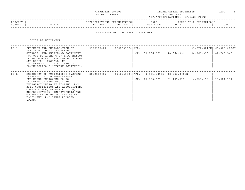| FINANCIAL STATUS | DEPARTMENTAL ESTIMATES<br>___ | PAGE. |
|------------------|-------------------------------|-------|
| AS OF 11/30/21   | FISCAL YEAR 2023              |       |

### ------------------------------------------------------------------------------------------------------------------------------------PROJECT | |APPROPRIATIONS EXPENDITURES| 2023 | THREE YEAR PROJECTIONS NUMBER | TITLE | TO DATE TO DATE | ESTIMATE | 2024 | 2025 | 2026 ------------------------------------------------------------------------------------------------------------------------------------

DEPARTMENT OF INFO TECH & TELECOMM

DOITT DP EQUIPMENT

| $DP-1$ | PURCHASE AND INSTALLATION OF<br>ELECTRONIC DATA PROCESSING,<br>STORAGE, AND RETRIEVAL EQUIPMENT<br>FOR THE DEPARTMENT OF INFORMATION<br>TECHNOLOGY AND TELECOMMUNICATIONS<br>AND DESIGN, INSTALL AND<br>IMPLEMENTATION OF A CITYWIDE<br>COMMUNICATIONS NETWORK (CITYNET).                                                                             | 2125307421 | 1568603574 APP: | CF: 90,066,673                                                           | 78,864,396 | 43,572,521CN<br>84,969,333 | 68,585,000CN<br>82,705,545 |
|--------|-------------------------------------------------------------------------------------------------------------------------------------------------------------------------------------------------------------------------------------------------------------------------------------------------------------------------------------------------------|------------|-----------------|--------------------------------------------------------------------------|------------|----------------------------|----------------------------|
| $DP-2$ | EMERGENCY COMMUNICATIONS SYSTEMS<br>INTEGRATION AND IMPROVEMENT,<br>INCLUDING IMPROVEMENTS TO<br>INFORMATION TECHNOLOGY AND<br>EMERGENCY RESPONSE SYSTEMS, AND<br>SITE ACOUISITION AND ACOUISITION,<br>CONSTRUCTION, RECONSTRUCTION,<br>REHABILITATION, IMPROVEMENTS AND<br>MODERNIZATION OF FACILITIES AND<br>EQUIPMENT, AND OTHER RELATED<br>ITEMS. | 2022508067 |                 | $1946963024$   APP: $4,101,929$ CN   $48,936,000$ CN  <br>CF: 15,856,673 | 21,121,518 | 16,527,492                 | 13,981,154                 |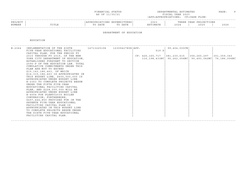|                   |       | FINANCIAL STATUS<br>AS OF 11/30/21                |                  | DEPARTMENTAL ESTIMATES<br>FISCAL YEAR 2023<br>(APP=APPROPRIATIONS; CF=CASH FLOW) | PAGE: |  |
|-------------------|-------|---------------------------------------------------|------------------|----------------------------------------------------------------------------------|-------|--|
| PROJECT<br>NUMBER | TITLE | APPROPRIATIONS EXPENDITURES<br>TO DATE<br>TO DATE | 2023<br>ESTIMATE | THREE YEAR PROJECTIONS<br>2024<br>2025                                           | 2026  |  |

#### DEPARTMENT OF EDUCATION

EDUCATION

| $E - 2364$ | IMPLEMENTATION OF THE SIXTH 14713225196 12309427898 APP:            |  |       | $  99, 404, 000 \text{CN}  $                                        |              |
|------------|---------------------------------------------------------------------|--|-------|---------------------------------------------------------------------|--------------|
|            | FIVE-YEAR EDUCATIONAL FACILITIES<br>CAPITAL PLAN, FOR THE PERIOD FY |  | 519 S |                                                                     |              |
|            | 2015 THROUGH FY 2019, OF THE NEW                                    |  |       | $CF: 426, 165, 717$   381, 230, 615   356, 260, 297   301, 359, 343 |              |
|            | YORK CITY DEPARTMENT OF EDUCATION,                                  |  |       | $116, 198, 433NC$   95, 262, 054NC   90, 493, 042NC                 | 76,186,006NC |
|            | ESTABLISHED PURSUANT TO SECTION                                     |  |       |                                                                     |              |
|            | 2590-P OF THE EDUCATION LAW. TOTAL                                  |  |       |                                                                     |              |
|            | CUMULATIVE COMMITMENTS UNDER THIS                                   |  |       |                                                                     |              |
|            | PLAN ARE NOT TO EXCEED                                              |  |       |                                                                     |              |
|            | \$15,143,186,463, OF WHICH                                          |  |       |                                                                     |              |
|            | \$14,315,186,463 IS APPROPRIATED IN                                 |  |       |                                                                     |              |
|            | THIS BUDGET LINE, \$600,000,000 IS                                  |  |       |                                                                     |              |
|            | APPROPRIATED UNDER BUDGET LINE                                      |  |       |                                                                     |              |
|            | E-2363 TO COMPLETE PROJECTS BEGUN                                   |  |       |                                                                     |              |
|            | UNDER THE FIFTH FIVE-YEAR                                           |  |       |                                                                     |              |
|            | EDUCATIONAL FACILITIES CAPITAL                                      |  |       |                                                                     |              |
|            | PLAN, AND \$228,000,000 WILL BE                                     |  |       |                                                                     |              |
|            | APPROPRIATED UNDER BUDGET LINE                                      |  |       |                                                                     |              |
|            | E-4004 FOR PLANYC2030 BOILER                                        |  |       |                                                                     |              |
|            | CONVERSION; FURTHERMORE,                                            |  |       |                                                                     |              |
|            | \$497,444,850 PROVIDED FOR IN THE                                   |  |       |                                                                     |              |
|            | SEVENTH FIVE-YEAR EDUCATIONAL                                       |  |       |                                                                     |              |
|            | FACILITIES CAPITAL PLAN IS                                          |  |       |                                                                     |              |
|            | APPROPRIATED IN THIS BUDGET LINE                                    |  |       |                                                                     |              |
|            | TO COMPLETE PROJECTS BEGUN UNDER                                    |  |       |                                                                     |              |
|            | THE SIXTH FIVE-YEAR EDUCATIONAL                                     |  |       |                                                                     |              |
|            | FACILITIES CAPITAL PLAN.                                            |  |       |                                                                     |              |
|            |                                                                     |  |       |                                                                     |              |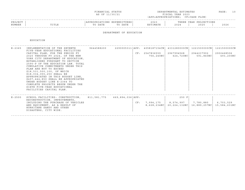| FINANCIAL STATUS | DEPARTMENTAL ESTIMATES | PAGE | $\sim$ |
|------------------|------------------------|------|--------|
| AS OF 11/30/21   | FISCAL YEAR 2023       |      |        |

### ------------------------------------------------------------------------------------------------------------------------------------PROJECT | |APPROPRIATIONS EXPENDITURES| 2023 | THREE YEAR PROJECTIONS NUMBER | TITLE | TO DATE TO DATE | ESTIMATE | 2024 | 2025 | 2026 ------------------------------------------------------------------------------------------------------------------------------------

#### DEPARTMENT OF EDUCATION

EDUCATION

| $E - 2365$ | IMPLEMENTATION OF THE SEVENTH<br>FIVE-YEAR EDUCATIONAL FACILITIES<br>CAPITAL PLAN, FOR THE PERIOD FY<br>2020 THROUGH FY 2024, OF THE NEW<br>YORK CITY DEPARTMENT OF EDUCATION,<br>ESTABLISHED PURSUANT TO SECTION<br>2590-P OF THE EDUCATION LAW. TOTAL<br>CUMULATIVE COMMITMENTS UNDER THIS<br>PLAN ARE NOT TO EXCEED<br>\$18,531,500,100, OF WHICH<br>\$18,034,055,250 SHALL BE<br>APPROPRIATED IN THIS BUDGET LINE,<br>\$497,444,850 SHALL BE APPROPRIATED<br>UNDER BUDGET LINE E-2364 TO<br>COMPLETE PROJECTS BEGUN UNDER THE<br>SIXTH FIVE-YEAR EDUCATIONAL<br>FACILITIES CAPITAL PLAN. | 9644588200 |                      |     | 2290005311 APP: 4058187154CN<br>CF: 2547836559<br>756,240NC | 4331280000CN<br>2967994568<br>624,720NC | 1221500000CN<br>2944237902<br>591,840NC | 1221500000CN<br>2902468506<br>493,200NC |
|------------|----------------------------------------------------------------------------------------------------------------------------------------------------------------------------------------------------------------------------------------------------------------------------------------------------------------------------------------------------------------------------------------------------------------------------------------------------------------------------------------------------------------------------------------------------------------------------------------------|------------|----------------------|-----|-------------------------------------------------------------|-----------------------------------------|-----------------------------------------|-----------------------------------------|
| $E - 2500$ | SCHOOL FACILITIES: CONSTRUCTION, 811,581,775<br>RECONSTRUCTION, IMPROVEMENTS,<br>INCLUDING THE PURCHASE OF VEHICLES<br>AND EQUIPMENT, AS A RESULT OF<br>HURRICANE SANDY AND OTHER<br>DISASTERS, CITY WIDE.                                                                                                                                                                                                                                                                                                                                                                                   |            | $669,894,036$ $APP:$ | CF: | 7,994,175  <br>8,628,234NC                                  | $250$ F<br>8,574,997  <br>20,224,132NC  | 7,780,880<br>16,889,257NC               | 6,703,529<br>15,584,631NC               |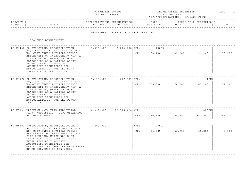|  | FINANCIAL STATUS |  |
|--|------------------|--|
|  | AS OF 11/30/21   |  |

FINANCIAL STATUS DEPARTMENTAL ESTIMATES PAGE: 11 FISCAL YEAR 2023 (APP=APPROPRIATIONS; CF=CASH FLOW)

|        |             |            |                                          |       |                    | -------------------------------------- |              |
|--------|-------------|------------|------------------------------------------|-------|--------------------|----------------------------------------|--------------|
| ^ פת   |             | $\pm 111.$ | END<br>---                               | 2023  | 'H P               | TIONS<br>ח מח<br>$\overline{1}$        |              |
| NUMBER | ז דרחי<br>. | DATE       | חחת ה<br>$\overline{m}$ $\wedge$<br>DAT. | IMATE | $\Delta$<br>- 2023 | $\cap$<br>-4045                        | 2000<br>ていてい |
|        |             |            |                                          |       |                    |                                        |              |

#### DEPARTMENT OF SMALL BUSINESS SERVICES

ECONOMIC DEVELOPMENT

| ED-KN408 CONSTRUCTION, RECONSTRUCTION,<br>ACOUISITION OR INSTALLATION OF A<br>NON-CITY OWNED PHYSICAL PUBLIC<br>BETTERMENT OR IMPROVEMENT WITH A<br>CITY PURPOSE, WHICH WOULD BE<br>CLASSIFIED AS A CAPITAL ASSET<br>UNDER GENERALLY ACCEPTED<br>ACCOUNTING PRINCIPLES FOR<br>MUNICIPALITIES; FOR THE SUNY<br>DOWNSTATE MEDICAL CENTER.         | $3,315,000$ $3,013,488$ $\vert$ APP: |                   | CF:         | 488 C N  <br>60,400 | 42,280  | 36,240           | 30,200  |
|-------------------------------------------------------------------------------------------------------------------------------------------------------------------------------------------------------------------------------------------------------------------------------------------------------------------------------------------------|--------------------------------------|-------------------|-------------|---------------------|---------|------------------|---------|
| ED-KN776 CONSTRUCTION, RECONSTRUCTION,<br>ACQUISITION OR INSTALLATION OF A<br>NON-CITY OWNED PHYSICAL PUBLIC<br>BETTERMENT OR IMPROVEMENT WITH A<br>CITY PURPOSE, WHICH WOULD BE<br>CLASSIFIED AS A CAPITAL ASSET<br>UNDER GENERALLY ACCEPTED<br>ACCOUNTING PRINCIPLES FOR<br>MUNICIPALITIES; FOR THE PRATT<br>INSTITUTE.                       | 1, 133, 000                          | $617,001$ $APP:$  | CF:         | 100,000             | 70,000  | 1 CN<br>63,200   | 52,240  |
| ED-K319 BROOKLYN NAVY YARD INDUSTRIAL<br>PARK, ACQUISITION, SITE CLEARANCE<br>AND DEVELOPMENT                                                                                                                                                                                                                                                   | 20,397,000                           | 13,715,420   APP: |             | CF: 1, 136, 400     | 795,480 | 420CN<br>881,840 | 708,200 |
| ED-QN183 CONSTRUCTION, RECONSTRUCTION,<br>ACQUISITION OR INSTALLATION OF A<br>NON-CITY OWNED PHYSICAL PUBLIC<br>BETTERMENT OR IMPROVEMENT WITH A<br>CITY PURPOSE, WHICH WOULD BE<br>CLASSIFIED AS A CAPITAL ASSET<br>UNDER GENERALLY ACCEPTED<br>ACCOUNTING PRINCIPLES FOR<br>MUNICIPALITIES; FOR THE HEARTSHARE<br>HUMAN SERVICES OF NEW YORK. | 409,000                              |                   | APP:<br>CF: | $298$ CN<br>86,585  | 66,753  | 56,204           | 48,018  |

------------------------------------------------------------------------------------------------------------------------------------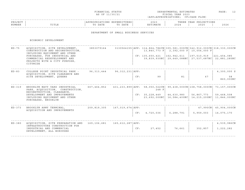| FINANCIAI.<br>STATUS                                                                                                                                                                                                                             | DEPARTMENTAL ESTIMATES | ^AGE |
|--------------------------------------------------------------------------------------------------------------------------------------------------------------------------------------------------------------------------------------------------|------------------------|------|
| and the contract of the contract of the contract of the contract of the contract of the contract of the contract of the contract of the contract of the contract of the contract of the contract of the contract of the contra<br>AS OF 11/30/21 | FISCAL YEAR 2023       |      |

| PROJEC |       |              | ,,,,,,,, | 202.           |                               | $\cap$ NT $\subset$<br>꼬ㅁㅈ.<br>ᆂᆂᇦᇌᇦ<br>$\left  \right $ |              |
|--------|-------|--------------|----------|----------------|-------------------------------|----------------------------------------------------------|--------------|
| NUMBER | ⊥⊥⊥⊥⊥ | 五九中形<br>DATE | DATE     | <b>TASA MT</b> | $\cap$ $\cap$ $\cap$<br>2 U Z | 2025                                                     | 2022<br>ていてん |
|        |       |              |          |                |                               |                                                          |              |

#### DEPARTMENT OF SMALL BUSINESS SERVICES

ECONOMIC DEVELOPMENT

| $ED - 75$ | ACOUISITION, SITE DEVELOPMENT,<br>CONSTRUCTION AND RECONSTRUCTION,<br>INCLUDING EQUIPMENT AND OTHER<br>PURCHASES, FOR INDUSTRIAL AND<br>COMMERCIAL REDEVELOPMENT AND<br>PROJECTS WITH A CITY PURPOSE,<br>CITYWIDE | 3853079164   |                      |     | 3130564155   APP: 114, 864, 786CN   305, 581, 000CN   342, 912, 000CN   318, 330, 000CN<br>13,840,773 F |                             | 2,392,000 F 10,054,000 F     |                             |
|-----------|-------------------------------------------------------------------------------------------------------------------------------------------------------------------------------------------------------------------|--------------|----------------------|-----|---------------------------------------------------------------------------------------------------------|-----------------------------|------------------------------|-----------------------------|
|           |                                                                                                                                                                                                                   |              |                      |     | CF: 135,650,421<br>39,839,930NC                                                                         | 162,942,611<br>29,649,088NC | 197,510,919<br>27,537,687NC  | 221,454,085<br>22,881,285NC |
| $ED-83$   | COLLEGE POINT INDUSTRIAL PARK -                                                                                                                                                                                   | 96, 313, 444 | $96,312,231$ $APP:$  |     |                                                                                                         |                             |                              | 4,300,000 S                 |
|           | ACOUISITION, SITE CLEARANCE AND<br>SITE DEVELOPMENT, QUEENS                                                                                                                                                       |              |                      | CF: | 99                                                                                                      | 81                          | 67                           | 58<br>860,000NC             |
| $ED-319$  | BROOKLYN NAVY YARD INDUSTRIAL<br>PARK, ACOUISITION, CONSTRUCTION,<br>RECONSTRUCTION, CLEARANCE,                                                                                                                   | 667,464,852  |                      |     | 431,233,899   APP: 58,050,022 CN   99,438,000 CN   108,758,000 CN   73,157,000 CN<br>248 F              |                             |                              |                             |
|           | DEVELOPMENT AND IMPROVEMENTS<br>INCLUDING EQUIPMENT AND OTHER<br>PURCHASES, BROOKLYN                                                                                                                              |              |                      |     | CF: 35, 228, 449<br>23,692,000NC                                                                        | 44,630,980<br>16,584,400NC  | 56,867,773<br>14, 215, 200NC | 59,468,508<br>11,846,000NC  |
| $ED-373$  | BROOKLYN ARMY TERMINAL,                                                                                                                                                                                           | 209,819,305  | $167,019,674$ $APP:$ |     |                                                                                                         |                             | 47,990CN                     | 45,904,000CN                |
|           | ACOUISITION AND IMPROVEMENTS                                                                                                                                                                                      |              |                      | CF: | 4,720,036                                                                                               | 6,288,791                   | 5,959,003                    | 14,075,170                  |
| $ED-380$  | ACOUISITION, SITE PREPARATION AND                                                                                                                                                                                 | 169,106,681  | 165, 612, 287   APP: |     |                                                                                                         |                             |                              | 4,539,986CN                 |
|           | INFRASTRUCTURE CONSTRUCTION FOR<br>INDUSTRIAL AND COMMERCIAL<br>DEVELOPMENT, ALL BOROUGHS                                                                                                                         |              |                      | CF: | 27,452                                                                                                  | 76,661                      | 352,857                      | 1,222,282                   |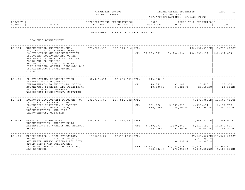| FINANCIAL STATUS                                                                                                                  | TIMATES<br>DEPARTMENTAL ESTI | PAGE |
|-----------------------------------------------------------------------------------------------------------------------------------|------------------------------|------|
| the contract of the contract of the contract of the contract of the contract of the contract of the contract of<br>AS OF 11/30/21 | FISCAL YEAR 2023             |      |

|        |                          |                                              |                        |                                 |        |                                                         | - - - - -    |
|--------|--------------------------|----------------------------------------------|------------------------|---------------------------------|--------|---------------------------------------------------------|--------------|
| PRO.   |                          | $\cap$ <sub>NT</sub><br>$\sim$ $\sim$ $\sim$ | ENDITURES.<br>$\cdots$ | $\cap$ $\cap$<br>: U 2          |        | $\cap$ <sub>NT</sub> $\subset$<br>YEAR<br>, L ∪ T ∩ T ∩ |              |
| NUMBER | mr <del>n</del><br>⊥⊥⊥⊥⊥ |                                              | DATE                   | ⊤ M ⊼ ጥ T<br>1 O IT<br>$\cdots$ | $\sim$ | 202!                                                    | 2022<br>ていてん |
|        |                          |                                              |                        |                                 |        |                                                         |              |

#### DEPARTMENT OF SMALL BUSINESS SERVICES

ECONOMIC DEVELOPMENT

| $ED-384$ | NEIGHBORHOOD REDEVELOPMENT;<br>ACQUISITION, SITE DEVELOPMENT,<br>CONSTRUCTION AND RECONSTRUCTION,<br>INCLUDING EQUIPMENT AND OTHER<br>PURCHASES, COMMUNITY FACILITIES,<br>PARKS AND COMMERCIAL<br>REVITALIZATION PROJECTS WITH A<br>CITY PURPOSE; STREET, SIDEWALK AND<br>INFRASTRUCTURE IMPROVEMENTS;<br>CITYWIDE |                                    | 671, 727, 238 160, 716, 816   APP: |     | CF: 87,099,951                  | 69,244,094                            | $ 180, 152, 059$ CN   91,716,000CN<br>106,050,232                | 100,992,884                                          |
|----------|--------------------------------------------------------------------------------------------------------------------------------------------------------------------------------------------------------------------------------------------------------------------------------------------------------------------|------------------------------------|------------------------------------|-----|---------------------------------|---------------------------------------|------------------------------------------------------------------|------------------------------------------------------|
| $ED-401$ | CONSTRUCTION, RECONSTRUCTION, $68, 946, 554$ $68, 652, 653$   APP:<br>ALTERATIONS AND CAPITAL<br>IMPROVEMENTS TO BUILDINGS, PIERS,<br>BULKHEADS, STREETS, AND PEDESTRIAN<br>PLAZAS FOR NON-COMMERCIAL<br>WATERFRONT DEVELOPMENT, CITYWIDE                                                                          |                                    |                                    | CF: | 243,000 F<br>40,852<br>48,600NC | 33,188  <br>34,020NC                  | 27,690<br>29,160NC                                               | 23,958<br>24,300NC                                   |
| $ED-404$ | ECONOMIC DEVELOPMENT PROGRAMS FOR 282,732,345 257,641,002   APP:<br>INDUSTRIAL, WATERFRONT AND<br>COMMERCIAL PURPOSES, INCLUDING<br>ACOUISITION, CONSTRUCTION,<br>RECONSTRUCTION, AND SITE<br>IMPROVEMENTS, CITYWIDE                                                                                               |                                    |                                    | CF: | 851,270<br>540,000NC            | 2,863,213<br>769,400NC                | 4,437,491<br>597,980NC                                           | 6,401,067CN   13,500,000CN<br>6,132,783<br>504,840NC |
| $ED-408$ | MARKETS, ALL BOROUGHS:<br>RECONSTRUCTION, IMPROVEMENTS,<br>ALTERATIONS TO MARKETS AND RELATED<br>AREAS                                                                                                                                                                                                             | $224, 715, 777$ 190,348,927   APP: |                                    | CF: | 3,140,891<br>99,000NC           |                                       | 4,530,863   5,210,493   10,270,599<br>69,300NC 59,400NC          | 1,269,274 CN 30,508,000 CN<br>49,500NC               |
| $ED-409$ | MODERNIZATION, RECONSTRUCTION,<br>REHABILITATION, FIRE PROTECTION<br>AND WATER SUPPLY SYSTEMS FOR CITY<br>OWNED PIERS AND STRUCTURES,<br>INCLUDING REMOVALS AND DREDGING,<br>ALL BOROUGHS                                                                                                                          |                                    |                                    |     | CF: 46, 911, 013<br>778,226NC   | 34,998 S<br>  37,278,485   38,415,114 | 2,062,999 F<br>36,000 S<br>770,812NC   1,446,387NC   1,103,829NC | 27, 167, 567CN   113, 267, 000CN<br>53,949,620       |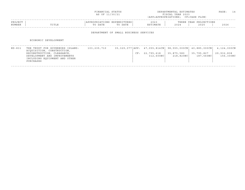|                   |                                                                                                                                                                           | FINANCIAL STATUS<br>AS OF 11/30/21     |         |                                                                         | DEPARTMENTAL ESTIMATES<br>FISCAL YEAR 2023<br>(APP=APPROPRIATIONS; CF=CASH FLOW) |                                            | PAGE:                                  | 14 |
|-------------------|---------------------------------------------------------------------------------------------------------------------------------------------------------------------------|----------------------------------------|---------|-------------------------------------------------------------------------|----------------------------------------------------------------------------------|--------------------------------------------|----------------------------------------|----|
| PROJECT<br>NUMBER | TITLE                                                                                                                                                                     | APPROPRIATIONS EXPENDITURES<br>TO DATE | TO DATE | 2023<br>ESTIMATE                                                        | 2024                                                                             | THREE YEAR PROJECTIONS<br>2025             | 2026                                   |    |
|                   |                                                                                                                                                                           | DEPARTMENT OF SMALL BUSINESS SERVICES  |         |                                                                         |                                                                                  |                                            |                                        |    |
|                   | ECONOMIC DEVELOPMENT                                                                                                                                                      |                                        |         |                                                                         |                                                                                  |                                            |                                        |    |
| $ED-831$          | THE TRUST FOR GOVERNORS ISLAND:<br>ACOUISITION, CONSTRUCTION,<br>RECONSTRUCTION, CLEARANCE,<br>DEVELOPMENT AND IMPROVEMENTS<br>INCLUDING EQUIPMENT AND OTHER<br>PURCHASES | 103,235,710                            |         | $35,329,077$   APP: $47,055,814$ CN  <br>22,795,618<br>CF:<br>312,600NC | 98,555,000CN<br>35,875,580<br>218,820NC                                          | $40,885,000$ CN<br>35,795,827<br>187,560NC | 4,124,000CN<br>29,932,838<br>156,300NC |    |

------------------------------------------------------------------------------------------------------------------------------------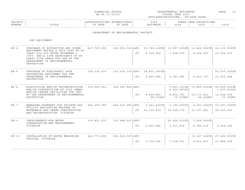| FINANCIAL STATUS                                                                                                                  | DEPARTMENTAL ESTIMATES | ^AGE | $\sim$ |
|-----------------------------------------------------------------------------------------------------------------------------------|------------------------|------|--------|
| the contract of the contract of the contract of the contract of the contract of the contract of the contract of<br>AS OF 11/30/21 | FISCAL YEAR 2023       |      |        |

| PROJECT |                 | $\tau \cap M$ C<br>. |      | $\sim$ $\sim$ $\sim$<br>2023 | וסמטי<br>. | IONS<br>YEAR<br>∩ ם ח |      |
|---------|-----------------|----------------------|------|------------------------------|------------|-----------------------|------|
| NUMBER  | יה דרחי<br>⊥⊥⊥≞ | תחגם                 | DATE | <b>A</b> A m T               | 202        | 2025                  | 2026 |
|         |                 |                      |      |                              |            |                       |      |

DEPARTMENT OF ENVIRONMENTAL PROTECT.

DEP EQUIPMENT

| $EP-4$<br>247,729,695<br>$222, 956, 063$ $APP: 10, 790, 218$ CN   13,997,000CN  <br>13,866,000CN<br>PURCHASE OF AUTOMOTIVE AND OTHER<br>16,135,000CN<br>EQUIPMENT HAVING A UNIT COST OF AT<br>6, 120, 992<br>7,228,205<br>8,669,907<br>10,006,970<br>LEAST \$35,000 AFTER NOVEMBER 1,<br>CF:<br>1999 AND A LIFE EXPECTANCY OF AT<br>LEAST FIVE YEARS FOR USE BY THE<br>DEPARTMENT OF ENVIRONMENTAL<br>PROTECTION<br>$EP-5$<br>PURCHASE OF ELECTRONIC DATA<br>158,225,979<br>143,034,103 APP: 18,832,040CN<br>PROCESSING EQUIPMENT FOR THE<br>5,890,684<br>DEPARTMENT OF ENVIRONMENTAL<br>CF:<br>4,742,966<br>4,402,727<br>12, 222, 248<br>PROTECTION<br>$EP-6$<br>ACOUISITION AND/OR RECONSTRUCTION<br>310,564,203<br>$256,681,849$   APP:<br>3,561,121CN<br>$13,800,000 \, \text{CN}$<br>20,500,000CN<br>AND/OR CONSTRUCTION OF CITY OWNED<br>5,999,997CX<br>AND/OR LEASED FACILITIES FOR USE<br>BY THE DEPARTMENT OF ENVIRONMENTAL<br>8,464,829<br>8,802,791<br>CF:<br>10,171,812<br>12, 205, 354<br>75,015NC<br>PROTECTION.<br>98,072NC<br>69,246NC<br>$EP-7$<br>845,499,780<br>$644, 510, 080$ $APP:$<br>$3,641,620$ CX<br>$6,195,000$ CX<br>$6,623,000$ CX<br>MANDATED PAYMENTS FOR PRIVATE GAS<br>UTILITY RELOCATION RELATED TO<br>CF: 36,326,879<br>WATERMAIN AND SEWER CONSTRUCTION<br>32,928,770<br>31,777,801<br>29,160,262<br>AND RECONSTRUCTION, CITYWIDE<br>$EP-9$<br>339,403,975<br>323,984,921 APP:<br>$20,424,915$ CX<br>1,409,000CX<br>IMPROVEMENTS FOR WATER<br>CONSERVATION AND MEASUREMENT,<br>2,040,944<br>CITYWIDE<br>CF:<br>5,617,425<br>4, 248, 356<br>4,783,135<br>$EP-10$<br>646,773,458<br>596, 526, 557   APP:<br>$10, 367, 246$ CX<br>INSTALLATION OF WATER MEASURING<br>DEVICES, CITYWIDE<br>CF:<br>7,726,226<br>7,138,511<br>8,612,813<br>11,884,238 |  |  |  |  |                         |
|-------------------------------------------------------------------------------------------------------------------------------------------------------------------------------------------------------------------------------------------------------------------------------------------------------------------------------------------------------------------------------------------------------------------------------------------------------------------------------------------------------------------------------------------------------------------------------------------------------------------------------------------------------------------------------------------------------------------------------------------------------------------------------------------------------------------------------------------------------------------------------------------------------------------------------------------------------------------------------------------------------------------------------------------------------------------------------------------------------------------------------------------------------------------------------------------------------------------------------------------------------------------------------------------------------------------------------------------------------------------------------------------------------------------------------------------------------------------------------------------------------------------------------------------------------------------------------------------------------------------------------------------------------------------------------------------------------------------------------------------------------------------------------------|--|--|--|--|-------------------------|
|                                                                                                                                                                                                                                                                                                                                                                                                                                                                                                                                                                                                                                                                                                                                                                                                                                                                                                                                                                                                                                                                                                                                                                                                                                                                                                                                                                                                                                                                                                                                                                                                                                                                                                                                                                                     |  |  |  |  |                         |
|                                                                                                                                                                                                                                                                                                                                                                                                                                                                                                                                                                                                                                                                                                                                                                                                                                                                                                                                                                                                                                                                                                                                                                                                                                                                                                                                                                                                                                                                                                                                                                                                                                                                                                                                                                                     |  |  |  |  | 50,000,000CN            |
|                                                                                                                                                                                                                                                                                                                                                                                                                                                                                                                                                                                                                                                                                                                                                                                                                                                                                                                                                                                                                                                                                                                                                                                                                                                                                                                                                                                                                                                                                                                                                                                                                                                                                                                                                                                     |  |  |  |  | 1,200,000CX<br>57,709NC |
|                                                                                                                                                                                                                                                                                                                                                                                                                                                                                                                                                                                                                                                                                                                                                                                                                                                                                                                                                                                                                                                                                                                                                                                                                                                                                                                                                                                                                                                                                                                                                                                                                                                                                                                                                                                     |  |  |  |  | 10,397,000CX            |
|                                                                                                                                                                                                                                                                                                                                                                                                                                                                                                                                                                                                                                                                                                                                                                                                                                                                                                                                                                                                                                                                                                                                                                                                                                                                                                                                                                                                                                                                                                                                                                                                                                                                                                                                                                                     |  |  |  |  |                         |
|                                                                                                                                                                                                                                                                                                                                                                                                                                                                                                                                                                                                                                                                                                                                                                                                                                                                                                                                                                                                                                                                                                                                                                                                                                                                                                                                                                                                                                                                                                                                                                                                                                                                                                                                                                                     |  |  |  |  | 27,440,000CX            |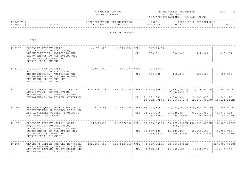| FINANCIAL STATUS | DEPARTMENTAL ESTIMATES | PAGE | $\sim$ |
|------------------|------------------------|------|--------|
| AS OF 11/30/21   | FISCAL YEAR 2023       |      |        |

| PROJECT |            |         | .     | $\cap$ $\cap$ $\cap$ | T.H.B. | 'ONS       |  |
|---------|------------|---------|-------|----------------------|--------|------------|--|
| NUMBER  | m T m<br>. | זיח גרו | ח מו. | . <del>. .</del>     | .02    | ົົ<br>202- |  |
|         |            |         |       |                      |        |            |  |

#### FIRE DEPARTMENT

FIRE

| $F - 0175$ | FACILITY IMPROVEMENTS:<br>ACQUISITION, CONSTRUCTION,<br>RECONSTRUCTION, ADDITIONS AND<br>IMPROVEMENTS TO ALL BUILDINGS,<br>INCLUDING EOUIPMENT AND<br>FURNISHINGS, QUEENS        | 4,173,000   | 1,142,784   APP: | CF: | 817,284CN<br>790,329                                                                                                    | 580,309                              | 492,944                                                                  | 415,994                                 |
|------------|----------------------------------------------------------------------------------------------------------------------------------------------------------------------------------|-------------|------------------|-----|-------------------------------------------------------------------------------------------------------------------------|--------------------------------------|--------------------------------------------------------------------------|-----------------------------------------|
| $F - X175$ | FACILITY IMPROVEMENTS:<br>ACQUISITION, CONSTRUCTION,<br>RECONSTRUCTION, ADDITIONS AND<br>IMPROVEMENTS TO ALL BUILDINGS,<br>INCLUDING EQUIPMENT AND<br>FURNISHINGS, THE BRONX     | 1,300,000   | $534,007$ $APP:$ | CF: | $203, 137$ CN<br>200,008                                                                                                | 148,043                              | 125,569                                                                  | 106,186                                 |
| $F - 1$    | FIRE ALARM COMMUNICATION SYSTEM:<br>ACOUISITION, CONSTRUCTION,<br>RECONSTRUCTION, ADDITIONS AND<br>IMPROVEMENTS TO SYSTEM, CITYWIDE                                              | 334,775,776 |                  |     | $197, 243, 734$ $ APP:$ 3, 925, 525CN $  4, 192, 000CN   1,078,000CN  $<br>CF: 11, 182, 033                             | 7,856,595 F<br>9,084,356             | 7,801,453<br>$13,962,795NC$   14,957,565NC   12,005,307NC   10,111,262NC | 1,000,000CN<br>6,766,925                |
| $F - 109$  | VEHICLE ACQUISITION: PURCHASE OF<br>FIREFIGHTING, EMERGENCY RESPONSE<br>AND AUXILIARY TRUCKS, INCLUDING<br>EQUIPMENT, CITYWIDE                                                   | 1277142758  |                  |     | $1034813464$   APP: 68, 222, 814 CN   77, 488, 000 CN   109, 814, 000 CN  <br>CF: 64, 263, 258<br>97,130NC              | 63,625,027<br>68,006NC               | 73,545,099<br>58,288NC                                                   | 83,281,000CN<br>75,878,154<br>48,576NC  |
| $F - 175$  | FACILITY IMPROVEMENTS: SITE<br>ACOUISITION, CONSTRUCTION,<br>RECONSTRUCTION, ADDITIONS AND<br>IMPROVEMENTS TO ALL BUILDINGS,<br>INCLUDING EOUIPMENT AND<br>FURNISHINGS, CITYWIDE | 1317413815  |                  |     | 1195870846   APP: 59, 180, 035 CN   88, 477, 000 CN   106, 607, 000 CN   30, 000, 000 CN<br>CF: 35,607,183<br>499,581NC | 165,929 F<br>43,409,384<br>534,835NC | 55,618,690<br>429,336NC                                                  | 49,952,701<br>360,923NC                 |
| $F - 204$  | TRAINING CENTER FOR THE NEW YORK<br>FIRE DEPARTMENT, RANDALLS ISLAND<br>AND FORT TOTTEN, CONSTRUCTION AND<br>RECONSTRUCTION OF FACILITIES.                                       | 132,493,409 |                  | CF: | $118,612,063$ $ APP: 3,589,562CN$ 52,756,000CN<br>3,672,504                                                             | 13,355,138                           | 9,750,778                                                                | $224,000,000 \text{CN}$<br>53, 146, 345 |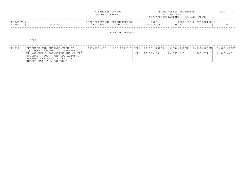|                   |                                                                                                                                                                            | FINANCIAL STATUS<br>AS OF 11/30/21     |                 |                                                       | DEPARTMENTAL ESTIMATES<br>FISCAL YEAR 2023<br>(APP=APPROPRIATIONS; CF=CASH FLOW) |                                | PAGE:                     | 17 |
|-------------------|----------------------------------------------------------------------------------------------------------------------------------------------------------------------------|----------------------------------------|-----------------|-------------------------------------------------------|----------------------------------------------------------------------------------|--------------------------------|---------------------------|----|
| PROJECT<br>NUMBER | TITLE                                                                                                                                                                      | APPROPRIATIONS EXPENDITURES<br>TO DATE | TO DATE         | 2023<br>ESTIMATE                                      | 2024                                                                             | THREE YEAR PROJECTIONS<br>2025 | 2026                      |    |
|                   |                                                                                                                                                                            |                                        | FIRE DEPARTMENT |                                                       |                                                                                  |                                |                           |    |
|                   | FIRE                                                                                                                                                                       |                                        |                 |                                                       |                                                                                  |                                |                           |    |
| $F - 212$         | PURCHASE AND INSTALLATION OF<br>EQUIPMENT FOR MEDICAL TECHNOLOGY,<br>MANAGEMENT INFORMATION AND CONTROL<br>SYSTEMS (MICS), AND OPERATIONAL<br>SUPPORT SYSTEMS, IN THE FIRE | 307,555,476                            |                 | 252,826,817   APP: 27,161,792CN  <br>CF: 16, 919, 699 | $5,000,000 \, \text{CN}$<br>13,557,217                                           | $2,000,000$ CN<br>11,745,731   | 3,500,000CN<br>10,588,640 |    |

------------------------------------------------------------------------------------------------------------------------------------

DEPARTMENT, ALL BOROUGHS.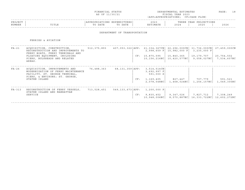| FINANCIAL STATUS                                                                                                                  | DEPARTMENTAL ESTIMATES | ^AGE | $\sim$ |
|-----------------------------------------------------------------------------------------------------------------------------------|------------------------|------|--------|
| the contract of the contract of the contract of the contract of the contract of the contract of the contract of<br>AS OF 11/30/21 | FISCAL YEAR 2023       |      |        |

| PROJECT |               |      |      | $\cap$ $\cap$ $\cap$<br>202. | הם הוד<br>ت تا دا 11 | IONS<br>YEAR<br>ית ה |      |
|---------|---------------|------|------|------------------------------|----------------------|----------------------|------|
| NUMBER  | ㅠㅜㅠㅜ ㅠ<br>ᆂᆂᅭ | DATE | DATE |                              | 202                  | 2025                 | 2026 |
|         |               |      |      |                              |                      |                      |      |

### DEPARTMENT OF TRANSPORTATION

#### FERRIES & AVIATION

| FA-21  | ACOUISITION, CONSTRUCTION,<br>RECONSTRUCTION AND IMPROVEMENTS TO<br>FERRY BOATS, FERRY TERMINALS AND                                    | 512, 375, 893 |                    |     | $407,053,322$   APP: 21,334,367CN  <br>$2,998,659$ F | 22,296,000CN 31,736,000CN<br>$15,982,000$ F | 3,235,000 F                             | 27,459,000CN              |
|--------|-----------------------------------------------------------------------------------------------------------------------------------------|---------------|--------------------|-----|------------------------------------------------------|---------------------------------------------|-----------------------------------------|---------------------------|
|        | FLOATING EOUIPMENT, INCLUDING<br>PIERS, BULKHEADS AND RELATED<br>AREAS.                                                                 |               |                    |     | CF: 15,875,595<br>10,156,216NC                       | 15,840,365<br>10,420,577NC                  | 19,179,707<br>9,058,027NC               | 20,754,502<br>7,534,607NC |
| FA-26  | ACOUISITION, IMPROVEMENTS AND<br>MODERNIZATION OF FERRY MAINTENANCE<br>FACILITY, ST. GEORGE TERMINAL,<br>PIERS, & ENVIRONS; ST. GEORGE, | 76,488,363    | 68,131,359 APP:    |     | 3,514,514CN<br>3,692,997 F<br>591,000 S              |                                             |                                         |                           |
|        | STATEN ISLAND                                                                                                                           |               |                    | CF: | 1,169,405<br>2,078,548NC                             | 827,447<br>1,468,024NC                      | 707,779<br>1,256,157NC                  | 591,521<br>1,049,305NC    |
| FA-313 | RECONSTRUCTION OF FERRY VESSELS,<br>STATEN ISLAND AND MANHATTAN                                                                         | 713,528,451   | 549,133,673   APP: |     | $1,200,000$ P                                        |                                             |                                         |                           |
|        | SERVICE                                                                                                                                 |               |                    | CF: | 9,835,452<br>10,948,006NC                            | 9,347,026                                   | 7,827,712<br>8,570,887NC   16,333,722NC | 7,308,249<br>12,602,272NC |
|        |                                                                                                                                         |               |                    |     |                                                      |                                             |                                         |                           |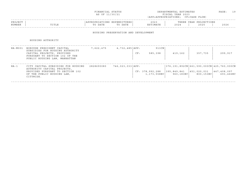|                   |                                                                                                                                                               | FINANCIAL STATUS<br>AS OF 11/30/21     |                                      |     |                                  | DEPARTMENTAL ESTIMATES<br>FISCAL YEAR 2023<br>(APP=APPROPRIATIONS; CF=CASH FLOW) |                                                                                  | PAGE:<br>19              |
|-------------------|---------------------------------------------------------------------------------------------------------------------------------------------------------------|----------------------------------------|--------------------------------------|-----|----------------------------------|----------------------------------------------------------------------------------|----------------------------------------------------------------------------------|--------------------------|
| PROJECT<br>NUMBER | TITLE                                                                                                                                                         | APPROPRIATIONS EXPENDITURES<br>TO DATE | TO DATE                              |     | 2023<br>ESTIMATE                 | 2024                                                                             | THREE YEAR PROJECTIONS<br>2025                                                   | 2026                     |
|                   |                                                                                                                                                               |                                        | HOUSING PRESERVATION AND DEVELOPMENT |     |                                  |                                                                                  |                                                                                  |                          |
|                   | HOUSING AUTHORITY                                                                                                                                             |                                        |                                      |     |                                  |                                                                                  |                                                                                  |                          |
| $HA - MOO1$       | BOROUGH PRESIDENT CAPITAL<br>SUBSIDIES FOR HOUSING AUTHORITY<br>CAPITAL PROJECTS, PROVIDED<br>PURSUANT TO SECTION 102 OF THE<br>PUBLIC HOUSING LAW, MANHATTAN | 7,622,475                              | $4,732,485$ $APP:$                   | CF: | 913CN<br>585,398                 | 419,162                                                                          | 357,735                                                                          | 299,917                  |
| $HA-1$            | CITY CAPITAL SUBSIDIES FOR HOUSING<br>AUTHORITY CAPITAL PROJECTS,<br>PROVIDED PURSUANT TO SECTION 102<br>OF THE PUBLIC HOUSING LAW,<br>CITYWIDE.              | 2828690080                             | 746,023,033   APP:                   |     | CF: 378,992,288<br>1, 173, 558NC | 395,849,841<br>960, 183NC                                                        | 376,191,892CN 661,590,000CN 425,760,000CN<br>$ 451,020,031\rangle$<br>800, 153NC | 447,408,097<br>693,466NC |

------------------------------------------------------------------------------------------------------------------------------------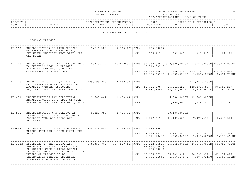| FINANCIAL STATUS                                                                                                                  | DEPARTMENTAL ESTIMATES | PAGE | $\sim$ |
|-----------------------------------------------------------------------------------------------------------------------------------|------------------------|------|--------|
| the contract of the contract of the contract of the contract of the contract of the contract of the contract of<br>AS OF 11/30/21 | YEAR 2023<br>FTSCAL    |      |        |

| PROJECT<br>NUMBER | TITLE                                                                                                                                            | APPROPRIATIONS EXPENDITURES<br>TO DATE | TO DATE                      |     | 2023<br>ESTIMATE                                                                                            | 2024                        | THREE YEAR PROJECTIONS<br>2025                                           | 2026                        |
|-------------------|--------------------------------------------------------------------------------------------------------------------------------------------------|----------------------------------------|------------------------------|-----|-------------------------------------------------------------------------------------------------------------|-----------------------------|--------------------------------------------------------------------------|-----------------------------|
|                   |                                                                                                                                                  |                                        | DEPARTMENT OF TRANSPORTATION |     |                                                                                                             |                             |                                                                          |                             |
|                   | HIGHWAY BRIDGES                                                                                                                                  |                                        |                              |     |                                                                                                             |                             |                                                                          |                             |
| $HB-163$          | REHABILITATION OF FIVE BRIDGES,<br>MELROSE SECTION OF THE BRONX,                                                                                 | 11,746,302                             | 9,335,127   APP:             |     | 286,000CN                                                                                                   |                             |                                                                          |                             |
|                   | INCLUDING REQUIRED ANCILLARY WORK,<br>THE BRONX                                                                                                  |                                        |                              | CF: | 505,115                                                                                                     | 392,003                     | 329,669                                                                  | 282,113                     |
| $HB-215$          | RECONSTRUCTION OF AND IMPROVEMENTS<br>TO EXISTING HIGHWAY BRIDGES,<br>VIADUCTS, TUNNELS, UNDER AND                                               | 1603486379                             |                              |     | $1078795862$   APP: 155, 632, 090CN   590, 576, 000CN   1350870000CN   483, 211, 000CN<br>8,910,823 F       |                             |                                                                          |                             |
|                   | OVERPASSES, ALL BOROUGHS                                                                                                                         |                                        |                              |     | CF: 123,683,846                                                                                             | 207, 746, 274               | 429,178,135<br>$15,366,363NC$   11,235,534NC   9,551,489NC   8,051,705NC | 420,823,029                 |
| HB-278            | REHABILITATION OF BOE (278-I)<br>CANTILEVER FROM SANDS STREET TO                                                                                 | 409,095,000                            | $4,039,875$ $APP:$           |     |                                                                                                             |                             | 463,781,403CN                                                            |                             |
|                   | ATLANTIC AVENUE, INCLUDING<br>REQUIRED ANCILLARY WORK, BROOKLYN                                                                                  |                                        |                              |     | CF: 48,751,578                                                                                              | 36,341,422                  | 129,201,565<br>24,381,800NC   17,067,260NC   14,629,080NC   12,190,900NC | 94,587,267                  |
| $HB-431$          | RECONSTRUCTION AND STRUCTURAL<br>REHABILITATION OF BRIDGE AT 49TH                                                                                | 1,689,441                              | 1,689,441   APP:             |     |                                                                                                             |                             | 6,996,000CN   81,681,000CN                                               |                             |
|                   | AVENUE AND SKILLMAN AVENUE, QUEENS                                                                                                               |                                        |                              | CF: |                                                                                                             | 1,399,200                   | 17,315,640                                                               | 12,274,860                  |
| HB-530            | RECONSTRUCTION AND STRUCTURAL<br>REHABILITATION OF R.R. BRIDGE AT                                                                                | 9,826,966                              | 3,424,788   APP:             |     |                                                                                                             | $50, 136, 085$ CN           |                                                                          |                             |
|                   | PARKSIDE AVE. AND OCEAN AVE.,<br><b>BROOKLYN</b>                                                                                                 |                                        |                              | CF: | 1,297,617                                                                                                   | 11,189,687                  | 7,974,339                                                                | 6,843,574                   |
| $HB-644$          | RECONSTRUCTION OF MADISON AVENUE<br>BRIDGE OVER THE HARLEM RIVER, THE                                                                            | 130,231,697                            | 103,289,223   APP:           |     | 1,848,260CN                                                                                                 |                             |                                                                          |                             |
|                   | BRONX                                                                                                                                            |                                        |                              | CF: | 4,215,907<br>1,914,996NC                                                                                    | 3,233,980                   | 2,725,360<br>$1,565,869NC$ $1,305,024NC$ $1,130,861NC$                   | 2,325,527                   |
|                   |                                                                                                                                                  |                                        |                              |     |                                                                                                             |                             |                                                                          |                             |
|                   | HB-1012 ENGINEERING, ARCHITECTURAL,<br>ADMINISTRATIVE AND OTHER COSTS IN<br>CONNECTION WITH CAPITAL BUDGET<br>PROJECTS UNDER THE JURISDICTION OF | 656,353,047                            |                              |     | $357,509,409$   APP: 30,832,665CN   56,952,000CN   26,563,000CN   59,859,000CN<br>33,618,000 F<br>200,000 S |                             |                                                                          |                             |
|                   | BUREAU OF BRIDGES TO BE<br>IMPLEMENTED THROUGH INTERFUND<br>AGREEMENTS OR OTHER CONTRACTS.                                                       |                                        |                              |     | CF: 69, 605, 373<br>6,791,248NCl                                                                            | 65, 242, 492<br>4,757,140NC | 58,599,487<br>4,077,011NC                                                | 61, 272, 417<br>3,398,136NC |
|                   |                                                                                                                                                  |                                        |                              |     |                                                                                                             |                             |                                                                          |                             |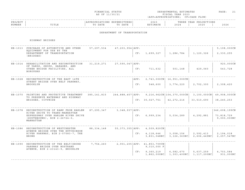| FINANCIAL STATUS                                                                                                                  | DEPARTMENTAL ESTIMATES | 70 O D<br>$'$ $A$ $G$ $E$ . | $\sim$ $\sim$ |
|-----------------------------------------------------------------------------------------------------------------------------------|------------------------|-----------------------------|---------------|
| the contract of the contract of the contract of the contract of the contract of the contract of the contract of<br>AS OF 11/30/21 | T S C A L<br>YEAR 2023 |                             |               |

|                                                   |      | THREE YEAR PROJECTIONS |      |
|---------------------------------------------------|------|------------------------|------|
| NUMBER<br>ESTIMATE<br>DATE<br>DATE<br>™∩<br>TITLE | 2024 | 2025                   | 2026 |

### DEPARTMENT OF TRANSPORTATION

HIGHWAY BRIDGES

| HB-1013 | PURCHASE OF AUTOMOTIVE AND OTHER<br>EQUIPMENT FOR USE BY THE<br>DEPARTMENT OF TRANSPORTATION<br>(BRIDGES)                                                          | 57, 297, 534  | 47, 203, 954   APP: | CF:         | 1,699,327                                | 1,286,784                                                | 1,120,326                              | 5,108,000CN<br>2,330,255                   |
|---------|--------------------------------------------------------------------------------------------------------------------------------------------------------------------|---------------|---------------------|-------------|------------------------------------------|----------------------------------------------------------|----------------------------------------|--------------------------------------------|
| HB-1014 | REHABILITATION AND RECONSTRUCTION<br>OF YARDS, SHOPS, GARAGES, AND<br>OTHER BRIDGE FACILITIES, ALL<br><b>BOROUGHS</b>                                              | 31, 219, 271  | 27,590,047 APP:     | CF:         | 711,632                                  | 501,148                                                  | 429,060                                | 920,000CN<br>543,728                       |
| HB-1028 | RECONSTRUCTION OF THE EAST 14TH<br>STREET BRIDGE OVER BELT PARKWAY,<br><b>BROOKLYN</b>                                                                             |               |                     | APP:<br>CF: | 548,600                                  | 2,743,000CN   16,951,000CN<br>3,774,220                  | 2,702,300                              | 2,308,420                                  |
| HB-1070 | PAINTING AND PROTECTIVE TREATMENT<br>TO PRESERVE WATERWAY AND HIGHWAY<br>BRIDGES, CITYWIDE                                                                         | 385, 141, 815 | 244,888,457   APP:  |             | CF: 30,027,751                           | $9, 216, 962$ CN $ 104, 370, 000$ CN $ $<br>42, 272, 216 | $3,100,000 \, \text{CN}$<br>33,510,690 | 49,908,000CN<br>38, 245, 253               |
|         | HB-1078 RECONSTRUCTION OF RAMP FROM HARLEM<br>RIVER DRIVE TO TRANS-MANHATTAN<br>EXPRESSWAY OVER HARLEM RIVER DRIVE<br>$(SOUTHBOUND)$ , BIN 2-26724-0,<br>MANHATTAN | 87, 295, 347  | 3,348,937 APP:      | CF:         | 6,999,234                                | 5,034,289                                                | 4,292,881                              | 346,608,199CN<br>73,818,729<br>9,000,000NC |
| HB-1086 | RECONSTRUCTION OF WESTCHESTER<br>AVENUE BRIDGE OVER THE HUTCHINSON<br>RIVER PARKWAY, BIN 2-07583-7, THE<br><b>BRONX</b>                                            | 88, 334, 148  | 55, 373, 355   APP: | CF:         | 4,509,820CN<br>4,118,646<br>3,831,048NC  | 3,058,156<br>3,126,363NC                                 | 2,592,413<br>2,606,449NC               | 2,194,018<br>2,257,547NC                   |
| HB-1090 | RECONSTRUCTION OF THE BELT/SHORE<br>PARKWAY BRIDGE OVER NOSTRAND<br>AVENUE, BIN 2-23143-9, BROOKLYN                                                                | 7,754,260     | 2,901,205 APP:      | CF:         | 41,853,709CN<br>9,310,000 F<br>9,360,219 | 6,582,670<br>$1,862,000NC$ $1,303,400NC$                 | 5,637,259<br>1,117,200NC               | 4,703,584<br>931,000NC                     |
|         |                                                                                                                                                                    |               |                     |             |                                          |                                                          |                                        |                                            |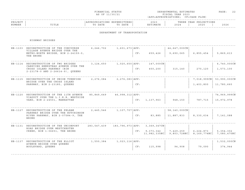| FINANCIAL STATUS                                                                                                                      | DEPARTMENTAL ESTIMATES | 70 O D  |  |
|---------------------------------------------------------------------------------------------------------------------------------------|------------------------|---------|--|
|                                                                                                                                       |                        | $AGE$ . |  |
|                                                                                                                                       |                        |         |  |
| and the contract of the contract of the contract of the contract of the contract of the contract of the contract of<br>AS OF 11/30/21 | T S C A L<br>YEAR 2023 |         |  |

| PROJECT |       | UN 3      |                               | 2022<br>2 U 2 |     | ONS<br>VF∆ P<br>∩ ס פ |      |
|---------|-------|-----------|-------------------------------|---------------|-----|-----------------------|------|
| NUMBER  | TITLE | DATE<br>᠇ | n a m p<br>$m \wedge$<br>DAIL | IMATE         | 302 | 2025                  | 202t |
|         |       |           |                               |               |     |                       |      |

#### DEPARTMENT OF TRANSPORTATION

HIGHWAY BRIDGES

| HB-1103 | RECONSTRUCTION OF THE CONCOURSE<br>VILLAGE AVENUE BRIDGE OVER THE<br>METRO-NORTH BRIDGE, BIN 2-24159-0,<br>THE BRONX | 6, 246, 702   | 1,601,673   APP:    |     |                            | 44,647,000CN             |                            |                            |
|---------|----------------------------------------------------------------------------------------------------------------------|---------------|---------------------|-----|----------------------------|--------------------------|----------------------------|----------------------------|
|         |                                                                                                                      |               |                     | CF: | 659,426                    | 9,690,065                | 6,855,454                  | 5,869,613                  |
|         | HB-1114 RECONSTRUCTION OF TWO BRIDGES                                                                                | 3,124,650     | 1,020,650   APP :   |     | 147,000CN                  |                          |                            | 6,740,000CN                |
|         | CARRYING HEMPSTEAD AVENUE OVER THE<br>CROSS ISLAND PARKWAY (BIN<br>2-23178-0 AND 2-26614-9), OUEENS                  |               |                     | CF: | 450,200                    | 315,140                  | 270,120                    | 1,573,100                  |
| HB-1115 | RECONSTRUCTION OF UNION TURNPIKE                                                                                     | 2,276,084     | 2, 276, 083   APP:  |     |                            |                          | 7,018,999CN                | 53,990,000CN               |
|         | BRIDGE OVER THE CROSS ISLAND<br>PARKWAY, BIN 2-23185, QUEENS                                                         |               |                     | CF: |                            |                          | 1,403,800                  | 11,780,660                 |
| HB-1120 | RECONSTRUCTION OF THE 11TH AVENUE                                                                                    | 85,849,649    | $46,998,312$ $APP:$ |     |                            |                          |                            | 74,969,999CN               |
|         | VIADUCT OVER THE L.I.R.R. WESTSIDE<br>YARD, BIN 2-24501, MANHATTAN                                                   |               |                     | CF: | 1,137,963                  | 948,150                  | 787,715                    | 15,972,978                 |
| HB-1127 | RECONSTRUCTION OF THE PELHAM                                                                                         | 2,445,546     | 1,107,707   APP:    |     |                            | 58,140,000CN             |                            |                            |
|         | PARKWAY BRIDGE OVER THE HUTCHINSON<br>RIVER PARKWAY, BIN 2-07584-9, THE<br>BRONX                                     |               |                     | CF: | 83,885                     | 11,887,833               | 8,330,634                  | 7,141,088                  |
| HB-1131 | RECONSTRUCTION OF THE UNIONPORT<br>ROAD BRIDGE OVER WESTCHESTER                                                      | 283, 547, 439 | 183,796,973   APP:  |     | $3,369,347$ CN             |                          |                            |                            |
|         | CREEK, BIN 1-06651, THE BRONX                                                                                        |               |                     | CF: | 9,373,342<br>11,982,335NCI | 7,429,259<br>9,803,728NC | 6, 224, 873<br>8,169,774NC | 5, 354, 302<br>7,080,470NC |
| HB-1137 | RECONSTRUCTION OF THE ELLIOT                                                                                         | 1,550,384     | $1,023,116$ $APP:$  |     |                            |                          |                            | 1,532,000CN                |
|         | AVENUE BRIDGE OVER OUEENS<br>BOULEVARD, QUEENS                                                                       |               |                     | CF: | 115,998                    | 94,908                   | 79,090                     | 374,944                    |
|         |                                                                                                                      |               |                     |     |                            |                          |                            |                            |

------------------------------------------------------------------------------------------------------------------------------------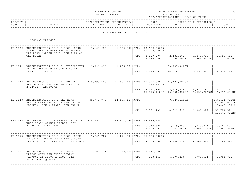| FINANCIAL STATUS                                                                                                                  | DEPARTMENTAL ESTIMATES | <b>DAGE</b> |  |
|-----------------------------------------------------------------------------------------------------------------------------------|------------------------|-------------|--|
| the contract of the contract of the contract of the contract of the contract of the contract of the contract of<br>AS OF 11/30/21 | FISCAL YEAR 2023       |             |  |

| PROJECT |                                   |      | LUK LO'            | 2023 | סים מוז<br>--------    | IONS<br>YEAR<br>ית ה |      |
|---------|-----------------------------------|------|--------------------|------|------------------------|----------------------|------|
| NUMBER  | m T m T m<br>L ⊥ ⊥ ⊥ <del>∟</del> | DATE | DATE<br>$m \wedge$ |      | $\cap$ $\cap$<br>2 U Z | 2025                 | 2026 |
|         |                                   |      |                    |      |                        |                      |      |

### DEPARTMENT OF TRANSPORTATION

HIGHWAY BRIDGES

| HB-1139 | RECONSTRUCTION OF THE EAST 183RD<br>STREET BRIDGE OVER THE METRO-NORT<br>RAILROAD HARLEM LINE, BIN 2-24180,<br>THE BRONX | 3,168,983   |                    |     | 1,300,842 APP: 13,659,850CN<br>11,200,000 F<br>CF: 3, 109, 377<br>2, 240, 000NC | 2, 181, 478<br>1,568,000NC   1,344,000NC                | 1,869,028                | 1,558,468<br>1,120,000NC      |
|---------|--------------------------------------------------------------------------------------------------------------------------|-------------|--------------------|-----|---------------------------------------------------------------------------------|---------------------------------------------------------|--------------------------|-------------------------------|
|         |                                                                                                                          |             |                    |     |                                                                                 |                                                         |                          |                               |
| HB-1141 | RECONSTRUCTION OF THE METROPOLITAN<br>AVENUE BRIDGE OVER CONRAIL, BIN                                                    | 19,804,394  | 1, 285, 560   APP: |     |                                                                                 | 62,497,000CN                                            |                          |                               |
|         | 2-24750, QUEENS                                                                                                          |             |                    | CF: | 1,698,583                                                                       | 14,010,110                                              | 9,992,545                | 8,572,228                     |
|         | HB-1147 RECONSTRUCTION OF THE BROADWAY                                                                                   | 145,893,686 |                    |     | 42,501,185   APP: 11,873,000 CN   11,183,000 CN                                 |                                                         |                          |                               |
|         | BRIDGE OVER THE HARLEM RIVER, BIN<br>2-24013, MANHATTAN                                                                  |             |                    |     | 193,797 S                                                                       |                                                         |                          |                               |
|         |                                                                                                                          |             |                    | CF: | 6,194,898                                                                       | 6,940,775<br>17,015,118NC   13,852,852NC   11,555,764NC | 5,537,152                | 4,722,290<br>9,956,631NC      |
| HB-1148 | RECONSTRUCTION OF SHORE ROAD<br>BRIDGE OVER THE HUTCHINSON RIVER                                                         | 29,768,778  | 14,595,106   APP:  |     |                                                                                 | 7,727,110CN                                             |                          | 244,411,000CN<br>60,000,000 F |
|         | PARKWAY, BIN 2-24020, THE BRONX                                                                                          |             |                    |     |                                                                                 |                                                         |                          | 7,365,000 S                   |
|         |                                                                                                                          |             |                    | CF: | 2,521,432                                                                       | 4,321,620                                               | 3,300,327                | 51,724,511<br>13,473,000NC    |
|         | HB-1165 RECONSTRUCTION OF RIVERSIDE DRIVE<br>WEST 158TH STREET BRIDGE, BIN                                               | 114,494,777 |                    |     | 56,804,786   APP: 16,359,968CN                                                  |                                                         |                          |                               |
|         | 2-246720, MANHATTAN                                                                                                      |             |                    |     | CF: 6, 947, 324<br>8,608,062NC                                                  | 5,219,365<br>7,042,960NC                                | 4,415,021<br>5,869,133NC | 3,747,691<br>5,086,582NC      |
|         | HB-1172 RECONSTRUCTION OF THE EAST 188TH                                                                                 | 11,766,707  |                    |     | 1,094,049 APP: 27,050,000CN                                                     |                                                         |                          |                               |
|         | ST STREET BRIDGE OVER METRO NORTH<br>RAILROAD, BIN 2-24181-0, THE BRONX                                                  |             |                    | CF: | 7,556,084                                                                       | 5,304,278                                               | 4,544,048                | 3,789,595                     |
|         |                                                                                                                          |             |                    |     |                                                                                 |                                                         |                          |                               |
|         | HB-1173 RECONSTRUCTION OF THE STREET                                                                                     | 3,009,171   |                    |     | 788,426 APP: 37,545,000CN                                                       |                                                         |                          |                               |
|         | BRIDGE OVER THE CROSS ISLAND<br>PARKWAY AT 115TH AVENUE, BIN<br>2-23176-0, QUEENS                                        |             |                    | CF: | 7,958,163                                                                       | 5, 577, 234                                             | 4,779,411                | 3,984,096                     |
|         |                                                                                                                          |             |                    |     |                                                                                 |                                                         |                          |                               |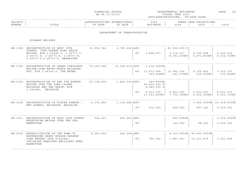| FINANCIAL STATUS                                                                                                                  | DEPARTMENTAL ESTIMATES | ≀AGE |  |
|-----------------------------------------------------------------------------------------------------------------------------------|------------------------|------|--|
| the contract of the contract of the contract of the contract of the contract of the contract of the contract of<br>AS OF 11/30/21 | FISCAL YEAR 2023       |      |  |

| PROJECT |       |                 | .IURES '                    | 2023  |                        | IONS<br>YEAR<br>ת ה |      |
|---------|-------|-----------------|-----------------------------|-------|------------------------|---------------------|------|
| NUMBER  | TITLE | ת היה ה<br>DATE | DATE<br>$\mathsf{m} \wedge$ | TMATR | $\cap$ $\cap$<br>2 U 2 | つのつに<br>2 U Z :     | 2026 |
|         |       |                 |                             |       |                        |                     |      |

### DEPARTMENT OF TRANSPORTATION

HIGHWAY BRIDGES

| HB-1189 | RECONSTRUCTION OF WEST 79TH<br>STREET, 79TH STREET BOAT BASIN<br>BRIDGE, BIN 2-22929-0, 2-26771-7,<br>$2 - 26771 - 8$ , $2 - 26771 - A$ , $2 - 26771 - B$ ,<br>2-26771-C, 2-26771-D, MANHATTAN | 33,958,740  | $6,790,966$ $APP:$ | CF: | 3,898,677                                             | 41,956,000 F<br>3, 314, 237<br>8,391,200NC | 2,745,858<br>5,873,840NC                                | 2,365,618<br>5,034,720NC  |
|---------|------------------------------------------------------------------------------------------------------------------------------------------------------------------------------------------------|-------------|--------------------|-----|-------------------------------------------------------|--------------------------------------------|---------------------------------------------------------|---------------------------|
| HB-1190 | RECONSTRUCTION OF GRAND CONCOURSE<br>BRIDGE OVER METRO-NORTH RAILROAD<br>HUD, BIN 2-24140-9, THE BRONX                                                                                         | 75,160,558  |                    |     | 12, 168, 915   APP: 1, 216, 500 CN<br>CF: 13,573,954  | 10,962,726<br>$329,404NC$ 241,976NC        | 9,155,805<br>205,530NC                                  | 7,910,791<br>173,466NC    |
| HB-1205 | RECONSTRUCTION OF THE 5TH AVENUE<br>BRIDGE OVER THE LONG ISLAND<br>RAILROAD AND SEA BEACH, BIN<br>2-243580, BROOKLYN                                                                           | 67,194,539  | 1,482,539   APP:   | CF: | 540,890CN<br>29,400,000 F<br>4,045,000 S<br>9,031,035 | 6,445,040                                  | 5,503,993<br>$11,003,400NC$ 7, 702, 380NC 6, 602, 040NC | 4,610,375<br>5,501,700NC  |
| HB-1208 | RECONSTRUCTION OF FOSTER AVENUE /<br>BMT SUBWAY, BRIGHTON, BROOKLYN                                                                                                                            | 4, 175, 685 | 1, 114, 685   APP: | CF: | 612,200                                               | 428,540                                    | 3,000,000CN<br>967,320                                  | 23,168,000CN<br>5,359,700 |
| HB-1221 | RECONSTRUCTION OF EAST 25TH STREET<br>PEDESTRIAN BRIDGE OVER THE FDR,<br>MANHATTAN                                                                                                             | 924,201     | 905, 487   APP:    | CF: |                                                       | 699,998CN<br>140,000                       | 98,000                                                  | 9,276,000CN<br>1,939,200  |
| HB-2934 | REHABILITATION OF THE RAMP TO<br>NORTHBOUND HENRY HUDSON PARKWAY<br>OVER AMTRAK (BIN 222934A),<br>INCLUDING REQUIRED ANCILLARY WORK,<br>MANHATTAN                                              | 4, 285, 625 | $442, 248$ $APP:$  | CF: | 746,362                                               | $4,323,000 \, \text{CN}$<br>1,487,307      | 45,443,000CN<br>10, 211, 476                            | 7,321,568                 |
|         |                                                                                                                                                                                                |             |                    |     |                                                       |                                            |                                                         |                           |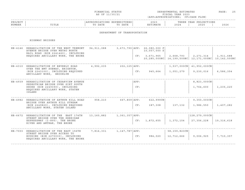| FINANCIAL STATUS | DEPARTMENTAL ESTIMATES | PAGE | $\sim$ |
|------------------|------------------------|------|--------|
| AS OF 11/30/21   | FISCAL YEAR 2023       |      |        |

### ------------------------------------------------------------------------------------------------------------------------------------PROJECT | |APPROPRIATIONS EXPENDITURES| 2023 | THREE YEAR PROJECTIONS NUMBER | TITLE | TO DATE TO DATE | ESTIMATE | 2024 | 2025 | 2026 ------------------------------------------------------------------------------------------------------------------------------------

### DEPARTMENT OF TRANSPORTATION

HIGHWAY BRIDGES

|         | HB-4146 REHABILITATION OF THE WEST TREMONT<br>AVENUE BRIDGE OVER METRO NORTH<br>RAIL ROAD (BIN 2241460), INCLUDING | 94, 911, 088 |                  |      | 3,673,790 APP: 26,080,000 F<br>10,057,000 S |              |                                                                          |              |
|---------|--------------------------------------------------------------------------------------------------------------------|--------------|------------------|------|---------------------------------------------|--------------|--------------------------------------------------------------------------|--------------|
|         | REQUIRED ANCILLARY WORK, THE BRONX                                                                                 |              |                  |      | CF: 3,671,965                               | 2,668,793    | 2, 271, 314<br>20,285,000NC   14,199,500NC   12,171,000NC   10,142,500NC | 1,911,688    |
| HB-4310 | REHABILITATION OF BEVERLY ROAD<br>OVER THE BMT SUBWAY, BRIGHTON,                                                   | 4,992,235    | 202, 125   APP:  |      |                                             |              | 1,537,000CN   41,952,000CN                                               |              |
|         | (BIN 2243100), INCLUDING REQUIRED<br>ANCILLARY WORK, BROOKLYN                                                      |              |                  | CF:  | 945,664                                     | 1,051,279    | 9,230,016                                                                | 6,586,354    |
| HB-4939 | REHABILITATION OF CEDARVIEW AVENUE<br>PEDESTRIAN BRIDGE OVER SIRT SOUTH                                            |              |                  | APP: |                                             |              | 8,823,000CN                                                              |              |
|         | SHORE (BIN 2249390), INCLUDING<br>REQUIRED ANCILLARY WORK, STATEN<br>ISLAND                                        |              |                  | CF:  |                                             |              | 1,764,600                                                                | 1,235,220    |
|         | HB-4982 REHABILITATION OF ARTHUR KILL ROAD<br>BRIDGE OVER ARTHUR KILL STREAM                                       | 958,210      | $667,809$ $APP:$ |      | 622,999CN                                   |              | 9,350,000CN                                                              |              |
|         | (BIN 2249820), INCLUDING REQUIRED<br>ANCILLARY WORK, STATEN ISLAND                                                 |              |                  | CF:  | 187,308                                     | 137,132      | 1,986,550                                                                | 1,407,282    |
|         | HB-6672 REHABILITATION OF THE EAST 174TH<br>STREET BRIDGE OVER THE SHERIDAN                                        | 13,160,882   | 1,361,357   APP: |      |                                             |              | 128,279,000CN                                                            |              |
|         | EXPRESSWAY (I-895), THE BRONX<br>RIVER AND AMTRAK, THE BRONX                                                       |              |                  | CF:  | 1,872,655                                   | 1,372,154    | 27,356,228                                                               | 19, 316, 618 |
|         | HB-7003 REHABILITATION OF THE EAST 156TH                                                                           | 7,816,331    | 1,147,787   APP: |      |                                             | 58,159,823CN |                                                                          |              |
|         | STREET BRIDGE OVER ACCESS TO<br>HOUSING (BIN 2270030), INCLUDING<br>REQUIRED ANCILLARY WORK, THE BRONX             |              |                  | CF:  | 984,020                                     | 12,712,666   | 9,006,925                                                                | 7,710,357    |
|         |                                                                                                                    |              |                  |      |                                             |              |                                                                          |              |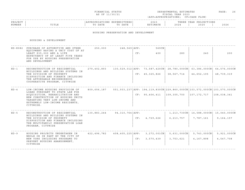| FINANCIAL STATUS                                                                                                                                                                                                                                 | DEPARTMENTAL ESTIMATES | $\sim$ $\sim$       | $\sim$ |
|--------------------------------------------------------------------------------------------------------------------------------------------------------------------------------------------------------------------------------------------------|------------------------|---------------------|--------|
|                                                                                                                                                                                                                                                  |                        | $(A)$ $A$ $(A)$ $B$ |        |
|                                                                                                                                                                                                                                                  |                        |                     |        |
| and the contract of the contract of the contract of the contract of the contract of the contract of the contract of the contract of the contract of the contract of the contract of the contract of the contract of the contra<br>AS OF 11/30/21 | T S C A L<br>YEAR 2023 |                     |        |

| PROJECT |                                   |      | LUK LO'            | 2023 | סים מוז<br>---------   | IONS<br>YEAR<br>ית ה |      |
|---------|-----------------------------------|------|--------------------|------|------------------------|----------------------|------|
| NUMBER  | m T m T m<br>L ⊥ ⊥ ⊥ <del>∟</del> | DATE | DATE<br>$m \wedge$ |      | $\cap$ $\cap$<br>2 U Z | 2025                 | 2026 |
|         |                                   |      |                    |      |                        |                      |      |

#### HOUSING PRESERVATION AND DEVELOPMENT

| HD-K082 | PURCHASE OF AUTOMOTIVE AND OTHER                                                                                                                                                         | 250,000     | $248,569$ $APP:$    |     | 569CN                                                                            |                         |                            |              |
|---------|------------------------------------------------------------------------------------------------------------------------------------------------------------------------------------------|-------------|---------------------|-----|----------------------------------------------------------------------------------|-------------------------|----------------------------|--------------|
|         | EQUIPMENT HAVING A UNIT COST OF AT<br>LEAST \$35,000 AND A LIFE<br>EXPECTANCY OF AT LEAST FIVE YEARS<br>FOR USE BY HOUSING PRESERVATION<br>AND DEVELOPMENT                               |             |                     | CF: | 400                                                                              | 280                     | 240                        | 200          |
| $HD-1$  | RECONSTRUCTION OF RESIDENTIAL<br>BUILDINGS AND BUILDING SYSTEMS IN                                                                                                                       | 279,402,893 |                     |     | $130,529,012$ $ APP: 73,587,420CN$ $  28,780,000CN$ $  63,386,000CN$             |                         |                            | 64,576,000CN |
|         | THE DIVISION OF PROPERTY<br>DISPOSITION AND FINANCE INCLUDING<br>THE AFFORDABLE NEIGHBORHOOD<br>COOPERATIVE PROGRAM, CITYWIDE                                                            |             |                     |     | CF: 45, 325, 826                                                                 | 38,567,714              | 44,652,105                 | 48,739,319   |
| $HD-4$  | LOW-INCOME HOUSING PROVISION OF                                                                                                                                                          | 809,656,187 |                     |     | 551,933,237   APP: 194,119,830CN   229,860,000CN   103,572,000CN   103,570,000CN |                         |                            |              |
|         | LOANS PURSUANT TO STATE LAW FOR<br>ACOUISITION, REHABILITATION AND<br>NEW CONSTRUCTION OF HOUSING UNITS<br>TARGETING VERY LOW-INCOME AND<br>EXTREMELY LOW-INCOME RESIDENTS,<br>CITYWIDE. |             |                     |     | CF: 90,406,411                                                                   | 109,305,700             | 107, 172, 717              | 108,038,341  |
| $HD-5$  | RECONSTRUCTION OF RESIDENTIAL<br>BUILDINGS AND BUILDING SYSTEMS IN                                                                                                                       | 130,883,244 | 94,310,764   APP:   |     |                                                                                  |                         | 1,213,730CN   14,588,000CN | 15,040,000CN |
|         | THE DIVISION OF PROPERTY<br>DISPOSITION AND FINANCE INCLUDING<br>THE MULTIFAMILY PRESERVATION LOAN<br>PROGRAM, CITYWIDE                                                                  |             |                     | CF: | 4,729,626                                                                        | 6,213,757               | 7,787,161                  | 9, 164, 157  |
| $HD-9$  | HOUSING PROJECTS UNDERTAKEN IN<br>WHOLE OR IN PART BY THE CITY OF                                                                                                                        | 422,496,782 | 408,405,225   APP : |     | 3, 272, 001CN                                                                    | 5,631,000C <sub>N</sub> | 5,743,000CN                | 5,921,000CN  |
|         | NEW YORK INCLUDING PROGRAMS TO<br>PREVENT HOUSING ABANDONMENT,<br>CITYWIDE                                                                                                               |             |                     | CF: | 3,570,439                                                                        | 3,753,621               | 4,167,898                  | 4,547,708    |
|         |                                                                                                                                                                                          |             |                     |     |                                                                                  |                         |                            |              |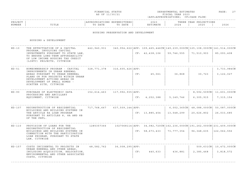|  | FINANCIAL STATUS |
|--|------------------|
|  | AS OF 11/30/21   |

FINANCIAL STATUS DEPARTMENTAL ESTIMATES PAGE: 27 FISCAL YEAR 2023 (APP=APPROPRIATIONS; CF=CASH FLOW)

| PROJEC |       |              | ,,,,,,,, | 202.           |                               | $\cap$ NT $\subset$<br>꼬ㅁㅈ.<br>ᆂᆂᇦᇌᇦ<br>$\left  \right $ |              |
|--------|-------|--------------|----------|----------------|-------------------------------|----------------------------------------------------------|--------------|
| NUMBER | ⊥⊥⊥⊥⊥ | 五九中形<br>DATE | DATE     | <b>TASA MT</b> | $\cap$ $\cap$ $\cap$<br>2 U Z | 2025                                                     | 2022<br>ていてん |
|        |       |              |          |                |                               |                                                          |              |

#### HOUSING PRESERVATION AND DEVELOPMENT

| $HD-10$  | THE EFFECTUATION OF A CAPITAL<br>PROGRAM, INVOLVING CAPITAL<br>INVESTMENTS PURSUANT TO STATE LAW,<br>TO ENSURE LONG-TERM AFFORDABILITY<br>OF LOW INCOME HOUSING TAX CREDIT<br>(LIHTC) PROJECTS, CITYWIDE                            |                                      |                      |     | CF: 42, 438, 106 | 59,746,555 | 442,940,931 340,954,622   APP: 109,465,446CN   149,239,000CN   125,108,000CN   141,514,000CN<br>71,510,903 | 85,093,408                            |
|----------|-------------------------------------------------------------------------------------------------------------------------------------------------------------------------------------------------------------------------------------|--------------------------------------|----------------------|-----|------------------|------------|------------------------------------------------------------------------------------------------------------|---------------------------------------|
| $HD-51$  | HOMEOWNERSHIP PROGRAM - CAPITAL<br>IMPROVEMENTS IN URBAN RENEWAL<br>AREAS PURSUANT TO URBAN RENEWAL<br>PLANS OR FOR PROJECTS WITHIN URBAN<br>DEVELOPMENT ACTIONS AREAS OR<br>DEVELOPMENT OF SMALL HOMES -<br>SCATTER SITE, CITYWIDE | 328,771,378                          | $316,605,426$ $APP:$ |     | CF: 45,061       | 36,868     | 30,723                                                                                                     | 3,733,984CN<br>3,122,027              |
| $HD-90$  | PURCHASE OF ELECTRONIC DATA<br>PROCESSING AND ANCILLARY<br>EQUIPMENT, CITYWIDE                                                                                                                                                      |                                      |                      |     | CF: 4, 252, 388  | 5,149,746  | 6,305,915                                                                                                  | 8,592,509CN 11,601,000CN<br>7,315,154 |
| $HD-107$ | RECONSTRUCTION OF RESIDENTIAL<br>BUILDINGS AND BUILDING SYSTEMS IN<br>THE ARTICLE 8A LOAN PROGRAM<br>PURSUANT TO ARTICLES 8, 8A AND 8B<br>OF THE PHFL.                                                                              | $717, 768, 667$ 637, 509, 144   APP: |                      |     | CF: 13,885,454   | 13,548,299 | $6,002,365CN$   48,088,000CN   50,087,000CN<br>20,626,802                                                  | 26,033,685                            |
| $HD-110$ | PROVISION OF LOANS FOR THE<br>RECONSTRUCTION OF RESIDENTIAL<br>BUILDINGS AND BUILDING SYSTEMS IN<br>CONNECTION WITH THE PARTICIPATION<br>LOAN PROGRAM, PURSUANT TO STATE<br>LAW, CITYWIDE                                           | 1285357366                           |                      |     | CF: 58, 673, 433 | 73,777,354 | $1027068114$ $APP: 34,082,720CN$ $162,236,000CN$ $191,262,000CN$ $231,409,000CN$<br>96,348,635             | 122,062,556                           |
| $HD-157$ | COSTS INCIDENTAL TO PROJECTS IN<br>URBAN RENEWAL AND OTHER AREAS,<br>INCLUDING ACOUISITION, RELOCATION,<br>ENVIRONMENTAL AND OTHER ASSOCIATED<br>COSTS, CITYWIDE                                                                    | 48,582,762                           | 36,008,295   APP:    | CF: | 440,633          | 436,881    | 2,385,468                                                                                                  | 509,631CN   10,472,000CN<br>3,818,572 |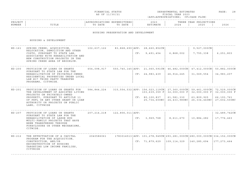|  | FINANCIAL STATUS |
|--|------------------|
|  | AS OF 11/30/21   |

FINANCIAL STATUS DEPARTMENTAL ESTIMATES PAGE: 28 FISCAL YEAR 2023 (APP=APPROPRIATIONS; CF=CASH FLOW)

| PROJEC |       |              | ,,,,,,,, | 202.           |                               | $\cap$ NT $\subset$<br>꼬ㅁㅈ.<br>ᆂᆂᇦᇌᇦ<br>$\left  \right $ |              |
|--------|-------|--------------|----------|----------------|-------------------------------|----------------------------------------------------------|--------------|
| NUMBER | ⊥⊥⊥⊥⊥ | 五九中形<br>DATE | DATE     | <b>TASA MT</b> | $\cap$ $\cap$ $\cap$<br>2 U Z | 2025                                                     | 2022<br>ていてん |
|        |       |              |          |                |                               |                                                          |              |

#### HOUSING PRESERVATION AND DEVELOPMENT

| SPRING CREEK: ACOUISITION,<br>RELOCATION, DEMOLITION AND OTHER<br>COSTS, PURSUANT TO STATE LAW,<br>ASSOCIATED WITH REHABILITATION AND                                                                                                | 102,637,122                      |     | 83,868,690 APP: 28,660,852CN |                                                           | $9,527,000$ CN                             |                                                                                                                                                                                                                                        |
|--------------------------------------------------------------------------------------------------------------------------------------------------------------------------------------------------------------------------------------|----------------------------------|-----|------------------------------|-----------------------------------------------------------|--------------------------------------------|----------------------------------------------------------------------------------------------------------------------------------------------------------------------------------------------------------------------------------------|
| SPRING CREEK AREA OF BROOKLYN.                                                                                                                                                                                                       |                                  | CF: | 9,491,454                    | 6,868,002                                                 | 7,755,338                                  | 6, 251, 803                                                                                                                                                                                                                            |
| PROVISION OF LOANS OR GRANTS<br>PURSUANT TO STATE LAW FOR THE<br>REHABILITATION OF PRIVATELY-OWNED<br>RESIDENTIAL PROPERTIES UNDER LOCAL<br>LAW #37 THIRD PARTY TRANSFER<br>PROGRAMS, CITYWIDE.                                      | 654,098,917                      |     |                              | 26,914,245                                                | 31,069,554                                 | 50,882,000CN<br>34,983,207                                                                                                                                                                                                             |
| PROVISION OF LOANS OR GRANTS FOR<br>THE DEVELOPMENT OF ASSISTED LIVING<br>PROJECTS ON PRIVATELY-OWNED<br>PROPERTY, PURSUANT TO ARTICLE 11<br>OF PHFL OR ANY OTHER GRANT OR LOAN<br>AUTHORITY OR PROJECTS ON PUBLIC<br>LAND, CITYWIDE | 584,844,224                      |     | 103,639,359 F                | 32,000,000 F<br>61,581,330                                | 32,000,000 F<br>63,809,925<br>26,334,440NC | 72,529,000CN<br>32,000,000 F<br>66,193,761<br>27,602,500NC                                                                                                                                                                             |
| PROVISION OF LOANS OR GRANTS<br>PURSUANT TO STATE LAW FOR THE<br>REHABILITATION OF LARGE HUD<br>MULTI-FAMILY PROJECTS THAT HAVE<br>BEEN TRANSFERRED THROUGH<br>FORECLOSURE OR OTHER MECHANISMS,<br>CITWIDE.                          | 207, 214, 218                    |     | 3,969,768                    | 8,611,670                                                 | 10,884,282                                 | 32,489,742CN<br>17,776,463                                                                                                                                                                                                             |
| THE EFFECTUATION OF A CAPITAL<br>PROGRAM FOR THE ACOUISITION,<br>CONSTRUCTION, AND/OR<br>RECONSTRUCTION OF HOUSING<br>TARGETING LOW INCOME FAMILIES,<br>CITYWIDE                                                                     | 2040586061                       |     |                              | 109,114,329                                               | 140,285,694                                | 177, 273, 464                                                                                                                                                                                                                          |
|                                                                                                                                                                                                                                      | NEW CONSTRUCTION PROJECTS IN THE |     | $122,806,011$ $APP:$         | CF: 24,983,439<br>CF: 80,100,837<br>CF:<br>CF: 71,879,629 | 25,734,600NC                               | $550, 740, 145$ APP: 21,060,591CN 46,482,000CN 47,412,000CN<br>$315,554,532$ APP: 156,023,119CN 27,360,000CN 59,461,000CN<br>24,433,980NC<br>$1783014513$ $APP: 101, 278, 949CN$ $293, 281, 000CN$ $280, 000, 000CN$ $334, 152, 000CN$ |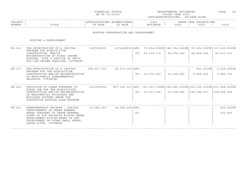|  | FINANCIAL STATUS |
|--|------------------|
|  | AS OF 11/30/21   |

FINANCIAL STATUS DEPARTMENTAL ESTIMATES PAGE: 29 FISCAL YEAR 2023 (APP=APPROPRIATIONS; CF=CASH FLOW)

| PROJECT |                                  | ON:  | URES                 | $\lambda$<br>ے ں ،           | 'HRJ | ON S<br>ט גידי<br>⊿ ר           |      |
|---------|----------------------------------|------|----------------------|------------------------------|------|---------------------------------|------|
| NUMBER  | m <del>r</del> m r n<br>د سال سا | DATE | DATE<br>$\pi \wedge$ | <b>TMATH</b><br><b>IMAIR</b> | 202  | $\cap$ $\cap$ $\cap$<br>2 U 2 D | 7026 |

#### HOUSING PRESERVATION AND DEVELOPMENT

| $HD-213$ | THE EFFECTUATION OF A CAPITAL<br>PROGRAM FOR ACOUISITION,<br>CONSTRUCTION, AND/OR<br>RECONSTRUCTION OF MIXED INCOME<br>HOUSING, WITH A PORTION OF UNITS<br>FOR LOW-INCOME FAMILIES, CITYWIDE                                               | 1387020475  |                     |     | CF: 39, 105, 173 | $1271489834$   APP: 79, 034, 694 CN   184, 764, 000 CN   97, 256, 000 CN   137, 025, 000 CN<br>64,576,160 | 68,954,160             | 82,937,213               |
|----------|--------------------------------------------------------------------------------------------------------------------------------------------------------------------------------------------------------------------------------------------|-------------|---------------------|-----|------------------|-----------------------------------------------------------------------------------------------------------|------------------------|--------------------------|
| $HD-215$ | THE EFFECTUATION OF A CAPITAL<br>PROGRAM FOR THE ACOUISITION,<br>CONSTRUCTION AND/OR RECONSTRUCTION<br>OF MULTIFAMILY HOMEOWNERSHIP<br>PROJECTS, CITYWIDE                                                                                  | 128,067,719 | 55, 210, 341   APP: |     | CF: 14, 172, 400 | 10,296,680                                                                                                | 641,623CN<br>9,064,600 | 1,539,000CN<br>7,842,700 |
| $HD-222$ | PROVISION OF LOANS PURSUANT TO<br>STATE LAW FOR THE ACOUISITION,<br>CONSTRUCTION AND/OR RECONSTRUCTION<br>OF RESIDENTIAL BUILDINGS AND<br>BUILDING SYSTEMS UNDER THE<br>SUPPORTIVE HOUSING LOAN PROGRAM                                    | 1131069504  |                     |     | CF: 57,637,742   | 897,185,017   APP: 100,743,799CN   192,046,000CN   212,149,000CN   231,988,000CN<br>79,168,185            | 104,184,507            | 128,280,209              |
| $HD-223$ | HOMEOWNERSHIP PROGRAM - CAPITAL<br>IMPROVEMENTS IN URBAN RENEWAL<br>AREAS PURSUANT TO URBAN RENEWAL<br>PLANS OR FOR PROJECTS WITHIN URBAN<br>DEVELOPMENT ACTION AREAS OR FOR<br>DEVELOPMENT OR OTHER SMALL HOMES,<br>LARGE SITES, CITYWIDE | 19,080,149  | 16,280,149   APP:   | CF: |                  |                                                                                                           |                        | 969,000CN<br>753,800     |
|          |                                                                                                                                                                                                                                            |             |                     |     |                  |                                                                                                           |                        |                          |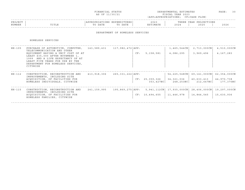| FINANCIAI.<br>STATUS                                                                                                              | DEPARTMENTAL ESTIMATES | ^AGE |  |
|-----------------------------------------------------------------------------------------------------------------------------------|------------------------|------|--|
| the contract of the contract of the contract of the contract of the contract of the contract of the contract of<br>AS OF 11/30/21 | FISCAL YEAR 2023       |      |  |

| PROJECT |               |      |      | $\cap$ $\cap$ $\cap$<br>202. | הם הוד<br>ت تا دا 11 | IONS<br>YEAR<br>ית ה |      |
|---------|---------------|------|------|------------------------------|----------------------|----------------------|------|
| NUMBER  | ㅠㅜㅠㅜ ㅠ<br>ᆂᆂᅭ | DATE | DATE |                              | 202                  | 2025                 | 2026 |
|         |               |      |      |                              |                      |                      |      |

#### DEPARTMENT OF HOMELESS SERVICES

#### HOMELESS SERVICES

| HH-105 | PURCHASE OF AUTOMOTIVE, COMPUTER,<br>TELECOMMUNICATION AND OTHER<br>EQUIPMENT HAVING A UNIT COST OF AT<br>LEAST \$35,000 AFTER NOVEMBER 1,<br>1999 AND A LIFE EXPECTANCY OF AT<br>LEAST FIVE YEARS FOR USE BY THE<br>DEPARTMENT FOR HOMELESS SERVICES,<br>CITYWIDE | 143,589,431 | $117,982,472$ $APP:$   | CF: | 5,158,581                   | $1,465,544$ CN<br>4,086,295                                     | 2,713,000CN<br>3,969,496                | 4,510,000CN<br>4,167,283                |
|--------|--------------------------------------------------------------------------------------------------------------------------------------------------------------------------------------------------------------------------------------------------------------------|-------------|------------------------|-----|-----------------------------|-----------------------------------------------------------------|-----------------------------------------|-----------------------------------------|
| HH-112 | CONSTRUCTION, RECONSTRUCTION AND<br>IMPROVEMENTS, INCLUDING SITE<br>ACOUISITION, OF FACILITIES FOR<br>HOMELESS INDIVIDUALS, CITYWIDE                                                                                                                               | 413,918,306 | $265, 331, 222$ $APP:$ |     | CF: 25,359,326<br>353,427NC | 54,225,548CN<br>34,321,036<br>248,253NC                         | 69,141,000CN<br>40,633,413<br>212,647NC | 62,354,000CN<br>44,970,738<br>177,370NC |
| HH-115 | CONSTRUCTION, RECONSTRUCTION AND<br>IMPROVEMENTS, INCLUDING SITE<br>ACQUISITION, OF FACILITIES FOR<br>HOMELESS FAMILIES, CITYWIDE                                                                                                                                  | 241,159,995 | 195,869,275   APP:     |     | CF: 10,494,655              | 5, 941, 112CN   17, 935, 000CN   28, 406, 000CN  <br>11,446,978 | 14,844,545                              | 19,297,000CN<br>15,630,936              |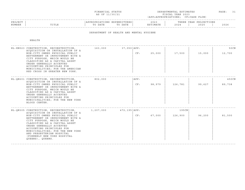| FINANCIAL STATUS                                                                                                                  | DEPARTMENTAL ESTIMATES | ›AGE |  |
|-----------------------------------------------------------------------------------------------------------------------------------|------------------------|------|--|
| the contract of the contract of the contract of the contract of the contract of the contract of the contract of<br>AS OF 11/30/21 | T S C A L<br>YEAR 2023 |      |  |

|         |                 |                                              |                      |                              |                               |                                                                              | - - - - - |
|---------|-----------------|----------------------------------------------|----------------------|------------------------------|-------------------------------|------------------------------------------------------------------------------|-----------|
| PROJECT |                 |                                              | . N 1 1<br>.         | $\sim$ $\sim$ $\sim$<br>202. |                               | $\cap$ NT $\subset$<br>ת הדי<br>. H.<br>U 11 JUNIO 11 JUNIO 11<br>$\sqrt{2}$ |           |
| NUMBER  | 고 따고 교<br>פחודד | n a m n<br>$m \wedge$<br>DA I E<br>$\lambda$ | DATE<br>$\mathsf{m}$ | . 352 m 1<br>I'IA I E        | $\cap$ $\cap$ $\cap$<br>2 U 2 | 202F                                                                         | 2026      |
|         |                 |                                              |                      |                              |                               |                                                                              |           |

#### DEPARTMENT OF HEALTH AND MENTAL HYGIENE

HEALTH

| ACOUISITION OR INSTALLATION OF A<br>NON-CITY OWNED PHYSICAL PUBLIC<br>BETTERMENT OR IMPROVEMENT WITH A<br>CITY PURPOSE, WHICH WOULD BE<br>CLASSIFIED AS A CAPITAL ASSET<br>UNDER GENERALLY ACCEPTED<br>ACCOUNTING PRINCIPLES FOR<br>MUNICIPALITIES; FOR THE AMERICAN<br>RED CROSS IN GREATER NEW YORK.           |                                                                                                                                                                                                    | CF:                  | 25,000          | 17,500  | 15,000 | 50CN<br>12,700 |
|------------------------------------------------------------------------------------------------------------------------------------------------------------------------------------------------------------------------------------------------------------------------------------------------------------------|----------------------------------------------------------------------------------------------------------------------------------------------------------------------------------------------------|----------------------|-----------------|---------|--------|----------------|
|                                                                                                                                                                                                                                                                                                                  | 802,000                                                                                                                                                                                            | APP:                 |                 |         |        | 450CN          |
| NON-CITY OWNED PHYSICAL PUBLIC<br>BETTERMENT OR IMPROVEMENT WITH A<br>CITY PURPOSE, WHICH WOULD BE<br>CLASSIFIED AS A CAPITAL ASSET<br>UNDER GENERALLY ACCEPTED<br>ACCOUNTING PRINCIPLES FOR<br>MUNICIPALITIES; FOR THE NEW YORK<br>BLOOD CENTER.                                                                |                                                                                                                                                                                                    | CF:                  | 98,979          | 126,781 | 99,627 | 89,738         |
|                                                                                                                                                                                                                                                                                                                  |                                                                                                                                                                                                    | 472,195   APP:       |                 | 195CN   |        |                |
| NON-CITY OWNED PHYSICAL PUBLIC<br>BETTERMENT OR IMPROVEMENT WITH A<br>CITY PURPOSE, WHICH WOULD BE<br>CLASSIFIED AS A CAPITAL ASSET<br>UNDER GENERALLY ACCEPTED<br>ACCOUNTING PRINCIPLES FOR<br>MUNICIPALITIES; FOR THE NEW YORK<br>AND PRESBYTERIAN HOSPITAL<br>(FORMERLY NEW YORK HOSPITAL<br>QUEENS), QUEENS. |                                                                                                                                                                                                    | CF:                  | 67,000          | 126,900 | 96,200 | 81,500         |
|                                                                                                                                                                                                                                                                                                                  | HL-KN023 CONSTRUCTION, RECONSTRUCTION,<br>HL-QN201 CONSTRUCTION, RECONSTRUCTION,<br>ACOUISITION OR INSTALLATION OF A<br>HL-ON305 CONSTRUCTION, RECONSTRUCTION,<br>ACQUISITION OR INSTALLATION OF A | 163,000<br>1,207,000 | $37,050$ $APP:$ |         |        |                |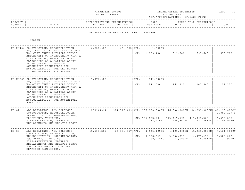|  | FINANCIAL STATUS |  |
|--|------------------|--|
|  | AS OF 11/30/21   |  |

FINANCIAL STATUS DEPARTMENTAL ESTIMATES PAGE: 32 FISCAL YEAR 2023 (APP=APPROPRIATIONS; CF=CASH FLOW)

| PROJEC |       |              | ,,,,,,,, | 202.           |                               | $\cap$ NT $\subset$<br>꼬ㅁㅈ.<br>ᆂᆂᇦᇌᇦ<br>$\left  \cdot \right $ |              |
|--------|-------|--------------|----------|----------------|-------------------------------|----------------------------------------------------------------|--------------|
| NUMBER | ⊥⊥⊥⊥⊥ | 五九中形<br>DATE | DATE     | <b>TASA MT</b> | $\cap$ $\cap$ $\cap$<br>2 U Z | 2025                                                           | 2022<br>ていてん |
|        |       |              |          |                |                               |                                                                |              |

#### DEPARTMENT OF HEALTH AND MENTAL HYGIENE

HEALTH

|         | HL-RN404 CONSTRUCTION, RECONSTRUCTION,<br>ACOUISITION OR INSTALLATION OF A<br>NON-CITY OWNED PHYSICAL PUBLIC<br>BETTERMENT OR IMPROVEMENT WITH A<br>CITY PURPOSE, WHICH WOULD BE<br>CLASSIFIED AS A CAPITAL ASSET<br>UNDER GENERALLY ACCEPTED<br>ACCOUNTING PRINCIPLES FOR<br>MUNICIPALITIES; FOR THE STATEN<br>ISLAND UNIVERSITY HOSPITAL. | 6,227,000  | 431,052   APP: |             | 1,052CN<br>CF: 1, 159, 400                                                                                                                           | 811,580                 | 695,640               | 579,700                                  |
|---------|---------------------------------------------------------------------------------------------------------------------------------------------------------------------------------------------------------------------------------------------------------------------------------------------------------------------------------------------|------------|----------------|-------------|------------------------------------------------------------------------------------------------------------------------------------------------------|-------------------------|-----------------------|------------------------------------------|
|         | HL-XN267 CONSTRUCTION, RECONSTRUCTION,<br>ACOUISITION OR INSTALLATION OF A<br>NON-CITY OWNED PHYSICAL PUBLIC<br>BETTERMENT OR IMPROVEMENT WITH A<br>CITY PURPOSE, WHICH WOULD BE<br>CLASSIFIED AS A CAPITAL ASSET<br>UNDER GENERALLY ACCEPTED<br>ACCOUNTING PRINCIPLES FOR<br>MUNICIPALITIES; FOR MONTEFIORE<br>HOSPITAL.                   | 1,072,000  |                | APP:<br>CF: | 141,000CN<br>242,600                                                                                                                                 | 169,820                 | 145,560               | 121,300                                  |
| $HL-82$ | ALL BUILDINGS, ALL BOROUGHS,<br>CONSTRUCTION, RECONSTRUCTION,<br>REHABILITATION, MODERNIZATION,<br>EQUIPMENT, VEHICLES,<br>FIRE-PREVENTION, ELEVATOR<br>REPLACEMENTS AND RELATED COSTS                                                                                                                                                      |            |                |             | $1259144064$ 914,517,409 APP: 335,100,036CN 76,836,000CN 84,859,000CN 41,113,000CN<br>$CF: 136,652,924$   113, 447, 698   111, 398, 368<br>267,715NC | 405,541NC               | 420,851NC             | 2,086,137 S<br>99,513,835<br>1,105,944NC |
| $HL-83$ | ALL BUILDINGS, ALL BOROUGHS,<br>CONSTRUCTION, RECONSTRUCTION,<br>REHABILITATION, MODERNIZATION,<br>EQUIPMENT, VEHICLES,<br>FIRE-PREVENTION, ELEVATOR<br>REPLACEMENTS AND RELATED COSTS,<br>FOR IMPROVEMENTS TO MEDICAL<br>EXAMINER FACILITIES.                                                                                              | 41,538,269 |                | CF:         | $28,301,557$ $\vert$ APP: $4,633,195$ CN $\vert$ $4,199,000$ CN $\vert$ 11,281,000CN $\vert$ 7,161,000CN<br>3,528,649<br>68,264NC                    | 3, 336, 215<br>52,685NC | 4,979,499<br>44,351NC | 5,300,022<br>37,901NC                    |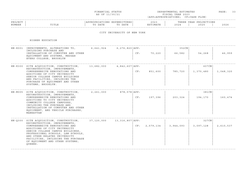|  | FINANCIAL STATUS |
|--|------------------|
|  | AS OF 11/30/21   |

FINANCIAL STATUS DEPARTMENTAL ESTIMATES PAGE: 33 FISCAL YEAR 2023 (APP=APPROPRIATIONS; CF=CASH FLOW)

| PROJECT<br>NUMBER | TITLE | APPROPRIATIONS<br>DATE<br>TO | EXPENDITURES<br>DATE<br><u>ጥ ଠ</u> | 2023<br>ESTIMATE | THREE YEAR<br>2024 | IONS<br>. PROJECT <sup>.</sup><br>2025 | 2026 |
|-------------------|-------|------------------------------|------------------------------------|------------------|--------------------|----------------------------------------|------|
|                   |       |                              |                                    |                  |                    |                                        |      |

# CITY UNIVERSITY OF NEW YORK

HIGHER EDUCATION

| HN-K001 IMPROVEMENTS, ALTERATIONS TO,<br>INCLUDING PURCHASE AND<br>INSTALLATION OF COMPUTER AND OTHER<br>EQUIPMENT AND SYSTEMS, MEDGAR<br>EVERS COLLEGE, BROOKLYN                                                                                                                                                                       | $6,641,924$ $6,276,820$ $\text{APP:}$ |                   | CF: | 70,220    | 352CN<br>66,582 | 54,268             | 46,959    |
|-----------------------------------------------------------------------------------------------------------------------------------------------------------------------------------------------------------------------------------------------------------------------------------------------------------------------------------------|---------------------------------------|-------------------|-----|-----------|-----------------|--------------------|-----------|
| HN-K300 SITE ACOUISITION, CONSTRUCTION,<br>RECONSTRUCTION, IMPROVEMENTS,<br>COMPREHENSIVE RENOVATIONS AND<br>ADDITIONS OF CITY UNIVERSITY<br>SENIOR COLLEGE CAMPUS BUILDINGS<br>AND FACILITIES, INCLUDING THE<br>PURCHASE OF EQUIPMENT AND OTHER<br>SYSTEMS, BROOKLYN.                                                                  | 13,682,000                            | 4,842,607   APP:  | CF: | 851,600   | 785,720         | 607CN<br>1,370,480 | 1,048,320 |
| HN-M005 SITE ACQUISITION, CONSTRUCTION,<br>RECONSTRUCTION, IMPROVEMENTS,<br>COMPREHENSIVE RENOVATIONS AND<br>ADDITIONS TO CITY UNIVERSITY<br>COMMUNITY COLLEGE CAMPUSES,<br>INCLUDING THE PURCHASE AND<br>INSTALLATION OF COMPUTER AND OTHER<br>EQUIPMENT, AND VEHICLE PURCHASES,<br>MANHATTAN                                          | 2,261,000                             | $878,578$ $APP:$  | CF: | 197,396   | 203,324         | 381CN<br>194,170   | 160,474   |
| HN-0300 SITE ACOUISITION, CONSTRUCTION,<br>RECONSTRUCTION, IMPROVEMENTS,<br>COMPREHENSIVE RENOVATIONS AND<br>ADDITIONS OF CITY UNIVERSITY<br>SENIOR COLLEGE CAMPUS BUILDINGS,<br>PROFESSIONAL SCHOOLS, LAW SCHOOLS,<br>AND OTHER RELATED UNIVERSITY<br>FACILITIES, INCLUDING THE PURCHASE<br>OF EQUIPMENT AND OTHER SYSTEMS,<br>OUEENS. | 37,120,000                            | 13,316,807   APP: | CF: | 2,579,134 | 3,944,093       | 327CN<br>3,097,128 | 2,610,537 |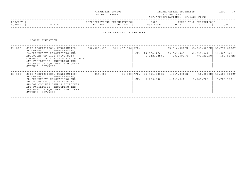| FINANCIAI.<br>STATUS                                                                                                                                                                                                                             | DEPARTMENTAL ESTIMATES | ^AGE | ___ |
|--------------------------------------------------------------------------------------------------------------------------------------------------------------------------------------------------------------------------------------------------|------------------------|------|-----|
| and the contract of the contract of the contract of the contract of the contract of the contract of the contract of the contract of the contract of the contract of the contract of the contract of the contract of the contra<br>AS OF 11/30/21 | FISCAL YEAR 2023       |      |     |

| PROJECT |                 | $\tau \cap M$ C<br>. |      | $\sim$ $\sim$ $\sim$<br>2023 | וסמטי<br>. | IONS<br>YEAR<br>∩ ם ח |      |
|---------|-----------------|----------------------|------|------------------------------|------------|-----------------------|------|
| NUMBER  | יה דרחי<br>⊥⊥⊥≞ | תחגם                 | DATE | <b>A</b> A m T               | 202        | 2025                  | 2026 |
|         |                 |                      |      |                              |            |                       |      |

### CITY UNIVERSITY OF NEW YORK

HIGHER EDUCATION

| HN-206   | SITE ACOUISITION, CONSTRUCTION,<br>RECONSTRUCTION, IMPROVEMENTS,<br>COMPREHENSIVE RENOVATIONS AND<br>ADDITIONS OF CITY UNIVERSITY<br>COMMUNITY COLLEGE CAMPUS BUILDINGS<br>AND FACILITIES, INCLUDING THE<br>PURCHASE OF EQUIPMENT AND OTHER<br>SYSTEMS, CITYWIDE | 680,328,018 | 541, 407, 036   APP: | CF: | 24,154,476<br>1,142,625NC              | 35,616,320CN<br>29,349,409<br>833,995NC | 45,207,000CN<br>32,230,044<br>709,222NC | 51,772,000CN<br>36,509,941<br>597,587NC |
|----------|------------------------------------------------------------------------------------------------------------------------------------------------------------------------------------------------------------------------------------------------------------------|-------------|----------------------|-----|----------------------------------------|-----------------------------------------|-----------------------------------------|-----------------------------------------|
| $HN-300$ | SITE ACQUISITION, CONSTRUCTION,<br>RECONSTRUCTION, IMPROVEMENTS,<br>COMPREHENSIVE RENOVATIONS AND<br>ADDITIONS OF CITY UNIVERSITY<br>SENIOR COLLEGE CAMPUS BUILDINGS<br>AND FACILITIES, INCLUDING THE<br>PURCHASE OF EQUIPMENT AND OTHER<br>SYSTEMS, CITYWIDE.   | 314,000     |                      | CF: | 24,000 APP: 25,711,000 CN<br>5,200,200 | $4,047,000 \, \text{CN}$<br>4,449,540   | $10,000$ CN<br>3,688,700                | 13,505,000CN<br>5,788,140               |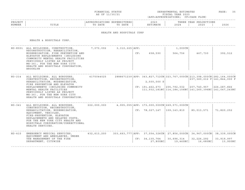| FINANCIAL STATUS                                                                                                                  | DEPARTMENTAL ESTIMATES | ^AGE |  |
|-----------------------------------------------------------------------------------------------------------------------------------|------------------------|------|--|
| the contract of the contract of the contract of the contract of the contract of the contract of the contract of<br>AS OF 11/30/21 | FISCAL YEAR 2023       |      |  |

| PROJECT |                                        | . J IN 2 | TURES | ? 0 2 .                                                | IRABB | IONS<br>Vロハロ<br>^ חרי<br>11 D.A.IV |      |
|---------|----------------------------------------|----------|-------|--------------------------------------------------------|-------|------------------------------------|------|
| NUMBER  | m <del>.</del> m <del>.</del> n<br>ᆠᆡᆄ | DATE     | DATF  | <b>TMATR</b><br>$\mathbf{H}$ $\mathbf{H}$ $\mathbf{H}$ | 202   | つのつに<br>2 U Z 3                    | 2026 |
|         |                                        |          |       |                                                        |       |                                    |      |

#### HEALTH AND HOSPITALS CORP

HEALTH & HOSPITALS CORP.

|          | HO-K001 ALL BUILDINGS, CONSTRUCTION,<br>RECONSTRUCTION, REHABILITATION,                                                                                                                                                                                                                                | 7,070,092 3,310,225 APP: |  | 658,590<br>CF: |                                                                                                | 1,000CN                                                               |                             | 392,512                |  |
|----------|--------------------------------------------------------------------------------------------------------------------------------------------------------------------------------------------------------------------------------------------------------------------------------------------------------|--------------------------|--|----------------|------------------------------------------------------------------------------------------------|-----------------------------------------------------------------------|-----------------------------|------------------------|--|
|          | MODERNIZATION, FIRE PREVENTION AND<br>ELEVATOR REPLACEMENTS (INCLUDING<br>COMMUNITY MENTAL HEALTH FACILITIES<br>PREVIOUSLY LISTED AS PROJECT<br>MH-36), FOR THE NEW YORK CITY<br>HEALTH AND HOSPITALS CORPORATION,<br>BROOKLYN                                                                         |                          |  |                |                                                                                                | 564,756                                                               | 467,730                     |                        |  |
| $HO-214$ | ALL BUILDINGS, ALL BOROUGHS,<br>CONSTRUCTION, RECONSTRUCTION,<br>REHABILITATION, MODERNIZATION,<br>FIRE PREVENTION AND ELEVATOR<br>REPLACEMENTS (INCLUDING COMMUNITY<br>MENTAL HEALTH FACILITIES<br>PREVIOUSLY LISTED AS PROJECT<br>MH-36), FOR THE NEW YORK CITY<br>HEALTH AND HOSPITALS CORPORATION. | 4175044025               |  |                | 2888671239   APP: 343,827,712CN   323,767,000CN   213,398,000CN   282,164,000CN<br>2,500,000 S |                                                                       | 237,360,212 F 141,844,000 F |                        |  |
|          |                                                                                                                                                                                                                                                                                                        |                          |  |                | $CF: 191, 462, 673$ 205, 792, 032 207, 740, 957 226, 287, 866                                  | 111, 932, 181NC   114, 184, 156NC   141, 260, 396NC   141, 047, 243NC |                             |                        |  |
| $HO-341$ | ALL BUILDINGS, ALL BOROUGHS,<br>CONSTRUCTION, RECONSTRUCTION,                                                                                                                                                                                                                                          | 222,000,000              |  |                | 4,905,055   APP: 173,000,000CN   269,571,000CN                                                 |                                                                       |                             |                        |  |
|          | REHABILITATION, MODERNIZATION,<br>EQUIPMENT, VEHICLES,<br>FIRE-PREVENTION, ELEVATOR<br>REPLACEMENTS AND RELATED COSTS,<br>FOR THE NEW YORK CITY HEALTH AND<br>HOSPITALS CORPORATION/CORRECTIONAL<br>HEALTH SERVICES.                                                                                   |                          |  |                | CF: 78, 327, 147                                                                               | 109, 143, 810                                                         | 85,013,571                  | 71,820,252             |  |
| $HO-410$ | EMERGENCY MEDICAL SERVICES,<br>EQUIPMENT AND AMBULANCES, UNDER                                                                                                                                                                                                                                         | 432,613,200              |  |                | 303,663,777   APP: 37,554,326CN   27,856,000CN   34,967,000CN                                  |                                                                       |                             | 38, 339, 000CN         |  |
|          | THE MANAGEMENT OF THE FIRE<br>DEPARTMENT, CITYWIDE                                                                                                                                                                                                                                                     |                          |  |                | CF: 34, 135, 764<br>27,800NC                                                                   | 30,696,314<br>19,460NC                                                | 32,226,292<br>16,680NC      | 33,919,997<br>13,900NC |  |
|          |                                                                                                                                                                                                                                                                                                        |                          |  |                |                                                                                                |                                                                       |                             |                        |  |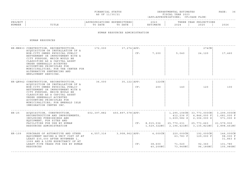| FINANCIAL STATUS | DEPARTMENTAL ESTIMATES | PAGE |  |
|------------------|------------------------|------|--|
| AS OF 11/30/21   | FISCAL YEAR 2023       |      |  |

### ------------------------------------------------------------------------------------------------------------------------------------PROJECT | |APPROPRIATIONS EXPENDITURES| 2023 | THREE YEAR PROJECTIONS NUMBER | TITLE | TO DATE TO DATE | ESTIMATE | 2024 | 2025 | 2026 ------------------------------------------------------------------------------------------------------------------------------------

HUMAN RESOURCES ADMINISTRATION

HUMAN RESOURCES

|                                                                                                                                                                                                                                                                                          | 172,000                                                                                                                                                                              |             |                                                             |               | $274$ CN                                                                  |                                                                                                                                                   |  |
|------------------------------------------------------------------------------------------------------------------------------------------------------------------------------------------------------------------------------------------------------------------------------------------|--------------------------------------------------------------------------------------------------------------------------------------------------------------------------------------|-------------|-------------------------------------------------------------|---------------|---------------------------------------------------------------------------|---------------------------------------------------------------------------------------------------------------------------------------------------|--|
| NON-CITY OWNED PHYSICAL PUBLIC<br>BETTERMENT OR IMPROVEMENT WITH A<br>CITY PURPOSE, WHICH WOULD BE<br>CLASSIFIED AS A CAPITAL ASSET<br>UNDER GENERALLY ACCEPTED<br>ACCOUNTING PRINCIPLES FOR<br>MUNICIPALITIES; FOR THE CENTER FOR<br>ALTERNATIVE SENTENCING AND<br>EMPLOYMENT SERVICES. |                                                                                                                                                                                      | CF:         | 7,200                                                       | 5,040         | 24,120                                                                    | 17,460                                                                                                                                            |  |
|                                                                                                                                                                                                                                                                                          | 36,000                                                                                                                                                                               |             | 122CN                                                       |               |                                                                           |                                                                                                                                                   |  |
| NON-CITY OWNED PHYSICAL PUBLIC<br>BETTERMENT OR IMPROVEMENT WITH A<br>CITY PURPOSE, WHICH WOULD BE<br>CLASSIFIED AS A CAPITAL ASSET<br>UNDER GENERALLY ACCEPTED<br>ACCOUNTING PRINCIPLES FOR<br>MUNICIPALITIES; FOR EMERALD ISLE<br>IMMIGRATION CENTER INC.                              |                                                                                                                                                                                      | CF:         | 200                                                         | 140           | 120                                                                       | 100                                                                                                                                               |  |
| ACOUISITION, CONSTRUCTION,<br>RECONSTRUCTION AND IMPROVEMENTS,<br>INCLUDING FURNISHINGS AND                                                                                                                                                                                              |                                                                                                                                                                                      |             |                                                             | 1,609,582 S   | 4,846,000 F<br>2,306,000 S                                                | 1,681,000 F<br>571,000 S                                                                                                                          |  |
| FACILITIES FOR USE BY HUMAN<br>RESOURCES ADMINISTRATION                                                                                                                                                                                                                                  |                                                                                                                                                                                      |             |                                                             |               | 25,773,663                                                                | 21,579,930                                                                                                                                        |  |
| PURCHASE OF AUTOMOTIVE AND OTHER<br>EQUIPMENT HAVING A UNIT COST OF AT<br>LEAST \$35,000 AFTER NOVEMBER 1,<br>1999 AND A LIFE EXPECTANCY OF AT                                                                                                                                           |                                                                                                                                                                                      |             |                                                             | 63,783 F      | 192,000CN <br>129,000 F                                                   | 146,000CN<br>98,000 F<br>31,863 S                                                                                                                 |  |
| LEAST FIVE YEARS FOR USE BY HUMAN<br>RESOURCES                                                                                                                                                                                                                                           |                                                                                                                                                                                      | CF:         | 38,600                                                      | 71,020        | $92,360$  <br>96,180NC                                                    | 101,780<br>105,980NC                                                                                                                              |  |
|                                                                                                                                                                                                                                                                                          | HR-MN833 CONSTRUCTION, RECONSTRUCTION,<br>ACQUISITION OR INSTALLATION OF A<br>HR-QN942 CONSTRUCTION, RECONSTRUCTION,<br>ACOUISITION OR INSTALLATION OF A<br>EQUIPMENT, FOR SITES AND | 602,397,882 | $37, 274$ $APP:$<br>$35,122$   APP:<br>$450,897,578$ $APP:$ | CF: 8,915,036 | $\mid$ 25,770,231<br>$4,557,316$ $3,908,962$ $RPP:$ $4,000CN$<br>40,200NC | $1, 295, 106$ CN   33,773,000CN   3,299,000CN<br>$412, 236$ F<br>$1,529,322NC$ 2, 196, 421NC 3, 135, 821NC 2, 898, 461NC<br>220,000CN<br>73,940NC |  |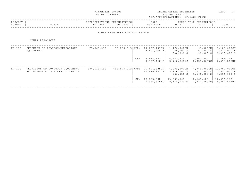|                                                                    | AS OF 11/30/21 |         |                                                 |                                             | PAGE:<br>37                                      |                                           |                                                                                                                                                         |
|--------------------------------------------------------------------|----------------|---------|-------------------------------------------------|---------------------------------------------|--------------------------------------------------|-------------------------------------------|---------------------------------------------------------------------------------------------------------------------------------------------------------|
| TITLE                                                              | TO DATE        | TO DATE |                                                 | 2023<br>ESTIMATE                            | 2024                                             | 2025                                      | 2026                                                                                                                                                    |
|                                                                    |                |         |                                                 |                                             |                                                  |                                           |                                                                                                                                                         |
| HUMAN RESOURCES                                                    |                |         |                                                 |                                             |                                                  |                                           |                                                                                                                                                         |
| PURCHASE OF TELECOMMUNICATIONS<br>EOUIPMENT.                       | 75,568,233     |         |                                                 | 19,207,401CN<br>8,601,739 F                 | 760,000 F<br>348,090 S                           | 93,000CN<br>67,000 F<br>30,000 S          | 3,103,000CN<br>2,217,000 F<br>1,013,000 S                                                                                                               |
|                                                                    |                |         | CF:                                             | 5,882,437<br>3,507,448NCl                   | 4,422,525<br>2,748,706NC                         | 3,760,890<br>2,328,865NC                  | 3,769,714<br>2,599,265NC                                                                                                                                |
| PROVISION OF COMPUTER EQUIPMENT<br>AND AUTOMATED SYSTEMS, CITYWIDE | 504,615,158    |         |                                                 | $26, 494, 385$ CN<br>20,920,407 F           | 6,632,000CN<br>3,176,000 F<br>956,456 S          | 4,766,000CN<br>2,970,000 F<br>1,606,000 S | 12,767,000CN<br>7,855,000 F<br>4,314,000 S                                                                                                              |
|                                                                    |                |         |                                                 | 9,956,350NC                                 | 13,359,508                                       | 12,181,400<br>7,711,340NC                 | 12,616,348<br>8,762,617NC                                                                                                                               |
|                                                                    | PROJECT        |         | FINANCIAL STATUS<br>APPROPRIATIONS EXPENDITURES | 56, 856, 615   APP:<br>$415,673,062$ $APP:$ | HUMAN RESOURCES ADMINISTRATION<br>CF: 17,065,592 |                                           | DEPARTMENTAL ESTIMATES<br>FISCAL YEAR 2023<br>(APP=APPROPRIATIONS; CF=CASH FLOW)<br>THREE YEAR PROJECTIONS<br>$1, 170, 000 \, \text{CN}$<br>8,144,525NC |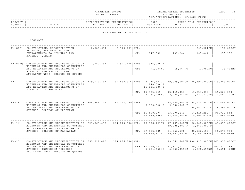| FINANCIAL STATUS                                                                                                                  | DEPARTMENTAL ESTIMATES | הרתי    | __ |
|-----------------------------------------------------------------------------------------------------------------------------------|------------------------|---------|----|
|                                                                                                                                   |                        | $AGE$ . |    |
|                                                                                                                                   |                        |         |    |
| the contract of the contract of the contract of the contract of the contract of the contract of the contract of<br>AS OF 11/30/21 | T S C A L<br>YEAR 2023 |         |    |

| PROJECT<br>NUMBER                                                                                 | TITLE                                                                                                                                             | APPROPRIATIONS EXPENDITURES<br>TO DATE | TO DATE                      |              | 2023<br>ESTIMATE                                                                                                                        | 2024                                                                                | THREE YEAR PROJECTIONS<br>2025               | 2026                             |
|---------------------------------------------------------------------------------------------------|---------------------------------------------------------------------------------------------------------------------------------------------------|----------------------------------------|------------------------------|--------------|-----------------------------------------------------------------------------------------------------------------------------------------|-------------------------------------------------------------------------------------|----------------------------------------------|----------------------------------|
|                                                                                                   |                                                                                                                                                   |                                        | DEPARTMENT OF TRANSPORTATION |              |                                                                                                                                         |                                                                                     |                                              |                                  |
|                                                                                                   | HIGHWAYS                                                                                                                                          |                                        |                              |              |                                                                                                                                         |                                                                                     |                                              |                                  |
|                                                                                                   | HW-Q001 CONSTRUCTION, RECONSTRUCTION,<br>REPAVING, RESURFACING AND                                                                                | 8,586,674                              | $6,976,201$ $\vert$ APP:     |              |                                                                                                                                         |                                                                                     | $208, 221$ CN                                | 154,000CN                        |
|                                                                                                   | IMPROVEMENTS TO HIGHWAYS AND<br>STREETS, QUEENS                                                                                                   |                                        |                              | CF:          | 147,592                                                                                                                                 | 105,204                                                                             | 307,464                                      | 258,370                          |
|                                                                                                   | HW-C01Q CONSTRUCTION AND RECONSTRUCTION OF<br>HIGHWAYS AND INCIDENTAL STRUCTURES                                                                  | 2,980,551                              | 2,971,195 APP:               |              | 345,000 F                                                                                                                               |                                                                                     |                                              |                                  |
| AND REPAVING AND RESURFACING OF<br>STREETS, AND ALL REQUIRED<br>ANCILLARY WORK, BOROUGH OF QUEENS |                                                                                                                                                   |                                        |                              | CF: 71,037NC | 49,967NC                                                                                                                                | 42,789NC                                                                            | 35,704NC                                     |                                  |
| $HW - 1$                                                                                          | CONSTRUCTION AND RECONSTRUCTION OF 159,516,151<br>HIGHWAYS AND INCIDENTAL STRUCTURES<br>AND REPAVING AND RESURFACING OF<br>STREETS, ALL BOROUGHS. |                                        |                              |              | $89,832,816$ $\vert$ APP: $8$ , 246, 497CN $\vert$ 19,099,000CN $\vert$ 36,891,000CN $\vert$ 219,003,000CN<br>240,000 F<br>16,181,000 S |                                                                                     |                                              |                                  |
|                                                                                                   |                                                                                                                                                   |                                        |                              |              | $CF: 15,783,941 \mid 15,145,333 \mid 19,714,038$                                                                                        | $3,284,200NC$   2,298,940NC   1,970,520NC   1,642,100NC                             |                                              | 59,362,094                       |
| $HW-1K$                                                                                           | CONSTRUCTION AND RECONSTRUCTION OF 668,843,109 351,173,079 APP:<br>HIGHWAYS AND INCIDENTAL STRUCTURES<br>AND REPAVING AND RESURFACING OF          |                                        |                              |              |                                                                                                                                         | $48,469,653$ CN   58,133,000CN   230,409,000CN<br>$5,760,340 \text{ F}$ 9,000,000 F |                                              | $24, 457, 074$ S $5, 599, 000$ S |
|                                                                                                   | STREETS, BOROUGH OF BROOKLYN                                                                                                                      |                                        |                              |              | $CF: 45,490,074$   53,870,140                                                                                                           | 12,979,280NC   12,245,683NC   15,604,636NC   13,666,517NC                           | 54,314,250                                   | 90,739,543                       |
| $HW - 1M$                                                                                         | CONSTRUCTION AND RECONSTRUCTION OF 523,865,492<br>HIGHWAYS AND INCIDENTAL STRUCTURES<br>AND REPAVING AND RESURFACING OF                           |                                        |                              |              | $264, 875, 990$   APP: 28, 196, 121 CN   17, 757, 000 CN   28, 340, 000 CN   87, 859, 000 CN                                            |                                                                                     | 19,885,385 F   1,461,000 F                   |                                  |
|                                                                                                   | STREETS, BOROUGH OF MANHATTAN                                                                                                                     |                                        |                              |              | CF: 27, 955, 325                                                                                                                        | 24,066,590<br>19,865,813NC   19,392,597NC   16,046,361NC   13,559,084NC             | 25,582,418                                   | 38,375,950                       |
| $HW-1Q$                                                                                           | CONSTRUCTION AND RECONSTRUCTION OF 655,529,486<br>HIGHWAYS AND INCIDENTAL STRUCTURES                                                              |                                        | 384,836,784   APP:           |              |                                                                                                                                         |                                                                                     | 29,069,688CN   138,417,000CN   267,837,000CN |                                  |
|                                                                                                   | AND REPAVING AND RESURFACING OF<br>STREETS, INCLUDING REQUIRED<br>ANCILLARY WORK, BOROUGH OF QUEENS                                               |                                        |                              |              | CF: 30, 170, 761<br>5, 204, 650NC                                                                                                       | 41,513,112                                                                          | 60,049,410                                   | 100,530,255<br>5,591,420NC       |
|                                                                                                   |                                                                                                                                                   |                                        |                              |              |                                                                                                                                         |                                                                                     |                                              |                                  |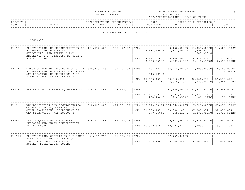| FINANCIAL STATUS                                                                                                                  | DEPARTMENTAL ESTIMATES | הרתי       | __ |
|-----------------------------------------------------------------------------------------------------------------------------------|------------------------|------------|----|
|                                                                                                                                   |                        | $A \cap A$ |    |
|                                                                                                                                   |                        |            |    |
| the contract of the contract of the contract of the contract of the contract of the contract of the contract of<br>AS OF 11/30/21 | T S C A L<br>YEAR 2023 |            |    |

| PROJEC |       |              | ,,,,,,,, | 202.           |                               | $\cap$ NT $\subset$<br>꼬ㅁㅈ.<br>ᆂᆂᇦᇌᇦ<br>$\left  \cdot \right $ |              |
|--------|-------|--------------|----------|----------------|-------------------------------|----------------------------------------------------------------|--------------|
| NUMBER | ⊥⊥⊥⊥⊥ | 五九中形<br>DATE | DATE     | <b>TASA MT</b> | $\cap$ $\cap$ $\cap$<br>2 U Z | 2025                                                           | 2022<br>ていてん |
|        |       |              |          |                |                               |                                                                |              |

### DEPARTMENT OF TRANSPORTATION

HIGHWAYS

| $HW-1R$   | CONSTRUCTION AND RECONSTRUCTION OF 194,517,523<br>HIGHWAYS AND INCIDENTAL<br>STRUCTURES, AND REPAVING AND<br>RESURFACING OF STREETS, BOROUGH OF |               | $136,477,229$ $APP:$ |     | $3,383,996$ F                                                                         | 1,632,000 F                                            | 8, 138, 524 CN   49, 055, 000 CN<br>1,295,000 F<br>747,098 S | 14,603,000CN              |
|-----------|-------------------------------------------------------------------------------------------------------------------------------------------------|---------------|----------------------|-----|---------------------------------------------------------------------------------------|--------------------------------------------------------|--------------------------------------------------------------|---------------------------|
|           | STATEN ISLAND                                                                                                                                   |               |                      | CF: | 7,497,026                                                                             | 8,144,001<br>$3,922,067NC$ 3, 299, 543NC 3, 148, 356NC | 16,334,838                                                   | 15,310,455<br>2,618,325NC |
| $HW - 1X$ | CONSTRUCTION AND RECONSTRUCTION OF<br>HIGHWAYS AND INCIDENTAL STRUCTURES<br>AND REPAVING AND RESURFACING OF                                     | 380, 343, 405 |                      |     | $285, 264, 643$   APP: 9, 404, 191CN   33, 744, 000CN   63, 309, 000CN  <br>446,999 S |                                                        |                                                              | 34,450,000CN<br>738,999 F |
|           | STREETS, BOROUGH OF THE BRONX                                                                                                                   |               |                      |     | CF: 17,455,433   20,018,810                                                           | $4,741,742NC$ 3,865,543NC 3,223,269NC                  | 28,586,979                                                   | 29,338,877<br>2,941,120NC |
| $HW - 2M$ | RESURFACING OF STREETS, MANHATTAN                                                                                                               | 218,620,495   | $125,676,003$ $APP:$ |     |                                                                                       |                                                        | 61,564,002CN   73,777,000CN                                  | 75,946,000CN              |
|           |                                                                                                                                                 |               |                      |     | CF: 16, 461, 883<br>264,436NC                                                         | 26,087,210<br>216,357NC                                | 34,825,575<br>180,297NC                                      | 42,524,198<br>156,257NC   |
| $HW - 3$  | REHABILITATION AND RECONSTRUCTION<br>OF YARDS, SHOPS, GARAGES, AND                                                                              | 398,433,303   |                      |     | 279,754,586 APP: 145,773,284 CN   106,060,000 CN   7,739,000 CN                       |                                                        |                                                              | 63,356,000CN              |
|           | OTHER FACILITIES, DEPARTMENT OF<br>TRANSPORTATION, ALL BOROUGHS                                                                                 |               |                      |     | $CF: 51, 703, 197$   58,084,185<br>379,050NC                                          |                                                        | 47,888,851<br>$265,411NC$ 1,408,883NC                        | 52,856,494<br>1,016,564NC |
| $HW - 61$ | LAND ACQUISITION FOR STREET                                                                                                                     | 119,430,798   | 62, 126, 427   APP:  |     |                                                                                       |                                                        | 9,642,761CN   15,576,000CN                                   | 1,000,000CN               |
|           | PURPOSES AND SEWER CONSTRUCTION,<br>ALL BOROUGHS                                                                                                |               |                      |     | CF: 10,372,558                                                                        | 10,221,240                                             | 11,409,617                                                   | 9,374,708                 |
| $HW-121$  | CONSTRUCTION, STREETS IN THE SOUTH                                                                                                              | 24, 116, 795  | 21, 353, 869   APP:  |     |                                                                                       | 27,767,000CN                                           |                                                              |                           |
|           | JAMAICA AREA BOUNDED BY SOUTH<br>ROAD, NEW YORK, BAISLEY AND<br>SUTPHIN BOULEVARDS, OUEENS                                                      |               |                      | CF: | 253,250                                                                               | 6,048,786                                              | 4,261,868                                                    | 3,652,597                 |
|           |                                                                                                                                                 |               |                      |     |                                                                                       |                                                        |                                                              |                           |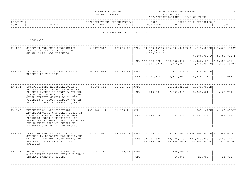|                                                                                                                                                                                                                                               | AS OF 11/30/21                                                                                                                      |         |                                                      |                                                  | FISCAL YEAR 2023<br>(APP=APPROPRIATIONS; CF=CASH FLOW)                                                                                           |             |                                                                                                                                                                                                                                                                                                                                                                                                                                                                                                                                                           |
|-----------------------------------------------------------------------------------------------------------------------------------------------------------------------------------------------------------------------------------------------|-------------------------------------------------------------------------------------------------------------------------------------|---------|------------------------------------------------------|--------------------------------------------------|--------------------------------------------------------------------------------------------------------------------------------------------------|-------------|-----------------------------------------------------------------------------------------------------------------------------------------------------------------------------------------------------------------------------------------------------------------------------------------------------------------------------------------------------------------------------------------------------------------------------------------------------------------------------------------------------------------------------------------------------------|
| TITLE                                                                                                                                                                                                                                         | TO DATE                                                                                                                             | TO DATE |                                                      | 2023<br>ESTIMATE                                 | 2024                                                                                                                                             | 2025        | 2026                                                                                                                                                                                                                                                                                                                                                                                                                                                                                                                                                      |
|                                                                                                                                                                                                                                               |                                                                                                                                     |         |                                                      |                                                  |                                                                                                                                                  |             |                                                                                                                                                                                                                                                                                                                                                                                                                                                                                                                                                           |
| HIGHWAYS                                                                                                                                                                                                                                      |                                                                                                                                     |         |                                                      |                                                  |                                                                                                                                                  |             |                                                                                                                                                                                                                                                                                                                                                                                                                                                                                                                                                           |
| SIDEWALK AND CURB CONSTRUCTION,<br>FENCING VACANT LOTS, FILLING<br>SUNKEN LOTS, ALL BOROUGHS                                                                                                                                                  | 2493732204                                                                                                                          |         |                                                      | 333,847 F                                        |                                                                                                                                                  |             |                                                                                                                                                                                                                                                                                                                                                                                                                                                                                                                                                           |
|                                                                                                                                                                                                                                               |                                                                                                                                     |         |                                                      |                                                  |                                                                                                                                                  |             | 248,088,856                                                                                                                                                                                                                                                                                                                                                                                                                                                                                                                                               |
| RECONSTRUCTION OF STEP STREETS,                                                                                                                                                                                                               |                                                                                                                                     |         |                                                      |                                                  |                                                                                                                                                  |             |                                                                                                                                                                                                                                                                                                                                                                                                                                                                                                                                                           |
|                                                                                                                                                                                                                                               |                                                                                                                                     |         |                                                      |                                                  | 2,313,501                                                                                                                                        | 4,229,171   | 3, 234, 037                                                                                                                                                                                                                                                                                                                                                                                                                                                                                                                                               |
| CONSTRUCTION, RECONSTRUCTION OF<br>BROOKVILLE BOULEVARD FROM SOUTH<br>CONDUIT AVENUE TO NEWHALL AVENUE,<br>(IN CONJUNCTION WITH SE-179), AND<br>OTHER STREETS GENERALLY IN THE                                                                |                                                                                                                                     |         |                                                      |                                                  | 7,059,841                                                                                                                                        | 5,268,521   | 4, 465, 734                                                                                                                                                                                                                                                                                                                                                                                                                                                                                                                                               |
| AND HOOK CREEK BOULEVARD, QUEENS                                                                                                                                                                                                              |                                                                                                                                     |         |                                                      |                                                  |                                                                                                                                                  |             |                                                                                                                                                                                                                                                                                                                                                                                                                                                                                                                                                           |
| ENGINEERING, ARCHITECTURAL,<br>ADMINISTRATIVE AND OTHER COSTS IN<br>CONNECTION WITH CAPITAL BUDGET<br>PROJECTS UNDER JURISDICTION OF<br>BUREAU OF HIGHWAY OPERATIONS TO BE<br>IMPLEMENTED THROUGH INTERFUND<br>AGREEMENTS OR OTHER CONTRACTS. |                                                                                                                                     |         |                                                      |                                                  | 7,699,923                                                                                                                                        | 8,297,373   | 4,103,000CN<br>7,562,326                                                                                                                                                                                                                                                                                                                                                                                                                                                                                                                                  |
| REPAVING AND RESURFACING OF                                                                                                                                                                                                                   | 4209770685                                                                                                                          |         |                                                      |                                                  |                                                                                                                                                  |             |                                                                                                                                                                                                                                                                                                                                                                                                                                                                                                                                                           |
| THROUGH INTERFUND AGREEMENTS, AND<br>PURCHASE OF MATERIALS TO BE<br><b>UTILIZED</b>                                                                                                                                                           |                                                                                                                                     |         |                                                      |                                                  |                                                                                                                                                  |             | 147,663,142                                                                                                                                                                                                                                                                                                                                                                                                                                                                                                                                               |
| REHABILITATION OF THE 47TH AND                                                                                                                                                                                                                |                                                                                                                                     |         |                                                      |                                                  |                                                                                                                                                  |             |                                                                                                                                                                                                                                                                                                                                                                                                                                                                                                                                                           |
| CENTRAL PARKWAY, QUEENS                                                                                                                                                                                                                       |                                                                                                                                     |         | CF:                                                  |                                                  | 40,000                                                                                                                                           | 28,000      | 24,000                                                                                                                                                                                                                                                                                                                                                                                                                                                                                                                                                    |
|                                                                                                                                                                                                                                               | BOROUGH OF THE BRONX<br>VICINITY OF SOUTH CONDUIT AVENUE<br>STREETS BY DEPARTMENTAL EMPLOYEES<br>49TH STREET BRIDGES OVER THE GRAND |         | 60,896,481<br>39,574,584<br>107,984,161<br>2,159,543 | APPROPRIATIONS EXPENDITURES<br>61,955,211   APP: | DEPARTMENT OF TRANSPORTATION<br>49,343,972   APP:<br>CF: 1, 223, 648<br>35,183,256   APP:<br>CF: 242, 294<br>CF: 6, 323, 678<br>2,159,442   APP: | 1,933,511 S | THREE YEAR PROJECTIONS<br>$1812004176$ $APP: 94,828,467CN$ $253,504,000CN$ $414,748,000CN$ $407,569,000CN$<br>8,284,999 P 6,668,000 P<br>$CF: 148,409,572$   159,638,092   210,982,466<br>6,551,823NC 6,418,062NC 7,878,052NC 7,630,452NC<br>1,117,019CN   12,379,000CN  <br>1,500,000CN<br>31,252,829CN<br>9,787,147CN<br>3474862742   APP: 1, 060, 079CN   200, 567, 000CN   206, 708, 000CN   212, 962, 000CN<br>$CF: 104, 051, 324   112, 998, 623   131, 885, 903$<br>43, 140, 000NC   30, 198, 000NC   25, 884, 000NC   21, 570, 000NC<br>199,999CN |

FINANCIAL STATUS **EXECUTAL STATUS** DEPARTMENTAL ESTIMATES

 $PAGE: 40$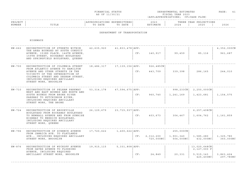| FINANCIAL STATUS<br>$\sim$ $\sim$ $\sim$ $\sim$ $\sim$ $\sim$ | DEPARTMENTAL ESTIMATES | PAGE |  |
|---------------------------------------------------------------|------------------------|------|--|
| AS OF 11/30/21                                                | FISCAL YEAR 2023       |      |  |

| PROJECT |                   |                | . IUK B.S. I                    | $\sim$ $\sim$ $\sim$<br>202. |      | ∩N⊺⊂<br>VロAE<br>. H.<br>17 UU LU JU LU UU<br>$\mathbf{A}$ |      |
|---------|-------------------|----------------|---------------------------------|------------------------------|------|-----------------------------------------------------------|------|
| NUMBER  | $m + r$<br>פחודדו | namn -<br>DATE | <b>DAME</b><br>$m \cap$<br>DATE | ורח הוא ז<br>$-1173$ $+10$   | 2024 | 202F                                                      | 2026 |
|         |                   |                |                                 |                              |      |                                                           |      |

### DEPARTMENT OF TRANSPORTATION

HIGHWAYS

| $HW-662$ | RECONSTRUCTION OF STREETS WITHIN<br>THE AREA BOUNDED BY SOUTH CONDUIT<br>AVENUE, 153RD PLACE, 146TH AVENUE,<br>159TH STREET, ROCKAWAY BOULEVARD<br>AND SPRINGFIELD BOULEVARD, QUEENS                                                       | 42,635,920   | 41,833,478 APP:   | CF: | 140,917                  | 99,459                                 | 85,116                                                 | 4,352,000CN<br>961,687 |
|----------|--------------------------------------------------------------------------------------------------------------------------------------------------------------------------------------------------------------------------------------------|--------------|-------------------|-----|--------------------------|----------------------------------------|--------------------------------------------------------|------------------------|
| HW-700   | RECONSTRUCTION OF COLUMBIA STREET<br>FROM ATLANTIC AVENUE TO HAMILTON<br>AVENUE AND OTHER STREETS IN THE<br>VICINITY OF THE INTERSECTION OF<br>COLUMBIA STREET AND DEGRAW STREET,<br>INCLUDING REQUIRED ANCILLARY<br>STREET WORK, BROOKLYN | 18,486,317   | 17,139,156   APP: | CF: | $926, 485$ CN<br>443,709 | 339,398                                | 286,165                                                | 244,010                |
| HW-710   | RECONSTRUCTION OF PELHAM PARKWAY<br>WEST AND EAST BOUNDS AND NORTH AND<br>SOUTH BOUNDS FROM BRONX RIVER<br>PARKWAY TO HUTCHINSON RIVER,<br>INCLUDING REQUIRED ANCILLARY<br>STREET WORK, THE BRONX                                          | 53, 314, 178 | 47,594,675   APP: | CF: | 960,740                  | 998,233CN<br>1,241,169                 | 2,250,000CN<br>1,423,681                               | 1, 154, 575            |
| HW-724   | RECONSTRUCTION OF BROOKVILLE<br>BOULEVARD FROM ROCKAWAY BOULEVARD<br>TO NEWHALL AVENUE AND FROM SUNRISE<br>HIGHWAY TO MERRICK BOULEVARD,<br>INCLUDING REQUIRED ANCILLARY<br>STREET WORK, QUEENS                                            | 26,129,679   | 23,715,937   APP: | CF: | 403,673                  | 304,467                                | 6,257,408CN<br>1,604,762                               | 1,161,859              |
| HW-796   | RECONSTRUCTION OF SCHENCK AVENUE<br>FROM JAMAICA AVE. TO FLATLANDS<br>AVE., INCLUDING REQUIRED ANCILLARY<br>STREET WORK, BROOKLYN                                                                                                          | 17,720,622   | 1,400,622   APP:  | CF: | 2,312,200<br>720,000NC   | $255,000$ CN<br>1,901,340<br>504,000NC | 1,585,280<br>432,000NC                                 | 1,325,780<br>360,000NC |
| HW-876   | RECONSTRUCTION OF WYCKOFF AVENUE<br>FROM GATES AVENUE TO FLUSHING<br>AVENUE, INCLUDING REQUIRED<br>ANCILLARY STREET WORK, BROOKLYN                                                                                                         | 19,915,115   | 5,331,808   APP:  | CF: | 24,849                   | 20,331                                 | 13,020,648CN<br>2,127,000 F<br>5,515,143<br>425, 400NC | 3,863,424<br>297,780NC |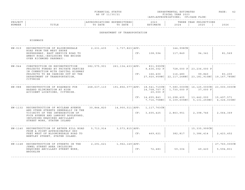|  | FINANCIAL STATUS |
|--|------------------|
|  | AS OF 11/30/21   |

DEPARTMENTAL ESTIMATES FISCAL YEAR 2023 (APP=APPROPRIATIONS; CF=CASH FLOW)  $PAGE: 42$ 

| PROJECT<br>NUMBER | TITLE                                                                                                                                                                                                                 | APPROPRIATIONS EXPENDITURES<br>TO DATE | TO DATE                          |     | 2023<br>ESTIMATE                                              | 2024                                                                                                                                                                        | THREE YEAR PROJECTIONS<br>2025   | 2026                      |
|-------------------|-----------------------------------------------------------------------------------------------------------------------------------------------------------------------------------------------------------------------|----------------------------------------|----------------------------------|-----|---------------------------------------------------------------|-----------------------------------------------------------------------------------------------------------------------------------------------------------------------------|----------------------------------|---------------------------|
|                   |                                                                                                                                                                                                                       |                                        | DEPARTMENT OF TRANSPORTATION     |     |                                                               |                                                                                                                                                                             |                                  |                           |
|                   | HIGHWAYS                                                                                                                                                                                                              |                                        |                                  |     |                                                               |                                                                                                                                                                             |                                  |                           |
| HW-919            | RECONSTRUCTION OF BLOOMINGDALE<br>ROAD FROM THE WEST SHORE<br>EXPRESSWAY, EAST SERVICE ROAD TO<br>AMBOY ROAD, (EXCLUDING THE BRIDGE<br>OVER RICHMOND PARKWAY).                                                        | 2,231,435                              | 1,737,823   APP:                 |     | CF: 108,594                                                   | 144,998CN<br>117,849                                                                                                                                                        | 94,341                           | 81,569                    |
| HW-944            | CONSTRUCTION OR RECONSTRUCTION<br>PROJECTS FUNDED BY PRIVATE PARTIES<br>IN CONNECTION WITH CAPITAL HIGHWAY<br>PROJECTS TO BE CARRIED OUT BY THE<br>DEPARTMENT OF TRANSPORTATION,<br>CITYWIDE                          | 382,575,901                            |                                  |     | 261, 134, 433   APP: 831, 999CN<br>9,436,302 P<br>CF: 166,400 | 116,480<br>27,920,959NC 22,117,248NC 23,181,910NC 19,167,785NC                                                                                                              | 728,000 P 23,236,000 P<br>99,840 | 83,200                    |
| HW-988            | RECONSTRUCTION OF ROADWAYS FOR<br>HAZARD ELIMINATION AT HIGH<br>ACCIDENT LOCATIONS, CITYWIDE.                                                                                                                         |                                        |                                  |     | 14,708,707 F<br>20,000 P<br>CF: 14, 655, 843                  | $268, 637, 110$ 191,856,577 APP: 18,541,710CN   7,580,000CN   16,125,000CN   23,000,000CN<br>$1,730,000$ F<br>12,298,405<br>7,716,758NC 6,109,605NC 5,131,250NC 4,326,035NC | 37,000 F<br>13,442,000           | 15,497,571                |
|                   | HW-1132 RECONSTRUCTION OF MCCLEAN AVENUE<br>AND OTHER STREETS GENERALLY IN THE<br>VICINITY OF THE INTERSECTION OF<br>FOCH AVENUE AND LAMPORT BOULEVARD,<br>INCLUDING REQUIRED ANCILLARY<br>STREET WORK, STATEN ISLAND | 30,844,820                             |                                  |     | 14,900,511   APP: 1,117,763CN  <br>CF: 3, 605, 425            | 2,863,951                                                                                                                                                                   | 2,398,746                        | 2,064,369                 |
|                   | HW-1140 RECONSTRUCTION OF ARTHUR KILL ROAD<br>FROM A POINT APPROXIMATELY 880<br>FEET WEST OF BLOOMINGDALE ROAD TO<br>BENTLEY STREET, STATEN ISLAND.                                                                   |                                        | $5, 713, 914$ 3, 573, 815   APP: | CF: | 469,621                                                       | 382,817                                                                                                                                                                     | 15,335,999CN<br>3,386,414        | 2,423,452                 |
| HW-1148           | RECONSTRUCTION OF STREETS IN THE<br>JEWEL STREET AREA INCLUDING<br>REQUIRED ANCILLARY STREET WORK,<br>BROOKLYN                                                                                                        |                                        | $2, 291, 621$ 1, 962, 149   APP: | CF: | 72,483                                                        | 59,304                                                                                                                                                                      | 49,420                           | 27,760,000CN<br>5,594,831 |

------------------------------------------------------------------------------------------------------------------------------------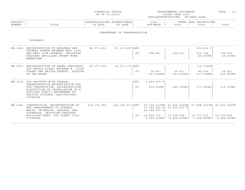| FINANCIAL STATUS                                                                                                                  | DEPARTMENTAL ESTIMATES | ⊅∆⊄F | __ |
|-----------------------------------------------------------------------------------------------------------------------------------|------------------------|------|----|
| the contract of the contract of the contract of the contract of the contract of the contract of the contract of<br>AS OF 11/30/21 | FISCAL YEAR 2023       |      |    |

| PROJECT |                   |                | . IUK B.S. I                    | $\sim$ $\sim$ $\sim$<br>202. |      | ∩N⊺⊂<br>VロAE<br>. H.<br>17 UU LU JU LU UU<br>$\mathbf{A}$ |      |
|---------|-------------------|----------------|---------------------------------|------------------------------|------|-----------------------------------------------------------|------|
| NUMBER  | $m + r$<br>פחודדו | namn -<br>DATE | <b>DAME</b><br>$m \cap$<br>DATE | ורח הוא ז<br>$-1173$ $+10$   | 2024 | 202F                                                      | 2026 |
|         |                   |                |                                 |                              |      |                                                           |      |

### DEPARTMENT OF TRANSPORTATION

HIGHWAYS

| HW-1666 | RECONSTRUCTION OF BROADWAY AND<br>SEVENTH AVENUE BETWEEN WEST 41ST<br>AND WEST 49TH STREETS, INCLUDING<br>REQUIRED ANCILLARY STREET WORK,<br>MANHATTAN.                                                                | 48,571,953  | 47, 213, 487   APP: | CF:         | 298,862                                                                                          | 244,523                                                      | 200,000 F<br>203,769<br>40,000NC          | 176,600<br>28,000NC                         |
|---------|------------------------------------------------------------------------------------------------------------------------------------------------------------------------------------------------------------------------|-------------|---------------------|-------------|--------------------------------------------------------------------------------------------------|--------------------------------------------------------------|-------------------------------------------|---------------------------------------------|
| HW-1672 | RECONSTRUCTION OF GRAND CONCOURSE-<br>LOU GEHRIG PLAZA (BETWEEN E. 161ST<br>STREET AND WALTON AVENUE), BOROUGH<br>OF THE BRONX                                                                                         | 29,177,039  | 26, 317, 113   APP: | CF:         | 74,447<br>553,204NC                                                                              | 60,911<br>452,621NC                                          | 172,036CN<br>86,559<br>377,184NC          | 69,051<br>326,893NC                         |
| HW-1678 | FOR PROJECTS WITH FEDERAL<br>TRANSPORTATION AUTHORIZATION FOR<br>THE CONSTRUCTION, RECONSTRUCTION,<br>ACOUISITION OR INSTALLATION OF A<br>PHYSICAL PUBLIC BETTERMENT AT<br>VARIOUS CULTURAL INSTITUTIONS,<br>CITYWIDE. |             |                     | APP:<br>CF: | $3,145,000$ F<br>629,000NC                                                                       | 440,300NC                                                    | 377,400NC                                 | 314,500NC                                   |
| HW-1684 | CONSTRUCTION, RECONSTRUCTION OF<br>AND IMPROVEMENTS TO STREETS,<br>MALLS, TRIANGLES, SOUARES, AND<br>SIDEWALKS, INCLUDING REQUIRED<br>ANCILLARY WORK, FOR PLANYC 2030,<br>CITYWIDE.                                    | 214,374,994 |                     |             | $146, 193, 217$ APP: 38,708,619CN 61,856,000CN<br>17,382,400 F<br>20,188,500 S<br>CF: 19,990,715 | 10,000,000 F<br>27,129,398<br>$9, 299, 539NCl$ 8, 638, 606NC | 57,868,000CN<br>32,757,275<br>7,068,982NC | 40,200,000CN<br>34, 147, 826<br>5,948,945NC |
|         |                                                                                                                                                                                                                        |             |                     |             |                                                                                                  |                                                              |                                           |                                             |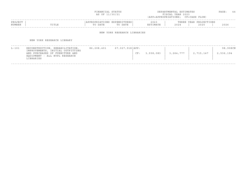|                   |                                                                                                                                                     | FINANCIAL STATUS<br>AS OF 11/30/21     |                     |                  | DEPARTMENTAL ESTIMATES<br>FISCAL YEAR 2023<br>(APP=APPROPRIATIONS; CF=CASH FLOW) |                     |                       |  |  |  |  |
|-------------------|-----------------------------------------------------------------------------------------------------------------------------------------------------|----------------------------------------|---------------------|------------------|----------------------------------------------------------------------------------|---------------------|-----------------------|--|--|--|--|
| PROJECT<br>NUMBER | TITLE                                                                                                                                               | APPROPRIATIONS EXPENDITURES<br>TO DATE | TO DATE             | 2023<br>ESTIMATE | THREE YEAR<br>2024                                                               | PROJECTIONS<br>2025 | 2026                  |  |  |  |  |
|                   | NEW YORK RESEARCH LIBRARIES                                                                                                                         |                                        |                     |                  |                                                                                  |                     |                       |  |  |  |  |
|                   | NEW YORK RESEARCH LIBRARY                                                                                                                           |                                        |                     |                  |                                                                                  |                     |                       |  |  |  |  |
| $L-101$           | RECONSTRUCTION, REHABILITATION,<br>IMPROVEMENTS, INITIAL OUTFITTING<br>AND PURCHASES OF FURNITURE AND<br>EOUIPMENT - ALL NYPL RESEARCH<br>LIBRARIES | 86,208,401                             | $67,027,918$ $APP:$ | 3,938,083<br>CF: | 3, 264, 777                                                                      | 2,715,147           | 98,908CN<br>2,536,194 |  |  |  |  |

------------------------------------------------------------------------------------------------------------------------------------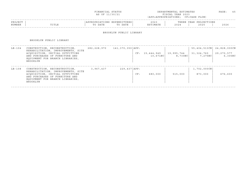| FINANCIAL STATUS                                                                                                                  | DEPARTMENTAL ESTIMATES | ንAGE. |
|-----------------------------------------------------------------------------------------------------------------------------------|------------------------|-------|
|                                                                                                                                   |                        |       |
|                                                                                                                                   |                        | __    |
| the contract of the contract of the contract of the contract of the contract of the contract of the contract of<br>AS OF 11/30/21 | FISCAL YEAR 2023       |       |

|               |                    |                  |                                 |                         |                               |             | ------ |
|---------------|--------------------|------------------|---------------------------------|-------------------------|-------------------------------|-------------|--------|
| <b>PROJEC</b> |                    | $\pm$ 0.19 $\pm$ | TIUKED :                        | 2023                    |                               | IONS<br>EAR |        |
| NUMBER        | m T m T m<br>⊥⊥⊥⊥⊥ | DATE<br>. .      | D 3 m D<br>$\mathbb{R}$<br>DATE | $-342$ m<br>$\sim$<br>. | $\sim$ $\sim$ $\sim$<br>- 202 | 2025        | 2026   |
|               |                    |                  |                                 |                         |                               |             |        |

### BROOKLYN PUBLIC LIBRARY

BROOKLYN PUBLIC LIBRARY

| $LB-104$ | CONSTRUCTION, RECONSTRUCTION,<br>REHABILITATION, IMPROVEMENTS, SITE<br>ACOUISITION, INITIAL OUTFITTING<br>AND PURCHASES OF FURNITURE AND<br>EQUIPMENT FOR BRANCH LIBRARIES,<br>BROOKLYN | 282,228,970 | 141, 370, 350   APP: | CF: | 15,444,949<br>10.671NCl | 19,995,744<br>8,730NC | $55,404,513$ CN<br>31,324,760<br>7,275NC | 24,828,000CN<br>29,270,577<br>6,305NC |
|----------|-----------------------------------------------------------------------------------------------------------------------------------------------------------------------------------------|-------------|----------------------|-----|-------------------------|-----------------------|------------------------------------------|---------------------------------------|
| $LB-108$ | CONSTRUCTION, RECONSTRUCTION,<br>REHABILITATION, IMPROVEMENTS, SITE<br>ACOUISITION, INITIAL OUTFITTING<br>AND PURCHASES OF FURNITURE AND<br>EOUIPMENT FOR BRANCH LIBRARIES,<br>BROOKLYN | 3,967,437   | 229,437 APP:         | CF: | 680,000                 | 515,000               | 1,702,000CN<br>873,000                   | 676,600                               |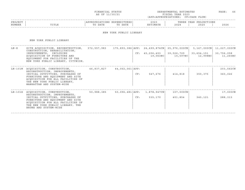|  | FINANCIAL STATUS |                |
|--|------------------|----------------|
|  |                  | AS OF 11/30/21 |

FINANCIAL STATUS DEPARTMENTAL ESTIMATES PAGE: 46 FISCAL YEAR 2023 (APP=APPROPRIATIONS; CF=CASH FLOW)

### ------------------------------------------------------------------------------------------------------------------------------------PROJECT | |APPROPRIATIONS EXPENDITURES| 2023 | THREE YEAR PROJECTIONS NUMBER | TITLE | TO DATE TO DATE | ESTIMATE | 2024 | 2025 | 2026 ------------------------------------------------------------------------------------------------------------------------------------

#### NEW YORK PUBLIC LIBRARY

NEW YORK PUBLIC LIBRARY

| $LN - 8$ | SITE ACQUISITION, RECONSTRUCTION,                                                                                                                                                                                                             | 372,557,983 |                   |     |                              |                         |                                                                                                   |                                        |
|----------|-----------------------------------------------------------------------------------------------------------------------------------------------------------------------------------------------------------------------------------------------|-------------|-------------------|-----|------------------------------|-------------------------|---------------------------------------------------------------------------------------------------|----------------------------------------|
|          | CONSTRUCTION, REHABILITATION,<br>IMPROVEMENTS, INCLUDING<br>ACOUISITION OF FURNITURE AND<br>EQUIPMENT FOR FACILITIES OF THE<br>NEW YORK PUBLIC LIBRARY, CITYWIDE.                                                                             |             |                   |     | CF: 45, 206, 453<br>19,063NC | 39,526,729<br>15,597NC  | $175, 893, 386$ APP: 24, 499, 874 CN   25, 976, 000 CN   5, 167, 000 CN<br>33,654,151<br>12,998NC | 11,227,000CN<br>30,756,058<br>11,265NC |
|          | LN-101M ACQUISITION, CONSTRUCTION,<br>RECONSTRUCTION, IMPROVEMENTS,<br>INITIAL OUTFITTING, PURCHASES OF<br>FURNITURE AND EQUIPMENT AND SITE<br>ACOUISITION FOR ALL FACILITIES OF<br>THE NEW YORK PUBLIC LIBRARY,<br>MANHATTAN AND SYSTEM-WIDE | 46,837,827  | 44,062,061 APP:   | CF: | 547,676                      | 414,818                 | 350,375                                                                                           | 203,562CN<br>360,026                   |
|          | LN-101X ACQUISITION, CONSTRUCTION,<br>RECONSTRUCTION, IMPROVEMENTS,<br>INITIAL OUTFITTING, PURCHASES OF<br>FURNITURE AND EQUIPMENT AND SITE<br>ACOUISITION FOR ALL FACILITIES OF<br>THE NEW YORK PUBLIC LIBRARY, THE<br>BRONX AND SYSTEM-WIDE | 50,988,385  | 50,096,481   APP: | CF: | 1,878,947CN<br>535,170       | $107,000$ CN<br>401,854 | 340,121                                                                                           | 17,000CN<br>288,313                    |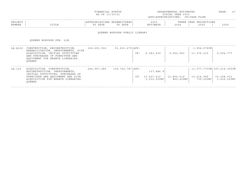| FINANCIAL STATUS                                                                                                                  | DEPARTMENTAL ESTIMATES | ንAGE. |  |
|-----------------------------------------------------------------------------------------------------------------------------------|------------------------|-------|--|
| the contract of the contract of the contract of the contract of the contract of the contract of the contract of<br>AS OF 11/30/21 | FISCAL YEAR 2023       |       |  |

| PROJECT |                   |                | . IUK B.S. I                    | $\sim$ $\sim$ $\sim$<br>202. |      | ∩N⊺⊂<br>VロAE<br>. H.<br>17 UU LU JU LU UU<br>$\mathbf{A}$ |      |
|---------|-------------------|----------------|---------------------------------|------------------------------|------|-----------------------------------------------------------|------|
| NUMBER  | $m + r$<br>פחודדו | namn -<br>DATE | <b>DAME</b><br>$m \cap$<br>DATE | ורח הוא ז<br>$-1173$ $+10$   | 2024 | 202F                                                      | 2026 |
|         |                   |                |                                 |                              |      |                                                           |      |

### QUEENS BOROUGH PUBLIC LIBRARY

QUEENS BOROUGH PUB. LIB.

| $LO-0122$ | CONSTRUCTION, RECONSTRUCTION,<br>REHABILITATION, IMPROVEMENTS, SITE<br>ACOUISITION, INITIAL OUTFITTING                                                                             | $91,601,279$ $APP:$<br>166,291,502 |                      |     | 6, 383, 439               | 9,652,943               | 1,954,076CN<br>11,376,215 |                                    |
|-----------|------------------------------------------------------------------------------------------------------------------------------------------------------------------------------------|------------------------------------|----------------------|-----|---------------------------|-------------------------|---------------------------|------------------------------------|
|           | AND PURCHASES OF FURNITURE AND<br>EQUIPMENT FOR BRANCH LIBRARIES,<br>OUEENS                                                                                                        |                                    |                      | CF: |                           |                         |                           | 9,094,777                          |
| $LO-122$  | ACOUISITION, CONSTRUCTION,<br>RECONSTRUCTION, IMPROVEMENTS,<br>INITIAL OUTFITTING, PURCHASES OF<br>FURNITURE AND EQUIPMENT AND SITE<br>ACOUISITION FOR BRANCH LIBRARIES,<br>OUEENS | 244,997,285                        | 136, 722, 787   APP: |     | 137,886 P                 |                         |                           | 11, 377, 773 CN   105, 214, 000 CN |
|           |                                                                                                                                                                                    |                                    |                      | CF: | 13,207,412<br>1,232,000NC | 12,854,619<br>862,400NC | 15,514,999<br>739,200NC   | 33,398,912<br>1,436,200NC          |

------------------------------------------------------------------------------------------------------------------------------------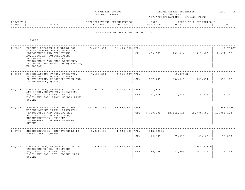| FINANCIAL STATUS                                                                                                                  | DEPARTMENTAL ESTIMATES | ヮAGE. | __ |
|-----------------------------------------------------------------------------------------------------------------------------------|------------------------|-------|----|
| the contract of the contract of the contract of the contract of the contract of the contract of the contract of<br>AS OF 11/30/21 | T S C A L<br>YEAR 2023 |       |    |

### ------------------------------------------------------------------------------------------------------------------------------------PROJECT | |APPROPRIATIONS EXPENDITURES| 2023 | THREE YEAR PROJECTIONS NUMBER | TITLE | TO DATE TO DATE | ESTIMATE | 2024 | 2025 | 2026 ------------------------------------------------------------------------------------------------------------------------------------

DEPARTMENT OF PARKS AND RECREATION

| $P-M245$      | BOROUGH PRESIDENT FUNDING FOR<br>MISCELLANEOUS PARKS, PARKWAYS,<br>PLAYGROUNDS AND STRUCTURES:<br>ACQUISITION, CONSTRUCTION,<br>RECONSTRUCTION, ORIGINAL<br>IMPROVEMENT AND EMBELLISHMENT,<br>INCLUDING VEHICLES AND EQUIPMENT,<br>MANHATTAN | 74,493,514  | 51, 475, 052   APP:  | CF: | 1,459,055           | 2,792,314           | 3, 419, 329          | 4,734CN<br>2,892,938      |
|---------------|----------------------------------------------------------------------------------------------------------------------------------------------------------------------------------------------------------------------------------------------|-------------|----------------------|-----|---------------------|---------------------|----------------------|---------------------------|
| $P - O 0 0 3$ | MISCELLANEOUS PARKS, PARKWAYS,<br>PLAYGROUNDS AND STRUCTURES:<br>CONSTRUCTION, RECONSTRUCTION AND<br>IMPROVEMENTS, QUEENS                                                                                                                    | 7,188,281   | $3,573,437$ $APP:$   | CF: | 627,787             | 45,099CN<br>566,649 | 465,611              | 392,412                   |
| $P-0126$      | CONSTRUCTION, RECONSTRUCTION OF<br>AND IMPROVEMENTS TO, INCLUDING<br>ACQUISITION OF VEHICLES AND<br>EQUIPMENT FOR, FRANK GOLDEN PARK,<br>OUEENS                                                                                              | 2,540,000   | $2,375,278$ $APP:$   | CF: | 8,814CN<br>14,845   | 11,649              | 9,778                | 8,390                     |
| $P - Q245$    | BOROUGH PRESIDENT FUNDING FOR<br>MISCELLANEOUS PARKS, PARKWAYS,<br>PLAYGROUNDS AND STRUCTURES:<br>ACOUISITION, CONSTRUCTION,<br>RECONSTRUCTION, ORIGINAL<br>IMPROVEMENT AND EMBELLISHMENT,<br>OUEENS                                         | 257,750,569 | 154, 567, 333   APP: | CF: | 9,727,802           | 12,412,916          | 15,704,666           | 2,986,417CN<br>13,084,153 |
| $P - O771$    | RECONSTRUCTION, IMPROVEMENTS TO<br>FOREST PARK, OUEENS                                                                                                                                                                                       | 5, 261, 455 | $4,940,203$ $APP:$   | CF: | 142,390CN<br>99,081 | 77,615              | 65,166               | 55,893                    |
| $P - O847$    | CONSTRUCTION, RECONSTRUCTION OF,<br>IMPROVEMENTS TO, INCLUDING<br>ACOUISITION OF VEHICLES AND<br>EOUIPMENT FOR, ROY WILKINS PARK,<br>OUEENS                                                                                                  | 12,738,619  | 12,542,541   APP:    | CF: | 40,096              | 32,806              | 663,036CN<br>160,338 | 116,793                   |
|               |                                                                                                                                                                                                                                              |             |                      |     |                     |                     |                      |                           |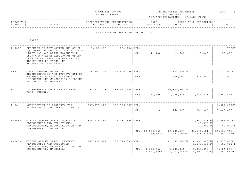| FINANCIAL STATUS | DEPARTMENTAL ESTIMATES | PAGE   |
|------------------|------------------------|--------|
|                  |                        |        |
|                  |                        | $\sim$ |
| AS OF 11/30/21   | FISCAL YEAR 2023       |        |

|         |                 |                                              |                      |                              |                               |                                                                              | - - - - - |
|---------|-----------------|----------------------------------------------|----------------------|------------------------------|-------------------------------|------------------------------------------------------------------------------|-----------|
| PROJECT |                 |                                              | . N 1 1<br>.         | $\sim$ $\sim$ $\sim$<br>202. |                               | $\cap$ NT $\subset$<br>ת הדי<br>. H.<br>U 11 JUNIO 11 JUNIO 11<br>$\sqrt{2}$ |           |
| NUMBER  | 고 따고 교<br>פחודד | n a m n<br>$m \wedge$<br>DA I E<br>$\lambda$ | DATE<br>$\mathsf{m}$ | . 352 m 1<br>I'IA I E        | $\cap$ $\cap$ $\cap$<br>2 U 2 | 202F                                                                         | 2026      |
|         |                 |                                              |                      |                              |                               |                                                                              |           |

DEPARTMENT OF PARKS AND RECREATION

| $P-X003$   | PURCHASE OF AUTOMOTIVE AND OTHER<br>EQUIPMENT HAVING A UNIT COST OF AT<br>LEAST \$35,000 AFTER NOVEMBER 1,<br>1999 AND A LIFE EXPECTANCY OF AT<br>LEAST FIVE YEARS FOR USE BY THE<br>DEPARTMENT OF PARKS AND<br>RECREATION, THE BRONX | 1,127,378   | 884,136 APP:<br>CF:         |                  | 42,400      | 29,680                       | 25,440                                                                                                                               | 758CN<br>27,600                                     |
|------------|---------------------------------------------------------------------------------------------------------------------------------------------------------------------------------------------------------------------------------------|-------------|-----------------------------|------------------|-------------|------------------------------|--------------------------------------------------------------------------------------------------------------------------------------|-----------------------------------------------------|
| $P - 7$    | CONEY ISLAND, BROOKLYN,<br>RECONSTRUCTION AND IMPROVEMENT OF<br>BOARDWALK, COMFORT STATIONS,<br>LIFEGUARD AND CONCESSION BUILDING<br>AND PARK DEVELOPMENT                                                                             | 28,683,223  | 28,664,684   APP:<br>CF:    |                  |             | $2, 249, 998$ CN<br>450,000  | 315,000                                                                                                                              | 5,750,000CN<br>1,420,000                            |
| $P - 13$   | IMPROVEMENTS TO FLUSHING MEADOW<br>PARK, OUEENS.                                                                                                                                                                                      | 91,610,578  | 84,411,164   APP:           | 1,153,486<br>CF: |             | $10,868,602$ CN<br>3,070,838 | 2, 276, 211                                                                                                                          | 1,940,467                                           |
| $P - 56$   | ACOUISITION OF PROPERTY FOR<br>PLAYGROUNDS AND PARKS, CITYWIDE.                                                                                                                                                                       | 387,879,306 | 365, 566, 597   APP:<br>CF: |                  | 8           | 160,007                      | 846,006                                                                                                                              | 6,622,000CN<br>5, 445, 405                          |
| $P - 245K$ | MISCELLANEOUS PARKS, PARKWAYS,<br>PLAYGROUNDS AND STRUCTURES:<br>CONSTRUCTION, RECONSTRUCTION AND<br>IMPROVEMENTS, BROOKLYN                                                                                                           | 370,329,197 | 222,381,656 APP:            | CF: 19,660,063   | 1,050,691NC | 19,701,694<br>753,104NC      | 42,841,218CN<br>43,996 F<br>$17,000$ P<br>29,108,401<br>728,813NC                                                                    | 34,065,000CN<br>40,000 P<br>29,632,766<br>607,239NC |
| P-245M     | MISCELLANEOUS PARKS, PARKWAYS,<br>PLAYGROUNDS AND STUCTURES:<br>CONSTRUCTION, RECONSTRUCTION AND<br>IMPROVEMENTS, MANHATTAN                                                                                                           | 367,498,092 | 309, 728, 843   APP:        | 4,290,366<br>CF: |             | 5,723,960                    | 11,655,503CN   4,390,000CN   14,970,000CN<br>$1, 103, 636$ F<br>5,355,890<br>$5,871,850NC$ 4, 761, 155NC 4, 397, 119NC 3, 782, 681NC | 409,000 F<br>7,404,296                              |
|            |                                                                                                                                                                                                                                       |             |                             |                  |             |                              |                                                                                                                                      |                                                     |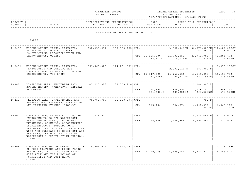| FINANCIAL STATUS                                                                                                                  | DEPARTMENTAL ESTIMATES | החת ה<br>AGE | $\sim$ $\sim$<br>__ |
|-----------------------------------------------------------------------------------------------------------------------------------|------------------------|--------------|---------------------|
| the contract of the contract of the contract of the contract of the contract of the contract of the contract of<br>AS OF 11/30/21 | YEAR 2023<br>FISCAL.   |              |                     |

### ------------------------------------------------------------------------------------------------------------------------------------PROJECT | |APPROPRIATIONS EXPENDITURES| 2023 | THREE YEAR PROJECTIONS NUMBER | TITLE | TO DATE TO DATE | ESTIMATE | 2024 | 2025 | 2026 ------------------------------------------------------------------------------------------------------------------------------------

#### DEPARTMENT OF PARKS AND RECREATION

| $P - 2450$ | MISCELLANEOUS PARKS, PARKWAYS,                                                                                                                                                                                                                                                                      |             | 332, 453, 611 199, 150, 152 APP: |      |                                                        |               | 3, 022, 346CN   30, 776, 000CN   210, 402, 000CN |                             |
|------------|-----------------------------------------------------------------------------------------------------------------------------------------------------------------------------------------------------------------------------------------------------------------------------------------------------|-------------|----------------------------------|------|--------------------------------------------------------|---------------|--------------------------------------------------|-----------------------------|
|            | PLAYGROUNDS AND STRUCTURES:<br>CONSTRUCTION, RECONSTRUCTION AND                                                                                                                                                                                                                                     |             |                                  |      |                                                        |               | $51,250$ S                                       | 38,000 S                    |
|            | IMPROVEMENTS, QUEENS                                                                                                                                                                                                                                                                                |             |                                  |      | $CF: 21,825,200   21,701,055   23,741,765$<br>23,312NC | 18,176NC      | 32,073NC                                         | 61,264,473<br>32,445NC      |
| $P - 245X$ | MISCELLANEOUS PARKS, PARKWAYS,<br>PLAYGROUNDS AND STRUCTURES:<br>CONSTRUCTION, RECONSTRUCTION AND<br>IMPROVEMENTS, THE BRONX                                                                                                                                                                        | 269,968,520 | 124, 231, 681   APP:             |      |                                                        | $2,303,616$ S | 180,000 S                                        | 1,978,990CN                 |
|            |                                                                                                                                                                                                                                                                                                     |             |                                  |      | $CF: 15,847,391 \mid 16,766,556 \mid 16,169,890 \mid$  |               | 251,460NC 798,217NC 622,193NC                    | 18,418,773<br>533,452NC     |
| $P - 380$  | RIVERSIDE PARK, INCLUDING 79TH                                                                                                                                                                                                                                                                      | 43,020,928  | 32,369,210   APP:                |      |                                                        |               | 2,184,000 P                                      |                             |
|            | STREET MARINA, MANHATTAN, GENERAL<br>RECONSTRUCTION                                                                                                                                                                                                                                                 |             |                                  | CF:  | 274,598<br>584,600NC                                   | 664,993       | 1,178,104<br>409,220NC   893,360NC               | 903,111<br>672,120NC        |
| $P - 412$  | PROSPECT PARK, IMPROVEMENTS AND<br>ALTERATIONS, FLATBUSH, WASHINGTON<br>AND PARKSIDE AVENUES, BROOKLYN.                                                                                                                                                                                             | 79,789,807  | 35,290,094   APP:                |      |                                                        |               | 999 S                                            |                             |
|            |                                                                                                                                                                                                                                                                                                     |             |                                  | CF:  | 815,484                                                | 826,774       | 4,490,032<br>200NC                               | 6,665,117<br>140NC          |
| $P - 501$  | CONSTRUCTION, RECONSTRUCTION, AND                                                                                                                                                                                                                                                                   | 11,219,000  |                                  | APP: |                                                        |               |                                                  | 18,935,482CN   19,118,000CN |
|            | IMPROVEMENTS TO DPR WATERFRONT<br>PARKS AND PROPERTY, INCLUDING<br>BULKHEADS, SEAWALLS, SUBSTRUCTURE<br>INFRASTRUCTURE, TOPSIDE PARK<br>FEATURES, AND ALL ASSOCIATED SITE<br>WORK AND PURCHASE OF EQUIPMENT AND<br>VEHICLES, THROUGH THE CITYWIDE<br>WATERFRONT INFRASTRUCTURE PROGRAM,<br>CITYWIDE |             |                                  |      | CF: 1,715,585                                          | 1,465,566     | 5,393,252                                        | 7,777,922                   |
| $P - 505$  | CONSTRUCTION AND RECONSTRUCTION OF                                                                                                                                                                                                                                                                  | 46,809,009  | 2,478,473   APP:                 |      |                                                        |               |                                                  | 1,315,768CN                 |
|            | COMFORT STATIONS AND OTHER PARKS<br>BUILDINGS, INCLUDING ASSOCIATED<br>SITE WORK AND THE PURCHASE OF<br>FURNISHINGS AND EQUIPMENT,<br>CITYWIDE.                                                                                                                                                     |             |                                  |      | CF: 6,770,069                                          | 6,389,156     | 5,381,927                                        | 5, 363, 421                 |
|            |                                                                                                                                                                                                                                                                                                     |             |                                  |      |                                                        |               |                                                  |                             |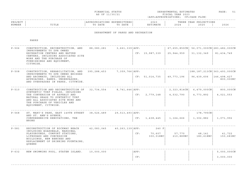| FINANCIAL STATUS                                                                                                                  | DEPARTMENTAL ESTIMATES | החת ה<br>AGE | $-1$<br>___ |
|-----------------------------------------------------------------------------------------------------------------------------------|------------------------|--------------|-------------|
| the contract of the contract of the contract of the contract of the contract of the contract of the contract of<br>AS OF 11/30/21 | YEAR 2023<br>FISCAL.   |              |             |

### ------------------------------------------------------------------------------------------------------------------------------------PROJECT | |APPROPRIATIONS EXPENDITURES| 2023 | THREE YEAR PROJECTIONS NUMBER | TITLE | TO DATE TO DATE | ESTIMATE | 2024 | 2025 | 2026 ------------------------------------------------------------------------------------------------------------------------------------

DEPARTMENT OF PARKS AND RECREATION

| $P - 506$ | CONSTRUCTION, RECONSTRUCTION, AND<br>IMPROVEMENTS TO DPR OWNED<br>RECREATION CENTERS AND NATURE<br>CENTERS, INCLUDING ASSOCIATED SITE<br>WORK AND THE PURCHASE OF<br>FURNISHINGS AND EQUIPMENT,<br>CITYWIDE.                           | 88,080,281 3,661,339 APP: |                   |             | CF: 15,987,339               | 25,944,959          | 31, 132, 349                             | 67,655,850CN   56,071,000CN   283,482,000CN<br>81,434,749         |
|-----------|----------------------------------------------------------------------------------------------------------------------------------------------------------------------------------------------------------------------------------------|---------------------------|-------------------|-------------|------------------------------|---------------------|------------------------------------------|-------------------------------------------------------------------|
| $P - 508$ | CONSTRUCTION, REHABILITATION, AND 395,288,453<br>IMPROVEMENTS TO DPR OWNED BRIDGES<br>AND ARCHWAYS, INCLUDING ALL<br>APPROACHES, RAMPS, UNDERPASSES,<br>AND OVERPASSES IN PARKS, CITYWIDE.                                             |                           | 7,359,766 APP:    |             | CF: 51,014,735               | 49,773,196          | 96,439,606                               | $ 188, 187, 213$ CN 363, 493, 000CN<br>146, 498, 427<br>800,000NC |
| $P - 510$ | CONSTRUCTION AND RECONSTRUCTION OF<br>SYNTHETIC TURF FIELDS, INCLUDING<br>THE CONVERSION OF ASPHALT AND<br>NATURAL GRASS TO SYNTHETIC TURF<br>AND ALL ASSOCIATED SITE WORK AND<br>THE PURCHASE OF VEHICLES AND<br>EOUIPMENT, CITYWIDE. | 32,734,554                | 8,741,646   APP:  |             | CF: 2,779,148                | 4,532,790           | 2,323,814CN   6,479,000CN  <br>4,773,892 | 800,000CN<br>4,021,553                                            |
| $P - 568$ | ST. MARY'S PARK, EAST 149TH STREET 38,526,489<br>AND ST. ANN'S AVENUE,<br>COMPREHENSIVE RENOVATIONS, THE<br>BRONX                                                                                                                      |                           | 29,513,493   APP: |             | CF: 1,438,445                | 1,164,666           | 178,795CN<br>1,302,882                   | 1,071,992                                                         |
| $P - 581$ | RECONSTRUCTION OF ROCKWAY BEACH<br>INCLUDING BOARDWALK, MARGINAL<br>PLAYGROUNDS, COMFORT STATIONS,<br>LIFEGUARD AND CONCESSION<br>BUILDINGS, NEW BENCHES AND<br>REPLACEMENT OF DRINKING FOUNTAINS,<br>OUEENS                           | 42,083,045                | 40,263,139   APP: | CF:         | 240 F<br>70,607<br>300,018NC | 57,770<br>210,889NC | 48,141<br>180,618NC                      | 41,722<br>150,683NC                                               |
| $P - 632$ | NEW SWIMMING POOL, STATEN ISLAND. 10,000,000                                                                                                                                                                                           |                           |                   | APP:<br>CF: |                              |                     |                                          | 5,000,000CN<br>3,000,000                                          |
|           |                                                                                                                                                                                                                                        |                           |                   |             |                              |                     |                                          |                                                                   |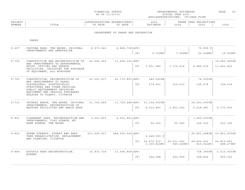|                                                                                                                                                                                                          |                                                                                               | FINANCIAL STATUS<br>AS OF 11/30/21     |                                    |     | DEPARTMENTAL ESTIMATES<br>FISCAL YEAR 2023<br>(APP=APPROPRIATIONS; CF=CASH FLOW) | PAGE:<br>52      |                                                       |                         |
|----------------------------------------------------------------------------------------------------------------------------------------------------------------------------------------------------------|-----------------------------------------------------------------------------------------------|----------------------------------------|------------------------------------|-----|----------------------------------------------------------------------------------|------------------|-------------------------------------------------------|-------------------------|
| PROJECT<br>NUMBER                                                                                                                                                                                        | TITLE                                                                                         | APPROPRIATIONS EXPENDITURES<br>TO DATE | TO DATE                            |     | 2023<br>ESTIMATE                                                                 |                  | THREE YEAR PROJECTIONS<br>2024   2025                 | 2026                    |
|                                                                                                                                                                                                          |                                                                                               |                                        | DEPARTMENT OF PARKS AND RECREATION |     |                                                                                  |                  |                                                       |                         |
|                                                                                                                                                                                                          | PARKS                                                                                         |                                        |                                    |     |                                                                                  |                  |                                                       |                         |
| $P - 697$                                                                                                                                                                                                | CROTONA PARK, THE BRONX, ORIGINAL 8,970,645 8,886,798 APP:<br>IMPROVEMENTS AND RENOVATION     |                                        |                                    |     |                                                                                  |                  | 79,999 F                                              |                         |
|                                                                                                                                                                                                          |                                                                                               |                                        |                                    |     | $CF: 9,722NC$ 7,954NC 22,628NC                                                   |                  |                                                       | 16,945NC                |
| $P - 704$                                                                                                                                                                                                | CONSTRUCTION AND RECONSTRUCTION OF 44,994,962<br>AND IMPROVEMENTS TO DEPARTMENTAL             |                                        | 11,604,105   APP:                  |     |                                                                                  |                  |                                                       | 34,680,000CN            |
|                                                                                                                                                                                                          | SHOPS, OFFICES AND GARAGE<br>FACILITIES, INCLUDING THE PURCHASE<br>OF EQUIPMENT, ALL BOROUGHS |                                        |                                    |     | CF: 1,601,982                                                                    | 3,174,416        | 4,689,516                                             | 11,491,443              |
| $P - 705$<br>AND IMPROVEMENTS TO PARKS,<br>PLAYGROUNDS, SPORTSFIELDS,<br>STRUCTURES AND OTHER PHYSICAL<br>PUBLIC BETTERMENTS INCLUDING<br>EQUIPMENT AND VEHICLE PURCHASES<br>RELATED TO PLANYC, CITYWIDE | CONSTRUCTION, RECONSTRUCTION OF $43,051,437$ $42,179,850$ APP: $485,040$ CN                   |                                        |                                    |     |                                                                                  |                  | 74,000CN                                              |                         |
|                                                                                                                                                                                                          |                                                                                               |                                        |                                    |     | CF: 279,541                                                                      | $214,533$        | 195,578                                               | 164,634                 |
| $P - 715$                                                                                                                                                                                                | ORCHARD BEACH, THE BRONX, ORIGINAL 21,729,489 11,729,488 APP: 10,154,000CN                    |                                        |                                    |     |                                                                                  |                  | $  34,000,000 \text{CN}  $                            |                         |
|                                                                                                                                                                                                          | IMPROVEMENTS, RECONSTRUCTION OF<br>BATHING FACILITIES AND BEACH AREA                          |                                        |                                    |     | CF: 4,030,800                                                                    | 2,821,560        | 9,218,480                                             | 6,775,400               |
| $P - 801$                                                                                                                                                                                                | CLAREMONT PARK, RECONSTRUCTION AND 5, 053, 852 4, 503, 851   APP:                             |                                        |                                    |     |                                                                                  |                  | 1,450,000CN                                           |                         |
|                                                                                                                                                                                                          | IMPROVEMENTS, CLAY AVENUE, MT.<br>EDEN AVENUE, THE BRONX                                      |                                        |                                    |     | CF: 94,200                                                                       | 65,940   362,320 |                                                       | 261,160                 |
| $P - 822$                                                                                                                                                                                                | GREEN STREETS, STREET AND PARK<br>TREE REHABILITATION, REPLACEMENT                            |                                        |                                    |     | 2, 248, 000 P                                                                    |                  | 45,801,488CN   10,851,000CN                           |                         |
|                                                                                                                                                                                                          | AND PLANTING, CITYWIDE                                                                        |                                        |                                    |     | $CF: 22,872,910   20,611,693   28,600,291  $                                     |                  | $1,309,820N$ C $960,249N$ C $815,921N$ C $688,275N$ C | 24,819,463              |
| $P - 848$                                                                                                                                                                                                | ASTORIA PARK RECONSTRUCTION, 16,830,726 13,496,848 APP:                                       |                                        |                                    |     |                                                                                  |                  |                                                       | 728,390CN   2,510,000CN |
|                                                                                                                                                                                                          | OUEENS                                                                                        |                                        |                                    | CF: | 294,288                                                                          | 492,950          | 568,822                                               | 960, 163                |
|                                                                                                                                                                                                          |                                                                                               |                                        |                                    |     |                                                                                  |                  |                                                       |                         |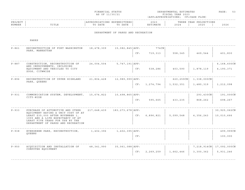|                   |                                                                                                                                                                                     | FINANCIAL STATUS<br>AS OF 11/30/21 |                                        |     | DEPARTMENTAL ESTIMATES<br>FISCAL YEAR 2023<br>(APP=APPROPRIATIONS; CF=CASH FLOW) | PAGE:<br>53   |                                |                            |
|-------------------|-------------------------------------------------------------------------------------------------------------------------------------------------------------------------------------|------------------------------------|----------------------------------------|-----|----------------------------------------------------------------------------------|---------------|--------------------------------|----------------------------|
| PROJECT<br>NUMBER | TITLE                                                                                                                                                                               | TO DATE                            | APPROPRIATIONS EXPENDITURES<br>TO DATE |     | 2023<br>ESTIMATE                                                                 | 2024          | THREE YEAR PROJECTIONS<br>2025 | 2026                       |
|                   |                                                                                                                                                                                     |                                    | DEPARTMENT OF PARKS AND RECREATION     |     |                                                                                  |               |                                |                            |
|                   | PARKS                                                                                                                                                                               |                                    |                                        |     |                                                                                  |               |                                |                            |
| $P - 861$         | RECONSTRUCTION OF FORT WASHINGTON<br>PARK, MANHATTAN                                                                                                                                | 18,478,309                         | 15,082,845   APP:                      |     | 774 CN                                                                           |               |                                |                            |
|                   |                                                                                                                                                                                     |                                    |                                        | CF: | 719,313                                                                          | 558,345       | 469,544                        | 401,830                    |
| $P - 887$         | CONSTRUCTION, RECONSTRUCTION OF                                                                                                                                                     | 24,004,504                         | 5,747,191   APP:                       |     |                                                                                  |               |                                | 6,168,600CN                |
|                   | AND IMPROVEMENTS, INCLUDING<br>EQUIPMENT AND VEHICLES TO CITY<br>ZOOS, CITWWIDE                                                                                                     |                                    |                                        | CF: | 538,286                                                                          | 403,590       | 1,878,119                      | 4,190,371                  |
| $P - 896$         | RECONSTRUCTION OF UPPER HIGHLAND<br>PARK, QUEENS                                                                                                                                    | 21,804,428                         | 12,989,999   APP:                      |     |                                                                                  | $620, 259$ CN | 1,338,000CN                    |                            |
|                   |                                                                                                                                                                                     |                                    |                                        | CF: | 1,274,794                                                                        | 1,532,351     | 1,480,319                      | 1,212,098                  |
| $P - 931$         | COMMUNICATION SYSTEM, DEVELOPMENT,<br>CITY-WIDE                                                                                                                                     | 15,674,822                         | 10,498,865   APP:                      |     |                                                                                  |               | $293, 430$ CN                  | 191,000CN                  |
|                   |                                                                                                                                                                                     |                                    |                                        | CF: | 595,665                                                                          | 433,235       | 868,262                        | 698,267                    |
| $P - 933$         | PURCHASE OF AUTOMOTIVE AND OTHER                                                                                                                                                    | 217,648,439                        | 183,273,678   APP:                     |     |                                                                                  |               |                                | 30,925,062CN               |
|                   | EQUIPMENT HAVING A UNIT COST OF AT<br>LEAST \$35,000 AFTER NOVEMBER 1,<br>1999 AND A LIFE EXPECTANCY OF AT<br>LEAST FIVE YEARS FOR USE BY THE<br>DEPARTMENT OF PARKS AND RECREATION |                                    |                                        | CF: | 6,896,821                                                                        | 5,099,548     | 4, 356, 243                    | 10,010,666                 |
| $P - 938$         | EVERGREEN PARK, RECONSTRUCTION,                                                                                                                                                     | 1,402,396                          | 1,402,395   APP:                       |     |                                                                                  |               |                                | 499,999CN                  |
|                   | OUEENS                                                                                                                                                                              |                                    |                                        | CF: |                                                                                  |               |                                | 100,000                    |
| $P - 950$         | ACOUISITION AND INSTALLATION OF                                                                                                                                                     | 48,341,990                         | 35,061,088 APP:                        |     |                                                                                  |               |                                | 7,218,914CN   17,092,000CN |
|                   | COMPUTER EQUIPMENT                                                                                                                                                                  |                                    |                                        | CF: | 2,269,259                                                                        | 1,662,446     | 3,300,362                      | 5,931,246                  |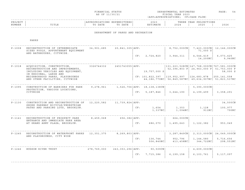| FINANCIAL STATUS                                                                                                                  | DEPARTMENTAL ESTIMATES | החתר | ___ |
|-----------------------------------------------------------------------------------------------------------------------------------|------------------------|------|-----|
|                                                                                                                                   |                        | AGE  |     |
|                                                                                                                                   |                        |      |     |
| the contract of the contract of the contract of the contract of the contract of the contract of the contract of<br>AS OF 11/30/21 | YEAR 2023<br>FISCAL.   |      |     |

| PROJECT |                                  |                 |             | ົດ ລ<br>202. |     | $\bigcap M$ $\bigcap$<br>YEAR<br>[ 17 <i>C</i><br>ں دیں ۔ |      |
|---------|----------------------------------|-----------------|-------------|--------------|-----|-----------------------------------------------------------|------|
| NUMBER  | m <del>r</del> m r n<br>د سال سا | זיח גרו<br>DATE | <b>DATI</b> |              | 202 | 202                                                       | 2026 |

#### DEPARTMENT OF PARKS AND RECREATION

| $P - 1008$ | RECONSTRUCTION OF INTERMEDIATE<br>SIZED POOLS, APPURTENANT EQUIPMENT                                                          | 34,901,685  | 20,841,305   APP:    |     |                                     | 8,752,000C <sub>N</sub>                                                  | $7,423,000$ CN<br>71,000 S | 12,146,000CN             |
|------------|-------------------------------------------------------------------------------------------------------------------------------|-------------|----------------------|-----|-------------------------------------|--------------------------------------------------------------------------|----------------------------|--------------------------|
|            | AND BATHHOUSES, CITYWIDE.                                                                                                     |             |                      | CF: | 2,724,820                           | 3,944,311                                                                | 4,544,419<br>14,200NC      | 6,073,425<br>9,940NC     |
| $P - 1018$ | ACOUISITION, CONSTRUCTION,<br>RECONSTRUCTION AND IMPROVEMENTS,<br>INCLUDING VEHICLES AND EQUIPMENT,<br>IN REGIONAL, LARGE AND | 3326744332  | 2451743055   APP:    |     | 19,757,000 S                        | $131, 223, 528$ CN $147, 768, 000$ CN $767, 581, 000$ CN<br>52,396,803 F | 24,963,000 F               | 51,753,000 F<br>58,000 S |
|            | NEIGHBORHOOD PARKS, PLAYGROUNDS<br>AND OTHER FACILITIES, CITYWIDE                                                             |             |                      |     | $CF: 101, 822, 397$   119, 952, 997 | 44, 186, 770NC   56, 849, 587NC   49, 634, 907NC   51, 823, 537NC        | 124,683,878                | 255, 141, 558            |
| $P - 1095$ | CONSTRUCTION OF BARRIERS FOR PARK                                                                                             | 9,278,961   |                      |     | 1,526,706   APP: 18,138,138 CN      |                                                                          | 5,390,000CN                |                          |
|            | PROTECTION, VARIOUS LOCATIONS,<br>CITYWIDE                                                                                    |             |                      | CF: | 5,187,846                           | 3,644,190                                                                | 4,199,499                  | 3, 358, 291              |
| $P - 1130$ | CONSTRUCTION AND RECONSTRUCTION OF<br>SHORE PARKWAY BICYCLE/PEDESTRIAN                                                        | 12,220,582  | $11,739,824$ $APP:$  |     |                                     |                                                                          |                            | 34,500CN                 |
|            | PATHS AND PARKING LOTS, BROOKLYN.                                                                                             |             |                      | CF: | 1,654<br>1,337NC                    | 1,353<br>1,094NC                                                         | 1,128<br>911NC             | 100,977<br>790NC         |
| $P - 1141$ | RECONSTRUCTION OF PROSPECT PARK                                                                                               | 8,459,068   | $656, 382$ $APP:$    |     |                                     | 664,000CN                                                                |                            |                          |
|            | ENTRANCE AND IMMEDIATE PARK AREA<br>AT GRAND ARMY PLAZA, BROOKLYN.                                                            |             |                      | CF: | 686,070                             | 1,495,643                                                                | 1,122,382                  | 953,049                  |
| $P - 1245$ | RECONSTRUCTION OF WATERFRONT PARKS                                                                                            | 12,351,375  | 8, 269, 803   APP:   |     |                                     | 3,287,849CN                                                              | $2,313,000 \, \text{CN}$   | 24,049,000CN             |
|            | AND PLAYGROUNDS, CITY WIDE                                                                                                    |             |                      | CF: | 136,744<br>506, 840NC               | 952,796<br>413,458NC                                                     | 1,144,580<br>344,722NC     | 5,716,656<br>298,551NC   |
| $P - 1246$ | HUDSON RIVER TRUST                                                                                                            | 278,769,000 | 243, 353, 296   APP: |     | $90,509$ CN                         |                                                                          | $4,609,000 \, \text{CN}$   |                          |
|            |                                                                                                                               |             |                      | CF: | 7,715,386                           | 6,199,158                                                                | 6,103,761                  | 5,117,097                |
|            |                                                                                                                               |             |                      |     |                                     |                                                                          |                            |                          |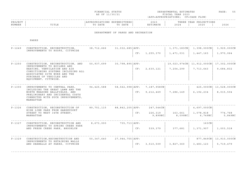|  | FINANCIAL STATUS |  |
|--|------------------|--|
|  | AS OF 11/30/21   |  |

FINANCIAL STATUS DEPARTMENTAL ESTIMATES PAGE: 55 FISCAL YEAR 2023 (APP=APPROPRIATIONS; CF=CASH FLOW)

| PROJECT |       |                 | .IURES '                    | 2023  |                        | IONS<br>YEAR<br>ת ה |      |
|---------|-------|-----------------|-----------------------------|-------|------------------------|---------------------|------|
| NUMBER  | TITLE | ת היה ה<br>DATE | DATE<br>$\mathsf{m} \wedge$ | TMATR | $\cap$ $\cap$<br>2 U 2 | つのつに<br>2 U Z :     | 2026 |
|         |       |                 |                             |       |                        |                     |      |

#### DEPARTMENT OF PARKS AND RECREATION

| $P - 1249$ | CONSTRUCTION, RECONSTRUCTION,<br>IMPROVEMENTS TO ROOFS, CITYWIDE                                                                                                                                                           | 38,712,666 | $31,032,685$ $APP:$            | CF: | 1,255,370                          | 1,471,031          | $1,371,183CN$ $1,398,000CN$<br>1,447,163   | 3,929,000CN<br>1,970,064  |
|------------|----------------------------------------------------------------------------------------------------------------------------------------------------------------------------------------------------------------------------|------------|--------------------------------|-----|------------------------------------|--------------------|--------------------------------------------|---------------------------|
| $P - 1250$ | CONSTRUCTION, RECONSTRUCTION, AND<br>IMPROVEMENTS TO BOILERS AND<br>HEATING, VENTILATION AND AIR<br>CONDITIONING SYSTEMS INCLUDING ALL<br>ASSOCIATED SITE WORK AND THE<br>PURCHASE OF VEHICLES AND<br>EOUIPMENT, CITYWIDE. | 50,937,699 | $30,798,895$ $\overline{APP:}$ | CF: | 2,630,121                          | 7,204,299          | 19,023,974CN   11,912,000CN  <br>7,713,643 | 17,302,000CN<br>9,684,832 |
| $P - 1300$ | IMPROVEMENTS TO CENTRAL PARK,<br>INCLUDING THE GREAT LAWN AND THE<br>NORTH MEADOWS BALLFIELDS, AND<br>PRELIMINARY AND INCIDENTAL COSTS<br>CONNECTED WITH SUCH IMPROVEMENTS,<br>MANHATTAN                                   | 94,425,588 | 58, 562, 998   APP:            | CF: | 7,187,958CN<br>9,212,469           | 7,286,149          | $425,000 \, \text{CN}$<br>6, 192, 234      | 13,528,000CN<br>8,015,504 |
| $P - 1326$ | CONSTRUCTION, RECONSTRUCTION OF<br>HIGH LINE PARK FROM GANSEVOORT<br>STREET TO WEST 34TH STREET,<br>MANHATTAN                                                                                                              | 89,751,115 | 88,842,205   APP:              | CF: | $247,544$ CN<br>226,319<br>9,899NC | 163,661<br>8,099NC | 4,697,000CN<br>1,078,818<br>6,749NC        | 774,768<br>5,849NC        |
| $P - 1327$ | CONSTRUCTION, RECONSTRUCTION AND<br>IMPROVEMENTS TO SPRING CREEK PARK<br>AND FRESH CREEK PARK, BROOKLYN                                                                                                                    | 8,673,000  | 735, 713   APP:                | CF: | 539,379                            | 377,681            | 163CN<br>1,371,907                         | 1,003,518                 |
| $P - 1329$ | CONSTRUCTION, RECONSTRUCTION AND<br>IMPROVEMENTS TO RETAINING WALLS<br>AND SEAWALLS AT PARKS, CITYWIDE                                                                                                                     | 50,347,640 | 27,944,755   APP:              | CF: | 3,510,509                          | 3,827,360          | 877,849CN<br>3, 483, 123                   | 13,910,000CN<br>5,719,479 |
|            |                                                                                                                                                                                                                            |            |                                |     |                                    |                    |                                            |                           |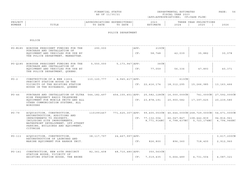| FINANCIAL STATUS | DEPARTMENTAL ESTIMATES | החת ה   | __ |
|------------------|------------------------|---------|----|
|                  |                        | $AGE$ . |    |
|                  |                        |         |    |
| AS OF 11/30/21   | FISCAL YEAR 2023       |         |    |

| PROJECT<br>200<br>'ONS<br>. דר<br>TRES<br>$T^{\sim}$<br>NUMBER<br>זרח תו<br>ົດ ລ<br><b>TMAMM</b><br>DATE<br>? 0 2<br><b>HIL</b><br>⊥⊥⊥ ∟ ∟<br>202- |  |  |  |  |
|----------------------------------------------------------------------------------------------------------------------------------------------------|--|--|--|--|
|                                                                                                                                                    |  |  |  |  |
|                                                                                                                                                    |  |  |  |  |

#### POLICE DEPARTMENT

POLICE

|                                                                                                     | PO-M185 BOROUGH PRESIDENT FUNDING FOR THE<br>PURCHASE AND INSTALLATION OF                                                                                                         | 290,000     |                     | APP:           | 219CN                                                |                           |                                                                          |                           |
|-----------------------------------------------------------------------------------------------------|-----------------------------------------------------------------------------------------------------------------------------------------------------------------------------------|-------------|---------------------|----------------|------------------------------------------------------|---------------------------|--------------------------------------------------------------------------|---------------------------|
|                                                                                                     | EQUIPMENT AND VEHICLES FOR USE BY<br>THE POLICE DEPARTMENT, MANHATTAN.                                                                                                            |             |                     | CF:            | 58,748                                               | 42,039                    | 35,882                                                                   | 30,078                    |
|                                                                                                     | PO-0185 BOROUGH PRESIDENT FUNDING FOR THE<br>PURCHASE AND INSTALLATION OF                                                                                                         | 5,550,000   | 5, 173, 947   APP:  |                | 36 CN                                                |                           |                                                                          |                           |
|                                                                                                     | EQUIPMENT AND VEHICLES FOR USE BY<br>THE POLICE DEPARTMENT, QUEENS.                                                                                                               |             |                     | CF:            | 77,059                                               | 56,336                    | 47,893                                                                   | 40,371                    |
| $PO - 2$                                                                                            | CONSTRUCTION OF A NEW 116th                                                                                                                                                       | 110,120,777 | $4,945,417$ $APP:$  |                |                                                      | 613CN                     |                                                                          |                           |
| PRECINCT STATION HOUSE IN THE<br>VICINITY OF THE EXISTING STATION<br>HOUSE IN THE ROCKAWAYS, QUEENS |                                                                                                                                                                                   |             |                     | CF: 22,416,174 | 18,312,295                                           | 15,266,985                | 13, 163, 466                                                             |                           |
| $PO - 46$                                                                                           | PURCHASE AND INSTALLATION OF ULTRA 544, 182, 497<br>HIGH FREQUENCY RADIO TELEPHONE                                                                                                |             |                     |                | 454, 155, 451   APP: 25, 582, 128CN   16, 000, 000CN |                           | 741,000CN                                                                | 27,592,000CN              |
|                                                                                                     | EQUIPMENT FOR MOBILE UNITS AND ALL<br>OTHER COMMUNICATION SYSTEMS, ALL<br><b>BOROUGHS</b>                                                                                         |             |                     |                | CF: 23,878,191                                       | 20,900,582                | 17,397,625                                                               | 20, 239, 580              |
| $PO - 79$                                                                                           | ACQUISITION, CONSTRUCTION,                                                                                                                                                        | 1101991467  |                     |                |                                                      |                           | $771, 625, 307$   APP: 99, 405, 053CN   46, 644, 000CN   268, 729, 000CN | 54,671,000CN              |
|                                                                                                     | RECONSTRUCTION, ADDITIONS AND<br>IMPROVEMENTS TO PROPERTY,<br>INCLUDING SITE IMPROVEMENTS,<br>WATERFRONT DEVELOPMENT, OFF-STREET<br>PARKING, BUILDINGS AND EQUIPMENT,<br>CITYWIDE |             |                     |                | CF: 77, 132, 004<br>8,771,914NC                      | 66,047,847<br>6,798,437NC | 108,442,839<br>5,723,174NC                                               | 94,816,961<br>4,794,946NC |
| $PO-111$                                                                                            | ACQUISITION, CONSTRUCTION,                                                                                                                                                        | 38,117,797  | 24, 467, 997   APP: |                |                                                      |                           |                                                                          | 3,617,200CN               |
|                                                                                                     | RECONSTRUCTION OF LAUNCHES AND<br>MARINE EQUIPMENT FOR HARBOR UNIT.                                                                                                               |             |                     | CF:            | 826,800                                              | 896,360                   | 718,400                                                                  | 2,912,960                 |
| $PO-141$                                                                                            | CONSTRUCTION, NEW 40TH PRECINCT                                                                                                                                                   | 82,361,408  | 48,710,480 APP:     |                | $350, 563$ CN                                        |                           |                                                                          |                           |
|                                                                                                     | STATION HOUSE, VICINITY OF<br>EXISTING STATION HOUSE, THE BRONX                                                                                                                   |             |                     | CF:            | 7,019,435                                            | 5,664,489                 | 4,731,504                                                                | 4,087,321                 |
|                                                                                                     |                                                                                                                                                                                   |             |                     |                |                                                      |                           |                                                                          |                           |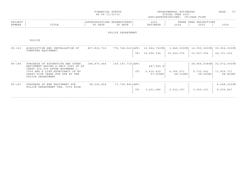|                   |                                                                                                                                                                                                        | FINANCIAL STATUS<br>AS OF 11/30/21     |                   |     |                                                                     | DEPARTMENTAL ESTIMATES<br>FISCAL YEAR 2023<br>(APP=APPROPRIATIONS; CF=CASH FLOW) |                                | PAGE:<br>57                                         |
|-------------------|--------------------------------------------------------------------------------------------------------------------------------------------------------------------------------------------------------|----------------------------------------|-------------------|-----|---------------------------------------------------------------------|----------------------------------------------------------------------------------|--------------------------------|-----------------------------------------------------|
| PROJECT<br>NUMBER | TITLE                                                                                                                                                                                                  | APPROPRIATIONS EXPENDITURES<br>TO DATE | TO DATE           |     | 2023<br>ESTIMATE                                                    | 2024                                                                             | THREE YEAR PROJECTIONS<br>2025 | 2026                                                |
|                   |                                                                                                                                                                                                        |                                        | POLICE DEPARTMENT |     |                                                                     |                                                                                  |                                |                                                     |
|                   | POLICE                                                                                                                                                                                                 |                                        |                   |     |                                                                     |                                                                                  |                                |                                                     |
| $PO - 163$        | ACOUISITION AND INSTALLATION OF<br>COMPUTER EOUIPMENT.                                                                                                                                                 | 857,832,712                            |                   |     | 776,748,520   APP: 10,964,720 CN   3,848,000 CN  <br>CF: 19,096,394 | 15,060,075                                                                       | 14,359,000CN<br>15,507,356     | 59,954,000CN<br>24,721,016                          |
| $PO - 185$        | PURCHASE OF AUTOMOTIVE AND OTHER<br>EQUIPMENT HAVING A UNIT COST OF AT<br>LEAST \$35,000 AFTER NOVEMBER 1,<br>1999 AND A LIFE EXPECTANCY OF AT<br>LEAST FIVE YEARS FOR USE BY THE<br>POLICE DEPARTMENT | 188,875,464                            | 159,197,716 APP:  | CF: | 487,999 F<br>5,416,422<br>97,600NC                                  | 4,006,971<br>68,320NC                                                            | 9,732,562<br>58,560NC          | 28,854,538CN 32,672,000CN<br>13,829,717<br>48,800NC |
| $PO-187$          | PURCHASE OF NEW EQUIPMENT FOR<br>POLICE DEPARTMENT USE, CITY WIDE                                                                                                                                      | 98,225,804                             | 73,706,846   APP: | CF: | 3,201,686                                                           | 2,532,397                                                                        | 3,000,151                      | 4,488,252CN<br>4,000,847                            |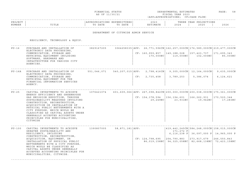|  | FINANCIAL STATUS |
|--|------------------|
|  | AS OF 11/30/21   |

FINANCIAL STATUS DEPARTMENTAL ESTIMATES PAGE: 58 FISCAL YEAR 2023 (APP=APPROPRIATIONS; CF=CASH FLOW)

| PROJEC |       |              | ,,,,,,,, | 202.           |                               | $\cap$ NT $\subset$<br>꼬ㅁㅈ.<br>ᆂᆂᇦᇌᇦ<br>$\left  \right $ |              |
|--------|-------|--------------|----------|----------------|-------------------------------|----------------------------------------------------------|--------------|
| NUMBER | ⊥⊥⊥⊥⊥ | 五九中形<br>DATE | DATE     | <b>TASA MT</b> | $\cap$ $\cap$ $\cap$<br>2 U Z | 2025                                                     | 2022<br>ていてん |
|        |       |              |          |                |                               |                                                          |              |

## DEPARTMENT OF CITYWIDE ADMIN SERVICE

RESILIENCY, TECHNOLOGY & EQUIP.

| $PIJ-16$ | PURCHASE AND INSTALLATION OF<br>ELECTRONIC DATA PROCESSING,<br>COMMUNICATION, STORAGE AND<br>RETRIEVAL EQUIPMENT INCLUDING<br>SOFTWARE, HARDWARE AND<br>INFASTRUCTURE FOR VARIOUS CITY<br>AGENCIES.                                                                                                                                                                                                      | 3829167205 |                   | 170,000NC     | $3064258335$   APP: 26, 771, 596CN   162, 257, 000CN   176, 589, 000CN   219, 477, 000CN<br>$CF: 160, 959, 857$   149, 188, 028   157, 423, 737   171, 695, 343<br>119,000NC    | 102,000NC                                                                                                                                     | 85,000NC  |
|----------|----------------------------------------------------------------------------------------------------------------------------------------------------------------------------------------------------------------------------------------------------------------------------------------------------------------------------------------------------------------------------------------------------------|------------|-------------------|---------------|---------------------------------------------------------------------------------------------------------------------------------------------------------------------------------|-----------------------------------------------------------------------------------------------------------------------------------------------|-----------|
| PU-16A   | PURCHASE AND INSTALLATION OF<br>ELECTRONIC DATA PROCESSING,<br>COMMUNICATION, STORAGE AND<br>RETRIEVAL EQUIPMENT FOR THE<br>FINANCIAL INFORMATION SERVICES<br>AGENCY.                                                                                                                                                                                                                                    |            |                   | CF: 2,735,458 | 551,046,071 540,207,015 APP: 2,798,416CN 9,305,000CN 12,164,000CN 9,635,000CN<br>3,789,253                                                                                      | 5,386,074                                                                                                                                     | 6,124,621 |
| $PU-25$  | CAPITAL INVESTMENTS TO ACHIEVE<br>ENERGY EFFICIENCY AND GREENHOUSE<br>GAS EMISSION REDUCTION, THROUGH<br>SUSTAINABILITY MEASURES INVOLVING<br>CONSTRUCTION, RECONSTRUCTION,<br>ACOUISITION OR INSTALLATION OF<br>PHYSICAL PUBLIC BETTERMENTS WITH A<br>CITY PURPOSE, WHICH WOULD BE<br>CLASSIFIED AS CAPITAL ASSETS UNDER<br>GENERALLY ACCEPTED ACCOUNTING<br>PRINCIPLES FOR MUNICIPALITIES,<br>CITYWIDE | 1076421074 |                   | 29,249NC      | $601, 609, 066$   APP: 267, 098, 842CN   200, 000, 000CN   200, 038, 000CN   175, 361, 000CN<br>$CF: 154, 378, 594$   156, 194, 601   166, 262, 931   170, 520, 344<br>23,931NC | 19,942NC                                                                                                                                      | 17,283NC  |
| $PU-100$ | CAPITAL INVESTMENTS TO ACHIEVE<br>GREATER SUSTAINABILITY AND<br>RESILIENCY, INCLUDING<br>CONSTRUCTION, RECONSTRUCTION,<br>ACQUISITION, EQUIPMENT, OR<br>INSTALLATION OF PHYSICAL PUBLIC<br>BETTERMENTS WITH A CITY PURPOSE,<br>WHICH WOULD BE CLASSIFIED AS<br>CAPITAL ASSETS UNDER GENERALLY<br>ACCEPTED ACCOUNTING PRINCIPLES FOR<br>MUNICIPALITIES, CITYWIDE.                                         | 1390807005 | 58,871,181   APP: |               | 171,272 F<br>$CF: 124, 798, 695$   204, 790, 883  <br>86,019,158NC   94,325,058NC   82,668,138NC   72,423,158NC                                                                 | $1419, 442, 245$ CN $584, 248, 000$ CN $158, 015, 000$ CN<br>6,116,238 P 36,097,000 P 14,965,000 P<br>$\vert$ 273,917,679 $\vert$ 246,550,843 |           |

------------------------------------------------------------------------------------------------------------------------------------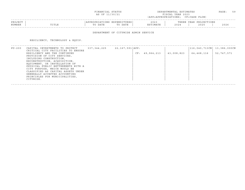|                            | FINANCIAL STATUS<br>AS OF 11/30/21                | DEPARTMENTAL ESTIMATES<br>FISCAL YEAR 2023<br>(APP=APPROPRIATIONS; CF=CASH FLOW) | PAGE : | 59 |
|----------------------------|---------------------------------------------------|----------------------------------------------------------------------------------|--------|----|
| PROJECT<br>NUMBER<br>TITLE | APPROPRIATIONS EXPENDITURES<br>TO DATE<br>TO DATE | THREE YEAR PROJECTIONS<br>2023<br>ESTIMATE<br>2025<br>2024                       | 2026   |    |

#### DEPARTMENT OF CITYWIDE ADMIN SERVICE

RESILIENCY, TECHNOLOGY & EQUIP.

| PU-200 | CAPITAL INVESTMENTS TO PROTECT                                                                                                                                                                                                                                                                                                                                                            | 337, 344, 225 | 22, 167, 591   APP: |     |            |            | $116,040,713CN$ $13,386,000CN$ |            |
|--------|-------------------------------------------------------------------------------------------------------------------------------------------------------------------------------------------------------------------------------------------------------------------------------------------------------------------------------------------------------------------------------------------|---------------|---------------------|-----|------------|------------|--------------------------------|------------|
|        | CRITICAL CITY FACILITIES TO ENSURE<br>RESILIENCY AND THE CONTINUED<br>PROVISION OF CITY SERVICES,<br>INCLUDING CONSTRUCTION,<br>RECONSTRUCTION, ACOUISITION,<br>EOUIPMENT, OR INSTALLATION OF<br>PHYSICAL PUBLIC BETTERMENTS WITH A<br>CITY PURPOSE, WHICH WOULD BE<br>CLASSIFIED AS CAPITAL ASSETS UNDER<br>GENERALLY ACCEPTED ACCOUNTING<br>PRINCIPLES FOR MUNICIPALITIES,<br>CITYWIDE. |               |                     | CF: | 49,964,213 | 43,008,823 | 64,468,116                     | 52,747,571 |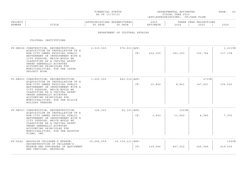| FINANCIAI.<br>STATUS                                                                                                              | DEPARTMENTAL ESTIMATES | > A G E |
|-----------------------------------------------------------------------------------------------------------------------------------|------------------------|---------|
| the contract of the contract of the contract of the contract of the contract of the contract of the contract of<br>AS OF 11/30/21 | FISCAL YEAR 2023       |         |

| PROJECT |                 | $ \cap$ $\mathbb{N}$ $\in$<br>. |      | $\sim$ $\sim$ $\sim$<br>2023 | וסמטי<br>. | IONS<br>YEAR<br>∩ ם ח |      |
|---------|-----------------|---------------------------------|------|------------------------------|------------|-----------------------|------|
| NUMBER  | יה דרחי<br>⊥⊥⊥≞ | תחגם                            | DATE | <b>A</b> A m T               | 202        | 2025                  | 2026 |
|         |                 |                                 |      |                              |            |                       |      |

### DEPARTMENT OF CULTURAL AFFAIRS

| PV-KN028 CONSTRUCTION, RECONSTRUCTION,<br>ACOUISITION OR INSTALLATION OF A                                                                                                                                                                                                             | 2,019,000  | $976, 931$ $APP:$ |     |         |          |         | 1,231CN |  |
|----------------------------------------------------------------------------------------------------------------------------------------------------------------------------------------------------------------------------------------------------------------------------------------|------------|-------------------|-----|---------|----------|---------|---------|--|
| NON-CITY OWNED PHYSICAL PUBLIC<br>BETTERMENT OR IMPROVEMENT WITH A<br>CITY PURPOSE, WHICH WOULD BE<br>CLASSIFIED AS A CAPITAL ASSET<br>UNDER GENERALLY ACCEPTED<br>ACCOUNTING PRINCIPLES FOR<br>MUNICIPALITIES; FOR THE ISSUE<br>PROJECT ROOM.                                         |            |                   | CF: | 224,025 | 183,293  | 152,744 | 137,378 |  |
| PV-KN053 CONSTRUCTION, RECONSTRUCTION,                                                                                                                                                                                                                                                 | 1,600,000  | 842,016   APP:    |     |         |          | 471CN   |         |  |
| ACQUISITION OR INSTALLATION OF A<br>NON-CITY OWNED PHYSICAL PUBLIC<br>BETTERMENT OR IMPROVEMENT WITH A<br>CITY PURPOSE, WHICH WOULD BE<br>CLASSIFIED AS A CAPITAL ASSET<br>UNDER GENERALLY ACCEPTED<br>ACCOUNTING PRINCIPLES FOR<br>MUNICIPALITIES; FOR THE BILLIE<br>HOLIDAY THEATER. |            |                   | CF: | 10,806  | 8,841    | 147,567 | 104,525 |  |
| PV-KN767 CONSTRUCTION, RECONSTRUCTION,                                                                                                                                                                                                                                                 | 124,000    | $60, 101$ $APP:$  |     |         | $101$ CN |         |         |  |
| ACQUISITION OR INSTALLATION OF A<br>NON-CITY OWNED PHYSICAL PUBLIC<br>BETTERMENT OR IMPROVEMENT WITH A<br>CITY PURPOSE, WHICH WOULD BE<br>CLASSIFIED AS A CAPITAL ASSET<br>UNDER GENERALLY ACCEPTED<br>ACCOUNTING PRINCIPLES FOR<br>MUNICIPALITIES; FOR THE ROOFTOP<br>FILMS, INC.     |            |                   | CF: | 3,800   | 11,660   | 8,580   | 7,300   |  |
| PV-K262 BROOKLYN CHILDREN'S MUSEUM,                                                                                                                                                                                                                                                    | 19,646,659 | 16,134,211   APP: |     |         |          |         | 129CN   |  |
| RECONSTRUCTION OF CHILDREN'S<br>MUSEUM AND PURCHASES OF EQUIPMENT<br>AND VEHICLES, BROOKLYN.                                                                                                                                                                                           |            |                   | CF: | 109,546 | 447,932  | 525,566 | 419,509 |  |
|                                                                                                                                                                                                                                                                                        |            |                   |     |         |          |         |         |  |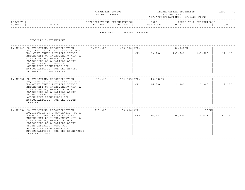| FINANCIAI.<br>STATUS                                                                                                              | DEPARTMENTAL ESTIMATES | AGE |  |
|-----------------------------------------------------------------------------------------------------------------------------------|------------------------|-----|--|
| the contract of the contract of the contract of the contract of the contract of the contract of the contract of<br>AS OF 11/30/21 | FISCAL YEAR 2023       |     |  |

| PROJECT |                           | ONS  | PENDITURES<br>$\mathbf{1}$ $\mathbf{1}$ | 202                                    |      | $\cap$ NT $\circ$<br>VFAP<br>ז ס כ<br>, 2011 1011<br>$\overline{1}$ |              |
|---------|---------------------------|------|-----------------------------------------|----------------------------------------|------|---------------------------------------------------------------------|--------------|
| NUMBER  | $m \tau m \tau$<br>11 L L | DATE | D.B. m.t.<br>$\mathsf{m}$<br>DATE       | <b>TMA 따</b> .<br>$\cdots$<br>⊥ 1'17 1 | 2024 | 202!                                                                | 2022<br>ていてい |
|         |                           |      |                                         |                                        |      |                                                                     |              |

## DEPARTMENT OF CULTURAL AFFAIRS

|                                                                                                                                                                                                                                                            |                                                                                                                                                                                                                                        |           |     |                                                    | 60,000CN |         |        |  |
|------------------------------------------------------------------------------------------------------------------------------------------------------------------------------------------------------------------------------------------------------------|----------------------------------------------------------------------------------------------------------------------------------------------------------------------------------------------------------------------------------------|-----------|-----|----------------------------------------------------|----------|---------|--------|--|
| NON-CITY OWNED PHYSICAL PUBLIC<br>BETTERMENT OR IMPROVEMENT WITH A<br>CITY PURPOSE, WHICH WOULD BE<br>CLASSIFIED AS A CAPITAL ASSET<br>UNDER GENERALLY ACCEPTED<br>ACCOUNTING PRINCIPLES FOR<br>MUNICIPALITIES; FOR THE ELAINE<br>KAUFMAN CULTURAL CENTER. |                                                                                                                                                                                                                                        |           | CF: | 39,200                                             | 147,600  | 107,620 | 91,960 |  |
|                                                                                                                                                                                                                                                            | 194,045                                                                                                                                                                                                                                |           |     | 40,000CN                                           |          |         |        |  |
| NON-CITY OWNED PHYSICAL PUBLIC<br>BETTERMENT OR IMPROVEMENT WITH A<br>CITY PURPOSE, WHICH WOULD BE<br>CLASSIFIED AS A CAPITAL ASSET<br>UNDER GENERALLY ACCEPTED<br>ACCOUNTING PRINCIPLES FOR<br>MUNICIPALITIES; FOR THE JOYCE<br>THEATER.                  |                                                                                                                                                                                                                                        |           | CF: | 16,800                                             | 12,800   | 10,800  | 9,200  |  |
|                                                                                                                                                                                                                                                            | 613,000                                                                                                                                                                                                                                |           |     |                                                    |          | 78 CN   |        |  |
| NON-CITY OWNED PHYSICAL PUBLIC<br>BETTERMENT OR IMPROVEMENT WITH A<br>CITY PURPOSE, WHICH WOULD BE<br>CLASSIFIED AS A CAPITAL ASSET<br>UNDER GENERALLY ACCEPTED<br>ACCOUNTING PRINCIPLES FOR<br>MUNICIPALITIES; FOR THE ROUNDABOUT<br>THEATRE COMPANY.     |                                                                                                                                                                                                                                        |           | CF: | 84,777                                             | 64,494   | 74,431  | 60,350 |  |
|                                                                                                                                                                                                                                                            | PV-MN143 CONSTRUCTION, RECONSTRUCTION,<br>ACOUISITION OR INSTALLATION OF A<br>PV-MN222 CONSTRUCTION, RECONSTRUCTION,<br>ACOUISITION OR INSTALLATION OF A<br>PV-MN354 CONSTRUCTION, RECONSTRUCTION,<br>ACOUISITION OR INSTALLATION OF A | 1,213,000 |     | $490,000 $ APP:<br>154,045   APP:<br>99,400   APP: |          |         |        |  |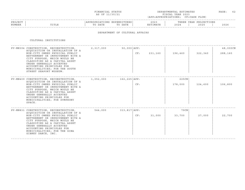| FINANCIAI.<br>STATUS                                                                                                              | DEPARTMENTAL ESTIMATES | AGE |  |
|-----------------------------------------------------------------------------------------------------------------------------------|------------------------|-----|--|
| the contract of the contract of the contract of the contract of the contract of the contract of the contract of<br>AS OF 11/30/21 | FISCAL YEAR 2023       |     |  |

|        |                          |                                              |                        |                                 |        |                                                | - - - - -    |
|--------|--------------------------|----------------------------------------------|------------------------|---------------------------------|--------|------------------------------------------------|--------------|
| PRO.   |                          | $\cap$ <sub>NT</sub><br>$\sim$ $\sim$ $\sim$ | ENDITURES.<br>$\cdots$ | $\cap$ $\cap$<br>: U 2          |        | $\bigcap M \subseteq$<br>YEAR<br>, L ∪ T ∩ T ∩ |              |
| NUMBER | mr <del>n</del><br>⊥⊥⊥⊥⊥ |                                              | DATE                   | ⊤ M ⊼ ጥ T<br>1 O IT<br>$\cdots$ | $\sim$ | 202!                                           | 2022<br>ていてん |
|        |                          |                                              |                        |                                 |        |                                                |              |

## DEPARTMENT OF CULTURAL AFFAIRS

| PV-MN394 CONSTRUCTION, RECONSTRUCTION, 2,317,000<br>ACOUISITION OR INSTALLATION OF A                                                                                                                                                                                                   |           | $50,000$ $APP:$  |         |         |         | 48,000CN |
|----------------------------------------------------------------------------------------------------------------------------------------------------------------------------------------------------------------------------------------------------------------------------------------|-----------|------------------|---------|---------|---------|----------|
| NON-CITY OWNED PHYSICAL PUBLIC<br>BETTERMENT OR IMPROVEMENT WITH A<br>CITY PURPOSE, WHICH WOULD BE<br>CLASSIFIED AS A CAPITAL ASSET<br>UNDER GENERALLY ACCEPTED<br>ACCOUNTING PRINCIPLES FOR<br>MUNICIPALITIES; FOR THE SOUTH<br>STREET SEAPORT MUSEUM.                                |           | CF:              | 231,160 | 196,460 | 322,340 | 288,160  |
| PV-MN409 CONSTRUCTION, RECONSTRUCTION,<br>ACOUISITION OR INSTALLATION OF A                                                                                                                                                                                                             | 1,052,000 | 162,225   APP:   |         | 225CN   |         |          |
| NON-CITY OWNED PHYSICAL PUBLIC<br>BETTERMENT OR IMPROVEMENT WITH A<br>CITY PURPOSE, WHICH WOULD BE<br>CLASSIFIED AS A CAPITAL ASSET<br>UNDER GENERALLY ACCEPTED<br>ACCOUNTING PRINCIPLES FOR<br>MUNICIPALITIES; FOR SYMPHONY<br>SPACE.                                                 |           | CF:              |         | 178,000 | 124,600 | 106,800  |
| PV-MN831 CONSTRUCTION, RECONSTRUCTION,                                                                                                                                                                                                                                                 | 544,000   | $313,817$ $APP:$ |         | 79CN    |         |          |
| ACOUISITION OR INSTALLATION OF A<br>NON-CITY OWNED PHYSICAL PUBLIC<br>BETTERMENT OR IMPROVEMENT WITH A<br>CITY PURPOSE, WHICH WOULD BE<br>CLASSIFIED AS A CAPITAL ASSET<br>UNDER GENERALLY ACCEPTED<br>ACCOUNTING PRINCIPLES FOR<br>MUNICIPALITIES; FOR THE GINA<br>GIBNEY DANCE, INC. |           | CF:              | 31,000  | 33,700  | 27,000  | 22,700   |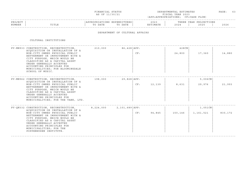| FINANCIAL STATUS | DEPARTMENTAL ESTIMATES | PAGE. |  |
|------------------|------------------------|-------|--|
| AS OF 11/30/21   | FISCAL YEAR 2023       |       |  |

|        |                          |                                              |                        |                                 |        |                                                | - - - - -    |
|--------|--------------------------|----------------------------------------------|------------------------|---------------------------------|--------|------------------------------------------------|--------------|
| PRO.   |                          | $\cap$ <sub>NT</sub><br>$\sim$ $\sim$ $\sim$ | ENDITURES.<br>$\cdots$ | $\cap$ $\cap$<br>: U 2          |        | $\bigcap M \subseteq$<br>YEAR<br>, L ∪ T ∩ T ∩ |              |
| NUMBER | mr <del>n</del><br>⊥⊥⊥⊥⊥ |                                              | DATE                   | ⊤ M ⊼ ጥ T<br>1 O IT<br>$\cdots$ | $\sim$ | 202!                                           | 2022<br>ていてん |
|        |                          |                                              |                        |                                 |        |                                                |              |

## DEPARTMENT OF CULTURAL AFFAIRS

| PV-MN933 CONSTRUCTION, RECONSTRUCTION,<br>ACOUISITION OR INSTALLATION OF A<br>NON-CITY OWNED PHYSICAL PUBLIC<br>BETTERMENT OR IMPROVEMENT WITH A<br>CITY PURPOSE, WHICH WOULD BE<br>CLASSIFIED AS A CAPITAL ASSET<br>UNDER GENERALLY ACCEPTED<br>ACCOUNTING PRINCIPLES FOR<br>MUNICIPALITIES; FOR BLOOMINGDALE<br>SCHOOL OF MUSIC. | 210,000   | $86,428$ $APP:$    | CF: |        | 428CN<br>24,800 | 17,360               | 14,880  |
|------------------------------------------------------------------------------------------------------------------------------------------------------------------------------------------------------------------------------------------------------------------------------------------------------------------------------------|-----------|--------------------|-----|--------|-----------------|----------------------|---------|
| PV-MN962 CONSTRUCTION, RECONSTRUCTION,<br>ACQUISITION OR INSTALLATION OF A<br>NON-CITY OWNED PHYSICAL PUBLIC<br>BETTERMENT OR IMPROVEMENT WITH A<br>CITY PURPOSE, WHICH WOULD BE<br>CLASSIFIED AS A CAPITAL ASSET<br>UNDER GENERALLY ACCEPTED<br>ACCOUNTING PRINCIPLES FOR<br>MUNICIPALITIES; FOR THE TANK, LTD.                   | 198,000   | 29,828 APP:        | CF: | 12,139 | 8,631           | 5,006CN<br>29,976    | 21,993  |
| PV-QN332 CONSTRUCTION, RECONSTRUCTION,<br>ACOUISITION OR INSTALLATION OF A<br>NON-CITY OWNED PHYSICAL PUBLIC<br>BETTERMENT OR IMPROVEMENT WITH A<br>CITY PURPOSE, WHICH WOULD BE<br>CLASSIFIED AS A CAPITAL ASSET<br>UNDER GENERALLY ACCEPTED<br>ACCOUNTING PRINCIPLES FOR<br>MUNICIPALITIES; FOR THE<br>POPPENHUSEN INSTITUTE.    | 8,224,000 | $2,101,689$ $APP:$ | CF: | 94,845 | 150,146         | 1,051CN<br>1,161,521 | 830,172 |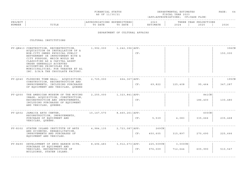| FINANCIAL STATUS                                                                                                                  | DEPARTMENTAL ESTIMATES | AGE |  |
|-----------------------------------------------------------------------------------------------------------------------------------|------------------------|-----|--|
| the contract of the contract of the contract of the contract of the contract of the contract of the contract of<br>AS OF 11/30/21 | FISCAL YEAR 2023       |     |  |

#### ------------------------------------------------------------------------------------------------------------------------------------PROJECT | |APPROPRIATIONS EXPENDITURES| 2023 | THREE YEAR PROJECTIONS NUMBER | TITLE | TO DATE TO DATE | ESTIMATE | 2024 | 2025 | 2026 ------------------------------------------------------------------------------------------------------------------------------------

## DEPARTMENT OF CULTURAL AFFAIRS

| PV-ON413 CONSTRUCTION, RECONSTRUCTION,<br>ACOUISITION OR INSTALLATION OF A<br>NON-CITY OWNED PHYSICAL PUBLIC<br>BETTERMENT OR IMPROVEMENT WITH A<br>CITY PURPOSE, WHICH WOULD BE<br>CLASSIFIED AS A CAPITAL ASSET<br>UNDER GENERALLY ACCEPTED<br>ACCOUNTING PRINCIPLES FOR<br>MUNICIPALITIES; FOR THEATER ET AL<br>INC. D/B/A THE CHOCOLATE FACTORY. | 1,992,000  | 1,242,396 APP:     | CF: |                         |                    |                  | 396CN<br>150,000 |
|------------------------------------------------------------------------------------------------------------------------------------------------------------------------------------------------------------------------------------------------------------------------------------------------------------------------------------------------------|------------|--------------------|-----|-------------------------|--------------------|------------------|------------------|
| PV-Q040 FLUSHING TOWN HALL: ACQUISITION,<br>CONSTRUCTION, RECONSTRUCTION AND<br>IMPROVEMENTS, INCLUDING PURCHASES<br>OF EQUIPMENT AND VEHICLES, QUEENS                                                                                                                                                                                               | 2,725,000  | 664, 367   APP:    | CF: | 69,822                  | 125,408            | 95,464           | 195CN<br>347,287 |
| PV-0050 THE AMERICAN MUSEUM OF THE MOVING<br>IMAGE: ACQUISITION, CONSTRUCTION,<br>RECONSTRUCTION AND IMPROVEMENTS,<br>INCLUDING PURCHASES OF EQUIPMENT<br>AND VEHICLES, QUEENS.                                                                                                                                                                      | 2,255,000  | 1,323,841   APP:   | CF: |                         |                    | 841CN<br>186,400 | 130,480          |
| PV-Q502 JAMAICA ARTS CENTER,<br>RECONSTRUCTION, IMPROVEMENTS,<br>PURCHASE OF EQUIPMENT AND<br>VEHICLES, OUEENS.                                                                                                                                                                                                                                      | 10,147,570 | 8,460,261 APP:     | CF: | 5,539                   | 4,083              | 600CN<br>335,666 | 235,468          |
| PV-R302 STATEN ISLAND INSTITUTE OF ARTS<br>AND SCIENCES, REHABILITATION,<br>IMPROVEMENTS AND PURCHASES OF<br>EQUIPMENT AND VEHICLES.                                                                                                                                                                                                                 | 4,984,135  | $2,723,087$ $APP:$ | CF: | 269CN<br>450,605        | 315,897            | 270,690          | 225,666          |
| PV-R490 DEVELOPMENT OF SNUG HARBOR SITE,<br>PURCHASE OF EQUIPMENT AND<br>VEHICLES, RECONSTRUCTION OF<br>BUILDINGS, STATEN ISLAND.                                                                                                                                                                                                                    | 8,496,483  | 3,912,673   APP:   | CF: | $225,509$ CN<br>976,009 | 3,000CN<br>712,644 | 605,990          | 510,547          |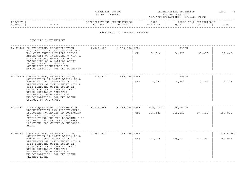|  | FINANCIAL STATUS |  |
|--|------------------|--|
|  | AS OF 11/30/21   |  |

FINANCIAL STATUS DEPARTMENTAL ESTIMATES PAGE: 65 FISCAL YEAR 2023 (APP=APPROPRIATIONS; CF=CASH FLOW)

### ------------------------------------------------------------------------------------------------------------------------------------PROJECT | |APPROPRIATIONS EXPENDITURES| 2023 | THREE YEAR PROJECTIONS NUMBER | TITLE | TO DATE TO DATE | ESTIMATE | 2024 | 2025 | 2026 ------------------------------------------------------------------------------------------------------------------------------------

#### DEPARTMENT OF CULTURAL AFFAIRS

| PV-XN448 CONSTRUCTION, RECONSTRUCTION,<br>ACOUISITION OR INSTALLATION OF A<br>NON-CITY OWNED PHYSICAL PUBLIC<br>BETTERMENT OR IMPROVEMENT WITH A<br>CITY PURPOSE, WHICH WOULD BE<br>CLASSIFIED AS A CAPITAL ASSET<br>UNDER GENERALLY ACCEPTED<br>ACCOUNTING PRINCIPLES FOR<br>MUNICIPALITIES; FOR THE BRONXNET                      |           |                |     | CF: 81,916           | 857CN<br>70,775     | 58,479  | 50,648               |
|-------------------------------------------------------------------------------------------------------------------------------------------------------------------------------------------------------------------------------------------------------------------------------------------------------------------------------------|-----------|----------------|-----|----------------------|---------------------|---------|----------------------|
| PV-XN678 CONSTRUCTION, RECONSTRUCTION,<br>ACOUISITION OR INSTALLATION OF A<br>NON-CITY OWNED PHYSICAL PUBLIC<br>BETTERMENT OR IMPROVEMENT WITH A<br>CITY PURPOSE, WHICH WOULD BE<br>CLASSIFIED AS A CAPITAL ASSET<br>UNDER GENERALLY ACCEPTED<br>ACCOUNTING PRINCIPLES FOR<br>MUNICIPALITIES; FOR THE BRONX<br>COUNCIL ON THE ARTS. | 475,000   | 430,275   APP: | CF: | 5,083                | 999CN<br>4,358      | 3,605   | 3,123                |
| PV-X467 SITE ACQUISITION, CONSTRUCTION, 5,429,056 4,350,264 APP:<br>RECONSTRUCTION AND IMPROVEMENTS,<br>INCLUDING PURCHASES OF EQUIPMENT<br>AND VEHICLES, AT CULTURAL<br>INSTITUTIONS AND THE DEPARTMENT OF<br>CULTURAL AFFAIRS, AND AT OTHER<br>LOCATIONS FOR CULTURAL PURPOSES,<br>BRONX                                          |           |                | CF: | 302,718CN<br>265,121 | 60,000CN<br>212,111 | 177,529 | 150,935              |
| PV-N028 CONSTRUCTION, RECONSTRUCTION,<br>ACOUISITION OR INSTALLATION OF A<br>NON-CITY OWNED PHYSICAL PUBLIC<br>BETTERMENT OR IMPROVEMENT WITH A<br>CITY PURPOSE, WHICH WOULD BE<br>CLASSIFIED AS A CAPITAL ASSET<br>UNDER GENERALLY ACCEPTED<br>ACCOUNTING PRINCIPLES FOR<br>MUNICIPALITIES; FOR THE ISSUE<br>PROJECT ROOM.         | 2,544,000 | 199,754   APP: | CF: | 361,240              | 290,171             | 242,569 | 228,402CN<br>388,914 |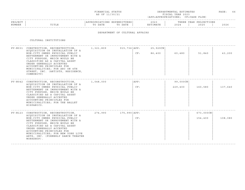| FINANCIAL STATUS                                                                                                                  | <sup>-</sup> IMATES<br>DEPARTMENTAL ESTI | > A G E |  |
|-----------------------------------------------------------------------------------------------------------------------------------|------------------------------------------|---------|--|
| the contract of the contract of the contract of the contract of the contract of the contract of the contract of<br>AS OF 11/30/21 | FISCAL YEAR 2023                         |         |  |

#### ------------------------------------------------------------------------------------------------------------------------------------PROJECT | |APPROPRIATIONS EXPENDITURES| 2023 | THREE YEAR PROJECTIONS NUMBER | TITLE | TO DATE TO DATE | ESTIMATE | 2024 | 2025 | 2026 ------------------------------------------------------------------------------------------------------------------------------------

#### DEPARTMENT OF CULTURAL AFFAIRS

CULTURAL INSTITUTIONS

| PV-N031 CONSTRUCTION, RECONSTRUCTION,<br>ACOUISITION OR INSTALLATION OF A<br>NON-CITY OWNED PHYSICAL PUBLIC<br>BETTERMENT OR IMPROVEMENT WITH A<br>CITY PURPOSE, WHICH WOULD BE<br>CLASSIFIED AS A CAPITAL ASSET<br>UNDER GENERALLY ACCEPTED<br>ACCOUNTING PRINCIPLES FOR<br>MUNICIPALITIES; FOR ARC ON 4TH<br>STREET, INC. (ARTISTS, RESIDENCE,<br>COMMUNITY)     | 1,321,809 | 915,736   APP: | CF:         | 25,929CN<br>86,400 | 60,480                 | 51,840                  | 43,200  |
|--------------------------------------------------------------------------------------------------------------------------------------------------------------------------------------------------------------------------------------------------------------------------------------------------------------------------------------------------------------------|-----------|----------------|-------------|--------------------|------------------------|-------------------------|---------|
| PV-N042 CONSTRUCTION, RECONSTRUCTION, 1,048,000<br>ACOUISITION OR INSTALLATION OF A<br>NON-CITY OWNED PHYSICAL PUBLIC<br>BETTERMENT OR IMPROVEMENT WITH A<br>CITY PURPOSE, WHICH WOULD BE<br>CLASSIFIED AS A CAPITAL ASSET<br>UNDER GENERALLY ACCEPTED<br>ACCOUNTING PRINCIPLES FOR<br>MUNICIPALITIES; FOR THE BALLET<br>HISPANICO.                                |           |                | APP:<br>CF: |                    | $99,000$ CN<br>229,400 | 160,580                 | 137,640 |
| PV-N123 CONSTRUCTION, RECONSTRUCTION,<br>ACOUISITION OR INSTALLATION OF A<br>NON-CITY OWNED PHYSICAL PUBLIC<br>BETTERMENT OR IMPROVEMENT WITH A<br>CITY PURPOSE, WHICH WOULD BE<br>CLASSIFIED AS A CAPITAL ASSET<br>UNDER GENERALLY ACCEPTED<br>ACCOUNTING PRINCIPLES FOR<br>MUNICIPALITIES; FOR NEW YORK LIVE<br>ARTS, INC. (FORMERLY DANCE THEATER<br>WORKSHOP). | 274,990   | 175,990   APP: | CF:         |                    |                        | $673,000$ CN<br>154,400 | 108,080 |

------------------------------------------------------------------------------------------------------------------------------------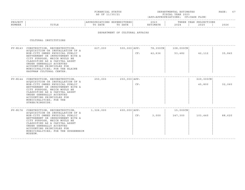| FINANCIAL STATUS                                                                                                                  | TIMATES<br>DEPARTMENTAL ESTI | > A G E |  |
|-----------------------------------------------------------------------------------------------------------------------------------|------------------------------|---------|--|
| the contract of the contract of the contract of the contract of the contract of the contract of the contract of<br>AS OF 11/30/21 | FISCAL YEAR 2023             |         |  |

| PROJEC |       |              | ,,,,,,,, | 202.           |                               | $\cap$ NT $\subset$<br>꼬ㅁㅈ.<br>ᆂᆂᇦᇌᇦ<br>$\left  \right $ |              |
|--------|-------|--------------|----------|----------------|-------------------------------|----------------------------------------------------------|--------------|
| NUMBER | ⊥⊥⊥⊥⊥ | 五九中形<br>DATE | DATE     | <b>TASA MT</b> | $\cap$ $\cap$ $\cap$<br>2 U Z | 2025                                                     | 2022<br>ていてん |
|        |       |              |          |                |                               |                                                          |              |

### DEPARTMENT OF CULTURAL AFFAIRS

CULTURAL INSTITUTIONS

| PV-N143 CONSTRUCTION, RECONSTRUCTION,<br>ACOUISITION OR INSTALLATION OF A<br>NON-CITY OWNED PHYSICAL PUBLIC<br>BETTERMENT OR IMPROVEMENT WITH A<br>CITY PURPOSE, WHICH WOULD BE<br>CLASSIFIED AS A CAPITAL ASSET<br>UNDER GENERALLY ACCEPTED<br>ACCOUNTING PRINCIPLES FOR<br>MUNICIPALITIES; FOR THE ELAINE<br>KAUFMAN CULTURAL CENTER. | 627,000 | 500,000 APP:     | CF: | 78,350CN<br>42,636 | 108,000CN<br>53,482 | 42,112              | 35,845 |
|-----------------------------------------------------------------------------------------------------------------------------------------------------------------------------------------------------------------------------------------------------------------------------------------------------------------------------------------|---------|------------------|-----|--------------------|---------------------|---------------------|--------|
| PV-N144 CONSTRUCTION, RECONSTRUCTION,<br>ACOUISITION OR INSTALLATION OF A<br>NON-CITY OWNED PHYSICAL PUBLIC<br>BETTERMENT OR IMPROVEMENT WITH A<br>CITY PURPOSE, WHICH WOULD BE<br>CLASSIFIED AS A CAPITAL ASSET<br>UNDER GENERALLY ACCEPTED<br>ACCOUNTING PRINCIPLES FOR<br>MUNICIPALITIES; FOR THE<br>STREB/RINGSIDE.                 | 250,000 | 250,000   APP :  | CF: |                    |                     | 229,000CN<br>45,800 | 32,060 |
| PV-N176 CONSTRUCTION, RECONSTRUCTION, 1,326,000<br>ACOUISITION OR INSTALLATION OF A<br>NON-CITY OWNED PHYSICAL PUBLIC<br>BETTERMENT OR IMPROVEMENT WITH A<br>CITY PURPOSE, WHICH WOULD BE<br>CLASSIFIED AS A CAPITAL ASSET<br>UNDER GENERALLY ACCEPTED<br>ACCOUNTING PRINCIPLES FOR<br>MUNICIPALITIES; FOR THE GUGGENHEIM<br>MUSEUM.    |         | $600,000$ $APP:$ | CF: | 3,000              | 15,000CN<br>147,300 | 103,440             | 88,620 |

------------------------------------------------------------------------------------------------------------------------------------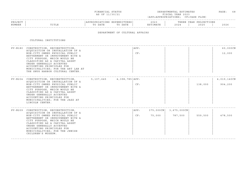| FINANCIAL STATUS                                                                                                                  | DEPARTMENTAL ESTIMATES<br>_____ | PAGE |  |
|-----------------------------------------------------------------------------------------------------------------------------------|---------------------------------|------|--|
| the contract of the contract of the contract of the contract of the contract of the contract of the contract of<br>AS OF 11/30/21 | FISCAL YEAR 2023                |      |  |

| <b>PROJEC</b> |       | ON.         |                                                          | $\mathcal{L}$ $\mathcal{L}$ $\mathcal{L}$<br>2 U Z 3 |                 | ONS<br>ר בד |        |
|---------------|-------|-------------|----------------------------------------------------------|------------------------------------------------------|-----------------|-------------|--------|
| NUMBE:        | ⊥⊥⊥⊥∟ | חתר<br>リハエエ | $\overline{\phantom{1}}$<br><b>DAIL</b><br>$\sim$ $\sim$ | ה זה־<br>- 1773 - 1                                  | $\sim$<br>2 U 2 | ' () 2.     |        |
|               |       |             |                                                          |                                                      |                 |             | ------ |

#### DEPARTMENT OF CULTURAL AFFAIRS

| ACOUISITION OR INSTALLATION OF A<br>NON-CITY OWNED PHYSICAL PUBLIC<br>BETTERMENT OR IMPROVEMENT WITH A                                                                                                                                             |                                                                                                                                                                                           | APP:<br>CF: |                                         |             |                         | 60,000CN<br>12,000 |
|----------------------------------------------------------------------------------------------------------------------------------------------------------------------------------------------------------------------------------------------------|-------------------------------------------------------------------------------------------------------------------------------------------------------------------------------------------|-------------|-----------------------------------------|-------------|-------------------------|--------------------|
| CLASSIFIED AS A CAPITAL ASSET<br>UNDER GENERALLY ACCEPTED<br>ACCOUNTING PRINCIPLES FOR<br>MUNICIPALITIES; FOR THE ART LAB AT<br>THE SNUG HARBOR CULTURAL CENTER.                                                                                   |                                                                                                                                                                                           |             |                                         |             |                         |                    |
|                                                                                                                                                                                                                                                    |                                                                                                                                                                                           |             |                                         |             |                         |                    |
| ACOUISITION OR INSTALLATION OF A                                                                                                                                                                                                                   |                                                                                                                                                                                           |             |                                         |             |                         | 4,019,140CN        |
| NON-CITY OWNED PHYSICAL PUBLIC<br>BETTERMENT OR IMPROVEMENT WITH A<br>CITY PURPOSE, WHICH WOULD BE<br>CLASSIFIED AS A CAPITAL ASSET<br>UNDER GENERALLY ACCEPTED<br>ACCOUNTING PRINCIPLES FOR<br>MUNICIPALITIES; FOR THE JAZZ AT<br>LINCOLN CENTER. |                                                                                                                                                                                           | CF:         |                                         |             | 138,000                 | 904,200            |
|                                                                                                                                                                                                                                                    |                                                                                                                                                                                           |             |                                         |             |                         |                    |
| ACOUISITION OR INSTALLATION OF A                                                                                                                                                                                                                   |                                                                                                                                                                                           | APP:        |                                         | 3,675,000CN |                         |                    |
| BETTERMENT OR IMPROVEMENT WITH A<br>CITY PURPOSE, WHICH WOULD BE<br>CLASSIFIED AS A CAPITAL ASSET<br>UNDER GENERALLY ACCEPTED<br>ACCOUNTING PRINCIPLES FOR<br>MUNICIPALITIES; FOR THE JEWISH<br>CHILDREN'S MUSEUM.                                 |                                                                                                                                                                                           |             |                                         |             |                         | 478,500            |
|                                                                                                                                                                                                                                                    | PV-N180 CONSTRUCTION, RECONSTRUCTION,<br>CITY PURPOSE, WHICH WOULD BE<br>PV-N204 CONSTRUCTION, RECONSTRUCTION,<br>PV-N209 CONSTRUCTION, RECONSTRUCTION,<br>NON-CITY OWNED PHYSICAL PUBLIC |             | $5, 107, 645$ 4, 398, 785   APP:<br>CF: | 75,000      | $375,000$ CN<br>787,500 | 559,500            |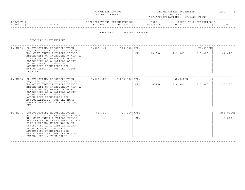| FINANCIAI.<br>STATUS                                                                                                              | DEPARTMENTAL ESTIMATES | AGE | __ |
|-----------------------------------------------------------------------------------------------------------------------------------|------------------------|-----|----|
| the contract of the contract of the contract of the contract of the contract of the contract of the contract of<br>AS OF 11/30/21 | FISCAL YEAR 2023       |     |    |

|        |                          |                                              |                        |                                 |        |                                                         | - - - - -    |
|--------|--------------------------|----------------------------------------------|------------------------|---------------------------------|--------|---------------------------------------------------------|--------------|
| PRO.   |                          | $\cap$ <sub>NT</sub><br>$\sim$ $\sim$ $\sim$ | ENDITURES.<br>$\cdots$ | $\cap$ $\cap$<br>: U 2          |        | $\cap$ <sub>NT</sub> $\subset$<br>YEAR<br>, L ∪ T ∩ T ∩ |              |
| NUMBER | mr <del>n</del><br>⊥⊥⊥⊥⊥ |                                              | DATE                   | ⊤ M ⊼ ጥ T<br>1 O IT<br>$\cdots$ | $\sim$ | 202!                                                    | 2022<br>ていてん |
|        |                          |                                              |                        |                                 |        |                                                         |              |

### DEPARTMENT OF CULTURAL AFFAIRS

|                                                                                                                                                                                                                                                                             |                                                                                                                                                                                            |     |                                                                                                                          |          | 76,695CN |           |
|-----------------------------------------------------------------------------------------------------------------------------------------------------------------------------------------------------------------------------------------------------------------------------|--------------------------------------------------------------------------------------------------------------------------------------------------------------------------------------------|-----|--------------------------------------------------------------------------------------------------------------------------|----------|----------|-----------|
| NON-CITY OWNED PHYSICAL PUBLIC<br>BETTERMENT OR IMPROVEMENT WITH A<br>CITY PURPOSE, WHICH WOULD BE<br>CLASSIFIED AS A CAPITAL ASSET<br>UNDER GENERALLY ACCEPTED<br>ACCOUNTING PRINCIPLES FOR<br>MUNICIPALITIES; FOR THE JOYCE<br>THEATER.                                   |                                                                                                                                                                                            | CF: | 18,800                                                                                                                   | 123,360  | 215,420  | 164,420   |
|                                                                                                                                                                                                                                                                             |                                                                                                                                                                                            |     |                                                                                                                          | 32,000CN |          |           |
| NON-CITY OWNED PHYSICAL PUBLIC<br>BETTERMENT OR IMPROVEMENT WITH A<br>CITY PURPOSE, WHICH WOULD BE<br>CLASSIFIED AS A CAPITAL ASSET<br>UNDER GENERALLY ACCEPTED<br>ACCOUNTING PRINCIPLES FOR<br>MUNICIPALITIES; FOR THE MARK<br>MORRIS DANCE GROUP (DISCALCED,<br>$INC.$ ). |                                                                                                                                                                                            | CF: | 6,400                                                                                                                    | 324,480  | 227,840  | 195,200   |
|                                                                                                                                                                                                                                                                             |                                                                                                                                                                                            |     |                                                                                                                          |          |          | 204,000CN |
| NON-CITY OWNED PHYSICAL PUBLIC<br>BETTERMENT OR IMPROVEMENT WITH A<br>CITY PURPOSE, WHICH WOULD BE<br>CLASSIFIED AS A CAPITAL ASSET<br>UNDER GENERALLY ACCEPTED<br>ACCOUNTING PRINCIPLES FOR<br>MUNICIPALITIES; FOR THE MOVING<br>IMAGE, INC. / FILM FORUM.                 |                                                                                                                                                                                            | CF: |                                                                                                                          |          |          | 40,800    |
|                                                                                                                                                                                                                                                                             | PV-N222 CONSTRUCTION, RECONSTRUCTION,<br>ACOUISITION OR INSTALLATION OF A<br>ACQUISITION OR INSTALLATION OF A<br>PV-N274 CONSTRUCTION, RECONSTRUCTION,<br>ACOUISITION OR INSTALLATION OF A |     | $1,320,147$ $116,842$ $APP:$<br>PV-N258 CONSTRUCTION, RECONSTRUCTION, 3,600,000 2,000,000   APP:<br>$66,350$ 66,350 APP: |          |          |           |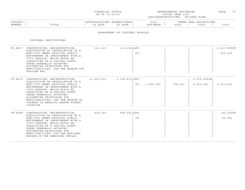| FINANCIAI.<br>STATUS                                                                                                                                                                                                                             | DEPARTMENTAL ESTIMATES | $\sim$ $\sim$<br>^AGE<br>$\sim$ |
|--------------------------------------------------------------------------------------------------------------------------------------------------------------------------------------------------------------------------------------------------|------------------------|---------------------------------|
| and the contract of the contract of the contract of the contract of the contract of the contract of the contract of the contract of the contract of the contract of the contract of the contract of the contract of the contra<br>AS OF 11/30/21 | FISCAL YEAR 2023       |                                 |

|               |                    |                  |                                 |                         |                               |             | ------ |
|---------------|--------------------|------------------|---------------------------------|-------------------------|-------------------------------|-------------|--------|
| <b>PROJEC</b> |                    | $\pm$ 0.19 $\pm$ | TI UKRDI.                       | 2023                    |                               | IONS<br>EAR |        |
| NUMBER        | m T m T m<br>⊥⊥⊥⊥⊥ | DATE<br>. .      | D 3 m D<br>$\mathbb{R}$<br>DATE | $-342$ m<br>$\sim$<br>. | $\sim$ $\sim$ $\sim$<br>- 202 | 2025        | 2026   |
|               |                    |                  |                                 |                         |                               |             |        |

## DEPARTMENT OF CULTURAL AFFAIRS

| PV-N277 CONSTRUCTION, RECONSTRUCTION, 121,535 121,534   APP:<br>ACOUISITION OR INSTALLATION OF A<br>NON-CITY OWNED PHYSICAL PUBLIC<br>BETTERMENT OR IMPROVEMENT WITH A<br>CITY PURPOSE, WHICH WOULD BE<br>CLASSIFIED AS A CAPITAL ASSET<br>UNDER GENERALLY ACCEPTED<br>ACCOUNTING PRINCIPLES FOR<br>MUNICIPALITIES; FOR THE MUSEUM FOR                                                                    |  | CF: |               |         |                               | 2,027,999CN<br>405,600 |
|-----------------------------------------------------------------------------------------------------------------------------------------------------------------------------------------------------------------------------------------------------------------------------------------------------------------------------------------------------------------------------------------------------------|--|-----|---------------|---------|-------------------------------|------------------------|
| AFRICAN ART.<br>PV-N279 CONSTRUCTION, RECONSTRUCTION, 31,250,000 1,168,419 APP:<br>ACQUISITION OR INSTALLATION OF A<br>NON-CITY OWNED PHYSICAL PUBLIC<br>BETTERMENT OR IMPROVEMENT WITH A<br>CITY PURPOSE, WHICH WOULD BE<br>CLASSIFIED AS A CAPITAL ASSET<br>UNDER GENERALLY ACCEPTED<br>ACCOUNTING PRINCIPLES FOR<br>MUNICIPALITIES; FOR THE MUSEUM OF<br>CHINESE IN AMERICA CENTRE STREET<br>LOCATION. |  |     | CF: 1,055,000 | 738,500 | $5, 275, 000$ CN<br>6,633,000 | 4,727,500              |
| PV-N288 CONSTRUCTION, RECONSTRUCTION, 918,292 668,292 APP:<br>ACOUISITION OR INSTALLATION OF A<br>NON-CITY OWNED PHYSICAL PUBLIC<br>BETTERMENT OR IMPROVEMENT WITH A<br>CITY PURPOSE, WHICH WOULD BE<br>CLASSIFIED AS A CAPITAL ASSET<br>UNDER GENERALLY ACCEPTED<br>ACCOUNTING PRINCIPLES FOR<br>MUNICIPALITIES; FOR THE NATIONAL<br>MUSEUM OF THE AMERICAN INDIAN.                                      |  | CF: |               |         |                               | 82,000CN<br>66,400     |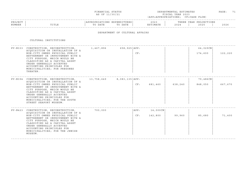| FINANCIAI.<br>STATUS                                                                                                                                                                                                                             | "IMATES<br>DEPARTMENTAL ESTI | ^AGE | $ -$ |
|--------------------------------------------------------------------------------------------------------------------------------------------------------------------------------------------------------------------------------------------------|------------------------------|------|------|
| and the contract of the contract of the contract of the contract of the contract of the contract of the contract of the contract of the contract of the contract of the contract of the contract of the contract of the contra<br>AS OF 11/30/21 | FISCAL YEAR 2023             |      |      |

| PROJECT |                                        | . J IN 2 | TURES | ? 0 2 .                                                | IRABB | IONS<br>Vロハロ<br>^ חרי<br>11 D.A.IV |      |
|---------|----------------------------------------|----------|-------|--------------------------------------------------------|-------|------------------------------------|------|
| NUMBER  | m <del>.</del> m <del>.</del> n<br>ᆠᆠᆈ | DATE     | DATF  | <b>TMATR</b><br>$\mathbf{H}$ $\mathbf{H}$ $\mathbf{H}$ | 202   | つのつに<br>2 U Z 3                    | 2026 |
|         |                                        |          |       |                                                        |       |                                    |      |

#### DEPARTMENT OF CULTURAL AFFAIRS

| PV-N333 CONSTRUCTION, RECONSTRUCTION, 1,467,896<br>ACOUISITION OR INSTALLATION OF A<br>NON-CITY OWNED PHYSICAL PUBLIC<br>BETTERMENT OR IMPROVEMENT WITH A<br>CITY PURPOSE, WHICH WOULD BE<br>CLASSIFIED AS A CAPITAL ASSET<br>UNDER GENERALLY ACCEPTED<br>ACCOUNTING PRINCIPLES FOR<br>MUNICIPALITIES; FOR PREGONES<br>THEATER.      |            | 658,925   APP:   | CF:         |                     |         | 64,029CN<br>174,600 | 122,220 |
|--------------------------------------------------------------------------------------------------------------------------------------------------------------------------------------------------------------------------------------------------------------------------------------------------------------------------------------|------------|------------------|-------------|---------------------|---------|---------------------|---------|
| PV-N394 CONSTRUCTION, RECONSTRUCTION,<br>ACOUISITION OR INSTALLATION OF A<br>NON-CITY OWNED PHYSICAL PUBLIC<br>BETTERMENT OR IMPROVEMENT WITH A<br>CITY PURPOSE, WHICH WOULD BE<br>CLASSIFIED AS A CAPITAL ASSET<br>UNDER GENERALLY ACCEPTED<br>ACCOUNTING PRINCIPLES FOR<br>MUNICIPALITIES; FOR THE SOUTH<br>STREET SEAPORT MUSEUM. | 13,758,649 | 8,083,135   APP: | CF:         | 681,460             | 638,240 | 79,486CN<br>848,050 | 667,670 |
| PV-N423 CONSTRUCTION, RECONSTRUCTION,<br>ACOUISITION OR INSTALLATION OF A<br>NON-CITY OWNED PHYSICAL PUBLIC<br>BETTERMENT OR IMPROVEMENT WITH A<br>CITY PURPOSE, WHICH WOULD BE<br>CLASSIFIED AS A CAPITAL ASSET<br>UNDER GENERALLY ACCEPTED<br>ACCOUNTING PRINCIPLES FOR<br>MUNICIPALITIES; FOR THE JEWISH<br>MUSEUM.               | 700,000    |                  | APP:<br>CF: | 14,000CN<br>142,800 | 99,960  | 85,680              | 71,400  |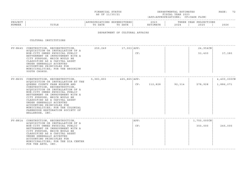| FINANCIAI.<br>STATUS                                                                                                                                                                                                                             | DEPARTMENTAL ESTIMATES | $\sim$ $\sim$<br>^AGE |
|--------------------------------------------------------------------------------------------------------------------------------------------------------------------------------------------------------------------------------------------------|------------------------|-----------------------|
| and the contract of the contract of the contract of the contract of the contract of the contract of the contract of the contract of the contract of the contract of the contract of the contract of the contract of the contra<br>AS OF 11/30/21 | FISCAL YEAR 2023       |                       |

#### ------------------------------------------------------------------------------------------------------------------------------------PROJECT | |APPROPRIATIONS EXPENDITURES| 2023 | THREE YEAR PROJECTIONS NUMBER | TITLE | TO DATE TO DATE | ESTIMATE | 2024 | 2025 | 2026 ------------------------------------------------------------------------------------------------------------------------------------

#### DEPARTMENT OF CULTURAL AFFAIRS

| PV-N645 CONSTRUCTION, RECONSTRUCTION,                                                                                                                                                                                                                                                                                                                                                         | 259,049 17,003 APP:                                                                                                                                                                          |           |     |                           |        | $24,954$ CN    |             |
|-----------------------------------------------------------------------------------------------------------------------------------------------------------------------------------------------------------------------------------------------------------------------------------------------------------------------------------------------------------------------------------------------|----------------------------------------------------------------------------------------------------------------------------------------------------------------------------------------------|-----------|-----|---------------------------|--------|----------------|-------------|
| NON-CITY OWNED PHYSICAL PUBLIC<br>BETTERMENT OR IMPROVEMENT WITH A<br>CITY PURPOSE, WHICH WOULD BE<br>CLASSIFIED AS A CAPITAL ASSET<br>UNDER GENERALLY ACCEPTED<br>ACCOUNTING PRINCIPLES FOR<br>MUNICIPALITIES; FOR THE BROOKLYN<br>YOUTH CHORUS.                                                                                                                                             |                                                                                                                                                                                              |           | CF: |                           |        | 53,400         | 37,380      |
|                                                                                                                                                                                                                                                                                                                                                                                               |                                                                                                                                                                                              |           |     |                           |        |                | 4,400,000CN |
| OUEENS COUNTY FARM MUSEUM AND<br>CONSTRUCTION, RECONSTRUCTION,<br>ACQUISITION OR INSTALLATION OF A<br>NON-CITY OWNED PHYSICAL PUBLIC<br>BETTERMENT OR IMPROVEMENT WITH A<br>CITY PURPOSE, WHICH WOULD BE<br>CLASSIFIED AS A CAPITAL ASSET<br>UNDER GENERALLY ACCEPTED<br>ACCOUNTING PRINCIPLES FOR<br>MUNICIPALITIES; FOR THE COLONIAL<br>FARMHOUSE RESTORATION SOCIETY OF<br>BELLEROSE, INC. |                                                                                                                                                                                              |           | CF: | 112,828                   | 92,314 | 278,928        | 1,886,071   |
|                                                                                                                                                                                                                                                                                                                                                                                               |                                                                                                                                                                                              |           |     |                           |        | $1,750,000$ CN |             |
| NON-CITY OWNED PHYSICAL PUBLIC<br>BETTERMENT OR IMPROVEMENT WITH A<br>CITY PURPOSE, WHICH WOULD BE<br>CLASSIFIED AS A CAPITAL ASSET<br>UNDER GENERALLY ACCEPTED<br>ACCOUNTING PRINCIPLES FOR<br>MUNICIPALITIES; FOR THE DIA CENTER<br>FOR THE ARTS, INC.                                                                                                                                      |                                                                                                                                                                                              |           | CF: |                           |        | 350,000        | 245,000     |
|                                                                                                                                                                                                                                                                                                                                                                                               | ACQUISITION OR INSTALLATION OF A<br>PV-N655 CONSTRUCTION, RECONSTRUCTION,<br>ACQUISITION OR INSTALLATION AT THE<br>PV-N814 CONSTRUCTION, RECONSTRUCTION,<br>ACOUISITION OR INSTALLATION OF A | 5,983,893 |     | $465, 865$ $APP:$<br>APP: |        |                |             |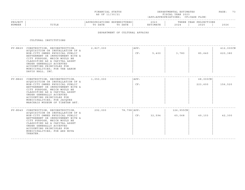| FINANCIAL STATUS                                                                                                                  | DEPARTMENTAL ESTIMATES | PAGE | $ -$<br>__ |
|-----------------------------------------------------------------------------------------------------------------------------------|------------------------|------|------------|
| the contract of the contract of the contract of the contract of the contract of the contract of the contract of<br>AS OF 11/30/21 | FISCAL YEAR 2023       |      |            |

|         |                 |                                              |                      |                              |                               |                                                                              | - - - - - |
|---------|-----------------|----------------------------------------------|----------------------|------------------------------|-------------------------------|------------------------------------------------------------------------------|-----------|
| PROJECT |                 |                                              | . N 1 1<br>.         | $\sim$ $\sim$ $\sim$<br>202. |                               | $\cap$ NT $\subset$<br>ת הדי<br>. H.<br>U 11 JUNIO 11 JUNIO 11<br>$\sqrt{2}$ |           |
| NUMBER  | 고 따고 교<br>פחודה | n a m n<br>$m \wedge$<br>DA I E<br>$\lambda$ | DATE<br>$\mathsf{m}$ | . 352 m 1<br>I'IA I E        | $\cap$ $\cap$ $\cap$<br>2 U 2 | 202F                                                                         | 2026      |
|         |                 |                                              |                      |                              |                               |                                                                              |           |

## DEPARTMENT OF CULTURAL AFFAIRS

| CONSTRUCTION, RECONSTRUCTION,                                                                                                                                                                                                                                  | 2,827,000                                                                                                                                                                                  | APP:        |        |           |          | 412,000CN |
|----------------------------------------------------------------------------------------------------------------------------------------------------------------------------------------------------------------------------------------------------------------|--------------------------------------------------------------------------------------------------------------------------------------------------------------------------------------------|-------------|--------|-----------|----------|-----------|
| NON-CITY OWNED PHYSICAL PUBLIC<br>BETTERMENT OR IMPROVEMENT WITH A<br>CITY PURPOSE, WHICH WOULD BE<br>CLASSIFIED AS A CAPITAL ASSET<br>UNDER GENERALLY ACCEPTED<br>ACCOUNTING PRINCIPLES FOR<br>MUNICIPALITIES; FOR THE AARON<br>DAVIS HALL, INC.              |                                                                                                                                                                                            | CF:         | 5,400  | 3,780     | 85,640   | 620,380   |
|                                                                                                                                                                                                                                                                | 1,050,000                                                                                                                                                                                  | APP:        |        |           | 68,000CN |           |
| NON-CITY OWNED PHYSICAL PUBLIC<br>BETTERMENT OR IMPROVEMENT WITH A<br>CITY PURPOSE, WHICH WOULD BE<br>CLASSIFIED AS A CAPITAL ASSET<br>UNDER GENERALLY ACCEPTED<br>ACCOUNTING PRINCIPLES FOR<br>MUNICIPALITIES; FOR JACOUES<br>MARCHAIS MUSEUM OF TIBETAN ART. |                                                                                                                                                                                            | CF:         |        |           | 223,600  | 156,520   |
|                                                                                                                                                                                                                                                                | 292,000                                                                                                                                                                                    | 78,798 APP: |        | 126,955CN |          |           |
| NON-CITY OWNED PHYSICAL PUBLIC<br>BETTERMENT OR IMPROVEMENT WITH A<br>CITY PURPOSE, WHICH WOULD BE<br>CLASSIFIED AS A CAPITAL ASSET<br>UNDER GENERALLY ACCEPTED<br>ACCOUNTING PRINCIPLES FOR<br>MUNICIPALITIES; FOR ARS NOVA<br>THEATER.                       |                                                                                                                                                                                            | CF:         | 32,594 | 65,068    | 49,103   | 42,300    |
|                                                                                                                                                                                                                                                                | ACOUISITION OR INSTALLATION OF A<br>PV-N860 CONSTRUCTION, RECONSTRUCTION,<br>ACOUISITION OR INSTALLATION OF A<br>PV-N949 CONSTRUCTION, RECONSTRUCTION,<br>ACOUISITION OR INSTALLATION OF A |             |        |           |          |           |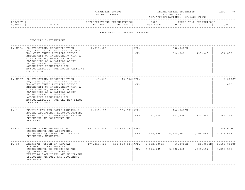| FINANCIAL STATUS | DEPARTMENTAL ESTIMATES | PAGE |  |
|------------------|------------------------|------|--|
| AS OF 11/30/21   | FISCAL YEAR 2023       |      |  |

| PROJEC |       |              | ,,,,,,,, | 202.           |                               | $\cap$ NT $\subset$<br>꼬ㅁㅈ.<br>ᆂᆂᇦᇌᇦ<br>$\left  \right $ |              |
|--------|-------|--------------|----------|----------------|-------------------------------|----------------------------------------------------------|--------------|
| NUMBER | ⊥⊥⊥⊥⊥ | 五九中形<br>DATE | DATE     | <b>TASA MT</b> | $\cap$ $\cap$ $\cap$<br>2 U Z | 2025                                                     | 2022<br>ていてん |
|        |       |              |          |                |                               |                                                          |              |

### DEPARTMENT OF CULTURAL AFFAIRS

|           | PV-N954 CONSTRUCTION, RECONSTRUCTION,<br>ACQUISITION OR INSTALLATION OF A<br>NON-CITY OWNED PHYSICAL PUBLIC<br>BETTERMENT OR IMPROVEMENT WITH A<br>CITY PURPOSE, WHICH WOULD BE<br>CLASSIFIED AS A CAPITAL ASSET<br>UNDER GENERALLY ACCEPTED<br>ACCOUNTING PRINCIPLES FOR<br>MUNICIPALITIES; FOR NOBLE MARITIME<br>COLLECTION.     | 2,816,000 |                                    | APP:<br>CF: |                                   | 308,000CN<br>624,800     | 437,360                  | 374,880                    |
|-----------|------------------------------------------------------------------------------------------------------------------------------------------------------------------------------------------------------------------------------------------------------------------------------------------------------------------------------------|-----------|------------------------------------|-------------|-----------------------------------|--------------------------|--------------------------|----------------------------|
|           | PV-N987 CONSTRUCTION, RECONSTRUCTION,<br>ACQUISITION OR INSTALLATION OF A<br>NON-CITY OWNED PHYSICAL PUBLIC<br>BETTERMENT OR IMPROVEMENT WITH A<br>CITY PURPOSE, WHICH WOULD BE<br>CLASSIFIED AS A CAPITAL ASSET<br>UNDER GENERALLY ACCEPTED<br>ACCOUNTING PRINCIPLES FOR<br>MUNICIPALITIES; FOR THE NEW STAGE<br>THEATRE COMPANY. | 43,646    | $43,646$ $APP:$                    | CF:         |                                   |                          |                          | 2,000CN<br>400             |
| $PV - 1$  | FUNDING FOR THE LOUIS ARMSTRONG<br>HOUSE, ADDITIONS, RECONSTRUCTION,<br>REHABILITATION, IMPROVEMENTS AND<br>PURCHASES OF EQUIPMENT AND<br>VEHICLES                                                                                                                                                                                 | 2,890,189 | $763,551$ $APP:$                   | CF:         | 11,775                            | 240,000CN<br>471,798     | 331,545                  | 284,216                    |
| $PV - 22$ | METROPOLITAN MUSEUM OF ART,<br>IMPROVEMENTS AND ADDITIONS,<br>INCLUDING EQUIPMENT AND VEHICLE<br>PURCHASES, MANHATTAN.                                                                                                                                                                                                             |           |                                    | CF:         | 318,154                           | 4,249,562                | 3,009,488                | 391,474CN<br>3,579,633     |
| $PV - 34$ | AMERICAN MUSEUM OF NATURAL<br>HISTORY, ALTERATIONS AND<br>IMPROVEMENTS TO BUILDINGS AND<br>EQUIPMENT AND ADDITIONS TO<br>EXISTING FACILITIES AND EQUIPMENT,<br>INCLUDING VEHICLE AND EQUIPMENT<br>PURCHASES.                                                                                                                       |           | $177, 215, 626$ 150,898,624   APP: |             | $6,992,000$ CN<br>CF: 7, 116, 785 | $60,000$ CN<br>5,598,460 | $20,000$ CN<br>4,701,117 | 1,100,000CN<br>4, 253, 555 |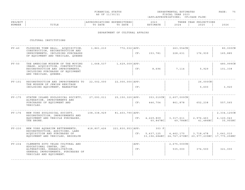|  | FINANCIAL STATUS |  |
|--|------------------|--|
|  | AS OF 11/30/21   |  |

FINANCIAL STATUS DEPARTMENTAL ESTIMATES PAGE: 75 FISCAL YEAR 2023 (APP=APPROPRIATIONS; CF=CASH FLOW)

|         |                  |           |                      |                                |                      |                   | ------- |
|---------|------------------|-----------|----------------------|--------------------------------|----------------------|-------------------|---------|
| PROJECT |                  | ، N<br>.  | ت ا<br>.<br>$\cdots$ | $\rightarrow$ 0 $\sim$<br>◡▵   |                      | ROJECTIONS<br>EAR |         |
| NUMBER  | $m + n$<br>புபடங | DATE<br>ᡢ | DATE<br>$\pi \cap$   | <b>TMA 따</b><br>יים ה<br>IMATE | $\cap$ $\cap$<br>202 | 2025              | 2026    |
|         |                  |           |                      |                                |                      |                   |         |

### DEPARTMENT OF CULTURAL AFFAIRS

| $PV - 40$  | FLUSHING TOWN HALL: ACOUISITION,                                                                                                   | 1,861,210   | 772,032   APP:               |      |                        | $263,554$ CN          |                                                                                | 80,000CN              |
|------------|------------------------------------------------------------------------------------------------------------------------------------|-------------|------------------------------|------|------------------------|-----------------------|--------------------------------------------------------------------------------|-----------------------|
|            | CONSTRUCTION, RECONSTRUCTION AND<br>IMPROVEMENTS, INCLUDING PURCHASES<br>OF EQUIPMENT AND VEHICLES, QUEENS                         |             |                              | CF:  | 153,781                | 228,631               | 176,939                                                                        | 165,885               |
| $PV - 50$  | THE AMERICAN MUSEUM OF THE MOVING                                                                                                  | 1,668,537   | $1,629,009$ $\vert$ APP:     |      |                        |                       |                                                                                | 480,999CN             |
|            | IMAGE: ACQUISITION, CONSTRUCTION,<br>RECONSTRUCTION AND IMPROVEMENTS,<br>INCLUDING PURCHASES OF EQUIPMENT<br>AND VEHICLES, QUEENS. |             |                              | CF:  | 8,696                  | 7,114                 | 5,929                                                                          | 101,338               |
| $PV-101$   | RECONSTRUCTION AND IMPROVEMENTS TO                                                                                                 | 22,002,000  | $22,000,000$ $\texttt{APP:}$ |      |                        |                       | $26,000$ CN                                                                    |                       |
|            | THE MUSEUM OF JEWISH HERITAGE<br>INCLUDING EQUIPMENT, MANHATTAN                                                                    |             |                              | CF:  |                        |                       | 5,600                                                                          | 3,920                 |
| $PV - 175$ | STATEN ISLAND ZOOLOGICAL SOCIETY,                                                                                                  | 27,093,011  | 25,150,320   APP:            |      | 353,010CN              | $2,607,000 \text{CN}$ |                                                                                |                       |
|            | ALTERATION, IMPROVEMENTS AND<br>PURCHASES OF EQUIPMENT AND<br>VEHICLES.                                                            |             |                              | CF:  | 446,704                | 861,878               | 652,238                                                                        | 557,565               |
| $PV - 176$ | NEW YORK ZOOLOGICAL SOCIETY,<br>RECONSTRUCTION, IMPROVEMENTS AND                                                                   | 108,338,929 | 81,403,790   APP:            |      |                        |                       |                                                                                | 2,334,125CN           |
|            | EQUIPMENT AND VEHICLE PURCHASES,<br>THE BRONX.                                                                                     |             |                              | CF:  | 4,229,809<br>60, 847NC | 3,317,611<br>49,784NC | 2,976,463<br>41,486NC                                                          | 4,120,043<br>35,955NC |
| $PV - 230$ | NEW YORK AQUARIUM BETTERMENTS,<br>RECONSTRUCTION, ADDITIONS, LAND                                                                  | 418,807,426 | $221,830,953$ $APP:$         |      | $303$ F                |                       |                                                                                |                       |
|            | ACOUISITION AND PURCHASES OF<br>EQUIPMENT AND VEHICLES, BROOKLYN                                                                   |             |                              |      | CF: 5,437,125          | 4,462,170             | 3,718,478<br>33, 196, 684NC   24, 767, 670NC   20, 977, 235NC   17, 775, 258NC | 3,641,010             |
| $PV - 234$ | CLEMENTE SOTO VELEZ CULTURAL AND<br>EDUCATIONAL CENTER, INC,                                                                       |             |                              | APP: |                        | $2,675,000$ CN        |                                                                                |                       |
|            | ALTERATIONS, REHABILITATION,<br>GENERAL IMPROVEMENTS, PURCHASES OF<br>VEHICLES AND EQUIPMENT.                                      |             |                              | CF:  |                        | 535,000               | 374,500                                                                        | 321,000               |
|            |                                                                                                                                    |             |                              |      |                        |                       |                                                                                |                       |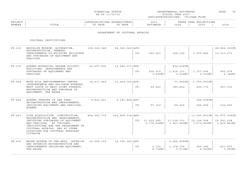| FINANCIAI.<br>STATUS                                                                                                              | DEPARTMENTAL ESTIMATES | ^AGE<br>$\sim$ |
|-----------------------------------------------------------------------------------------------------------------------------------|------------------------|----------------|
| the contract of the contract of the contract of the contract of the contract of the contract of the contract of<br>AS OF 11/30/21 | FISCAL YEAR 2023       |                |

|         |                 |                                              |                      |                              |                               |                                                                              | - - - - - |
|---------|-----------------|----------------------------------------------|----------------------|------------------------------|-------------------------------|------------------------------------------------------------------------------|-----------|
| PROJECT |                 |                                              | . N 1 1<br>.         | $\sim$ $\sim$ $\sim$<br>202. |                               | $\cap$ NT $\subset$<br>ת הדי<br>. H.<br>U 11 JUNIO 11 JUNIO 11<br>$\sqrt{2}$ |           |
| NUMBER  | 고 따고 교<br>פחודה | n a m n<br>$m \wedge$<br>DA I E<br>$\lambda$ | DATE<br>$\mathsf{m}$ | . 352 m 1<br>I'IA I E        | $\cap$ $\cap$ $\cap$<br>2 U 2 | 202F                                                                         | 2026      |
|         |                 |                                              |                      |                              |                               |                                                                              |           |

### DEPARTMENT OF CULTURAL AFFAIRS

| $PV - 235$ | BROOKLYN MUSEUM, ALTERATION,<br>RECONSTRUCTION, GENERAL<br>IMPROVEMENTS TO EXISTING BUILDINGS                                                                                         | 109,324,248 | 94,363,020   APP:    | CF: | 392,401            | 304,156                                 | 1,255,846                 | 48,866,383CN<br>12, 313, 473 |
|------------|---------------------------------------------------------------------------------------------------------------------------------------------------------------------------------------|-------------|----------------------|-----|--------------------|-----------------------------------------|---------------------------|------------------------------|
|            | AND PURCHASES OF EQUIPMENT AND<br>VEHICLES.                                                                                                                                           |             |                      |     |                    |                                         |                           |                              |
| $PV - 272$ | OUEENS BOTANICAL GARDEN SOCIETY,<br>ADDITIONS, IMPROVEMENTS AND                                                                                                                       | 20,697,606  | 13,289,137   APP:    |     |                    | 894,458CN                               |                           |                              |
|            | PURCHASES OF EQUIPMENT AND<br>VEHICLES.                                                                                                                                               |             |                      | CF: | 236,012<br>3,696NC | 1,616,131<br>3,024NC                    | 1,157,066<br>2,520NC      | 992,676<br>2,184NC           |
| $PV - 464$ | WAVE HILL ENVIRONMENTAL CENTER,<br>INDEPENDENCE AND PALISADE AVENUES.                                                                                                                 | 14,671,469  | 13,569,340   APP:    |     |                    |                                         | 71,902CN   1,750,000CN    |                              |
|            | WEST 248TH TO WEST 252ND STREETS,<br>RECONSTRUCTION AND PURCHASE OF<br>EQUIPMENT, THE BRONX                                                                                           |             |                      | CF: | 99,263             | 189,822                                 | 493,772                   | 367,332                      |
| $PV - 466$ | OUEENS THEATER IN THE PARK:<br>RECONSTRUCTION AND IMPROVEMENTS,                                                                                                                       | 9,832,021   | $9,181,844$ $APP:$   |     |                    |                                         | $566, 958$ CN             |                              |
|            | INCLUDING EQUIPMENT AND VEHICLES,<br>OUEENS                                                                                                                                           |             |                      | CF: | 97,333             | 69,425                                  | 206,294                   | 152,560                      |
| $PV - 467$ | SITE ACOUISITION, CONSTRUCTION,<br>RECONSTRUCTION AND IMPROVEMENTS,                                                                                                                   | 454,440,735 | 362, 969, 534   APP: |     |                    |                                         |                           | 11,300,801CN   45,975,000CN  |
|            | INCLUDING PURCHASES OF EQUIPMENT<br>AND VEHICLES, AT CULTURAL<br>INSTITUTIONS AND THE DEPARTMENT OF<br>CULTURAL AFFAIRS, AND AT OTHER<br>LOCATIONS FOR CULTURAL PURPOSES,<br>CITYWIDE |             |                      |     | CF: 13, 202, 285   | 11,538,033<br>$2,776,628NC$ 1,963,852NC | 12,104,554<br>1,679,969NC | 19,093,208<br>1,403,861NC    |
| PV-471     | BRONX MUSEUM OF THE ARTS, INTERIOR<br>AND EXTERIOR RECONSTRUCTION AND                                                                                                                 | 16,064,100  | 12,393,362   APP:    |     |                    | $3,254,658$ CN                          |                           |                              |
|            | IMPROVEMENTS INCLUDING EOUIPMENT,<br>THE BRONX                                                                                                                                        |             |                      | CF: | 2,150<br>6,736NC   | 1,378,759<br>5,511NC                    | 965,366<br>4,593NC        | 827,470<br>3,980NC           |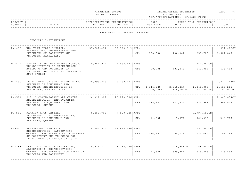| FINANCIAL STATUS                                                                                                                  | DEPARTMENTAL ESTIMATES | ^AGE | $\sim$ $\sim$ |
|-----------------------------------------------------------------------------------------------------------------------------------|------------------------|------|---------------|
| the contract of the contract of the contract of the contract of the contract of the contract of the contract of<br>AS OF 11/30/21 | FISCAL YEAR 2023       |      |               |

|                       |                                |                |      |                       |     |                                                                        | - - - - - |
|-----------------------|--------------------------------|----------------|------|-----------------------|-----|------------------------------------------------------------------------|-----------|
| PROJECT<br><b>PRO</b> |                                |                | .    | $\sim$ $\sim$<br>202. |     | $\cap$ $N \subseteq$<br>ъ.<br>l H' (<br>EAR<br>U <i>U LU LU LU U U</i> |           |
| NUMBER                | $\pi$ $\pi$ $\ldots$<br>⊥⊥⊥⊥∟∟ | יחת<br>D'A I E | DATE | $-342$ m<br>.         | つのつ | 202 <sub>r</sub>                                                       | 2026      |
|                       |                                |                |      |                       |     |                                                                        |           |

### DEPARTMENT OF CULTURAL AFFAIRS

| $PV - 475$ | NEW YORK STATE THEATER,<br>ALTERATIONS, IMPROVEMENTS AND<br>PURCHASES OF EQUIPMENT AND<br>VEHICLES, MANHATTAN.                        | 37,701,417   | 30, 123, 919   APP:   | CF: | 150,098                | 108,342                | 258,725                 | 931,402CN<br>1,581,847 |
|------------|---------------------------------------------------------------------------------------------------------------------------------------|--------------|-----------------------|-----|------------------------|------------------------|-------------------------|------------------------|
| $PV - 477$ | STATEN ISLAND CHILDREN'S MUSEUM,                                                                                                      | 10,764,927   | 7,687,171   APP:      |     |                        |                        | 441,887CN               |                        |
|            | REHABILITATION OF MAINTENANCE<br>BUILDING AND PURCHASES OF<br>EQUIPMENT AND VEHICLES, SAILOR'S<br>SNUG HARBOR.                        |              |                       | CF: | 68,909                 | 483,249                | 545,854                 | 435,464                |
| $PV - 490$ | DEVELOPMENT OF SNUG HARBOR SITE,<br>PURCHASE OF EQUIPMENT AND                                                                         | 44,895,218   | $26, 180, 421$   APP: |     |                        |                        |                         | 2,812,743CN            |
|            | VEHICLES, RECONSTRUCTION OF<br>BUILDINGS, STATEN ISLAND.                                                                              |              |                       | CF: | 2,346,229<br>200,000NC | 2,845,214<br>140,000NC | 2,248,808<br>120,000NC  | 2,615,211<br>100,000NC |
| $PV - 501$ | P.S. 1 CONTEMPORARY ART CENTER,<br>RECONSTRUCTION, IMPROVEMENTS,                                                                      | 24, 311, 302 | 20, 223, 086   APP:   |     |                        |                        |                         | 2,365,034CN            |
|            | PURCHASE OF EQUIPMENT AND<br>VEHICLES, QUEENS                                                                                         |              |                       | CF: | 248,121                | 541,733                | 474,988                 | 995,524                |
| $PV - 502$ | JAMAICA ARTS CENTER,<br>RECONSTRUCTION, IMPROVEMENTS,                                                                                 | 8,450,705    | $7,800,325$ $APP:$    |     |                        |                        | 1,797,593C <sub>N</sub> |                        |
|            | PURCHASE OF EQUIPMENT AND<br>VEHICLES, QUEENS.                                                                                        |              |                       | CF: | 14,662                 | 11,476                 | 484,636                 | 340,763                |
| $PV - 520$ | WEEKSVILLE, BROOKLYN:                                                                                                                 | 14,583,556   | 13,873,380   APP:     |     |                        |                        | $150,000$ CN            |                        |
|            | RECONSTRUCTION, LANDSCAPING,<br>GENERAL IMPROVEMENTS AND PURCHASES<br>OF EQUIPMENT AND VEHICLES FOR<br>DEVELOPMENT OF HISTORICAL SITE |              |                       | CF: | 134,682                | 98,116                 | 123,467                 | 98,294                 |
| $PV - 788$ | THE 122 COMMUNITY CENTER INC,                                                                                                         | 8,519,870    | 4, 255, 760   APP:    |     |                        | $215,545$ CN           | $58,000$ CN             |                        |
|            | ALTERATIONS, REHABILITATION,<br>GENERAL IMPROVEMENTS, PURCHASES OF<br>VEHICLES AND EQUIPMENT.                                         |              |                       | CF: | 211,500                | 829,864                | 615,746                 | 523,468                |
|            |                                                                                                                                       |              |                       |     |                        |                        |                         |                        |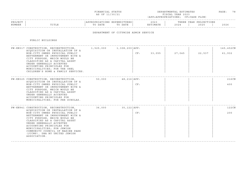| FINANCIAI.<br>STATUS                                                                                                                                                                                                                             | DEPARTMENTAL ESTIMATES | $\sim$ $\sim$<br>^AGE<br>$\sim$ |
|--------------------------------------------------------------------------------------------------------------------------------------------------------------------------------------------------------------------------------------------------|------------------------|---------------------------------|
| and the contract of the contract of the contract of the contract of the contract of the contract of the contract of the contract of the contract of the contract of the contract of the contract of the contract of the contra<br>AS OF 11/30/21 | FISCAL YEAR 2023       |                                 |

### ------------------------------------------------------------------------------------------------------------------------------------PROJECT | |APPROPRIATIONS EXPENDITURES| 2023 | THREE YEAR PROJECTIONS NUMBER | TITLE | TO DATE TO DATE | ESTIMATE | 2024 | 2025 | 2026 ------------------------------------------------------------------------------------------------------------------------------------

#### DEPARTMENT OF CITYWIDE ADMIN SERVICE

| PW-KN317 CONSTRUCTION, RECONSTRUCTION, 1,525,000 1,308,200 APP:                                                                                                                                                                                                                                                                                     |  |     |        |        |        | 145,452CN |
|-----------------------------------------------------------------------------------------------------------------------------------------------------------------------------------------------------------------------------------------------------------------------------------------------------------------------------------------------------|--|-----|--------|--------|--------|-----------|
| ACOUISITION OR INSTALLATION OF A<br>NON-CITY OWNED PHYSICAL PUBLIC<br>BETTERMENT OR IMPROVEMENT WITH A<br>CITY PURPOSE, WHICH WOULD BE<br>CLASSIFIED AS A CAPITAL ASSET<br>UNDER GENERALLY ACCEPTED<br>ACCOUNTING PRINCIPLES FOR<br>MUNICIPALITIES; FOR THE OHEL<br>CHILDREN'S HOME & FAMILY SERVICES.                                              |  | CF: | 33,055 | 27,045 | 22,537 | 61,932    |
| PW-KN325 CONSTRUCTION, RECONSTRUCTION, 50,000 48,216 APP:                                                                                                                                                                                                                                                                                           |  |     |        |        |        | 216CN     |
| ACOUISITION OR INSTALLATION OF A<br>NON-CITY OWNED PHYSICAL PUBLIC<br>BETTERMENT OR IMPROVEMENT WITH A<br>CITY PURPOSE, WHICH WOULD BE<br>CLASSIFIED AS A CAPITAL ASSET<br>UNDER GENERALLY ACCEPTED<br>ACCOUNTING PRINCIPLES FOR<br>MUNICIPALITIES; FOR PER SCHOLAS.                                                                                |  | CF: |        |        |        | 400       |
| PW-KN941 CONSTRUCTION, RECONSTRUCTION, 36,000 35,122 APP:                                                                                                                                                                                                                                                                                           |  |     |        |        |        | 122CN     |
| ACOUISITION OR INSTALLATION OF A<br>NON-CITY OWNED PHYSICAL PUBLIC<br>BETTERMENT OR IMPROVEMENT WITH A<br>CITY PURPOSE, WHICH WOULD BE<br>CLASSIFIED AS A CAPITAL ASSET<br>UNDER GENERALLY ACCEPTED<br>ACCOUNTING PRINCIPLES FOR<br>MUNICIPALITIES; FOR JEWISH<br>COMMUNITY COUNCIL OF MARINE PARK<br>(JCCMP), DBA NY UNITED JEWISH<br>ASSOCIATION. |  | CF: |        |        |        | 200       |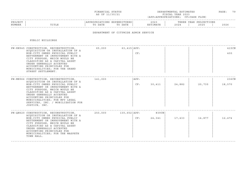| FINANCIAL STATUS                                                                                                                  | TMATES<br>DEPARTMENTAL ESTI | > A G E<br>_______ | $\sim$ $\sim$<br>___ |
|-----------------------------------------------------------------------------------------------------------------------------------|-----------------------------|--------------------|----------------------|
| the contract of the contract of the contract of the contract of the contract of the contract of the contract of<br>AS OF 11/30/21 | FISCAL YEAR 2023            |                    |                      |

| PROJECT |               |      |      | $\cap$ $\cap$ $\cap$<br>202. | הם הוד<br>ت تا ۱۱۱۰ ا | IONS<br>YEAR<br>ית ה |      |
|---------|---------------|------|------|------------------------------|-----------------------|----------------------|------|
| NUMBER  | ㅠㅜㅠㅜ ㅠ<br>ᆂᆂᅭ | DATE | DATE |                              | 202                   | 2025                 | 2026 |
|         |               |      |      |                              |                       |                      |      |

## DEPARTMENT OF CITYWIDE ADMIN SERVICE

| PW-KN945 CONSTRUCTION, RECONSTRUCTION, 65,000 63,415   APP:<br>ACOUISITION OR INSTALLATION OF A<br>NON-CITY OWNED PHYSICAL PUBLIC<br>BETTERMENT OR IMPROVEMENT WITH A<br>CITY PURPOSE, WHICH WOULD BE<br>CLASSIFIED AS A CAPITAL ASSET                                                                                  |                                                | CF: |                 |                                                             |        | 415CN<br>400    |
|-------------------------------------------------------------------------------------------------------------------------------------------------------------------------------------------------------------------------------------------------------------------------------------------------------------------------|------------------------------------------------|-----|-----------------|-------------------------------------------------------------|--------|-----------------|
| UNDER GENERALLY ACCEPTED<br>ACCOUNTING PRINCIPLES FOR<br>MUNICIPALITIES; FOR THE GRAND<br>STREET SETTLEMENT.                                                                                                                                                                                                            |                                                |     |                 |                                                             |        |                 |
| ACOUISITION OR INSTALLATION OF A<br>NON-CITY OWNED PHYSICAL PUBLIC<br>BETTERMENT OR IMPROVEMENT WITH A<br>CITY PURPOSE, WHICH WOULD BE<br>CLASSIFIED AS A CAPITAL ASSET<br>UNDER GENERALLY ACCEPTED<br>ACCOUNTING PRINCIPLES FOR<br>MUNICIPALITIES; FOR MFY LEGAL<br>SERVICES, INC. / MOBILIZATION FOR<br>JUSTICE, INC. |                                                | CF: | 30,411          | 24,882                                                      | 20,735 | 236CN<br>18,570 |
| ACOUISITION OR INSTALLATION OF A<br>NON-CITY OWNED PHYSICAL PUBLIC<br>BETTERMENT OR IMPROVEMENT WITH A<br>CITY PURPOSE, WHICH WOULD BE<br>CLASSIFIED AS A CAPITAL ASSET<br>UNDER GENERALLY ACCEPTED<br>ACCOUNTING PRINCIPLES FOR<br>MUNICIPALITIES; FOR THE MASPETH<br>TOWN HALL.                                       |                                                | CF: | 839CN<br>24,341 | 17,433                                                      | 14,877 | 12,474          |
|                                                                                                                                                                                                                                                                                                                         | PW-MN966 CONSTRUCTION, RECONSTRUCTION, 141,000 |     | APP:            | PW-QN620 CONSTRUCTION, RECONSTRUCTION, 250,000 130,652 APP: |        |                 |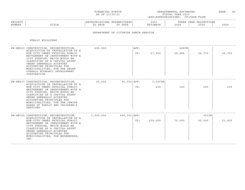|  | FINANCIAL STATUS |  |
|--|------------------|--|
|  | AS OF 11/30/21   |  |

FINANCIAL STATUS DEPARTMENTAL ESTIMATES PAGE: 80 FISCAL YEAR 2023 (APP=APPROPRIATIONS; CF=CASH FLOW)

|        |             |            |                                          |       |                    | -------------------------------------- |              |
|--------|-------------|------------|------------------------------------------|-------|--------------------|----------------------------------------|--------------|
| ^ פת   |             | $\pm 111.$ | END<br>---                               | 2023  | 'H P               | TIONS<br>ח מח<br>$\overline{1}$        |              |
| NUMBER | ז דרחי<br>. | DATE       | חחת ה<br>$\overline{m}$ $\wedge$<br>DAT. | IMATE | $\Delta$<br>- 2023 | $\cap$<br>-4045                        | 2000<br>ていてい |
|        |             |            |                                          |       |                    |                                        |              |

## DEPARTMENT OF CITYWIDE ADMIN SERVICE

| PW-XN063 CONSTRUCTION, RECONSTRUCTION,                                                                                                                                                                                                                                                                            | 200,000   |                   | APP: |         | $468$ CN |        |        |
|-------------------------------------------------------------------------------------------------------------------------------------------------------------------------------------------------------------------------------------------------------------------------------------------------------------------|-----------|-------------------|------|---------|----------|--------|--------|
| ACQUISITION OR INSTALLATION OF A<br>NON-CITY OWNED PHYSICAL PUBLIC<br>BETTERMENT OR IMPROVEMENT WITH A<br>CITY PURPOSE, WHICH WOULD BE<br>CLASSIFIED AS A CAPITAL ASSET<br>UNDER GENERALLY ACCEPTED<br>ACCOUNTING PRINCIPLES FOR<br>MUNICIPALITIES; FOR THE BRONX<br>OVERALL ECONOMIC DEVELOPMENT<br>CORPORATION. |           |                   | CF:  | 37,502  | 36,684   | 29,770 | 25,760 |
| PW-XN237 CONSTRUCTION, RECONSTRUCTION,                                                                                                                                                                                                                                                                            | 35,000    | 35,000   APP :    |      | 1,000CN |          |        |        |
| ACOUISITION OR INSTALLATION OF A<br>NON-CITY OWNED PHYSICAL PUBLIC<br>BETTERMENT OR IMPROVEMENT WITH A<br>CITY PURPOSE, WHICH WOULD BE<br>CLASSIFIED AS A CAPITAL ASSET<br>UNDER GENERALLY ACCEPTED<br>ACCOUNTING PRINCIPLES FOR<br>MUNICIPALITIES; FOR THE JEWISH<br>BOARD OF FAMILY AND CHILDREN'S<br>SERVICES. |           |                   | CF:  | 200     | 140      | 120    | 100    |
| PW-XN725 CONSTRUCTION, RECONSTRUCTION,                                                                                                                                                                                                                                                                            | 1,000,000 | $490, 351$ $APP:$ |      |         |          | 351CN  |        |
| ACOUISITION OR INSTALLATION OF A<br>NON-CITY OWNED PHYSICAL PUBLIC<br>BETTERMENT OR IMPROVEMENT WITH A<br>CITY PURPOSE, WHICH WOULD BE<br>CLASSIFIED AS A CAPITAL ASSET<br>UNDER GENERALLY ACCEPTED<br>ACCOUNTING PRINCIPLES FOR<br>MUNICIPALITIES; FOR BRONXWORKS,<br>INC.                                       |           |                   | CF:  | 100,000 | 70,000   | 62,000 | 51,400 |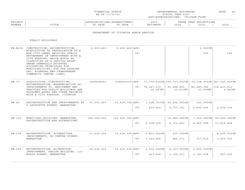|  | FINANCIAL STATUS |  |
|--|------------------|--|
|  | AS OF 11/30/21   |  |

FINANCIAL STATUS DEPARTMENTAL ESTIMATES PAGE: 81 FISCAL YEAR 2023 (APP=APPROPRIATIONS; CF=CASH FLOW)

| PROJECT |                                   |      | LUK LO'            | 2023 | סים מוז<br>---------   | IONS<br>YEAR<br>ית ה |      |
|---------|-----------------------------------|------|--------------------|------|------------------------|----------------------|------|
| NUMBER  | m T m T m<br>L ⊥ ⊥ ⊥ <del>∟</del> | DATE | DATE<br>$m \wedge$ |      | $\cap$ $\cap$<br>2 U Z | 2025                 | 2026 |
|         |                                   |      |                    |      |                        |                      |      |

## DEPARTMENT OF CITYWIDE ADMIN SERVICE

|          | PW-N236 CONSTRUCTION, RECONSTRUCTION,<br>ACOUISITION OR INSTALLATION OF A                                                                                                                                                                                                                     | 2,600,460   | $2,600,460$ $\overline{APP}$ : |     |                            |                                                                                           | $1,000$ CN             |                        |
|----------|-----------------------------------------------------------------------------------------------------------------------------------------------------------------------------------------------------------------------------------------------------------------------------------------------|-------------|--------------------------------|-----|----------------------------|-------------------------------------------------------------------------------------------|------------------------|------------------------|
|          | NON-CITY OWNED PHYSICAL PUBLIC<br>BETTERMENT OR IMPROVEMENT WITH A<br>CITY PURPOSE, WHICH WOULD BE<br>CLASSIFIED AS A CAPITAL ASSET<br>UNDER GENERALLY ACCEPTED<br>ACCOUNTING PRINCIPLES FOR<br>MUNICIPALITIES; FOR THE LESBIAN,<br>GAY, BISEXUAL AND TRANSGENDER<br>COMMUNITY CENTER (LGBT). |             |                                | CF: |                            |                                                                                           | 200                    | 140                    |
| $PW-77$  | ACOUISITION, CONSTRUCTION,                                                                                                                                                                                                                                                                    | 1496428063  |                                |     |                            | 1186240120   APP: 71, 079, 934 CN   156, 727, 000 CN   52, 038, 000 CN   247, 325, 000 CN |                        |                        |
|          | RECONSTRUCTION, MODERNIZATION OF,                                                                                                                                                                                                                                                             |             |                                |     |                            |                                                                                           |                        |                        |
|          | IMPROVEMENTS TO, EQUIPMENT AND<br>VEHICLES FOR PUBLIC BUILDINGS AND<br>ADJACENT AREAS AND OTHER PROJECTS<br>WITH A CITY PURPOSE, CITYWIDE.                                                                                                                                                    |             |                                |     | CF: 78,367,119<br>16,147NC | 90,988,855<br>13,211NC                                                                    | 82,683,362<br>11,009NC | 118,423,021<br>9,541NC |
| $PW-80$  | RECONSTRUCTION AND IMPROVEMENTS AT<br>2 LAFAYETTE STREET, MANHATTAN                                                                                                                                                                                                                           | 37,500,247  |                                |     |                            | 36,619,754   APP: 1,228,707CN   22,406,000CN                                              | $500,000$ CN           |                        |
|          |                                                                                                                                                                                                                                                                                               |             |                                | CF: | 420,925                    | 4,777,351                                                                                 | 3,490,436              | 2,970,339              |
| $PW-193$ | MUNICIPAL BUILDING, MANHATTAN,                                                                                                                                                                                                                                                                | 156,009,916 | 132,453,356   APP:             |     |                            | $10,969,900$ CN                                                                           | 1,265,000CN            | 66,049,000CN           |
|          | RECONSTRUCTION AND ALTERATIONS                                                                                                                                                                                                                                                                |             |                                | CF: | 2,338,039                  | 6,372,401                                                                                 | 4,969,998              | 17,416,468             |
| $PW-195$ | RECONSTRUCTION, ALTERATIONS,                                                                                                                                                                                                                                                                  | 13,502,199  | 10,634,139   APP:              |     | 2,821,550CN                | $220,000$ CN                                                                              |                        | 4,200,000CN            |
|          | IMPROVEMENTS, 80 CENTRE STREET,<br>MANHATTAN                                                                                                                                                                                                                                                  |             |                                | CF: | 1,140,806                  | 846,371                                                                                   | 717,919                | 1,439,731              |
|          |                                                                                                                                                                                                                                                                                               |             |                                |     |                            |                                                                                           |                        |                        |
| $PW-266$ | RECONSTRUCTION, ALTERATION,<br>IMPROVEMENT, HEALTH BUILDING, 125                                                                                                                                                                                                                              | 15,436,302  |                                |     |                            | $14,610,936$ $ APP: 1,510,399$ $CN$ $  4,157,000$ $CN$ $  1,603,000$ $CN$                 |                        |                        |
|          | WORTH STREET, MANHATTAN                                                                                                                                                                                                                                                                       |             |                                | CF: | 467,444                    | 1,159,017                                                                                 | 1,183,328              | 957,295                |
|          |                                                                                                                                                                                                                                                                                               |             |                                |     |                            |                                                                                           |                        |                        |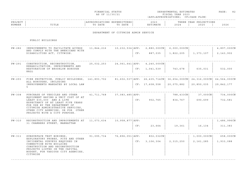| FINANCIAL STATUS | DEPARTMENTAL ESTIMATES | PAGE | 82 |
|------------------|------------------------|------|----|
| AS OF 11/30/21   | FISCAL YEAR 2023       |      |    |

|                       |                                |                |      |                       |     |                                                                        | - - - - - |
|-----------------------|--------------------------------|----------------|------|-----------------------|-----|------------------------------------------------------------------------|-----------|
| PROJECT<br><b>PRO</b> |                                |                | .    | $\sim$ $\sim$<br>202. |     | $\cap$ $N \subseteq$<br>ъ.<br>l H' (<br>EAR<br>U <i>U LU LU LU U U</i> |           |
| NUMBER                | $\pi$ $\pi$ $\ldots$<br>⊥⊥⊥⊥∟∟ | יחת<br>D'A I E | DATE | $-342$ m<br>.         | つのつ | 202 <sub>r</sub>                                                       | 2026      |
|                       |                                |                |      |                       |     |                                                                        |           |

## DEPARTMENT OF CITYWIDE ADMIN SERVICE

| PW-282   | IMPROVEMENTS TO FACILITATE ACCESS<br>AND COMPLY WITH THE AMERICANS WITH                                                                                                                                                                         | 11,844,216 |                   |     | $10, 232, 534   APP: 2, 880, 000CN   6,000,000CN  $ |            |                          | 4,897,000CN  |
|----------|-------------------------------------------------------------------------------------------------------------------------------------------------------------------------------------------------------------------------------------------------|------------|-------------------|-----|-----------------------------------------------------|------------|--------------------------|--------------|
|          | DISABILITIES ACT, CITYWIDE.                                                                                                                                                                                                                     |            |                   | CF: | 887,035                                             | 1,822,205  | 1,373,107                | 2,143,902    |
| PW-291   | CONSTRUCTION, RECONSTRUCTION,                                                                                                                                                                                                                   | 25,032,253 |                   |     | 24,061,641   APP: 4,240,000CN                       |            |                          |              |
|          | REHABILITATION, IMPROVEMENTS AND<br>RESTORATION OF BROOKLYN BOROUGH<br>HALL                                                                                                                                                                     |            |                   | CF: | 1,041,539                                           | 743,678    | 635,031                  | 532,000      |
| $PW-293$ | FIRE PROTECTION, PUBLIC BUILDINGS, 141,893,702<br>ALL BOROUGHS, INCLUDING<br>IMPROVEMENTS MANDATED BY LOCAL LAW<br>5                                                                                                                            |            |                   |     | 81,602,537   APP: 26,435,714 CN   36,654,000 CN     |            | 24,316,000CN             | 64,564,000CN |
|          |                                                                                                                                                                                                                                                 |            |                   |     | CF: 17,608,558                                      | 20,075,882 | 20,850,035               | 29,842,177   |
| $PW-308$ | PURCHASE OF VEHICLES AND OTHER                                                                                                                                                                                                                  | 41,711,768 | 37,083,485   APP: |     |                                                     | 788,433CN  | 37,000CN                 | 734,000CN    |
|          | EQUIPMENT HAVING A UNIT COST OF AT<br>LEAST \$35,000 AND A LIFE<br>EXPECTANCY OF AT LEAST FIVE YEARS<br>FOR USE BY THE DEPARTMENT OF<br>CITYWIDE ADMINISTRATIVE SERVICES,<br>OTHER CITY AGENCIES, OR FOR OTHER<br>PROJECTS WITH A CITY PURPOSE. |            |                   | CF: | 902,765                                             | 834,767    | 690,699                  | 732,581      |
| $PW-310$ | RECONSTRUCTION AND IMPROVEMENTS AT                                                                                                                                                                                                              | 11,073,634 | 10,958,877   APP: |     |                                                     |            |                          | 1,486,996CN  |
|          | 31 CHAMBERS STREET, MANHATTAN                                                                                                                                                                                                                   |            |                   | CF: | 23,664                                              | 19,361     | 16,134                   | 311,383      |
| $PW-311$ | SUBSURFACE TEST BORINGS,                                                                                                                                                                                                                        | 91,095,734 | 76,896,051   APP: |     | 802,032CN                                           |            | $1,000,000 \, \text{CN}$ | 658,000CN    |
|          | EXPLORATORY PROBES, PITS AND OTHER<br>INCIDENTAL SURVEYS REQUIRED IN<br>CONNECTION WITH BUILDING<br>CONSTRUCTION AND RECONSTRUCTION<br>PROJECTS LISTED IN THE CAPITAL<br>BUDGET, FOR VARIOUS CITY AGENCIES,<br>CITYWIDE                         |            |                   | CF: | 3,106,304                                           | 2,315,250  | 2, 161, 285              | 1,933,088    |
|          |                                                                                                                                                                                                                                                 |            |                   |     |                                                     |            |                          |              |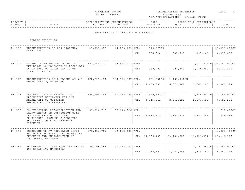|  | FINANCIAL STATUS |
|--|------------------|
|  | AS OF 11/30/21   |

FINANCIAL STATUS DEPARTMENTAL ESTIMATES PAGE: 83 FISCAL YEAR 2023 (APP=APPROPRIATIONS; CF=CASH FLOW)

|         |       |      |                                        |      |       |                      | . <u>. .</u> |
|---------|-------|------|----------------------------------------|------|-------|----------------------|--------------|
| PROJECT |       | ONS  | ¬v י<br>END<br>.<br>c<br><b>UINDER</b> | 2023 | THRE. | ONS<br>YEAR<br>ים פי |              |
| NUMBER  | 'ITLE | DATE | $m \wedge$<br>DATE<br>ື່∽              |      | 2024  | 2025                 | :02          |
|         |       |      |                                        |      |       |                      | -----        |

## DEPARTMENT OF CITYWIDE ADMIN SERVICE

| $PW-316$   | RECONSTRUCTION OF 280 BROADWAY,                                                                                                                                                | 47,656,088    | 44,833,223   APP:    |     | 179,275CN      |                |                          | 23, 238, 000CN |
|------------|--------------------------------------------------------------------------------------------------------------------------------------------------------------------------------|---------------|----------------------|-----|----------------|----------------|--------------------------|----------------|
|            | MANHATTAN                                                                                                                                                                      |               |                      | CF: | 555,828        | 395,795        | 338,146                  | 4,930,680      |
| $PW-317$   | FACADE IMPROVEMENTS TO PUBLIC                                                                                                                                                  | 101,484,310   | $94,966,413$ $APP:$  |     |                |                | $2,957,273$ CN           | 26,552,000CN   |
|            | BUILDINGS AS MANDATED BY LOCAL LAW<br>10 OF 1980 OR LOCAL LAW 11 OF<br>1998, CITYWIDE.                                                                                         |               |                      | CF: | 338,773        | 827,863        | 1,584,956                | 6,512,251      |
| $PW-322$   | RECONSTRUCTION OF BUILDING AT 345<br>ADAMS STREET, BROOKLYN                                                                                                                    | 172,796,494   | 134, 194, 587   APP: |     | $261,532$ CN   | $1,189,000$ CN |                          |                |
|            |                                                                                                                                                                                |               |                      | CF: | 7,409,885      | 6,072,862      | 5,061,105                | 4, 346, 194    |
| $PW-324$   | PURCHASE OF ELECTRONIC DATA<br>PROCESSING EQUIPMENT FOR THE<br>DEPARTMENT OF CITYWIDE<br>ADMINISTRATIVE SERVICES.                                                              | 106,493,653   | 91,367,494   APP:    |     | $1,519,623$ CN |                | $3,358,000 \, \text{CN}$ | 12,465,000CN   |
|            |                                                                                                                                                                                |               |                      | CF: | 3, 345, 511    | 2,363,120      | 2,693,627                | 4,652,231      |
| $PW - 335$ | CONSTRUCTION, RECONSTRUCTION AND<br>IMPROVEMENTS IN CONNECTION WITH<br>THE ELIMINATION OF UNSAFE<br>CONDITIONS, INCLUDING ASBESTOS<br>ABATEMENT, ON CITY PROPERTY,<br>CITYWIDE | 93,534,760    | 78,813,326   APP:    |     |                |                |                          | 797,406CN      |
|            |                                                                                                                                                                                |               |                      | CF: | 2,843,812      | 2,181,616      | 1,851,743                | 1,821,594      |
| $PW-348$   | IMPROVEMENTS AT REFUELING SITES                                                                                                                                                | 575, 312, 767 | $433,023,433$ $APP:$ |     |                |                |                          | 43,065,462CN   |
|            | AND OTHER PROPERTY, INCLUDING THE<br>PURCHASE AND INSTALLATION OF<br>EQUIPMENT, CITYWIDE                                                                                       |               |                      |     | CF: 29,530,737 | 23, 134, 228   | 19,423,397               | 25, 442, 363   |
| $PW-357$   | RECONSTRUCTION AND IMPROVEMENTS AT                                                                                                                                             | 58,108,285    | 41,344,201   APP:    |     |                |                | 1,097,590C <sub>N</sub>  | 13,684,000CN   |
|            | 253 BROADWAY, MANHATTAN                                                                                                                                                        |               |                      | CF: | 1,732,172      | 1,257,568      | 2,856,490                | 4,887,738      |
|            |                                                                                                                                                                                |               |                      |     |                |                |                          |                |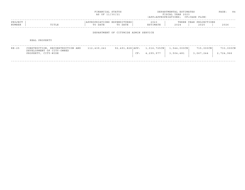|                   |                                                                                      | FINANCIAL STATUS<br>AS OF 11/30/21     |                                      | DEPARTMENTAL ESTIMATES<br>FISCAL YEAR 2023<br>(APP=APPROPRIATIONS; CF=CASH FLOW) | PAGE:                    | - 84                           |                        |  |
|-------------------|--------------------------------------------------------------------------------------|----------------------------------------|--------------------------------------|----------------------------------------------------------------------------------|--------------------------|--------------------------------|------------------------|--|
| PROJECT<br>NUMBER | TITLE                                                                                | APPROPRIATIONS EXPENDITURES<br>TO DATE | TO DATE                              | 2023<br>ESTIMATE                                                                 | 2024                     | THREE YEAR PROJECTIONS<br>2025 | 2026                   |  |
|                   |                                                                                      |                                        | DEPARTMENT OF CITYWIDE ADMIN SERVICE |                                                                                  |                          |                                |                        |  |
|                   | REAL PROPERTY                                                                        |                                        |                                      |                                                                                  |                          |                                |                        |  |
| $RE-25$           | CONSTRUCTION, RECONSTRUCTION AND<br>DEVELOPMENT OF CITY-OWNED<br>PROPERTY, CITY-WIDE | 112,439,241                            | 92,491,828 APP:<br>CF:               | $1,016,725$ CN<br>4,295,977                                                      | 1,544,000CN<br>3,504,481 | $715,000$ CN<br>3,067,244      | 733,000CN<br>2,724,966 |  |

------------------------------------------------------------------------------------------------------------------------------------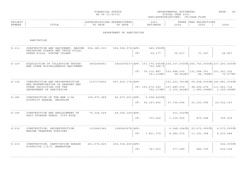|                   |                                                                                                                             | FINANCIAL STATUS<br>AS OF 11/30/21                                   |                              |     | DEPARTMENTAL ESTIMATES<br>FISCAL YEAR 2023<br>(APP=APPROPRIATIONS; CF=CASH FLOW) | PAGE:<br>85 |                                                                                                                  |             |
|-------------------|-----------------------------------------------------------------------------------------------------------------------------|----------------------------------------------------------------------|------------------------------|-----|----------------------------------------------------------------------------------|-------------|------------------------------------------------------------------------------------------------------------------|-------------|
| PROJECT<br>NUMBER | TITLE                                                                                                                       | APPROPRIATIONS EXPENDITURES<br>TO DATE                               | TO DATE                      |     | 2023<br>ESTIMATE                                                                 | 2024        | THREE YEAR PROJECTIONS<br>2025                                                                                   | 2026        |
|                   |                                                                                                                             |                                                                      | DEPARTMENT OF SANITATION     |     |                                                                                  |             |                                                                                                                  |             |
|                   | SANITATION                                                                                                                  |                                                                      |                              |     |                                                                                  |             |                                                                                                                  |             |
| $S-111$           | CONSTRUCTION AND EOUIPMENT, MARINE 554,380,033 554,592,576 APP:<br>UNLOADING PLANTS AND TRUCK FILLS,                        |                                                                      |                              |     | 549,999CN                                                                        |             |                                                                                                                  |             |
|                   | FRESH KILLS, STATEN ISLAND                                                                                                  |                                                                      |                              |     | CF: 59,177                                                                       | 35,417      | 31,347                                                                                                           | 24,967      |
| $S - 129$         | ACOUISITION OF COLLECTION TRUCKS<br>AND OTHER MISCELLANEOUS EQUIPMENT                                                       | 3662096451                                                           |                              |     | 702,998 F                                                                        |             | 3443609237   APP: 153,770,545CN   235,337,000CN   255,743,000CN   237,293,000CN                                  |             |
|                   |                                                                                                                             |                                                                      |                              |     |                                                                                  |             | $CF: 76, 110, 887$   102, 688, 530   131, 384, 741   151, 361, 202<br>$141, 239NC$ 98, 943NC 84, 796NC 70, 677NC |             |
| $S - 136$         | CONSTRUCTION AND RECONSTRUCTION<br>AND MODERNIZATION OF GARAGES AND<br>OTHER FACILITIES FOR THE<br>DEPARTMENT OF SANITATION | 1137173832                                                           | $607, 403, 174$ $\vert$ APP: |     |                                                                                  |             | $ 121, 521, 781CN $ 60,498,000CN 145,881,000CN                                                                   |             |
|                   |                                                                                                                             |                                                                      |                              |     | $CF: 103, 675, 343$   107, 485, 519                                              |             | 98,692,276   111,563,714<br>792,117NC   2,132,961NC   1,580,094NC   1,345,596NC                                  |             |
| $S-186$           | CONSTRUCTION OF THE NEW 3/3A<br>DISTRICT GARAGE, BROOKLYN                                                                   | $194, 975, 089$ $40, 673, 201$ $\vert$ APP: $3, 398, 429$ CN $\vert$ |                              |     |                                                                                  |             |                                                                                                                  |             |
|                   |                                                                                                                             |                                                                      |                              |     | CF: 34, 157, 662                                                                 | 27,736,696  | 23, 143, 596                                                                                                     | 20,022,163  |
| $S - 195$         | CONSTRUCTION AND REPLACEMENT OF                                                                                             | 75,334,529                                                           | 69,205,169   APP :           |     |                                                                                  | 511,302CN   |                                                                                                                  |             |
|                   | SALT STORAGE SHEDS, CITY-WIDE                                                                                               |                                                                      |                              |     | CF: 733,262                                                                      | 1,135,625   | 875,348                                                                                                          | 745,509     |
| $S - 216$         | CONSTRUCTION, RECONSTRUCTION,                                                                                               |                                                                      |                              |     |                                                                                  |             | $6,048,294CN$ 22,672,000CN                                                                                       | 4,070,000CN |
|                   | MARINE TRANSFER STATIONS                                                                                                    |                                                                      |                              |     | CF: 7,831,379                                                                    | 8,282,570   | 11,191,398                                                                                                       | 9,633,684   |
| $S - 219$         | CONSTRUCTION, SANTITATION GARAGE 261,576,625 254,536,665 APP:                                                               |                                                                      |                              |     |                                                                                  |             |                                                                                                                  | 522,000CN   |
|                   | DISTRICTS 1/2/5, MANHATTAN                                                                                                  |                                                                      |                              | CF: | 747,653                                                                          | 577,089     | 485,790                                                                                                          | 630,358     |
|                   |                                                                                                                             |                                                                      |                              |     |                                                                                  |             |                                                                                                                  |             |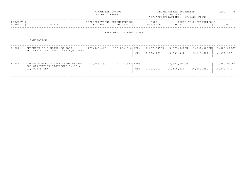|                   |                                                                                        | FINANCIAL STATUS<br>AS OF 11/30/21     |                          |     |                             | DEPARTMENTAL ESTIMATES<br>FISCAL YEAR 2023<br>(APP=APPROPRIATIONS; CF=CASH FLOW) |                                       | PAGE:<br>86               |
|-------------------|----------------------------------------------------------------------------------------|----------------------------------------|--------------------------|-----|-----------------------------|----------------------------------------------------------------------------------|---------------------------------------|---------------------------|
| PROJECT<br>NUMBER | TITLE                                                                                  | APPROPRIATIONS EXPENDITURES<br>TO DATE | TO DATE                  |     | 2023<br>ESTIMATE            | 2024                                                                             | THREE YEAR PROJECTIONS<br>2025        | 2026                      |
|                   |                                                                                        |                                        | DEPARTMENT OF SANITATION |     |                             |                                                                                  |                                       |                           |
|                   | SANITATION                                                                             |                                        |                          |     |                             |                                                                                  |                                       |                           |
| $S - 222$         | PURCHASE OF ELECTRONIC DATA<br>PROCESSING AND ANCILLARY EQUIPMENT                      | 171,949,460                            | 150,054,010 APP:         | CF: | $6,487,065$ CN<br>5,798,173 | $5,873,000 \, \text{CN}$<br>5,391,492                                            | $3,500,000 \, \text{CN}$<br>5,110,627 | 3,609,000CN<br>4,937,316  |
| $S - 248$         | CONSTRUCTION OF SANITATION GARAGE<br>FOR SANITATION DISTRICTS 9, 10 &<br>11, THE BRONX | 61,488,390                             | $9, 224, 582$ $APP:$     | CF: | 6,003,951                   | 277,307,000CN<br>65,156,436                                                      | 46,265,290                            | 3,000,000CN<br>40,276,472 |
|                   |                                                                                        |                                        |                          |     |                             |                                                                                  |                                       |                           |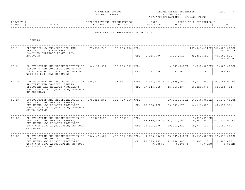|  | FINANCIAL STATUS |
|--|------------------|
|  | AS OF 11/30/21   |

FINANCIAL STATUS DEPARTMENTAL ESTIMATES PAGE: 87 FISCAL YEAR 2023 (APP=APPROPRIATIONS; CF=CASH FLOW)

| PROJEC |       |              | ,,,,,,,, | 202.           |                               | $\cap$ NT $\subset$<br>꼬ㅁㅈ.<br>ᆂᆂᇦᇌᇦ<br>$\left  \right $ |              |
|--------|-------|--------------|----------|----------------|-------------------------------|----------------------------------------------------------|--------------|
| NUMBER | ⊥⊥⊥⊥⊥ | 五九中形<br>DATE | DATE     | <b>TASA MT</b> | $\cap$ $\cap$ $\cap$<br>2 U Z | 2025                                                     | 2022<br>ていてん |
|        |       |              |          |                |                               |                                                          |              |

DEPARTMENT OF ENVIRONMENTAL PROTECT.

SEWERS

| $SE - 1$ | PROFESSIONAL SERVICES FOR THE<br>PREPARATION OF SANITARY AND<br>COMBINED DRAINAGE PLANS, ALL                           | 77,657,740 | 36,808,150   APP:   |     |                                                                        |                             |                                             | $157, 446, 411CX$ 266,029,000CX<br>1,800,000 F     |
|----------|------------------------------------------------------------------------------------------------------------------------|------------|---------------------|-----|------------------------------------------------------------------------|-----------------------------|---------------------------------------------|----------------------------------------------------|
|          | <b>BOROUGHS</b>                                                                                                        |            |                     | CF: | 1,915,730                                                              | 4,844,910                   | 32,351,590                                  | 70,466,520<br>306,000NC                            |
| $SE-2$   | CONSTRUCTION AND RECONSTRUCTION OF                                                                                     | 36,112,671 | 35,850,801   APP:   |     |                                                                        |                             | $3,665,000 \text{CX}$ $3,000,000 \text{CX}$ | $3,000,000 \, \text{C}$                            |
|          | SANITARY AND COMBINED SEWERS NOT<br>TO EXCEED \$400,000 IN CONJUNCTION<br>WITH SE-200, ALL BOROUGHS                    |            |                     | CF: | 32,640                                                                 | 652,940                     | 1,013,260                                   | 1,362,480                                          |
| $SE-2K$  | CONSTRUCTION AND RECONSTRUCTION OF 886,410,772                                                                         |            |                     |     | $734, 555, 611$ APP: 70, 514, 634 CX   81, 129, 000 CX                 |                             | $60, 142, 000$ CX                           | 93,141,000CX                                       |
|          | SANITARY AND COMBINED SEWERS,<br>INCLUDING ALL RELATED ANCILLARY<br>WORK AND SITE ACQUISITION, BOROUGH<br>OF BROOKLYN  |            |                     |     | CF: 37,843,249                                                         | 45,016,297                  | 49,829,346                                  | 58, 114, 484                                       |
| $SE-2M$  | CONSTRUCTION AND RECONSTRUCTION OF 679,826,243                                                                         |            | 351,739,060   APP:  |     |                                                                        | $29,551,545$ CX             | $10,544,000$ CX                             | 2,143,000CX                                        |
|          | SANITARY AND COMBINED SEWERS,<br>INCLUDING ALL RELATED ANCILLARY<br>WORK AND SITE ACQUISITION, BOROUGH<br>OF MANHATTAN |            |                     |     | CF: 42, 108, 472                                                       | 50,883,179                  | 46,196,983                                  | 40, 254, 561                                       |
|          |                                                                                                                        |            |                     |     |                                                                        |                             |                                             |                                                    |
| $SE-20$  | CONSTRUCTION AND RECONSTRUCTION OF<br>SANITARY AND COMBINED SEWERS,<br>INCLUDING ALL RELATED ANCILLARY                 | 1553893383 | $1249623514$ $APP:$ |     |                                                                        | 55,830,234CX   53,742,000CX | 1,018,999CN                                 | $10, 760, 000 \text{CX}$ $150, 724, 000 \text{CX}$ |
|          | WORK AND SITE ACOUISITION, BOROUGH<br>OF OUEENS                                                                        |            |                     |     | CF: 60,565,398                                                         | 59, 313, 325                | 55,777,129                                  | 73,452,615                                         |
|          |                                                                                                                        |            |                     |     |                                                                        |                             |                                             |                                                    |
| $SE-2R$  | CONSTRUCTION AND RECONSTRUCTION OF 806,166,829<br>SANITARY AND COMBINED SEWERS,                                        |            |                     |     | $690, 139, 505$   APP: 9, 006, 256CX   35, 387, 000CX   42, 659, 000CX |                             |                                             | 39,012,000CX                                       |
|          | INCLUDING ALL RELATED ANCILLARY<br>WORK AND SITE ACQUISITION, BOROUGH<br>OF STATEN ISLAND                              |            |                     |     | CF: 20,599,155<br>9,539NC                                              | 22,754,407<br>8,479NC       | 27,405,198<br>7,949NC                       | 29,605,489<br>6,889NC                              |
|          |                                                                                                                        |            |                     |     |                                                                        |                             |                                             |                                                    |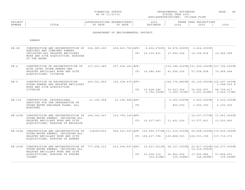| FINANCIAL STATUS<br>$\sim$ $\sim$ $\sim$ $\sim$ $\sim$ $\sim$ | DEPARTMENTAL ESTIMATES | PAGE | __ |
|---------------------------------------------------------------|------------------------|------|----|
| AS OF 11/30/21                                                | FISCAL YEAR 2023       |      |    |

|         |                 |                                              |                      |                              |                               |                                                                              | - - - - - |
|---------|-----------------|----------------------------------------------|----------------------|------------------------------|-------------------------------|------------------------------------------------------------------------------|-----------|
| PROJECT |                 |                                              | . N 1 1<br>.         | $\sim$ $\sim$ $\sim$<br>202. |                               | $\cap$ NT $\subset$<br>ת הדי<br>. H.<br>U 11 JUNIO 11 JUNIO 11<br>$\sqrt{2}$ |           |
| NUMBER  | 고 따고 교<br>פחודה | n a m n<br>$m \wedge$<br>DA I E<br>$\lambda$ | DATE<br>$\mathsf{m}$ | . 352 m 1<br>I'IA I E        | $\cap$ $\cap$ $\cap$<br>2 U 2 | 202F                                                                         | 2026      |
|         |                 |                                              |                      |                              |                               |                                                                              |           |

DEPARTMENT OF ENVIRONMENTAL PROTECT.

SEWERS

| SANITARY AND COMBINED SEWERS,                                                                                  |                                                                                                                                                                                                                                      |                                                                                                          |  |                                                                                                                                                                                                                         |                          |                                                                                                                                                                                                                                                                                                                                                                                                                                                                                                                                                         |
|----------------------------------------------------------------------------------------------------------------|--------------------------------------------------------------------------------------------------------------------------------------------------------------------------------------------------------------------------------------|----------------------------------------------------------------------------------------------------------|--|-------------------------------------------------------------------------------------------------------------------------------------------------------------------------------------------------------------------------|--------------------------|---------------------------------------------------------------------------------------------------------------------------------------------------------------------------------------------------------------------------------------------------------------------------------------------------------------------------------------------------------------------------------------------------------------------------------------------------------------------------------------------------------------------------------------------------------|
| INCLUDING ALL RELATED ANCILLARY<br>WORK AND SITE ACQUISITION, BOROUGH<br>OF THE BRONX                          |                                                                                                                                                                                                                                      |                                                                                                          |  | 17,993,026                                                                                                                                                                                                              | 16, 154, 834             | 14,066,589                                                                                                                                                                                                                                                                                                                                                                                                                                                                                                                                              |
| CONSTRUCTION OR RECONSTRUCTION OF                                                                              | 337, 223, 089                                                                                                                                                                                                                        |                                                                                                          |  |                                                                                                                                                                                                                         |                          |                                                                                                                                                                                                                                                                                                                                                                                                                                                                                                                                                         |
| RELATED ANCILLARY WORK AND SITE<br>ACQUISITIONS, CITYWIDE                                                      |                                                                                                                                                                                                                                      |                                                                                                          |  | 43,904,026                                                                                                                                                                                                              | 57,938,838               | 70,968,494                                                                                                                                                                                                                                                                                                                                                                                                                                                                                                                                              |
| CONSTRUCTION OR RECONSTRUCTION<br>STORM SEWERS AND RELATED ANCILLARY<br>WORK AND SITE ACOUISITION,<br>CITYWIDE | 240,021,859                                                                                                                                                                                                                          |                                                                                                          |  |                                                                                                                                                                                                                         |                          | 3,088,000 F                                                                                                                                                                                                                                                                                                                                                                                                                                                                                                                                             |
|                                                                                                                |                                                                                                                                                                                                                                      |                                                                                                          |  | 33,527,066                                                                                                                                                                                                              | 32,062,407               | 48,759,417<br>2,649,737NC                                                                                                                                                                                                                                                                                                                                                                                                                                                                                                                               |
| CONSTRUCTION, PROFESSIONAL<br>SERVICES FOR THE PREPARATION OF<br>STORM WATER DRAINAGE PLANS, ALL<br>BOROUGHS.  | 21,106,948                                                                                                                                                                                                                           |                                                                                                          |  |                                                                                                                                                                                                                         |                          | 5,000,000CN                                                                                                                                                                                                                                                                                                                                                                                                                                                                                                                                             |
|                                                                                                                |                                                                                                                                                                                                                                      |                                                                                                          |  | 850,000                                                                                                                                                                                                                 | 1,500,000                | 2,100,000                                                                                                                                                                                                                                                                                                                                                                                                                                                                                                                                               |
|                                                                                                                |                                                                                                                                                                                                                                      |                                                                                                          |  |                                                                                                                                                                                                                         |                          | 11,961,000CN                                                                                                                                                                                                                                                                                                                                                                                                                                                                                                                                            |
| RELATED ANCILLARY WORK AND SITE<br>ACQUISITIONS, BOROUGH OF BROOKLYN                                           |                                                                                                                                                                                                                                      |                                                                                                          |  | 11,451,226                                                                                                                                                                                                              | 13,577,831               | 13,530,460                                                                                                                                                                                                                                                                                                                                                                                                                                                                                                                                              |
|                                                                                                                | 1383657450                                                                                                                                                                                                                           |                                                                                                          |  |                                                                                                                                                                                                                         |                          |                                                                                                                                                                                                                                                                                                                                                                                                                                                                                                                                                         |
| RELATED ANCILLARY WORK AND SITE<br>ACQUISITIONS, BOROUGH OF QUEENS                                             |                                                                                                                                                                                                                                      |                                                                                                          |  |                                                                                                                                                                                                                         | 104,531,196              | 117, 713, 172                                                                                                                                                                                                                                                                                                                                                                                                                                                                                                                                           |
| STORM WATER SEWERS, INCLUDING ALL                                                                              | 777,558,012                                                                                                                                                                                                                          |                                                                                                          |  |                                                                                                                                                                                                                         |                          |                                                                                                                                                                                                                                                                                                                                                                                                                                                                                                                                                         |
| ACOUISITIONS, BOROUGH OF STATEN<br>ISLAND                                                                      |                                                                                                                                                                                                                                      |                                                                                                          |  | 36,822,656                                                                                                                                                                                                              | 37,955,884               | 53,898,491<br>109,936NC                                                                                                                                                                                                                                                                                                                                                                                                                                                                                                                                 |
|                                                                                                                | HIGH LEVEL STORM SEWERS AND<br>STORM WATER SEWERS, INCLUDING ALL<br>SE-2000 CONSTRUCTION AND RECONSTRUCTION OF<br>STORM WATER SEWERS, INCLUDING ALL<br>SE-200R CONSTRUCTION AND RECONSTRUCTION OF<br>RELATED ANCILLARY WORK AND SITE | CONSTRUCTION AND RECONSTRUCTION OF 536,389,209<br>SE-200K CONSTRUCTION AND RECONSTRUCTION OF 294,360,027 |  | CF: 14, 135, 651<br>207, 506, 381   APP:<br>CF: 14,086,490<br>$102, 338, 475$ $APP:$<br>CF: 16, 628, 286<br>21, 106, 948   APP:<br>CF:<br>210, 799, 149   APP:<br>CF: 10,917,967<br>CF: 108,237,798<br>CF: 30, 638, 319 | 105,868,503<br>152,219NC | $459,623,789$   APP: 6,602,676CX   36,878,000CX   2,614,000CX  <br>$139, 386, 432$ CN $131, 000, 000$ CN $127, 706, 000$ CN<br>$ 104, 776, 880 \text{CN}  25, 136, 000 \text{CN} 122, 497, 000 \text{CN}$<br>2,792,181NC   2,359,747NC   2,201,410NC<br>$5,000,000 \, \text{CN}$<br>$5,000,000 \, \text{C}$ N<br>10,037,577CN<br>906, 223, 097   APP: 152, 995, 377CN   111, 034, 000CN   55, 058, 000CN   170, 625, 000CN<br>610,004,697   APP: 15,627,601CN   68,157,000CN   20,817,000CN   126,277,000CN<br>12, 214, 590CX<br>135,306NC<br>126,849NC |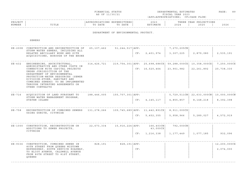|  | FINANCIAL STATUS |  |
|--|------------------|--|
|  | AS OF 11/30/21   |  |

FINANCIAL STATUS DEPARTMENTAL ESTIMATES PAGE: 89 FISCAL YEAR 2023 (APP=APPROPRIATIONS; CF=CASH FLOW)

| PROJECT |       |                    |                  | $\sim$ $\sim$ $\sim$<br>202. |                               | $\cap$ NT $\subset$<br>ם הקיד<br>г т. и<br>. |                       |
|---------|-------|--------------------|------------------|------------------------------|-------------------------------|----------------------------------------------|-----------------------|
| NUMBER  | TITLE | DATE<br>$m \wedge$ | DATE<br>$m \ell$ | ורח הואי                     | $\cap$ $\cap$ $\cap$<br>4 V 4 | 2025                                         | $\cap$ $\cap$<br>くりくや |
|         |       |                    |                  |                              |                               |                                              |                       |

DEPARTMENT OF ENVIRONMENTAL PROTECT.

SEWERS

| STORM WATER SEWERS, INCLUDING ALL<br>RELATED ANCILLARY WORK AND SITE<br>ACQUISITIONS, BOROUGH OF THE BRONX                                                                                                                                                                                                                        | 65,107,462                                                                                                                                                          |                                                                                             | 2,401,974                                                                  | 3,307,225                                                            | 2,879,080    | 2,535,191                                                                                                                                                                                                                  |
|-----------------------------------------------------------------------------------------------------------------------------------------------------------------------------------------------------------------------------------------------------------------------------------------------------------------------------------|---------------------------------------------------------------------------------------------------------------------------------------------------------------------|---------------------------------------------------------------------------------------------|----------------------------------------------------------------------------|----------------------------------------------------------------------|--------------|----------------------------------------------------------------------------------------------------------------------------------------------------------------------------------------------------------------------------|
| ENGINEERING, ARCHITECTURAL,<br>ADMINISTRATIVE AND OTHER COSTS IN<br>CONNECTION WITH CAPITAL PROJECTS<br>UNDER JURISDICTION OF THE<br>DEPARTMENT OF ENVIRONMENTAL<br>PROTECTION-WATER RESOURCES (SEWER<br>DIVISION-STORM, SANITARY AND<br>COMBINED SEWERS) TO BE IMPLEMENTED<br>THROUGH INTERFUND AGREEMENTS OR<br>OTHER CONTRACTS |                                                                                                                                                                     |                                                                                             |                                                                            | 23,901,982                                                           | 22, 261, 892 | 20,738,330                                                                                                                                                                                                                 |
| STORM WATER MANAGEMENT PROGRAM,<br>STATEN ISLAND                                                                                                                                                                                                                                                                                  |                                                                                                                                                                     |                                                                                             |                                                                            | 4,855,857                                                            | 8, 148, 218  | 8,392,398                                                                                                                                                                                                                  |
| USING GUNITE, CITYWIDE                                                                                                                                                                                                                                                                                                            |                                                                                                                                                                     |                                                                                             | 5, 452, 355                                                                | 5,958,966                                                            | 5,289,027    | 4,572,919                                                                                                                                                                                                                  |
| ADDITIONS TO SEWER PROJECTS,<br>CITYWIDE                                                                                                                                                                                                                                                                                          |                                                                                                                                                                     |                                                                                             | 43,000CX                                                                   | 1,177,449                                                            | 1,077,185    | 932,096                                                                                                                                                                                                                    |
| 80TH STREET FROM OUEENS MIDTOWN<br>EXPRESSWAY, SOUTH SERVICE ROADWAY,<br>TO ELIOT AVENUE, CALDWELL AVENUE<br>FROM 80TH STREET TO 81ST STREET,<br>OUEENS                                                                                                                                                                           | 828,191                                                                                                                                                             | CF:                                                                                         |                                                                            |                                                                      |              | 12,200,000CX<br>2,074,000                                                                                                                                                                                                  |
|                                                                                                                                                                                                                                                                                                                                   | SE-200X CONSTRUCTION AND RECONSTRUCTION OF<br>ACOUISITION OF LAND PURSUANT TO<br>SE-1000 CONSTRUCTION, RECONSTRUCTION OR<br>SE-9336 CONSTRUCTION, COMBINED SEWER IN | 314,426,721<br>188,446,005<br>RECONSTRUCTION OF COMBINED SEWERS 131, 278, 266<br>22,673,334 | 51,244,517 APP:<br>155,707,301 APP:<br>15,916,224   APP:<br>828,191   APP: | CF:<br>CF: 16, 520, 464<br>CF: 4, 145, 117<br>CF:<br>CF: 1, 216, 338 | 166,403CN    | 7,270,205CN<br>$219, 754, 301$   APP: 25, 698, 686CX   59, 288, 000CX   10, 358, 000CX   7, 250, 000CX<br>5,729,511CN   22,633,000CN   10,000,000CN<br>$109, 745, 689$ APP: $11, 442, 891$ CX   8,911,000CX  <br>792,000CN |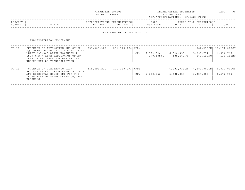| FINANCIAL STATUS | DEPARTMENTAL ESTIMATES | $Q \cap$<br>PAGE |
|------------------|------------------------|------------------|
| AS OF 11/30/21   | FISCAL YEAR 2023       |                  |

| PROJECT |               |      |      | $\cap$ $\cap$ $\cap$<br>202. | הם הוד<br>ت تا دا 11 | IONS<br>YEAR<br>ית ה |      |
|---------|---------------|------|------|------------------------------|----------------------|----------------------|------|
| NUMBER  | ㅠㅜㅠㅜ ㅠ<br>ᆂᆂᅭ | DATE | DATE |                              | 202                  | 2025                 | 2026 |
|         |               |      |      |                              |                      |                      |      |

### DEPARTMENT OF TRANSPORTATION

# TRANSPORTATION EQUIPMENT

| TD-18 | PURCHASE OF AUTOMOTIVE AND OTHER<br>EQUIPMENT HAVING A UNIT COST OF AT<br>LEAST \$35,000 AFTER NOVEMBER 1,<br>1999 AND A LIFE EXPECTANCY OF AT<br>LEAST FIVE YEARS FOR USE BY THE<br>DEPARTMENT OF TRANSPORTATION | 331,403,322 | 291, 116, 174   APP: | CF: | 6,592,926<br>270,139NC | 6,020,437<br>189,161NC   | 782,255CN<br>5,098,751<br>162,127NC | 11,171,000CN<br>6,534,767<br>135,118NC |
|-------|-------------------------------------------------------------------------------------------------------------------------------------------------------------------------------------------------------------------|-------------|----------------------|-----|------------------------|--------------------------|-------------------------------------|----------------------------------------|
| TD-19 | PURCHASE OF ELECTRONIC DATA<br>PROCESSING AND INFORMATION STORAGE<br>AND RETRIEVAL EQUIPMENT FOR THE<br>DEPARTMENT OF TRANSPORTATION, ALL<br>BOROUGHS                                                             | 155,096,236 | 120, 150, 673   APP: | CF: | 6,220,266              | 6,681,739CN<br>6,682,334 | 4,885,000CN<br>6,337,805            | 6,819,000CN<br>6,577,999               |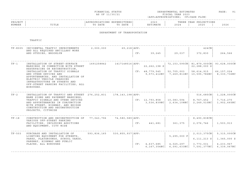| FINANCIAL STATUS | DEPARTMENTAL ESTIMATES | PAGE | $\sim$ |
|------------------|------------------------|------|--------|
| AS OF 11/30/21   | FISCAL YEAR 2023       |      |        |

| PROJECT |       | ONS  |      | 2023 |      | YEAR<br>ז ס פי | ONS  | _ _ _ _ |
|---------|-------|------|------|------|------|----------------|------|---------|
| NUMBER  | 'ITLE | DATE | ኮ∆ጥፑ |      | 2024 | 2025           | 2026 |         |
|         |       |      |      |      |      |                |      |         |

## DEPARTMENT OF TRANSPORTATION

TRAFFIC

|          | TF-K005 INCIDENTAL TRAFFIC IMPROVEMENTS                                                                                                                                                                                                                                                                                   | 2,000,000   | 69, 218   APP:       |     |                                                 |                                                | 424CN                                                                                              |                                                          |
|----------|---------------------------------------------------------------------------------------------------------------------------------------------------------------------------------------------------------------------------------------------------------------------------------------------------------------------------|-------------|----------------------|-----|-------------------------------------------------|------------------------------------------------|----------------------------------------------------------------------------------------------------|----------------------------------------------------------|
|          | AND ALL REOUIRED ANCILLARY WORK<br>AND STUDIES, BROOKLYN                                                                                                                                                                                                                                                                  |             |                      | CF: | 39,245                                          | 29,037                                         | 372,830                                                                                            | 264,566                                                  |
| $TF-1$   | INSTALLATION OF STREET-SURFACE<br>MARKINGS IN CONNECTION WITH STREET<br>RESURFACING OR RECONSTRUCTION,<br>INSTALLATION OF TRAFFIC SIGNALS<br>AND OTHER DEVICES AND<br>APPURTENANCES, AND INSTALLATION OF<br>ELECTRIC VEHICLE CHARGING<br>INFRASTRUCTURE ON STREETS AND<br>OFF-STREET PARKING FACILITIES, ALL<br>BOROUGHS. | 1691258842  | 1417148516 APP:      |     | 22, 262, 198 S<br>CF: 48,779,545<br>9,573,412NC | $72, 153, 595$ CN<br>52,705,003<br>7,269,811NC | 81,879,000CN<br>22,288,000 S<br>58,614,915<br>10,595,786NC                                         | 93,628,000CN<br>66,157,024<br>8,330,736NC                |
| $TF-2$   | INSTALLATION OF TRAFFIC AND STREET 276,252,831<br>NAME SIGNS AND PAVEMENT MARKINGS,<br>TRAFFIC SIGNALS AND OTHER DEVICES<br>AND APPURTENANCES IN CONJUNCTION<br>WITH STREET, HIGHWAY, AND BRIDGE<br>CONSTRUCTION AND RECONSTRUCTION<br>PROJECTS, CITYWIDE                                                                 |             | 178, 143, 198   APP: |     | CF: 12,793,858                                  | 10,083,594<br>$3,536,839NC$   2,634,108NC      | $516, 685$ CN<br>8,767,452<br>2,249,510NC                                                          | 1,228,000CN<br>7,716,270<br>1,902,665NC                  |
| $TF-18$  | CONSTRUCTION AND RECONSTRUCTION OF<br>VARIOUS OFF-STREET PARKING<br>FACILITIES, INCLUDING ADDITIONS<br>AND EQUIPMENT, CITY WIDE                                                                                                                                                                                           | 77,043,796  | 74,580,589 APP:      | CF: | 441,681                                         | 361,375                                        | 8,490,838CN<br>2,076,746                                                                           | 1,503,913                                                |
| $TF-503$ | PURCHASE AND INSTALLATION OF<br>LIGHTING EQUIPMENT FOR STREETS,<br>PARKS, PLAYGROUNDS, SCHOOL YARDS,<br>PARKWAY, HIGHWAY AND PUBLIC<br>PLACES, ALL BOROUGHS                                                                                                                                                               | 593,836,165 | 530, 855, 937   APP: | CF: | 4,637,685                                       | 5,295,000 F<br>4,025,297                       | $2,013,375$ CN<br>$6, 111, 213$ S<br>3,773,031<br>6, 167, 354 NC   6, 091, 633 NC   7, 591, 377 NC | 5,315,000CN<br>1,345,000 S<br>4, 233, 967<br>6,339,067NC |
|          |                                                                                                                                                                                                                                                                                                                           |             |                      |     |                                                 |                                                |                                                                                                    |                                                          |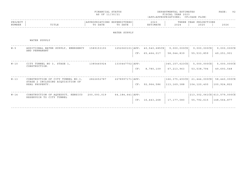|                   |                                                                       | FINANCIAL STATUS<br>AS OF 11/30/21 |                                        |     |                                   | DEPARTMENTAL ESTIMATES<br>FISCAL YEAR 2023<br>(APP=APPROPRIATIONS; CF=CASH FLOW) |                                | PAGE:<br>92                         |
|-------------------|-----------------------------------------------------------------------|------------------------------------|----------------------------------------|-----|-----------------------------------|----------------------------------------------------------------------------------|--------------------------------|-------------------------------------|
| PROJECT<br>NUMBER | TITLE                                                                 | TO DATE                            | APPROPRIATIONS EXPENDITURES<br>TO DATE |     | 2023<br>ESTIMATE                  | 2024                                                                             | THREE YEAR PROJECTIONS<br>2025 | 2026                                |
|                   |                                                                       |                                    | WATER SUPPLY                           |     |                                   |                                                                                  |                                |                                     |
|                   | WATER SUPPLY                                                          |                                    |                                        |     |                                   |                                                                                  |                                |                                     |
| $W - 5$           | ADDITIONAL WATER SUPPLY, EMERGENCY<br>AND PERMANENT                   | 1589153193                         |                                        |     | $1252060101$ $APP: 40,540,685$ CX | $9,000,000 \, \text{C} \times$                                                   | $9,000,000$ CX                 | $9,000,000$ CX                      |
|                   |                                                                       |                                    |                                        |     | CF: 65, 464, 017                  | 58,044,839                                                                       | 55, 533, 859                   | 49,251,901                          |
| $W - 10$          | CITY TUNNEL NO 3, STAGE 1,<br>CONSTRUCTION.                           | 1385445924                         | 1330447702   APP:                      |     |                                   | 345, 157, 623CX                                                                  | $5,000,000$ CX                 | 5,000,000CX                         |
|                   |                                                                       |                                    |                                        | CF: | 8,780,109                         | 67, 213, 963                                                                     | 53, 538, 794                   | 49,693,548                          |
| $W - 13$          | CONSTRUCTION OF CITY TUNNEL NO.3,<br>STAGE 2 INCLUDING ACOUISITION OF | 2822652787                         | 2278997171   APP:                      |     |                                   | 166, 375, 493CX                                                                  | 21,444,000CX                   | 58,440,000CX                        |
|                   | REAL PROPERTY.                                                        |                                    |                                        |     | CF: 92,964,586                    | 113,169,388                                                                      | 104,120,400                    | 100,924,822                         |
| $W - 14$          | CONSTRUCTION OF AQUEDUCT, KENSICO<br>RESERVOIR TO CITY TUNNEL         | 200,093,019                        | $64, 184, 641$ $APP:$                  |     |                                   |                                                                                  |                                | $ 213,302,061$ CX $ 613,579,000$ CX |
|                   |                                                                       |                                    |                                        |     | CF: 16, 443, 268                  | 17,177,080                                                                       | 55,792,615                     | 148,564,877                         |
|                   |                                                                       |                                    |                                        |     |                                   |                                                                                  |                                |                                     |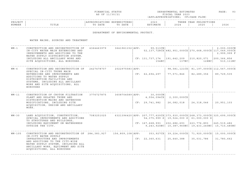| FINANCIAL STATUS | DEPARTMENTAL ESTIMATES | PAGE |  |
|------------------|------------------------|------|--|
| AS OF 11/30/21   | FISCAL YEAR 2023       |      |  |

| PROJEC |       |              | ,,,,,,,, | 202.           |                               | $\cap$ NT $\subset$<br>꼬ㅁㅈ.<br>ᆂᆂᇦᇌᇦ<br>$\left  \right $ |              |
|--------|-------|--------------|----------|----------------|-------------------------------|----------------------------------------------------------|--------------|
| NUMBER | ⊥⊥⊥⊥⊥ | 五九中形<br>DATE | DATE     | <b>TASA MT</b> | $\cap$ $\cap$ $\cap$<br>2 U Z | 2025                                                     | 2022<br>ていてん |
|        |       |              |          |                |                               |                                                          |              |

DEPARTMENT OF ENVIRONMENTAL PROTECT.

WATER MAINS, SOURCES AND TREATMENT

| $WM - 1$   | CONSTRUCTION AND RECONSTRUCTION OF<br>IN-CITY WATER MAIN EXTENSIONS AND<br>IMPROVEMENTS AND ADDITIONS TO THE<br>WATER SUPPLY DISTRIBUTION SYSTEM,                                                                                                                                                                       | 4364463979 | 3641961152   APP: | 99,513CN                                                                                                                                          | 52, 137, 728CX   482, 951, 000CX   270, 668, 000CX   117, 049, 000CX                                           |                                                           | 2,000,000CN<br>2,999,999 F |
|------------|-------------------------------------------------------------------------------------------------------------------------------------------------------------------------------------------------------------------------------------------------------------------------------------------------------------------------|------------|-------------------|---------------------------------------------------------------------------------------------------------------------------------------------------|----------------------------------------------------------------------------------------------------------------|-----------------------------------------------------------|----------------------------|
|            | INCLUDING ALL ANCILLARY WORK AND<br>SITE ACOUISITIONS, ALL BOROUGHS.                                                                                                                                                                                                                                                    |            |                   | $CF: 131, 737, 174$   191, 642, 209   210, 820, 071   200, 366, 856<br>154NC                                                                      |                                                                                                                | $137NC$   $128NC$                                         | 510,111NC                  |
| $WM - 6$   | CONSTRUCTION AND RECONSTRUCTION OF<br>SPECIAL IN-CITY TRUNK MAIN<br>EXTENSIONS AND IMPROVEMENTS AND<br>ADDITIONS TO WATER SUPPLY<br>DISTRIBUTION FACILITIES AND<br>SYSTEMS, INCLUDING ALL ANCILLARY<br>WORK AND SITE ACOUISITIONS, ALL<br><b>BOROUGHS</b>                                                               | 2427478707 | 2022975583 APP:   | CF: 62, 694, 297                                                                                                                                  | 77,571,846                                                                                                     | 98,581,121CX   81,197,000CX   112,567,000CX<br>82,289,356 | 89,729,535                 |
| $WM - 11$  | CONSTRUCTION OF CROTON FILTRATION<br>PLANT AND RELATED TRUNK AND<br>DISTRIBUTION MAINS AND GATEHOUSE<br>MODIFICATIONS, INCLUDING SITE<br>ACOUISITION, DESIGN AND ANCILLARY<br>WORK.                                                                                                                                     | 3776727875 | 3608704589   APP: | $30,000$ CN<br>CF: 29,741,982                                                                                                                     | $4,554,094CX$ 2,300,000 CX<br>26,082,018                                                                       | 24, 318, 046                                              | 20,951,103                 |
| $WM - 30$  | LAND ACOUISITION, CONSTRUCTION,<br>SPECIAL IMPROVEMENTS AND ADDITIONS<br>TO STRUCTURES AND BUILDINGS,<br>INCLUDING EQUIPMENT ON WATERSHEDS<br>OUTSIDE THE CITY.                                                                                                                                                         | 7083251025 |                   | $6321396420$  APP: 207,777,620CX 373,930,000CX 268,373,000CX 325,699,000CX<br>$CF: 167, 668, 993$   202, 686, 693   223, 776, 893   245, 519, 482 | 54,375,999 S   19,524,000 S   61,000,000 S<br>9, 243, 920NC   10, 387, 960NC   19, 433, 240NC   15, 710, 480NC |                                                           |                            |
| $WM - 105$ | CONSTRUCTION AND RECONSTRUCTION OF 284,383,927 156,809,108 APP: 353,927CX 39,224,000CX 71,920,000CX 15,000,000CX<br>IN-CITY WATER SUPPLY<br>INFRASTRUCTURE AND IMPROVEMENTS<br>AND ADDITIONS TO THE CITY-WIDE<br>WATER SUPPLY SYSTEM, INCLUDING ALL<br>ANCILLARY WORK, EQUIPMENT AND SITE<br>ACQUISITIONS, ALL BOROUGHS |            |                   | CF: 22, 360, 631                                                                                                                                  | 25,640,388                                                                                                     | 35,031,786                                                | 31,780,662                 |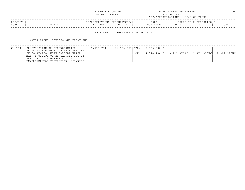|                           | FINANCIAL STATUS<br>AS OF 11/30/21                | DEPARTMENTAL ESTIMATES<br>FISCAL YEAR 2023<br>(APP=APPROPRIATIONS; CF=CASH FLOW) | PAGE: | 94 |
|---------------------------|---------------------------------------------------|----------------------------------------------------------------------------------|-------|----|
| PROJECT<br>NUMBER<br>ITLE | APPROPRIATIONS EXPENDITURES<br>TO DATE<br>TO DATE | 2023<br>THREE YEAR PROJECTIONS<br>ESTIMATE<br>2025<br>2024                       | 2026  |    |

DEPARTMENT OF ENVIRONMENTAL PROTECT.

WATER MAINS, SOURCES AND TREATMENT

| WM - 944 | CONSTRUCTION OR RECONSTRUCTION<br>PROJECTS FUNDED BY PRIVATE PARTIES                                  | 41,415,771 | $21,563,557$ $APP: 5,553,000 P$ |             |             |             |             |
|----------|-------------------------------------------------------------------------------------------------------|------------|---------------------------------|-------------|-------------|-------------|-------------|
|          | IN CONNECTION WITH CAPITAL WATER<br>MAIN PROJECTS TO BE CARRIED OUT BY<br>NEW YORK CITY DEPARTMENT OF |            | CF:                             | 4,374,700NC | 3,723,470NC | 3,476,085NC | 2,981,315NC |
|          | ENVIRONMENTAL PROTECTION, CITYWIDE                                                                    |            |                                 |             |             |             |             |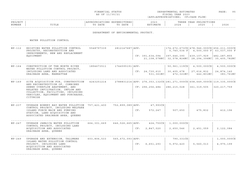|  | FINANCIAL STATUS |  |
|--|------------------|--|
|  | AS OF 11/30/21   |  |

FINANCIAL STATUS DEPARTMENTAL ESTIMATES PAGE: 95 FISCAL YEAR 2023 (APP=APPROPRIATIONS; CF=CASH FLOW)

|                                      |           |      |                                          |                        |       | -------------------------------------- |              |
|--------------------------------------|-----------|------|------------------------------------------|------------------------|-------|----------------------------------------|--------------|
| ᅚᇛᄼᅲ<br>ח סם<br>$\cup$ $\cup$ $\cup$ |           | IONS | PEND.<br>TURBS<br>.                      | 2023                   | THRF. | TIONS<br>$\tau \tau$<br>DDC<br>- 1     |              |
| NUMBER                               | اندىدىد . | DATE | D A m L<br>$m \wedge$<br>DA I I<br>- 100 | IMATE<br>$\sim$ $\sim$ | 2024  | 201<br>2023                            | 2000<br>ていてん |
|                                      |           |      |                                          |                        |       |                                        |              |

DEPARTMENT OF ENVIRONMENTAL PROTECT.

WATER POLLUTION CONTROL

| $WP-112$ | EXISTING WATER POLLUTION CONTROL<br>PROJECTS, RECONSTRUCTION AND<br>IMPROVEMENTS, NEW AND REPLACEMENT<br><b>EOUIPMENT</b>                                                                                                         | 5548797339  | 2812147687   APP:    |     | CF: 391,634,094             | 397,646,390 439,107,929 482,287,855<br>21, 108, 578NC   32, 578, 824NC   28, 294, 306NC   35, 405, 782NC | 5,740,534 F 4,500,000 F 63,037,000 F                      | 174,672,673CX   478,946,000CX   656,211,000CX |
|----------|-----------------------------------------------------------------------------------------------------------------------------------------------------------------------------------------------------------------------------------|-------------|----------------------|-----|-----------------------------|----------------------------------------------------------------------------------------------------------|-----------------------------------------------------------|-----------------------------------------------|
| $WP-164$ | CONSTRUCTION OF THE NORTH RIVER<br>WATER POLLUTION CONTROL PROJECT,<br>INCLUDING LAND AND ASSOCIATED<br>DRAINAGE AREA, MANHATTAN                                                                                                  | 1894673511  | $1744595191$ $APP:$  |     | CF: 24,730,610<br>531,361NC | 30,405,678<br>472,321NC                                                                                  | $50, 961, 119CX$ 4, 500, 000CX<br>27,616,832<br>442,801NC | 4,500,000CX<br>24,874,140<br>383,761NC        |
| $WP-169$ | SITE ACQUISITION FOR, CONSTRUCTION<br>AND RECONSTRUCTION OF, COMBINED<br>SEWER OVERFLOW ABATEMENT, AND<br>RELATED INFILTRATION, INFLOW AND<br>COLLECTION, FACILITIES, INCLUDING<br>VEHICLES, EOUIPMENT AND PURCHASES,<br>CITYWIDE | 4243251214  |                      |     | CF: 296,256,484             | $2788831214$ $APP: 276, 353, 132CX$ $281, 271, 000CX$ $608, 649, 000CX$ $119, 335, 000CX$<br>286,215,028 | 361,319,505                                               | 320, 217, 759                                 |
| $WP-237$ | UPGRADE BOWERY BAY WATER POLLUTION 757,421,400<br>CONTROL PROJECT, INCLUDING WELFARE<br>ISLAND FORCE MAIN AND PUMPING<br>STATION, LAND ACQUISITION AND<br>ASSOCIATED DRAINAGE AREA, QUEENS                                        |             | 752,899,089 APP:     | CF: | 47,993CX<br>572,247         | 507,650                                                                                                  | 475,832                                                   | 412,196                                       |
| $WP-247$ | UPGRADE JAMAICA WATER POLLUTION<br>CONTROL PROJECT, INCLUDING LAND<br>ACOUISITION AND ASSOCIATED<br>DRAINAGE AREA, OUEENS                                                                                                         | 664,301,669 | 646, 526, 665   APP: | CF: | 424,750CX<br>2,847,020      | $1,000,000 \, \text{C}$<br>2,650,546                                                                     | 2,451,059                                                 | 2,122,084                                     |
| $WP-249$ | UPGRADE AND EXTENSION, TALLMANS<br>ISLAND WATER POLLUTION CONTROL<br>PROJECT, INCLUDING LAND<br>ACOUISITION AND ASSOCIATED<br>DRAINAGE AREA, QUEENS                                                                               | 603,806,533 | 565, 672, 093   APP: | CF: | 6,651,293                   | 790,331CX<br>5,972,420                                                                                   | 5,560,013                                                 | 1,000,000CX<br>4,975,199                      |